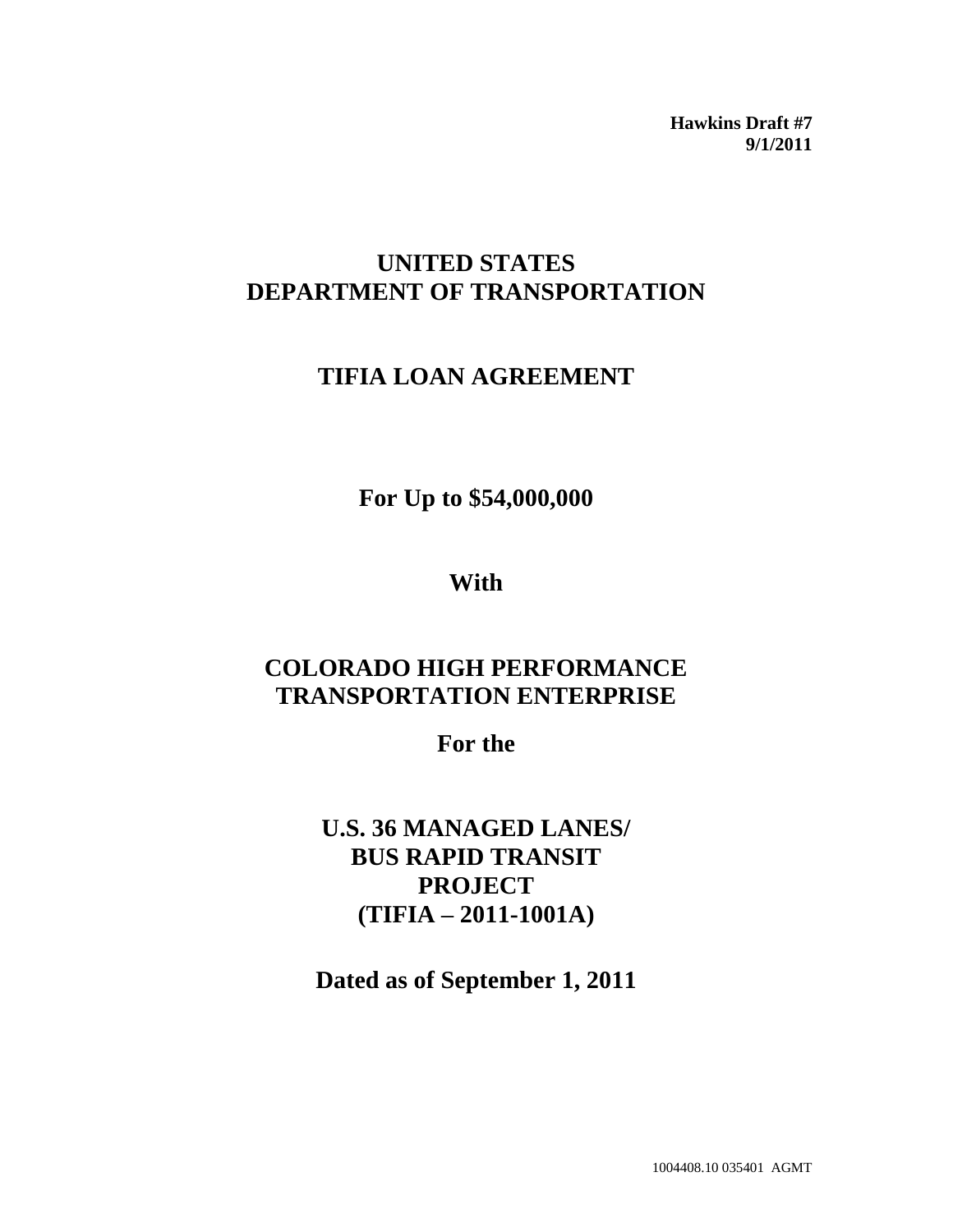**Hawkins Draft #7 9/1/2011**

# **UNITED STATES DEPARTMENT OF TRANSPORTATION**

# **TIFIA LOAN AGREEMENT**

**For Up to \$54,000,000**

**With**

# **COLORADO HIGH PERFORMANCE TRANSPORTATION ENTERPRISE**

**For the**

**U.S. 36 MANAGED LANES/ BUS RAPID TRANSIT PROJECT (TIFIA – 2011-1001A)**

**Dated as of September 1, 2011**

1004408.10 035401 AGMT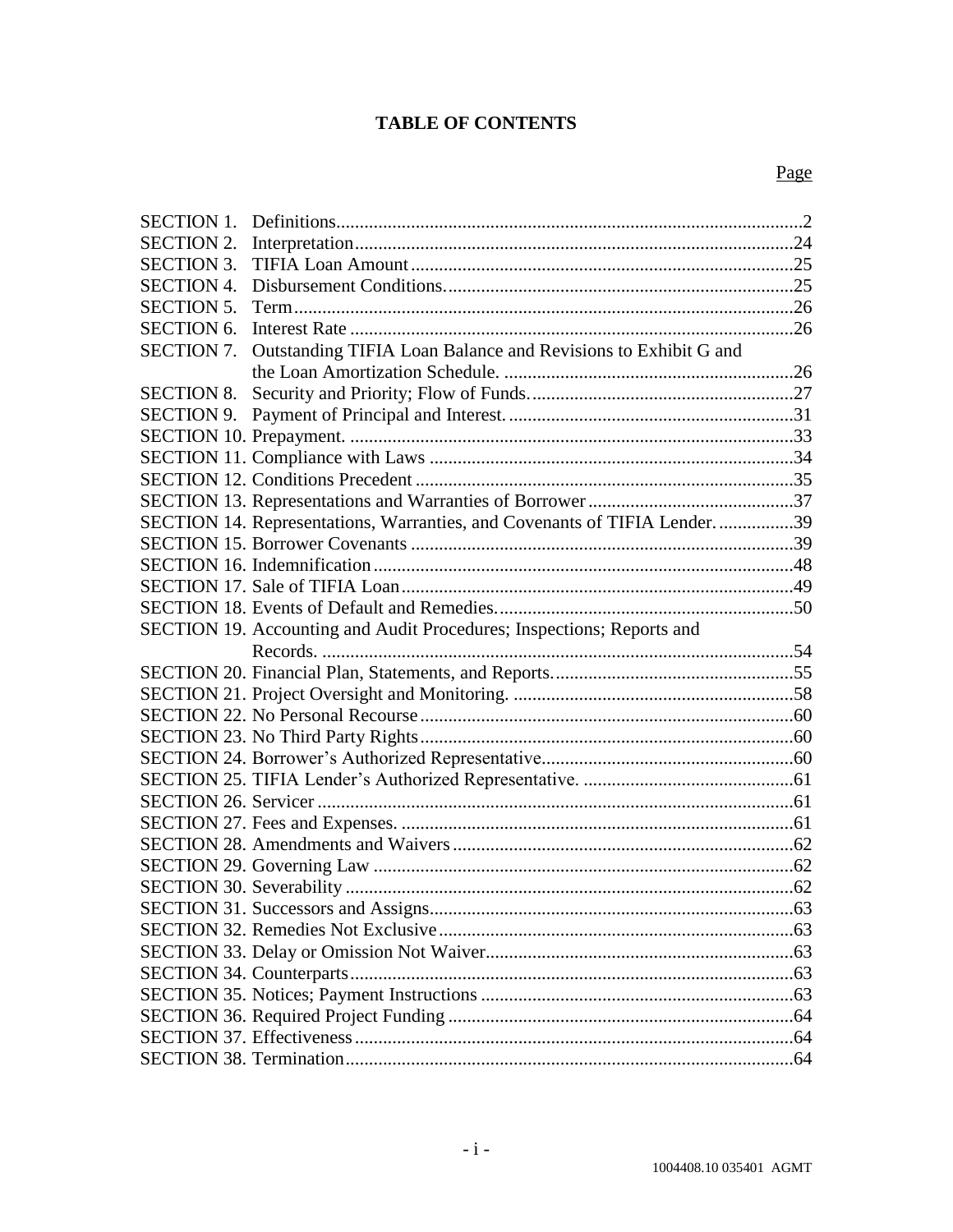# **TABLE OF CONTENTS**

| <b>SECTION 1.</b> |                                                                          |  |
|-------------------|--------------------------------------------------------------------------|--|
| <b>SECTION 2.</b> |                                                                          |  |
| <b>SECTION 3.</b> |                                                                          |  |
| <b>SECTION 4.</b> |                                                                          |  |
| <b>SECTION 5.</b> |                                                                          |  |
| <b>SECTION 6.</b> |                                                                          |  |
| <b>SECTION 7.</b> | Outstanding TIFIA Loan Balance and Revisions to Exhibit G and            |  |
|                   |                                                                          |  |
| <b>SECTION 8.</b> |                                                                          |  |
| <b>SECTION 9.</b> |                                                                          |  |
|                   |                                                                          |  |
|                   |                                                                          |  |
|                   |                                                                          |  |
|                   |                                                                          |  |
|                   | SECTION 14. Representations, Warranties, and Covenants of TIFIA Lender39 |  |
|                   |                                                                          |  |
|                   |                                                                          |  |
|                   |                                                                          |  |
|                   |                                                                          |  |
|                   | SECTION 19. Accounting and Audit Procedures; Inspections; Reports and    |  |
|                   |                                                                          |  |
|                   |                                                                          |  |
|                   |                                                                          |  |
|                   |                                                                          |  |
|                   |                                                                          |  |
|                   |                                                                          |  |
|                   |                                                                          |  |
|                   |                                                                          |  |
|                   |                                                                          |  |
|                   |                                                                          |  |
|                   |                                                                          |  |
|                   |                                                                          |  |
|                   |                                                                          |  |
|                   |                                                                          |  |
|                   |                                                                          |  |
|                   |                                                                          |  |
|                   |                                                                          |  |
|                   |                                                                          |  |
|                   |                                                                          |  |
|                   |                                                                          |  |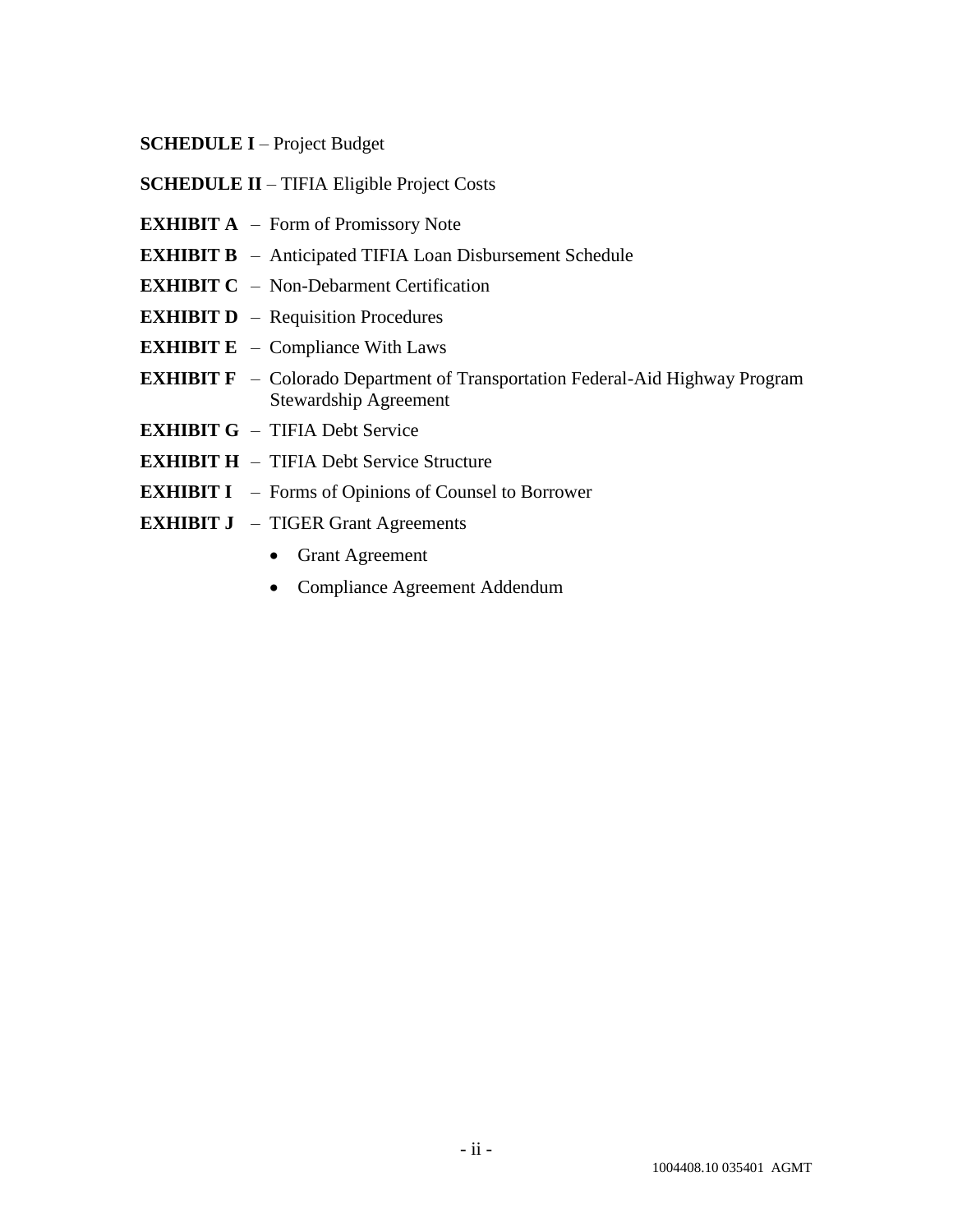- **SCHEDULE I** Project Budget
- **SCHEDULE II** TIFIA Eligible Project Costs
- **EXHIBIT A** Form of Promissory Note
- **EXHIBIT B** Anticipated TIFIA Loan Disbursement Schedule
- **EXHIBIT C** Non-Debarment Certification
- **EXHIBIT D** Requisition Procedures
- **EXHIBIT E** Compliance With Laws
- **EXHIBIT F** Colorado Department of Transportation Federal-Aid Highway Program Stewardship Agreement
- **EXHIBIT G** TIFIA Debt Service
- **EXHIBIT H** TIFIA Debt Service Structure
- **EXHIBIT I** Forms of Opinions of Counsel to Borrower
- **EXHIBIT J** TIGER Grant Agreements
	- Grant Agreement
	- Compliance Agreement Addendum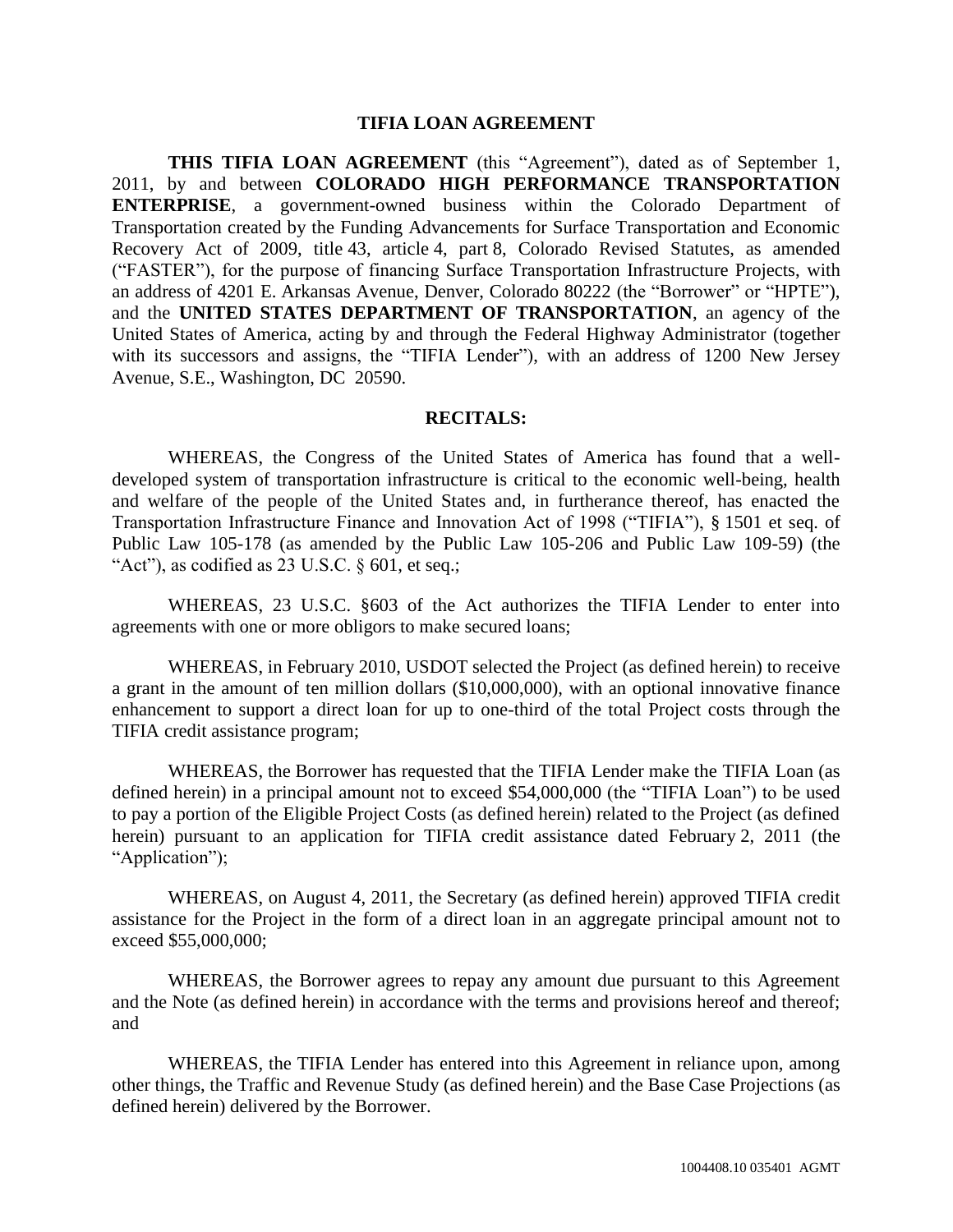#### **TIFIA LOAN AGREEMENT**

**THIS TIFIA LOAN AGREEMENT** (this "Agreement"), dated as of September 1, 2011, by and between **COLORADO HIGH PERFORMANCE TRANSPORTATION ENTERPRISE**, a government-owned business within the Colorado Department of Transportation created by the Funding Advancements for Surface Transportation and Economic Recovery Act of 2009, title 43, article 4, part 8, Colorado Revised Statutes, as amended ("FASTER"), for the purpose of financing Surface Transportation Infrastructure Projects, with an address of 4201 E. Arkansas Avenue, Denver, Colorado 80222 (the "Borrower" or "HPTE"), and the **UNITED STATES DEPARTMENT OF TRANSPORTATION**, an agency of the United States of America, acting by and through the Federal Highway Administrator (together with its successors and assigns, the "TIFIA Lender"), with an address of 1200 New Jersey Avenue, S.E., Washington, DC 20590.

#### **RECITALS:**

WHEREAS, the Congress of the United States of America has found that a welldeveloped system of transportation infrastructure is critical to the economic well-being, health and welfare of the people of the United States and, in furtherance thereof, has enacted the Transportation Infrastructure Finance and Innovation Act of 1998 ("TIFIA"), § 1501 et seq. of Public Law 105-178 (as amended by the Public Law 105-206 and Public Law 109-59) (the "Act"), as codified as  $23 \text{ U.S.C. }$  § 601, et seq.;

WHEREAS, 23 U.S.C. §603 of the Act authorizes the TIFIA Lender to enter into agreements with one or more obligors to make secured loans;

WHEREAS, in February 2010, USDOT selected the Project (as defined herein) to receive a grant in the amount of ten million dollars (\$10,000,000), with an optional innovative finance enhancement to support a direct loan for up to one-third of the total Project costs through the TIFIA credit assistance program;

WHEREAS, the Borrower has requested that the TIFIA Lender make the TIFIA Loan (as defined herein) in a principal amount not to exceed \$54,000,000 (the "TIFIA Loan") to be used to pay a portion of the Eligible Project Costs (as defined herein) related to the Project (as defined herein) pursuant to an application for TIFIA credit assistance dated February 2, 2011 (the "Application");

WHEREAS, on August 4, 2011, the Secretary (as defined herein) approved TIFIA credit assistance for the Project in the form of a direct loan in an aggregate principal amount not to exceed \$55,000,000;

WHEREAS, the Borrower agrees to repay any amount due pursuant to this Agreement and the Note (as defined herein) in accordance with the terms and provisions hereof and thereof; and

WHEREAS, the TIFIA Lender has entered into this Agreement in reliance upon, among other things, the Traffic and Revenue Study (as defined herein) and the Base Case Projections (as defined herein) delivered by the Borrower.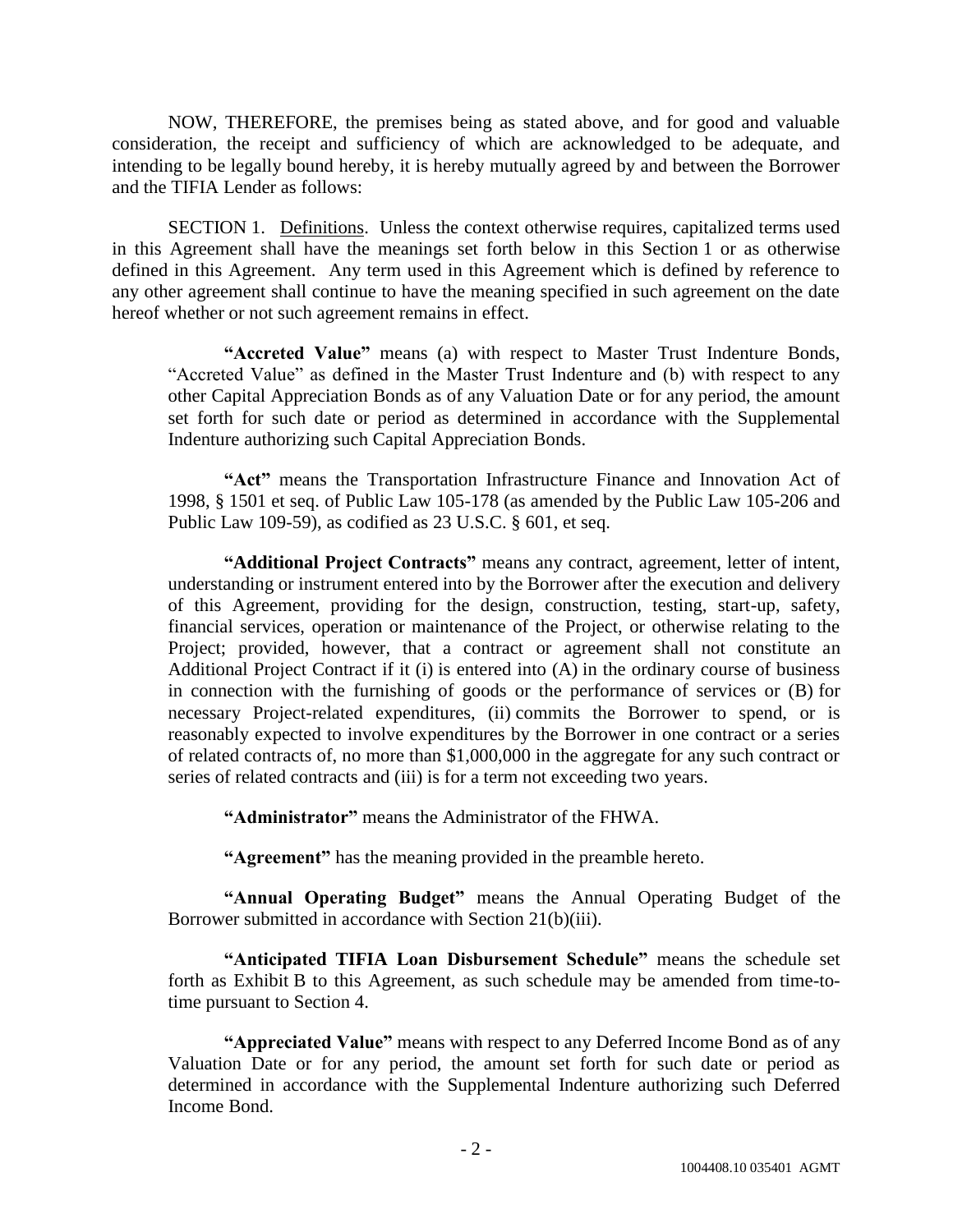NOW, THEREFORE, the premises being as stated above, and for good and valuable consideration, the receipt and sufficiency of which are acknowledged to be adequate, and intending to be legally bound hereby, it is hereby mutually agreed by and between the Borrower and the TIFIA Lender as follows:

SECTION 1. Definitions. Unless the context otherwise requires, capitalized terms used in this Agreement shall have the meanings set forth below in this Section 1 or as otherwise defined in this Agreement. Any term used in this Agreement which is defined by reference to any other agreement shall continue to have the meaning specified in such agreement on the date hereof whether or not such agreement remains in effect.

"Accreted Value" means (a) with respect to Master Trust Indenture Bonds, "Accreted Value" as defined in the Master Trust Indenture and (b) with respect to any other Capital Appreciation Bonds as of any Valuation Date or for any period, the amount set forth for such date or period as determined in accordance with the Supplemental Indenture authorizing such Capital Appreciation Bonds.

"Act" means the Transportation Infrastructure Finance and Innovation Act of 1998, § 1501 et seq. of Public Law 105-178 (as amended by the Public Law 105-206 and Public Law 109-59), as codified as 23 U.S.C. § 601, et seq.

"Additional Project Contracts" means any contract, agreement, letter of intent, understanding or instrument entered into by the Borrower after the execution and delivery of this Agreement, providing for the design, construction, testing, start-up, safety, financial services, operation or maintenance of the Project, or otherwise relating to the Project; provided, however, that a contract or agreement shall not constitute an Additional Project Contract if it (i) is entered into (A) in the ordinary course of business in connection with the furnishing of goods or the performance of services or (B) for necessary Project-related expenditures, (ii) commits the Borrower to spend, or is reasonably expected to involve expenditures by the Borrower in one contract or a series of related contracts of, no more than \$1,000,000 in the aggregate for any such contract or series of related contracts and (iii) is for a term not exceeding two years.

**―Administrator‖** means the Administrator of the FHWA.

**"Agreement"** has the meaning provided in the preamble hereto.

**"Annual Operating Budget"** means the Annual Operating Budget of the Borrower submitted in accordance with Section 21(b)(iii).

"Anticipated TIFIA Loan Disbursement Schedule" means the schedule set forth as Exhibit B to this Agreement, as such schedule may be amended from time-totime pursuant to Section 4.

**"Appreciated Value"** means with respect to any Deferred Income Bond as of any Valuation Date or for any period, the amount set forth for such date or period as determined in accordance with the Supplemental Indenture authorizing such Deferred Income Bond.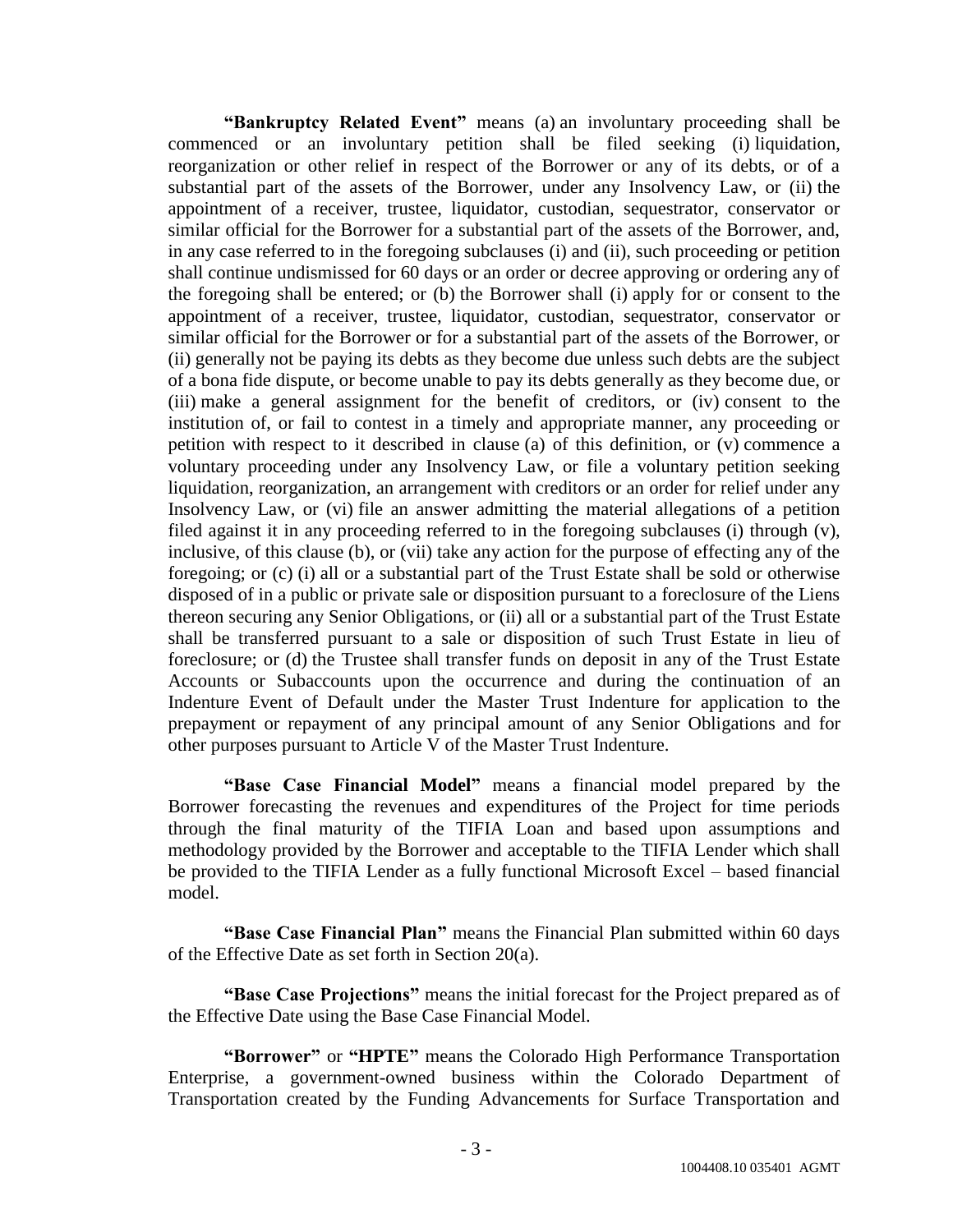**"Bankruptcy Related Event"** means (a) an involuntary proceeding shall be commenced or an involuntary petition shall be filed seeking (i) liquidation, reorganization or other relief in respect of the Borrower or any of its debts, or of a substantial part of the assets of the Borrower, under any Insolvency Law, or (ii) the appointment of a receiver, trustee, liquidator, custodian, sequestrator, conservator or similar official for the Borrower for a substantial part of the assets of the Borrower, and, in any case referred to in the foregoing subclauses (i) and (ii), such proceeding or petition shall continue undismissed for 60 days or an order or decree approving or ordering any of the foregoing shall be entered; or (b) the Borrower shall (i) apply for or consent to the appointment of a receiver, trustee, liquidator, custodian, sequestrator, conservator or similar official for the Borrower or for a substantial part of the assets of the Borrower, or (ii) generally not be paying its debts as they become due unless such debts are the subject of a bona fide dispute, or become unable to pay its debts generally as they become due, or (iii) make a general assignment for the benefit of creditors, or (iv) consent to the institution of, or fail to contest in a timely and appropriate manner, any proceeding or petition with respect to it described in clause (a) of this definition, or (v) commence a voluntary proceeding under any Insolvency Law, or file a voluntary petition seeking liquidation, reorganization, an arrangement with creditors or an order for relief under any Insolvency Law, or (vi) file an answer admitting the material allegations of a petition filed against it in any proceeding referred to in the foregoing subclauses (i) through (v), inclusive, of this clause (b), or (vii) take any action for the purpose of effecting any of the foregoing; or (c) (i) all or a substantial part of the Trust Estate shall be sold or otherwise disposed of in a public or private sale or disposition pursuant to a foreclosure of the Liens thereon securing any Senior Obligations, or (ii) all or a substantial part of the Trust Estate shall be transferred pursuant to a sale or disposition of such Trust Estate in lieu of foreclosure; or (d) the Trustee shall transfer funds on deposit in any of the Trust Estate Accounts or Subaccounts upon the occurrence and during the continuation of an Indenture Event of Default under the Master Trust Indenture for application to the prepayment or repayment of any principal amount of any Senior Obligations and for other purposes pursuant to Article V of the Master Trust Indenture.

**"Base Case Financial Model"** means a financial model prepared by the Borrower forecasting the revenues and expenditures of the Project for time periods through the final maturity of the TIFIA Loan and based upon assumptions and methodology provided by the Borrower and acceptable to the TIFIA Lender which shall be provided to the TIFIA Lender as a fully functional Microsoft Excel – based financial model.

**"Base Case Financial Plan"** means the Financial Plan submitted within 60 days of the Effective Date as set forth in Section 20(a).

**"Base Case Projections"** means the initial forecast for the Project prepared as of the Effective Date using the Base Case Financial Model.

**"Borrower"** or **"HPTE"** means the Colorado High Performance Transportation Enterprise, a government-owned business within the Colorado Department of Transportation created by the Funding Advancements for Surface Transportation and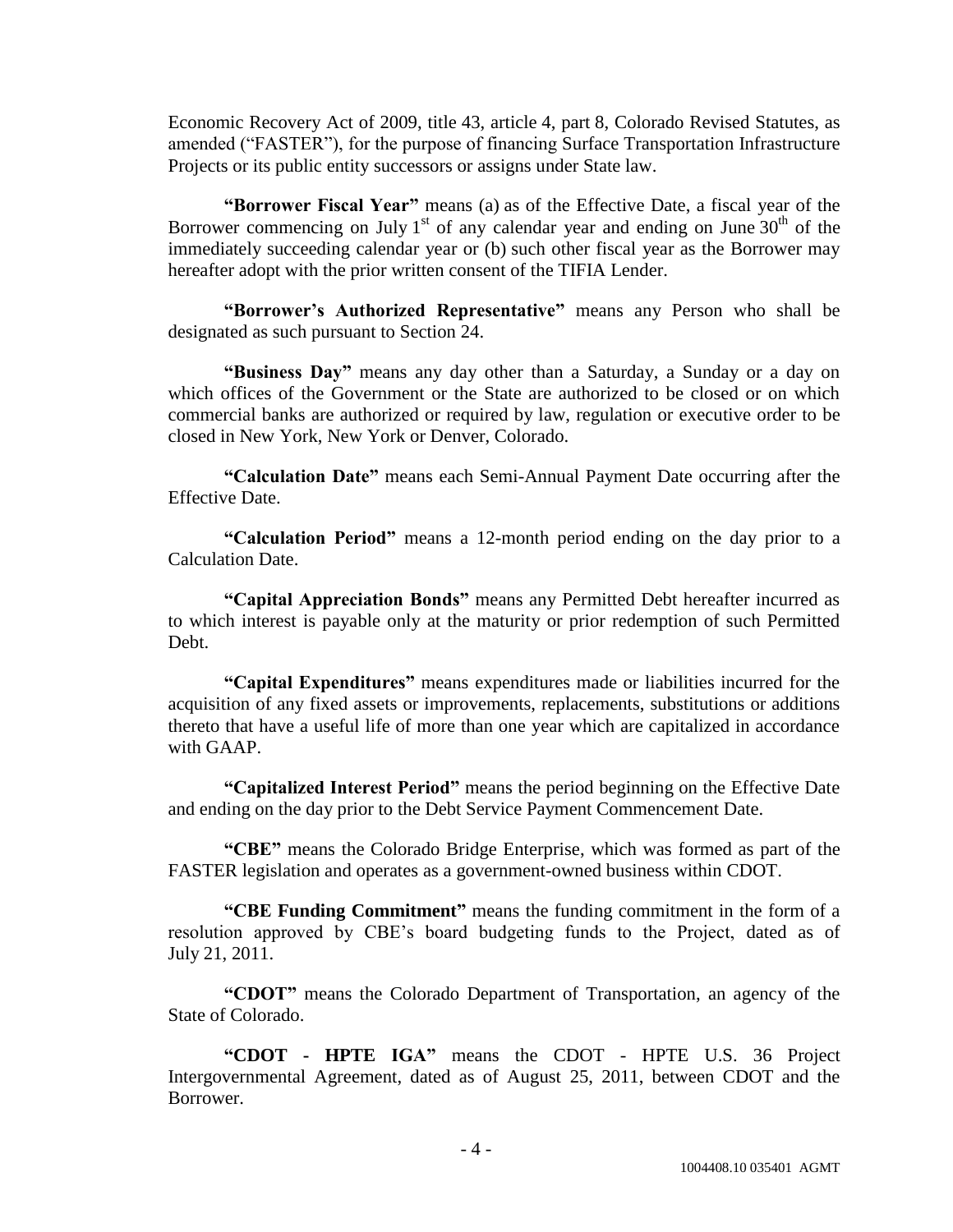Economic Recovery Act of 2009, title 43, article 4, part 8, Colorado Revised Statutes, as amended ("FASTER"), for the purpose of financing Surface Transportation Infrastructure Projects or its public entity successors or assigns under State law.

**"Borrower Fiscal Year"** means (a) as of the Effective Date, a fiscal year of the Borrower commencing on July 1<sup>st</sup> of any calendar year and ending on June  $30<sup>th</sup>$  of the immediately succeeding calendar year or (b) such other fiscal year as the Borrower may hereafter adopt with the prior written consent of the TIFIA Lender.

"Borrower's Authorized Representative" means any Person who shall be designated as such pursuant to Section 24.

**Eusiness Day**<sup>"</sup> means any day other than a Saturday, a Sunday or a day on which offices of the Government or the State are authorized to be closed or on which commercial banks are authorized or required by law, regulation or executive order to be closed in New York, New York or Denver, Colorado.

**―Calculation Date‖** means each Semi-Annual Payment Date occurring after the Effective Date.

**―Calculation Period‖** means a 12-month period ending on the day prior to a Calculation Date.

**―Capital Appreciation Bonds‖** means any Permitted Debt hereafter incurred as to which interest is payable only at the maturity or prior redemption of such Permitted Debt.

**―Capital Expenditures‖** means expenditures made or liabilities incurred for the acquisition of any fixed assets or improvements, replacements, substitutions or additions thereto that have a useful life of more than one year which are capitalized in accordance with GAAP.

**―Capitalized Interest Period‖** means the period beginning on the Effective Date and ending on the day prior to the Debt Service Payment Commencement Date.

**―CBE‖** means the Colorado Bridge Enterprise, which was formed as part of the FASTER legislation and operates as a government-owned business within CDOT.

"CBE Funding Commitment" means the funding commitment in the form of a resolution approved by CBE's board budgeting funds to the Project, dated as of July 21, 2011.

**―CDOT‖** means the Colorado Department of Transportation, an agency of the State of Colorado.

**―CDOT - HPTE IGA‖** means the CDOT - HPTE U.S. 36 Project Intergovernmental Agreement, dated as of August 25, 2011, between CDOT and the Borrower.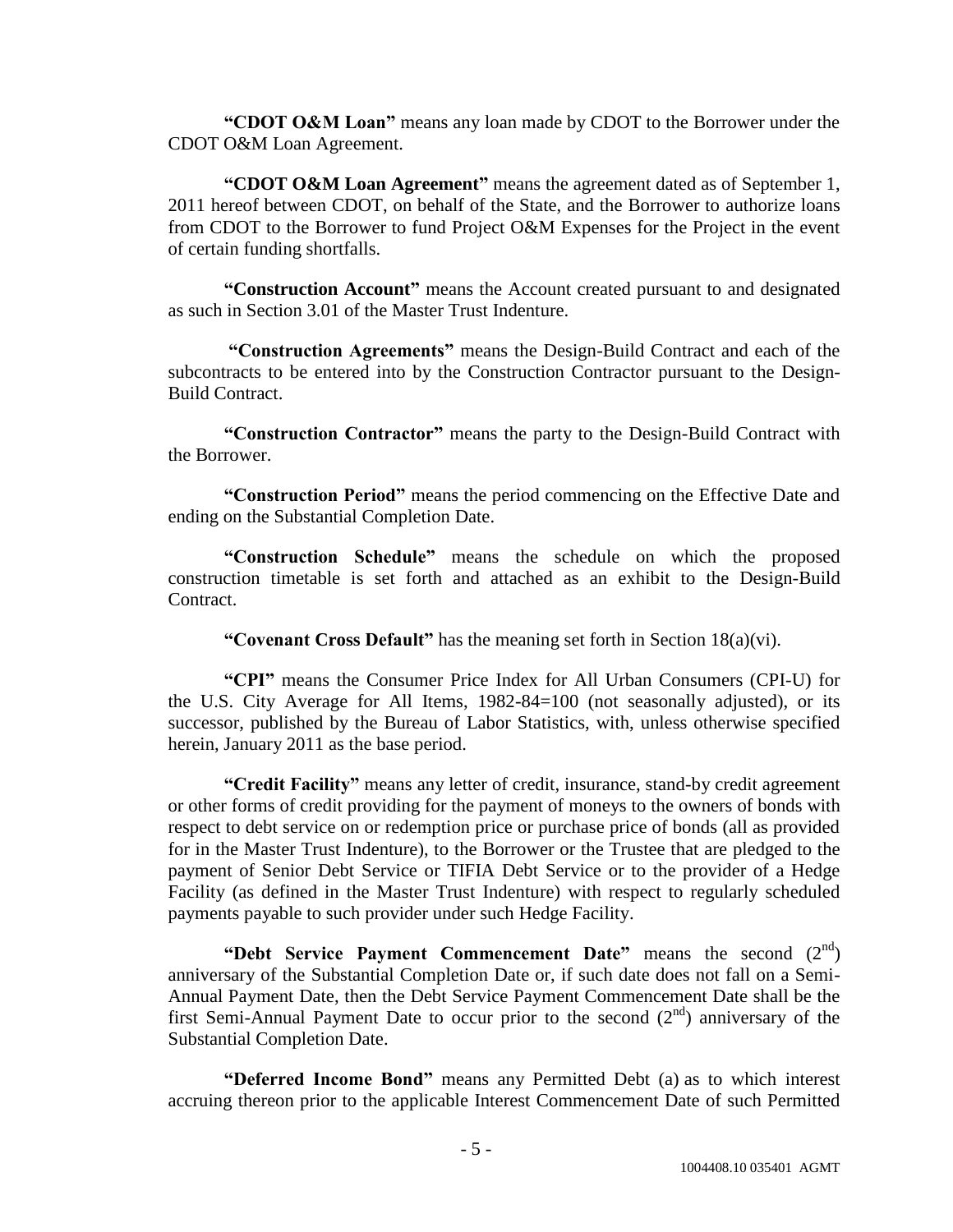**"CDOT O&M Loan"** means any loan made by CDOT to the Borrower under the CDOT O&M Loan Agreement.

"CDOT O&M Loan Agreement" means the agreement dated as of September 1, 2011 hereof between CDOT, on behalf of the State, and the Borrower to authorize loans from CDOT to the Borrower to fund Project O&M Expenses for the Project in the event of certain funding shortfalls.

"Construction Account" means the Account created pursuant to and designated as such in Section 3.01 of the Master Trust Indenture.

**―Construction Agreements‖** means the Design-Build Contract and each of the subcontracts to be entered into by the Construction Contractor pursuant to the Design-Build Contract.

**―Construction Contractor‖** means the party to the Design-Build Contract with the Borrower.

**―Construction Period‖** means the period commencing on the Effective Date and ending on the Substantial Completion Date.

**―Construction Schedule‖** means the schedule on which the proposed construction timetable is set forth and attached as an exhibit to the Design-Build Contract.

**"Covenant Cross Default"** has the meaning set forth in Section  $18(a)(vi)$ .

**―CPI‖** means the Consumer Price Index for All Urban Consumers (CPI-U) for the U.S. City Average for All Items, 1982-84=100 (not seasonally adjusted), or its successor, published by the Bureau of Labor Statistics, with, unless otherwise specified herein, January 2011 as the base period.

**"Credit Facility"** means any letter of credit, insurance, stand-by credit agreement or other forms of credit providing for the payment of moneys to the owners of bonds with respect to debt service on or redemption price or purchase price of bonds (all as provided for in the Master Trust Indenture), to the Borrower or the Trustee that are pledged to the payment of Senior Debt Service or TIFIA Debt Service or to the provider of a Hedge Facility (as defined in the Master Trust Indenture) with respect to regularly scheduled payments payable to such provider under such Hedge Facility.

**"Debt Service Payment Commencement Date"** means the second (2<sup>nd</sup>) anniversary of the Substantial Completion Date or, if such date does not fall on a Semi-Annual Payment Date, then the Debt Service Payment Commencement Date shall be the first Semi-Annual Payment Date to occur prior to the second  $(2<sup>nd</sup>)$  anniversary of the Substantial Completion Date.

**"Deferred Income Bond"** means any Permitted Debt (a) as to which interest accruing thereon prior to the applicable Interest Commencement Date of such Permitted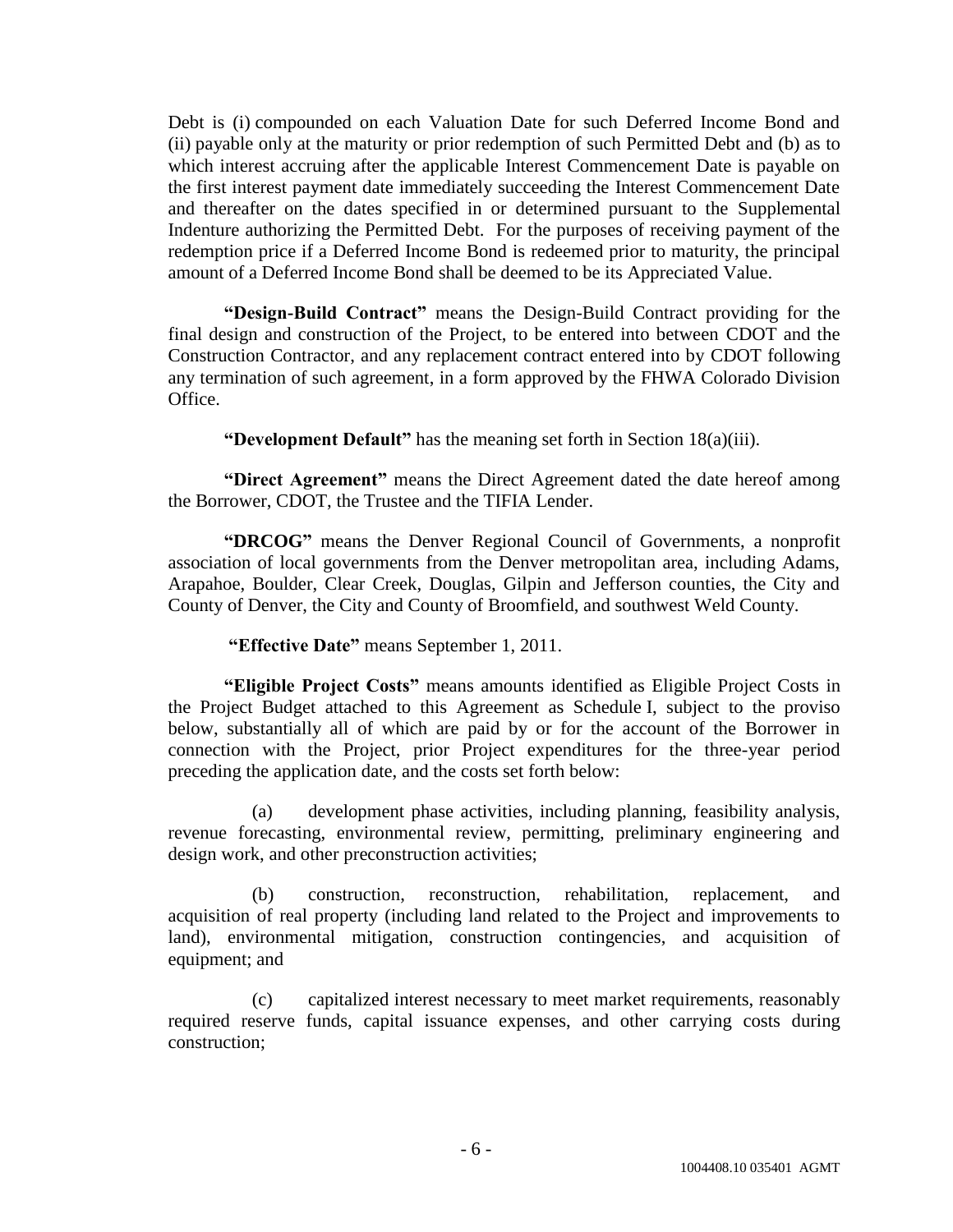Debt is (i) compounded on each Valuation Date for such Deferred Income Bond and (ii) payable only at the maturity or prior redemption of such Permitted Debt and (b) as to which interest accruing after the applicable Interest Commencement Date is payable on the first interest payment date immediately succeeding the Interest Commencement Date and thereafter on the dates specified in or determined pursuant to the Supplemental Indenture authorizing the Permitted Debt. For the purposes of receiving payment of the redemption price if a Deferred Income Bond is redeemed prior to maturity, the principal amount of a Deferred Income Bond shall be deemed to be its Appreciated Value.

**―Design-Build Contract‖** means the Design-Build Contract providing for the final design and construction of the Project, to be entered into between CDOT and the Construction Contractor, and any replacement contract entered into by CDOT following any termination of such agreement, in a form approved by the FHWA Colorado Division Office.

**"Development Default"** has the meaning set forth in Section 18(a)(iii).

"Direct Agreement" means the Direct Agreement dated the date hereof among the Borrower, CDOT, the Trustee and the TIFIA Lender.

"DRCOG" means the Denver Regional Council of Governments, a nonprofit association of local governments from the Denver metropolitan area, including Adams, Arapahoe, Boulder, Clear Creek, Douglas, Gilpin and Jefferson counties, the City and County of Denver, the City and County of Broomfield, and southwest Weld County.

#### **―Effective Date‖** means September 1, 2011.

**―Eligible Project Costs‖** means amounts identified as Eligible Project Costs in the Project Budget attached to this Agreement as Schedule I, subject to the proviso below, substantially all of which are paid by or for the account of the Borrower in connection with the Project, prior Project expenditures for the three-year period preceding the application date, and the costs set forth below:

(a) development phase activities, including planning, feasibility analysis, revenue forecasting, environmental review, permitting, preliminary engineering and design work, and other preconstruction activities;

(b) construction, reconstruction, rehabilitation, replacement, and acquisition of real property (including land related to the Project and improvements to land), environmental mitigation, construction contingencies, and acquisition of equipment; and

(c) capitalized interest necessary to meet market requirements, reasonably required reserve funds, capital issuance expenses, and other carrying costs during construction;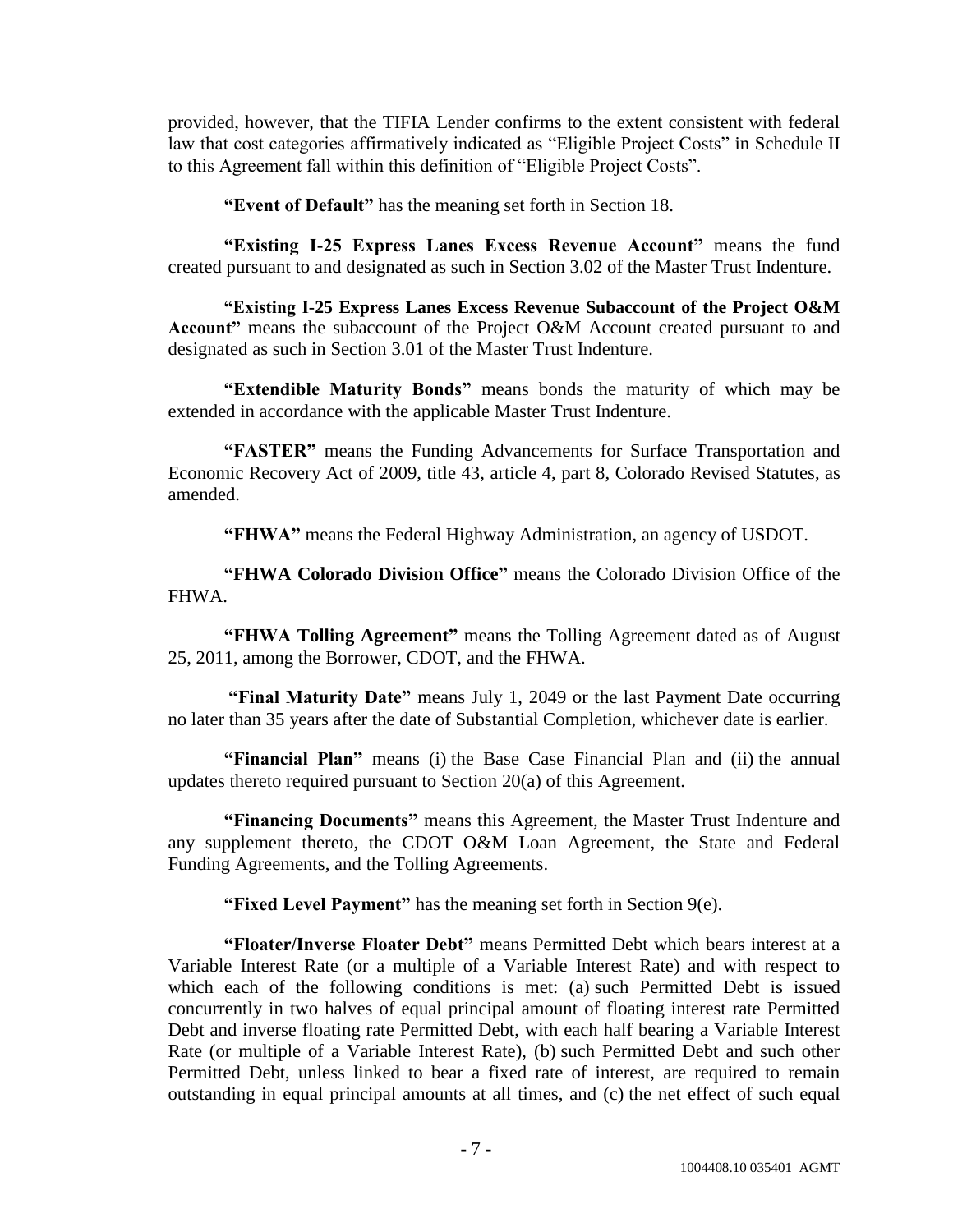provided, however, that the TIFIA Lender confirms to the extent consistent with federal law that cost categories affirmatively indicated as "Eligible Project Costs" in Schedule II to this Agreement fall within this definition of "Eligible Project Costs".

**―Event of Default‖** has the meaning set forth in Section 18.

"Existing I-25 Express Lanes Excess Revenue Account" means the fund created pursuant to and designated as such in Section 3.02 of the Master Trust Indenture.

**―Existing I-25 Express Lanes Excess Revenue Subaccount of the Project O&M Account**" means the subaccount of the Project O&M Account created pursuant to and designated as such in Section 3.01 of the Master Trust Indenture.

**―Extendible Maturity Bonds‖** means bonds the maturity of which may be extended in accordance with the applicable Master Trust Indenture.

**―FASTER‖** means the Funding Advancements for Surface Transportation and Economic Recovery Act of 2009, title 43, article 4, part 8, Colorado Revised Statutes, as amended.

**"FHWA"** means the Federal Highway Administration, an agency of USDOT.

"FHWA Colorado Division Office" means the Colorado Division Office of the FHWA.

**"FHWA Tolling Agreement"** means the Tolling Agreement dated as of August 25, 2011, among the Borrower, CDOT, and the FHWA.

**"Final Maturity Date"** means July 1, 2049 or the last Payment Date occurring no later than 35 years after the date of Substantial Completion, whichever date is earlier.

**"Financial Plan"** means (i) the Base Case Financial Plan and (ii) the annual updates thereto required pursuant to Section 20(a) of this Agreement.

**―Financing Documents‖** means this Agreement, the Master Trust Indenture and any supplement thereto, the CDOT O&M Loan Agreement, the State and Federal Funding Agreements, and the Tolling Agreements.

**"Fixed Level Payment"** has the meaning set forth in Section 9(e).

**―Floater/Inverse Floater Debt‖** means Permitted Debt which bears interest at a Variable Interest Rate (or a multiple of a Variable Interest Rate) and with respect to which each of the following conditions is met: (a) such Permitted Debt is issued concurrently in two halves of equal principal amount of floating interest rate Permitted Debt and inverse floating rate Permitted Debt, with each half bearing a Variable Interest Rate (or multiple of a Variable Interest Rate), (b) such Permitted Debt and such other Permitted Debt, unless linked to bear a fixed rate of interest, are required to remain outstanding in equal principal amounts at all times, and (c) the net effect of such equal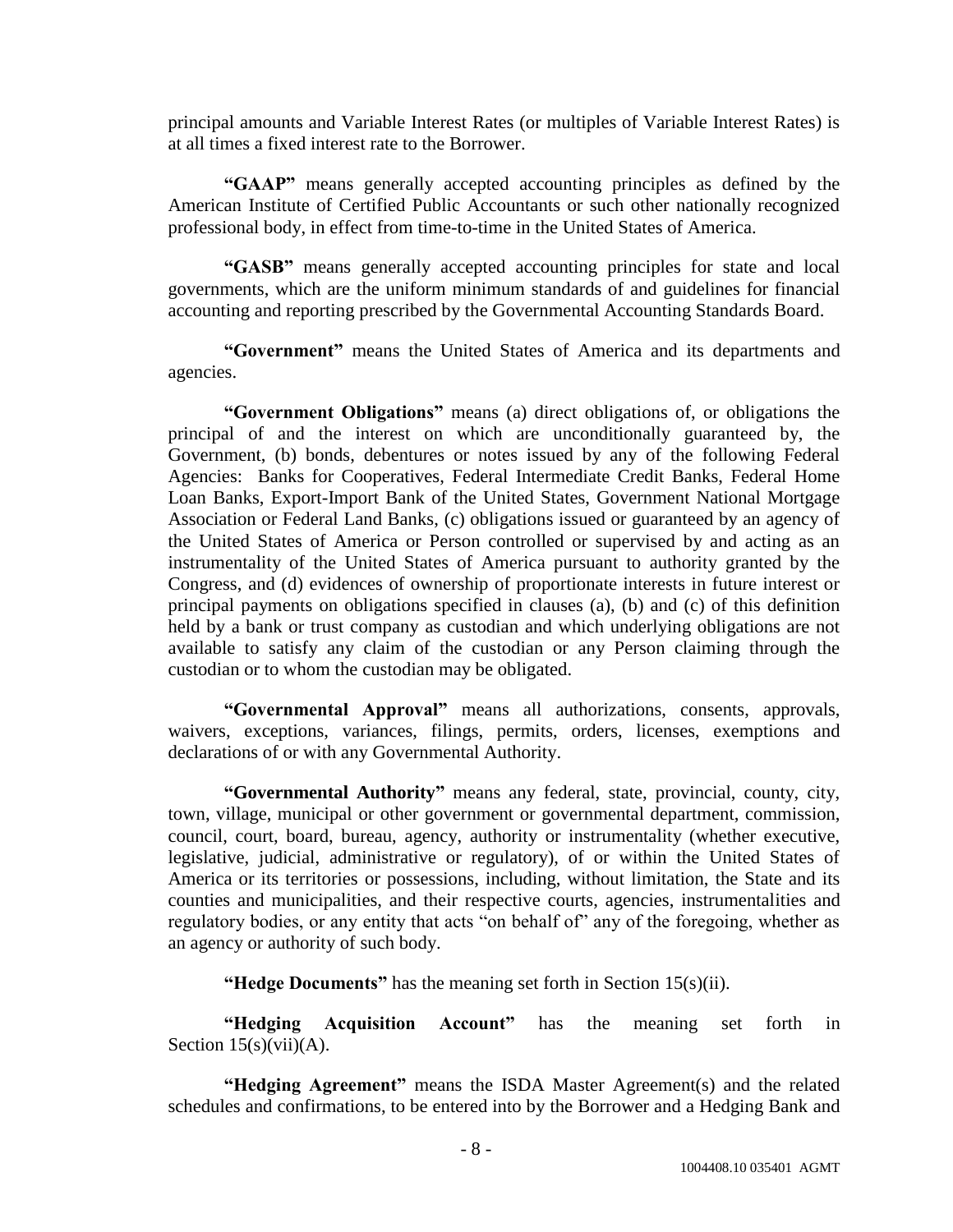principal amounts and Variable Interest Rates (or multiples of Variable Interest Rates) is at all times a fixed interest rate to the Borrower.

"GAAP" means generally accepted accounting principles as defined by the American Institute of Certified Public Accountants or such other nationally recognized professional body, in effect from time-to-time in the United States of America.

"GASB" means generally accepted accounting principles for state and local governments, which are the uniform minimum standards of and guidelines for financial accounting and reporting prescribed by the Governmental Accounting Standards Board.

**―Government‖** means the United States of America and its departments and agencies.

**―Government Obligations‖** means (a) direct obligations of, or obligations the principal of and the interest on which are unconditionally guaranteed by, the Government, (b) bonds, debentures or notes issued by any of the following Federal Agencies: Banks for Cooperatives, Federal Intermediate Credit Banks, Federal Home Loan Banks, Export-Import Bank of the United States, Government National Mortgage Association or Federal Land Banks, (c) obligations issued or guaranteed by an agency of the United States of America or Person controlled or supervised by and acting as an instrumentality of the United States of America pursuant to authority granted by the Congress, and (d) evidences of ownership of proportionate interests in future interest or principal payments on obligations specified in clauses (a), (b) and (c) of this definition held by a bank or trust company as custodian and which underlying obligations are not available to satisfy any claim of the custodian or any Person claiming through the custodian or to whom the custodian may be obligated.

"Governmental Approval" means all authorizations, consents, approvals, waivers, exceptions, variances, filings, permits, orders, licenses, exemptions and declarations of or with any Governmental Authority.

"Governmental Authority" means any federal, state, provincial, county, city, town, village, municipal or other government or governmental department, commission, council, court, board, bureau, agency, authority or instrumentality (whether executive, legislative, judicial, administrative or regulatory), of or within the United States of America or its territories or possessions, including, without limitation, the State and its counties and municipalities, and their respective courts, agencies, instrumentalities and regulatory bodies, or any entity that acts "on behalf of" any of the foregoing, whether as an agency or authority of such body.

**"Hedge Documents"** has the meaning set forth in Section 15(s)(ii).

**Hedging Acquisition Account**" has the meaning set forth in Section  $15(s)(vi)$ (A).

**"Hedging Agreement"** means the ISDA Master Agreement(s) and the related schedules and confirmations, to be entered into by the Borrower and a Hedging Bank and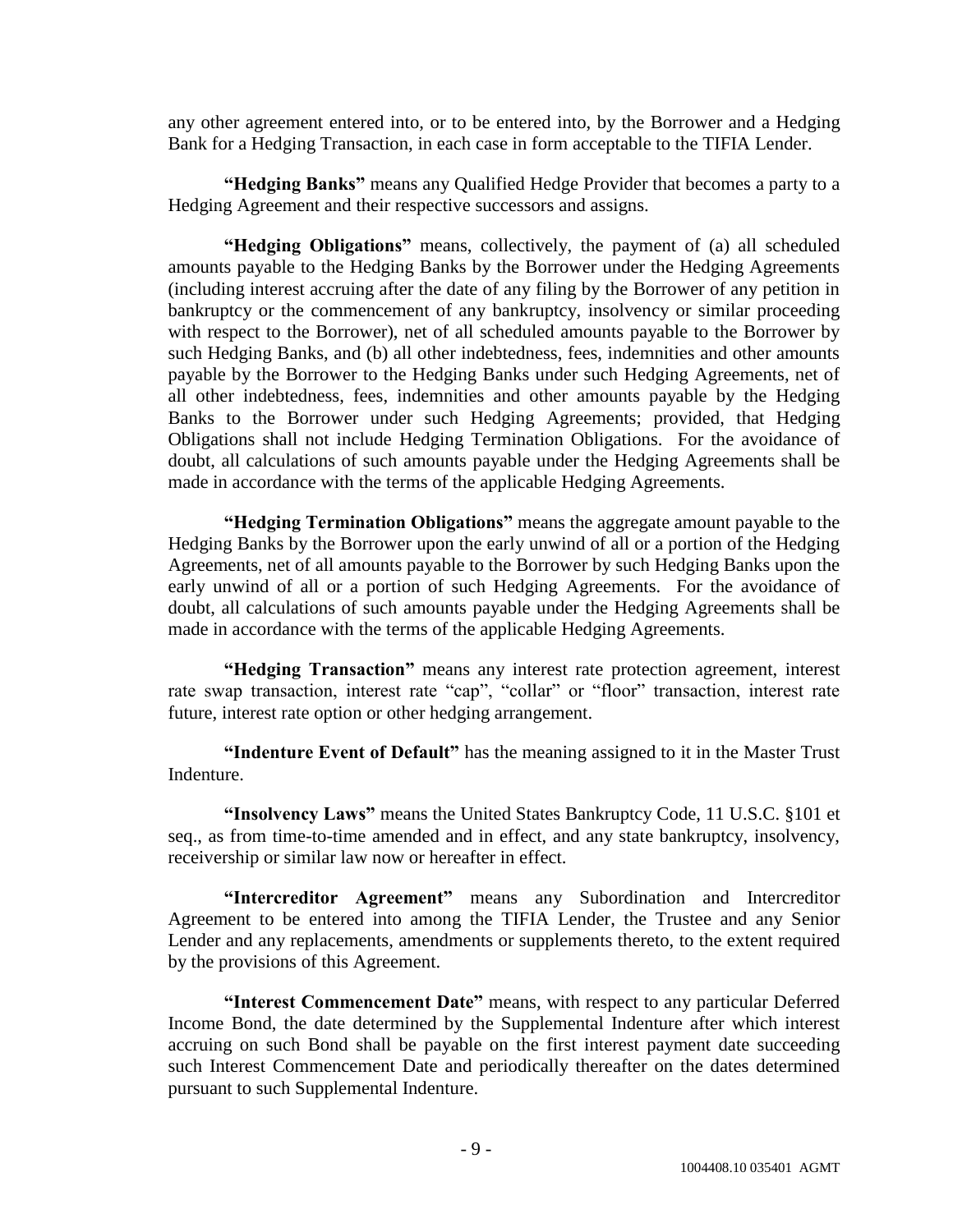any other agreement entered into, or to be entered into, by the Borrower and a Hedging Bank for a Hedging Transaction, in each case in form acceptable to the TIFIA Lender.

**"Hedging Banks"** means any Qualified Hedge Provider that becomes a party to a Hedging Agreement and their respective successors and assigns.

"Hedging Obligations" means, collectively, the payment of (a) all scheduled amounts payable to the Hedging Banks by the Borrower under the Hedging Agreements (including interest accruing after the date of any filing by the Borrower of any petition in bankruptcy or the commencement of any bankruptcy, insolvency or similar proceeding with respect to the Borrower), net of all scheduled amounts payable to the Borrower by such Hedging Banks, and (b) all other indebtedness, fees, indemnities and other amounts payable by the Borrower to the Hedging Banks under such Hedging Agreements, net of all other indebtedness, fees, indemnities and other amounts payable by the Hedging Banks to the Borrower under such Hedging Agreements; provided, that Hedging Obligations shall not include Hedging Termination Obligations. For the avoidance of doubt, all calculations of such amounts payable under the Hedging Agreements shall be made in accordance with the terms of the applicable Hedging Agreements.

**―Hedging Termination Obligations‖** means the aggregate amount payable to the Hedging Banks by the Borrower upon the early unwind of all or a portion of the Hedging Agreements, net of all amounts payable to the Borrower by such Hedging Banks upon the early unwind of all or a portion of such Hedging Agreements. For the avoidance of doubt, all calculations of such amounts payable under the Hedging Agreements shall be made in accordance with the terms of the applicable Hedging Agreements.

"Hedging Transaction" means any interest rate protection agreement, interest rate swap transaction, interest rate "cap", "collar" or "floor" transaction, interest rate future, interest rate option or other hedging arrangement.

**"Indenture Event of Default"** has the meaning assigned to it in the Master Trust Indenture.

**―Insolvency Laws‖** means the United States Bankruptcy Code, 11 U.S.C. §101 et seq., as from time-to-time amended and in effect, and any state bankruptcy, insolvency, receivership or similar law now or hereafter in effect.

"Intercreditor Agreement" means any Subordination and Intercreditor Agreement to be entered into among the TIFIA Lender, the Trustee and any Senior Lender and any replacements, amendments or supplements thereto, to the extent required by the provisions of this Agreement.

**"Interest Commencement Date"** means, with respect to any particular Deferred Income Bond, the date determined by the Supplemental Indenture after which interest accruing on such Bond shall be payable on the first interest payment date succeeding such Interest Commencement Date and periodically thereafter on the dates determined pursuant to such Supplemental Indenture.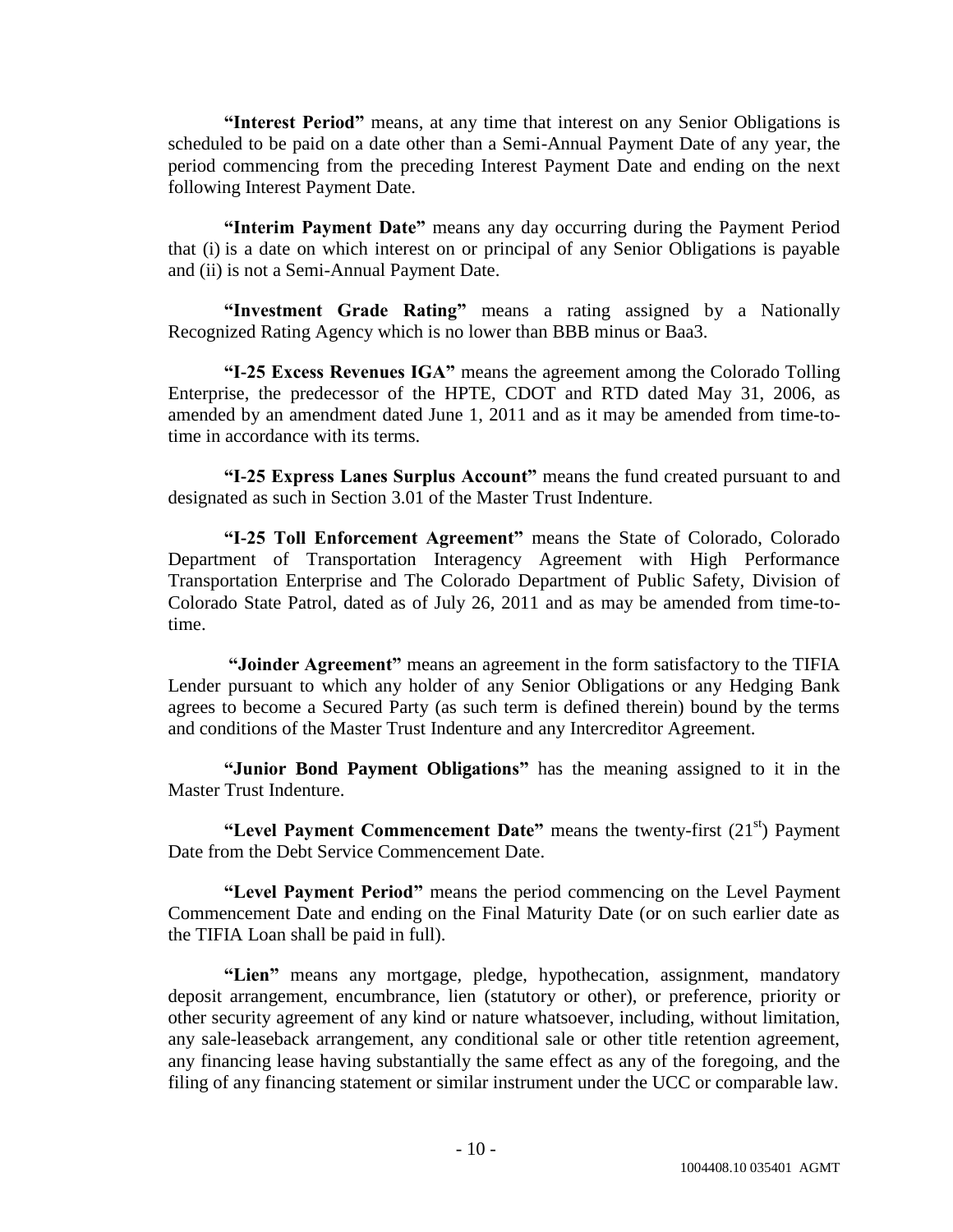**"Interest Period"** means, at any time that interest on any Senior Obligations is scheduled to be paid on a date other than a Semi-Annual Payment Date of any year, the period commencing from the preceding Interest Payment Date and ending on the next following Interest Payment Date.

**"Interim Payment Date"** means any day occurring during the Payment Period that (i) is a date on which interest on or principal of any Senior Obligations is payable and (ii) is not a Semi-Annual Payment Date.

"Investment Grade Rating" means a rating assigned by a Nationally Recognized Rating Agency which is no lower than BBB minus or Baa3.

**"I-25 Excess Revenues IGA"** means the agreement among the Colorado Tolling Enterprise, the predecessor of the HPTE, CDOT and RTD dated May 31, 2006, as amended by an amendment dated June 1, 2011 and as it may be amended from time-totime in accordance with its terms.

**―I-25 Express Lanes Surplus Account‖** means the fund created pursuant to and designated as such in Section 3.01 of the Master Trust Indenture.

**―I-25 Toll Enforcement Agreement‖** means the State of Colorado, Colorado Department of Transportation Interagency Agreement with High Performance Transportation Enterprise and The Colorado Department of Public Safety, Division of Colorado State Patrol, dated as of July 26, 2011 and as may be amended from time-totime.

**―Joinder Agreement‖** means an agreement in the form satisfactory to the TIFIA Lender pursuant to which any holder of any Senior Obligations or any Hedging Bank agrees to become a Secured Party (as such term is defined therein) bound by the terms and conditions of the Master Trust Indenture and any Intercreditor Agreement.

**―Junior Bond Payment Obligations‖** has the meaning assigned to it in the Master Trust Indenture.

**"Level Payment Commencement Date"** means the twenty-first (21<sup>st</sup>) Payment Date from the Debt Service Commencement Date.

**"Level Payment Period"** means the period commencing on the Level Payment Commencement Date and ending on the Final Maturity Date (or on such earlier date as the TIFIA Loan shall be paid in full).

"Lien" means any mortgage, pledge, hypothecation, assignment, mandatory deposit arrangement, encumbrance, lien (statutory or other), or preference, priority or other security agreement of any kind or nature whatsoever, including, without limitation, any sale-leaseback arrangement, any conditional sale or other title retention agreement, any financing lease having substantially the same effect as any of the foregoing, and the filing of any financing statement or similar instrument under the UCC or comparable law.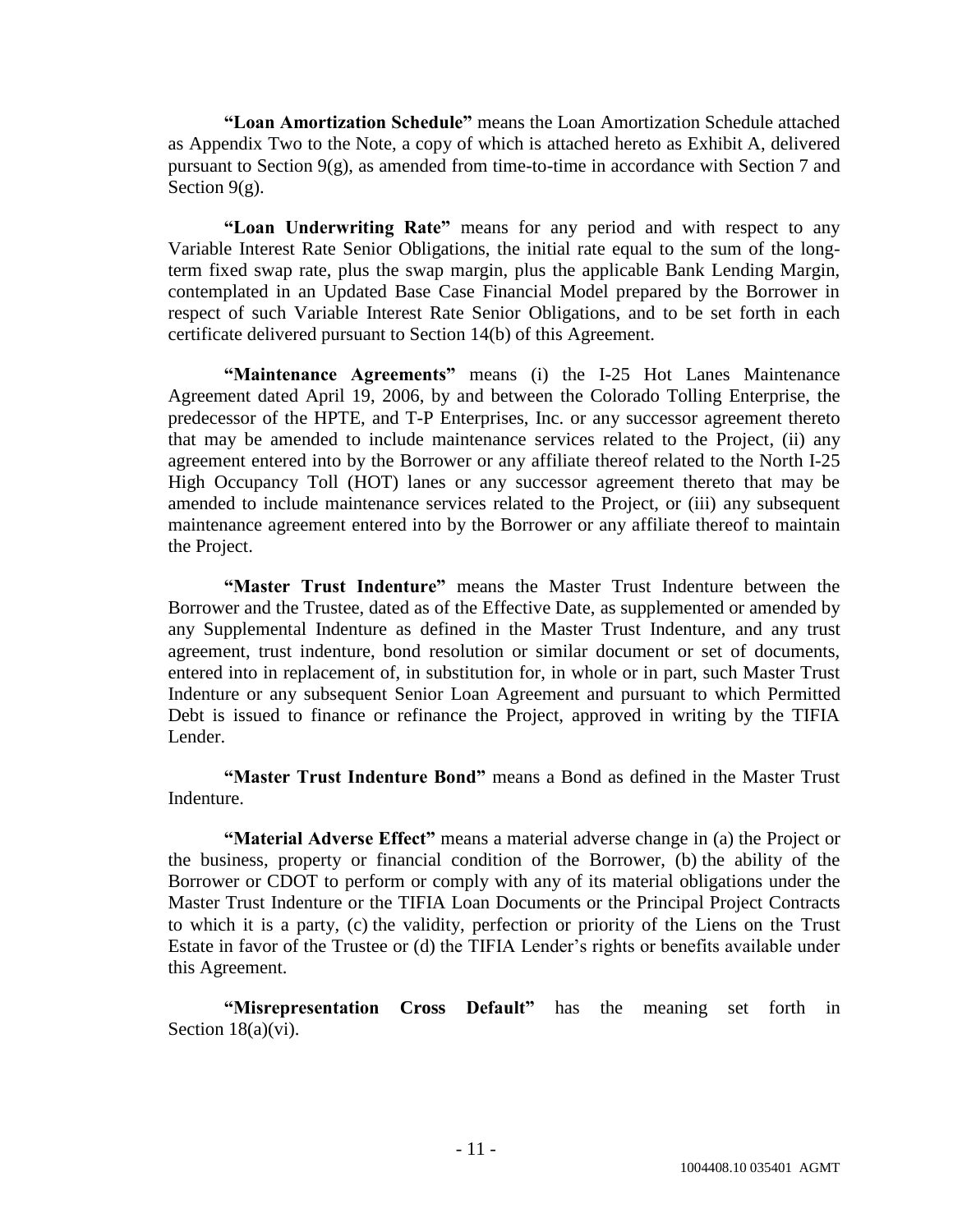**―Loan Amortization Schedule‖** means the Loan Amortization Schedule attached as Appendix Two to the Note, a copy of which is attached hereto as Exhibit A, delivered pursuant to Section 9(g), as amended from time-to-time in accordance with Section 7 and Section  $9(g)$ .

**"Loan Underwriting Rate"** means for any period and with respect to any Variable Interest Rate Senior Obligations, the initial rate equal to the sum of the longterm fixed swap rate, plus the swap margin, plus the applicable Bank Lending Margin, contemplated in an Updated Base Case Financial Model prepared by the Borrower in respect of such Variable Interest Rate Senior Obligations, and to be set forth in each certificate delivered pursuant to Section 14(b) of this Agreement.

"Maintenance Agreements" means (i) the I-25 Hot Lanes Maintenance Agreement dated April 19, 2006, by and between the Colorado Tolling Enterprise, the predecessor of the HPTE, and T-P Enterprises, Inc. or any successor agreement thereto that may be amended to include maintenance services related to the Project, (ii) any agreement entered into by the Borrower or any affiliate thereof related to the North I-25 High Occupancy Toll (HOT) lanes or any successor agreement thereto that may be amended to include maintenance services related to the Project, or (iii) any subsequent maintenance agreement entered into by the Borrower or any affiliate thereof to maintain the Project.

**―Master Trust Indenture‖** means the Master Trust Indenture between the Borrower and the Trustee, dated as of the Effective Date, as supplemented or amended by any Supplemental Indenture as defined in the Master Trust Indenture, and any trust agreement, trust indenture, bond resolution or similar document or set of documents, entered into in replacement of, in substitution for, in whole or in part, such Master Trust Indenture or any subsequent Senior Loan Agreement and pursuant to which Permitted Debt is issued to finance or refinance the Project, approved in writing by the TIFIA Lender.

**―Master Trust Indenture Bond‖** means a Bond as defined in the Master Trust Indenture.

**"Material Adverse Effect"** means a material adverse change in (a) the Project or the business, property or financial condition of the Borrower, (b) the ability of the Borrower or CDOT to perform or comply with any of its material obligations under the Master Trust Indenture or the TIFIA Loan Documents or the Principal Project Contracts to which it is a party, (c) the validity, perfection or priority of the Liens on the Trust Estate in favor of the Trustee or (d) the TIFIA Lender's rights or benefits available under this Agreement.

**―Misrepresentation Cross Default‖** has the meaning set forth in Section 18(a)(vi).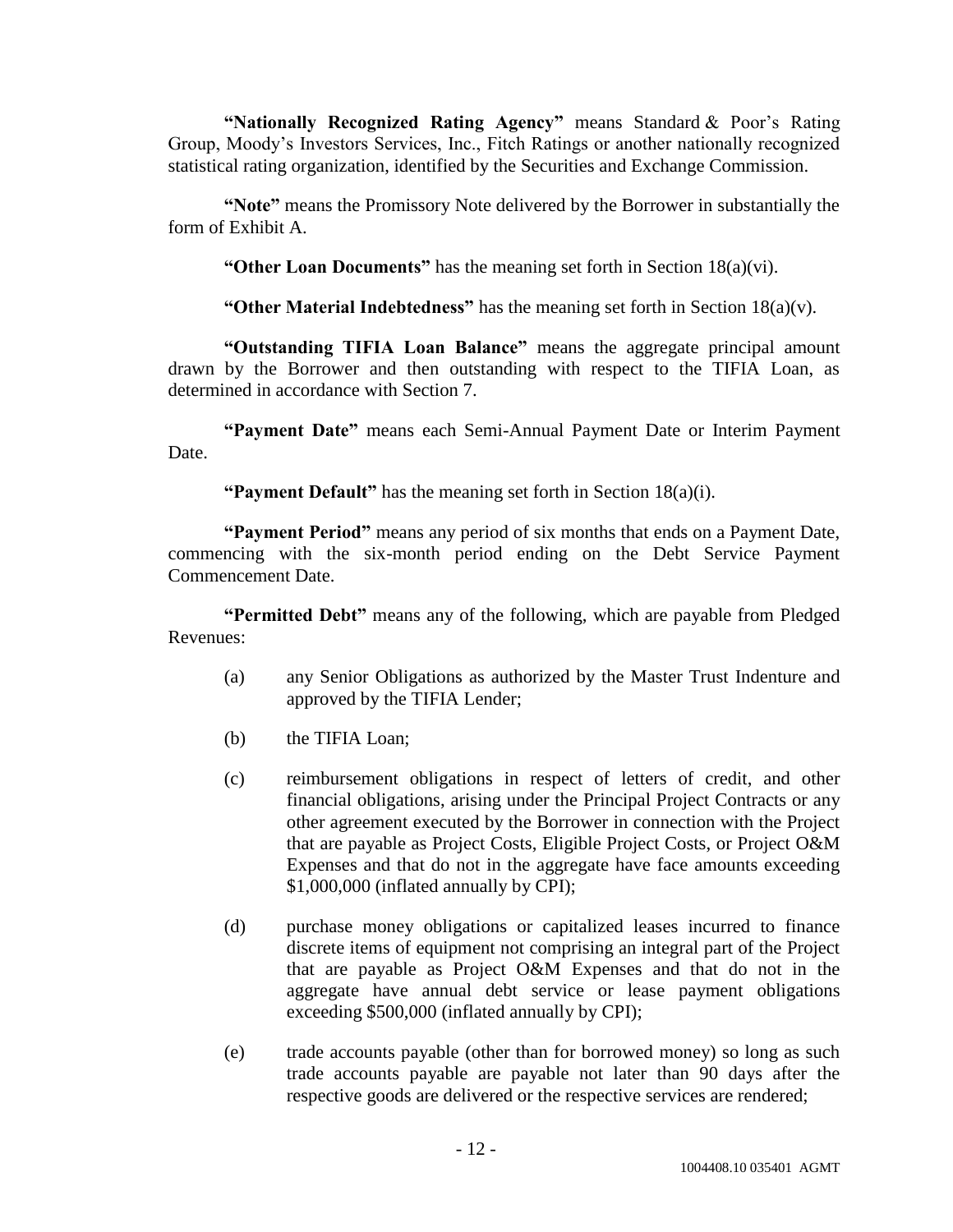"Nationally Recognized Rating Agency" means Standard & Poor's Rating Group, Moody's Investors Services, Inc., Fitch Ratings or another nationally recognized statistical rating organization, identified by the Securities and Exchange Commission.

"Note" means the Promissory Note delivered by the Borrower in substantially the form of Exhibit A.

**"Other Loan Documents"** has the meaning set forth in Section 18(a)(vi).

**"Other Material Indebtedness"** has the meaning set forth in Section 18(a)(v).

**―Outstanding TIFIA Loan Balance‖** means the aggregate principal amount drawn by the Borrower and then outstanding with respect to the TIFIA Loan, as determined in accordance with Section 7.

"Payment Date" means each Semi-Annual Payment Date or Interim Payment Date.

**"Payment Default"** has the meaning set forth in Section 18(a)(i).

**"Payment Period"** means any period of six months that ends on a Payment Date, commencing with the six-month period ending on the Debt Service Payment Commencement Date.

**"Permitted Debt"** means any of the following, which are payable from Pledged Revenues:

- (a) any Senior Obligations as authorized by the Master Trust Indenture and approved by the TIFIA Lender;
- (b) the TIFIA Loan;
- (c) reimbursement obligations in respect of letters of credit, and other financial obligations, arising under the Principal Project Contracts or any other agreement executed by the Borrower in connection with the Project that are payable as Project Costs, Eligible Project Costs, or Project O&M Expenses and that do not in the aggregate have face amounts exceeding \$1,000,000 (inflated annually by CPI);
- (d) purchase money obligations or capitalized leases incurred to finance discrete items of equipment not comprising an integral part of the Project that are payable as Project O&M Expenses and that do not in the aggregate have annual debt service or lease payment obligations exceeding \$500,000 (inflated annually by CPI);
- (e) trade accounts payable (other than for borrowed money) so long as such trade accounts payable are payable not later than 90 days after the respective goods are delivered or the respective services are rendered;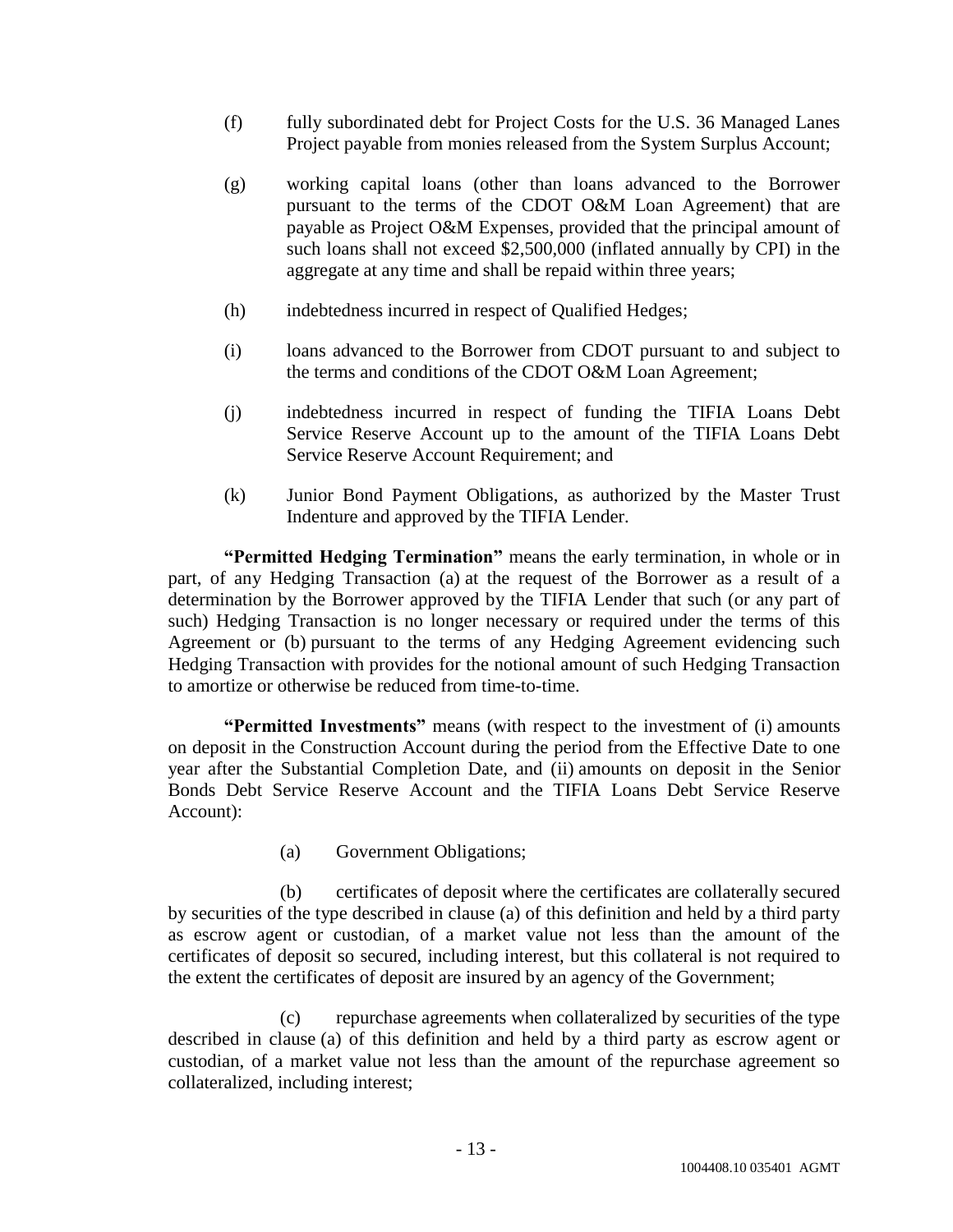- (f) fully subordinated debt for Project Costs for the U.S. 36 Managed Lanes Project payable from monies released from the System Surplus Account;
- (g) working capital loans (other than loans advanced to the Borrower pursuant to the terms of the CDOT O&M Loan Agreement) that are payable as Project O&M Expenses, provided that the principal amount of such loans shall not exceed \$2,500,000 (inflated annually by CPI) in the aggregate at any time and shall be repaid within three years;
- (h) indebtedness incurred in respect of Qualified Hedges;
- (i) loans advanced to the Borrower from CDOT pursuant to and subject to the terms and conditions of the CDOT O&M Loan Agreement;
- (j) indebtedness incurred in respect of funding the TIFIA Loans Debt Service Reserve Account up to the amount of the TIFIA Loans Debt Service Reserve Account Requirement; and
- (k) Junior Bond Payment Obligations, as authorized by the Master Trust Indenture and approved by the TIFIA Lender.

**"Permitted Hedging Termination"** means the early termination, in whole or in part, of any Hedging Transaction (a) at the request of the Borrower as a result of a determination by the Borrower approved by the TIFIA Lender that such (or any part of such) Hedging Transaction is no longer necessary or required under the terms of this Agreement or (b) pursuant to the terms of any Hedging Agreement evidencing such Hedging Transaction with provides for the notional amount of such Hedging Transaction to amortize or otherwise be reduced from time-to-time.

**"Permitted Investments"** means (with respect to the investment of (i) amounts on deposit in the Construction Account during the period from the Effective Date to one year after the Substantial Completion Date, and (ii) amounts on deposit in the Senior Bonds Debt Service Reserve Account and the TIFIA Loans Debt Service Reserve Account):

(a) Government Obligations;

(b) certificates of deposit where the certificates are collaterally secured by securities of the type described in clause (a) of this definition and held by a third party as escrow agent or custodian, of a market value not less than the amount of the certificates of deposit so secured, including interest, but this collateral is not required to the extent the certificates of deposit are insured by an agency of the Government;

(c) repurchase agreements when collateralized by securities of the type described in clause (a) of this definition and held by a third party as escrow agent or custodian, of a market value not less than the amount of the repurchase agreement so collateralized, including interest;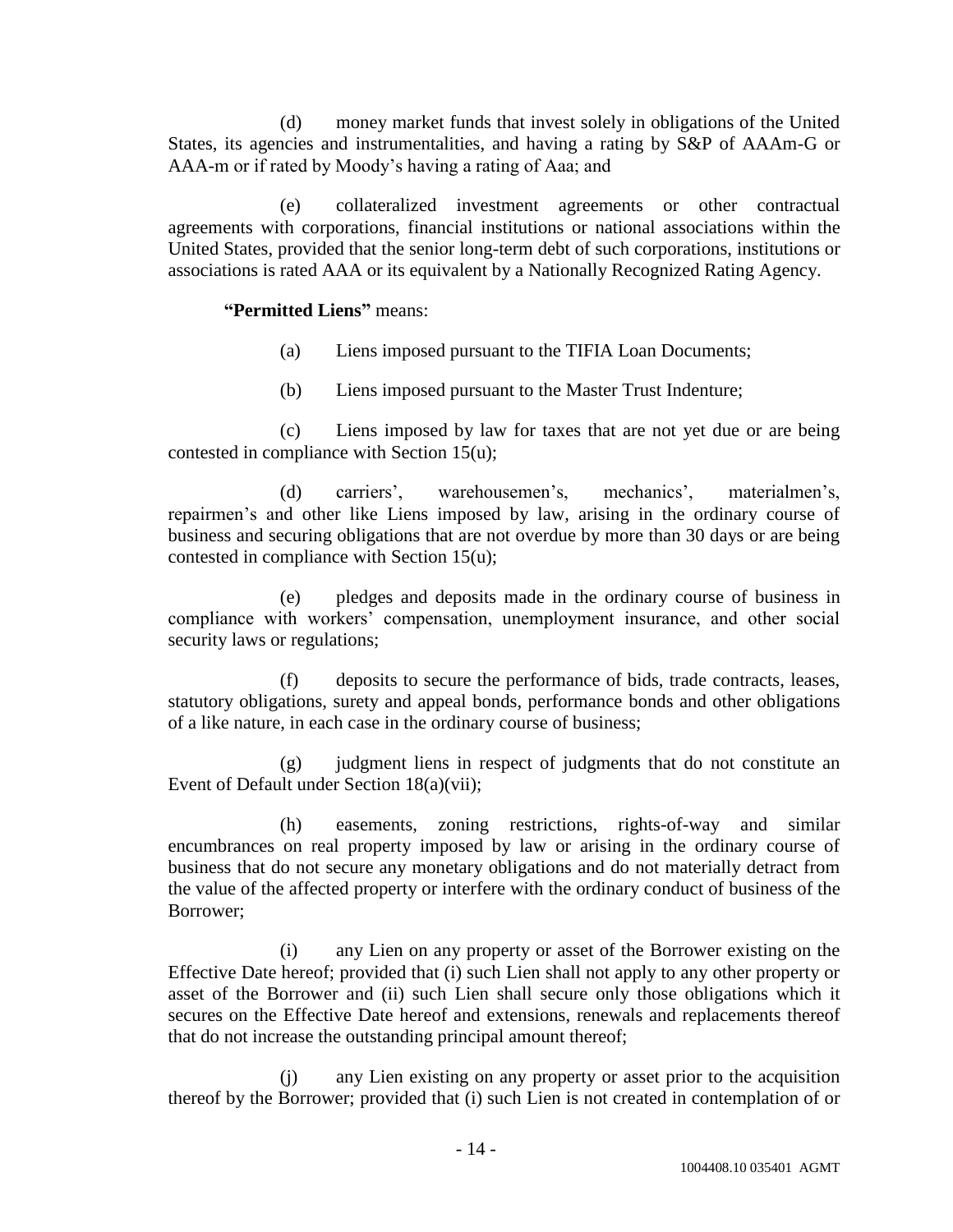(d) money market funds that invest solely in obligations of the United States, its agencies and instrumentalities, and having a rating by S&P of AAAm-G or AAA-m or if rated by Moody's having a rating of Aaa; and

(e) collateralized investment agreements or other contractual agreements with corporations, financial institutions or national associations within the United States, provided that the senior long-term debt of such corporations, institutions or associations is rated AAA or its equivalent by a Nationally Recognized Rating Agency.

## **―Permitted Liens‖** means:

- (a) Liens imposed pursuant to the TIFIA Loan Documents;
- (b) Liens imposed pursuant to the Master Trust Indenture;

(c) Liens imposed by law for taxes that are not yet due or are being contested in compliance with Section 15(u);

(d) carriers', warehousemen's, mechanics', materialmen's, repairmen's and other like Liens imposed by law, arising in the ordinary course of business and securing obligations that are not overdue by more than 30 days or are being contested in compliance with Section 15(u);

(e) pledges and deposits made in the ordinary course of business in compliance with workers' compensation, unemployment insurance, and other social security laws or regulations;

(f) deposits to secure the performance of bids, trade contracts, leases, statutory obligations, surety and appeal bonds, performance bonds and other obligations of a like nature, in each case in the ordinary course of business;

(g) judgment liens in respect of judgments that do not constitute an Event of Default under Section 18(a)(vii);

(h) easements, zoning restrictions, rights-of-way and similar encumbrances on real property imposed by law or arising in the ordinary course of business that do not secure any monetary obligations and do not materially detract from the value of the affected property or interfere with the ordinary conduct of business of the Borrower;

(i) any Lien on any property or asset of the Borrower existing on the Effective Date hereof; provided that (i) such Lien shall not apply to any other property or asset of the Borrower and (ii) such Lien shall secure only those obligations which it secures on the Effective Date hereof and extensions, renewals and replacements thereof that do not increase the outstanding principal amount thereof;

(j) any Lien existing on any property or asset prior to the acquisition thereof by the Borrower; provided that (i) such Lien is not created in contemplation of or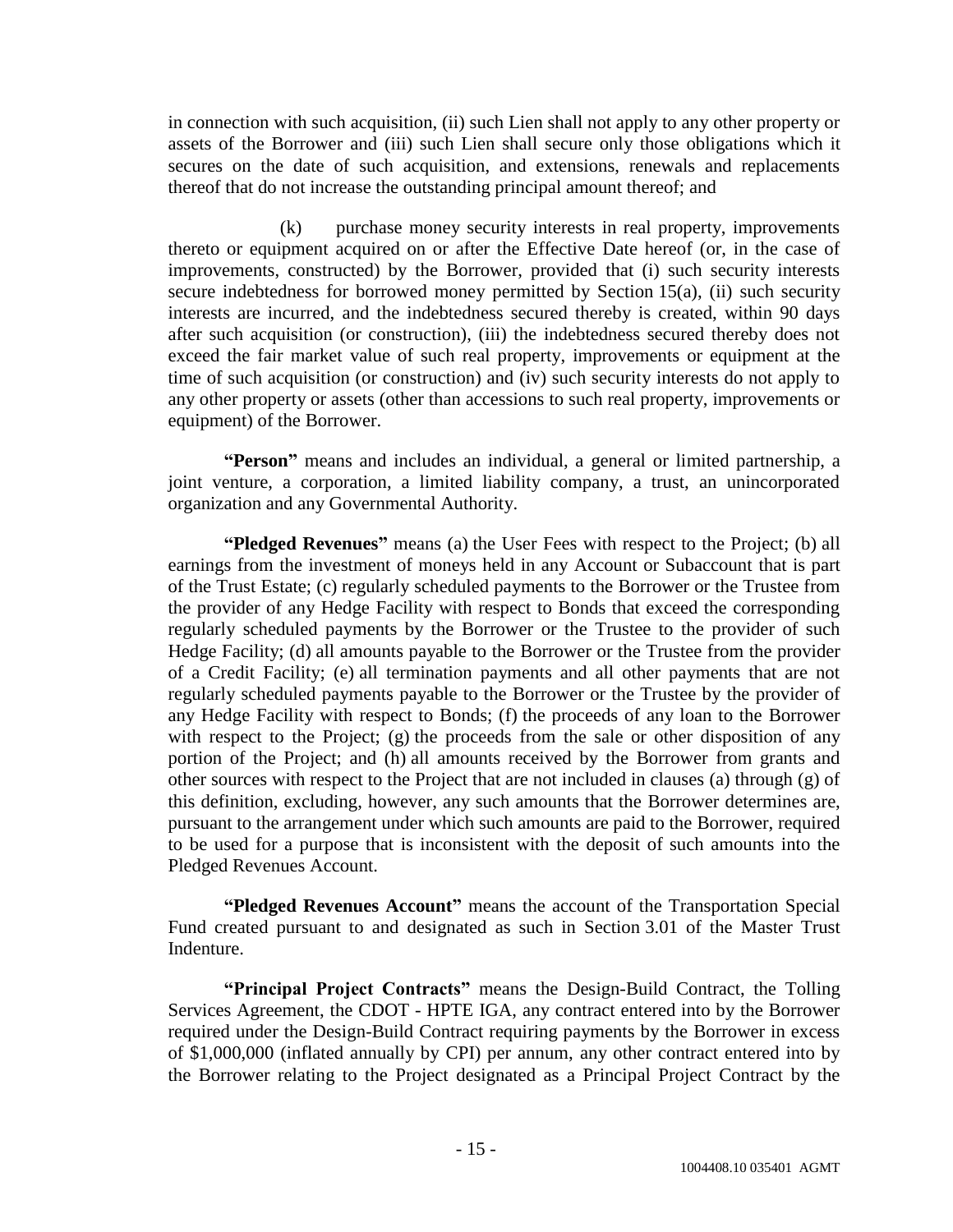in connection with such acquisition, (ii) such Lien shall not apply to any other property or assets of the Borrower and (iii) such Lien shall secure only those obligations which it secures on the date of such acquisition, and extensions, renewals and replacements thereof that do not increase the outstanding principal amount thereof; and

(k) purchase money security interests in real property, improvements thereto or equipment acquired on or after the Effective Date hereof (or, in the case of improvements, constructed) by the Borrower, provided that (i) such security interests secure indebtedness for borrowed money permitted by Section 15(a), (ii) such security interests are incurred, and the indebtedness secured thereby is created, within 90 days after such acquisition (or construction), (iii) the indebtedness secured thereby does not exceed the fair market value of such real property, improvements or equipment at the time of such acquisition (or construction) and (iv) such security interests do not apply to any other property or assets (other than accessions to such real property, improvements or equipment) of the Borrower.

**"Person"** means and includes an individual, a general or limited partnership, a joint venture, a corporation, a limited liability company, a trust, an unincorporated organization and any Governmental Authority.

**<b>
"Pledged Revenues**" means (a) the User Fees with respect to the Project; (b) all earnings from the investment of moneys held in any Account or Subaccount that is part of the Trust Estate; (c) regularly scheduled payments to the Borrower or the Trustee from the provider of any Hedge Facility with respect to Bonds that exceed the corresponding regularly scheduled payments by the Borrower or the Trustee to the provider of such Hedge Facility; (d) all amounts payable to the Borrower or the Trustee from the provider of a Credit Facility; (e) all termination payments and all other payments that are not regularly scheduled payments payable to the Borrower or the Trustee by the provider of any Hedge Facility with respect to Bonds; (f) the proceeds of any loan to the Borrower with respect to the Project; (g) the proceeds from the sale or other disposition of any portion of the Project; and (h) all amounts received by the Borrower from grants and other sources with respect to the Project that are not included in clauses (a) through (g) of this definition, excluding, however, any such amounts that the Borrower determines are, pursuant to the arrangement under which such amounts are paid to the Borrower, required to be used for a purpose that is inconsistent with the deposit of such amounts into the Pledged Revenues Account.

**"Pledged Revenues Account"** means the account of the Transportation Special Fund created pursuant to and designated as such in Section 3.01 of the Master Trust Indenture.

**"Principal Project Contracts"** means the Design-Build Contract, the Tolling Services Agreement, the CDOT - HPTE IGA, any contract entered into by the Borrower required under the Design-Build Contract requiring payments by the Borrower in excess of \$1,000,000 (inflated annually by CPI) per annum, any other contract entered into by the Borrower relating to the Project designated as a Principal Project Contract by the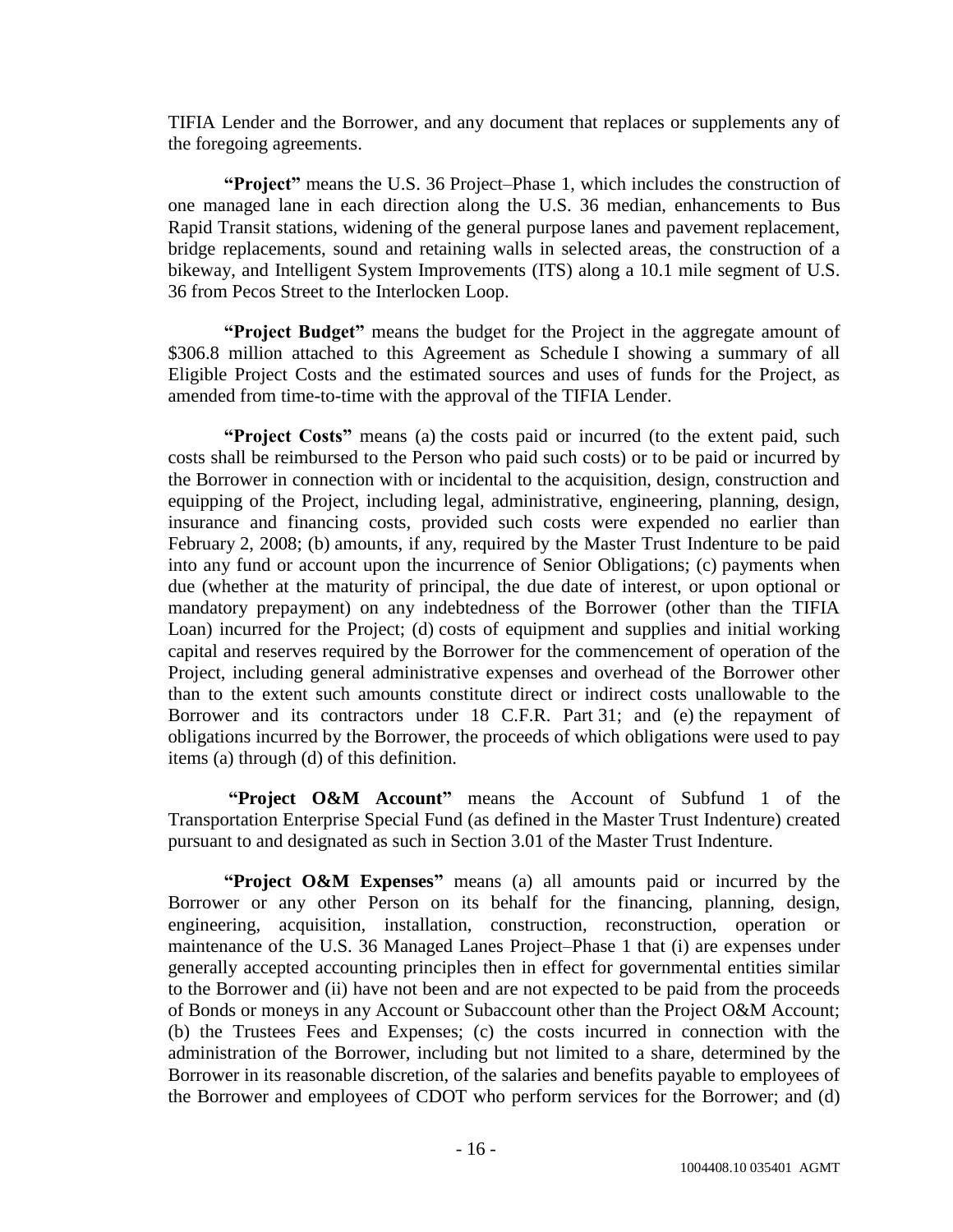TIFIA Lender and the Borrower, and any document that replaces or supplements any of the foregoing agreements.

"Project" means the U.S. 36 Project–Phase 1, which includes the construction of one managed lane in each direction along the U.S. 36 median, enhancements to Bus Rapid Transit stations, widening of the general purpose lanes and pavement replacement, bridge replacements, sound and retaining walls in selected areas, the construction of a bikeway, and Intelligent System Improvements (ITS) along a 10.1 mile segment of U.S. 36 from Pecos Street to the Interlocken Loop.

**Project Budget**<sup>*n*</sup> means the budget for the Project in the aggregate amount of \$306.8 million attached to this Agreement as Schedule I showing a summary of all Eligible Project Costs and the estimated sources and uses of funds for the Project, as amended from time-to-time with the approval of the TIFIA Lender.

**Project Costs**" means (a) the costs paid or incurred (to the extent paid, such costs shall be reimbursed to the Person who paid such costs) or to be paid or incurred by the Borrower in connection with or incidental to the acquisition, design, construction and equipping of the Project, including legal, administrative, engineering, planning, design, insurance and financing costs, provided such costs were expended no earlier than February 2, 2008; (b) amounts, if any, required by the Master Trust Indenture to be paid into any fund or account upon the incurrence of Senior Obligations; (c) payments when due (whether at the maturity of principal, the due date of interest, or upon optional or mandatory prepayment) on any indebtedness of the Borrower (other than the TIFIA Loan) incurred for the Project; (d) costs of equipment and supplies and initial working capital and reserves required by the Borrower for the commencement of operation of the Project, including general administrative expenses and overhead of the Borrower other than to the extent such amounts constitute direct or indirect costs unallowable to the Borrower and its contractors under 18 C.F.R. Part 31; and (e) the repayment of obligations incurred by the Borrower, the proceeds of which obligations were used to pay items (a) through (d) of this definition.

"Project O&M Account" means the Account of Subfund 1 of the Transportation Enterprise Special Fund (as defined in the Master Trust Indenture) created pursuant to and designated as such in Section 3.01 of the Master Trust Indenture.

**Project O&M Expenses**" means (a) all amounts paid or incurred by the Borrower or any other Person on its behalf for the financing, planning, design, engineering, acquisition, installation, construction, reconstruction, operation or maintenance of the U.S. 36 Managed Lanes Project–Phase 1 that (i) are expenses under generally accepted accounting principles then in effect for governmental entities similar to the Borrower and (ii) have not been and are not expected to be paid from the proceeds of Bonds or moneys in any Account or Subaccount other than the Project O&M Account; (b) the Trustees Fees and Expenses; (c) the costs incurred in connection with the administration of the Borrower, including but not limited to a share, determined by the Borrower in its reasonable discretion, of the salaries and benefits payable to employees of the Borrower and employees of CDOT who perform services for the Borrower; and (d)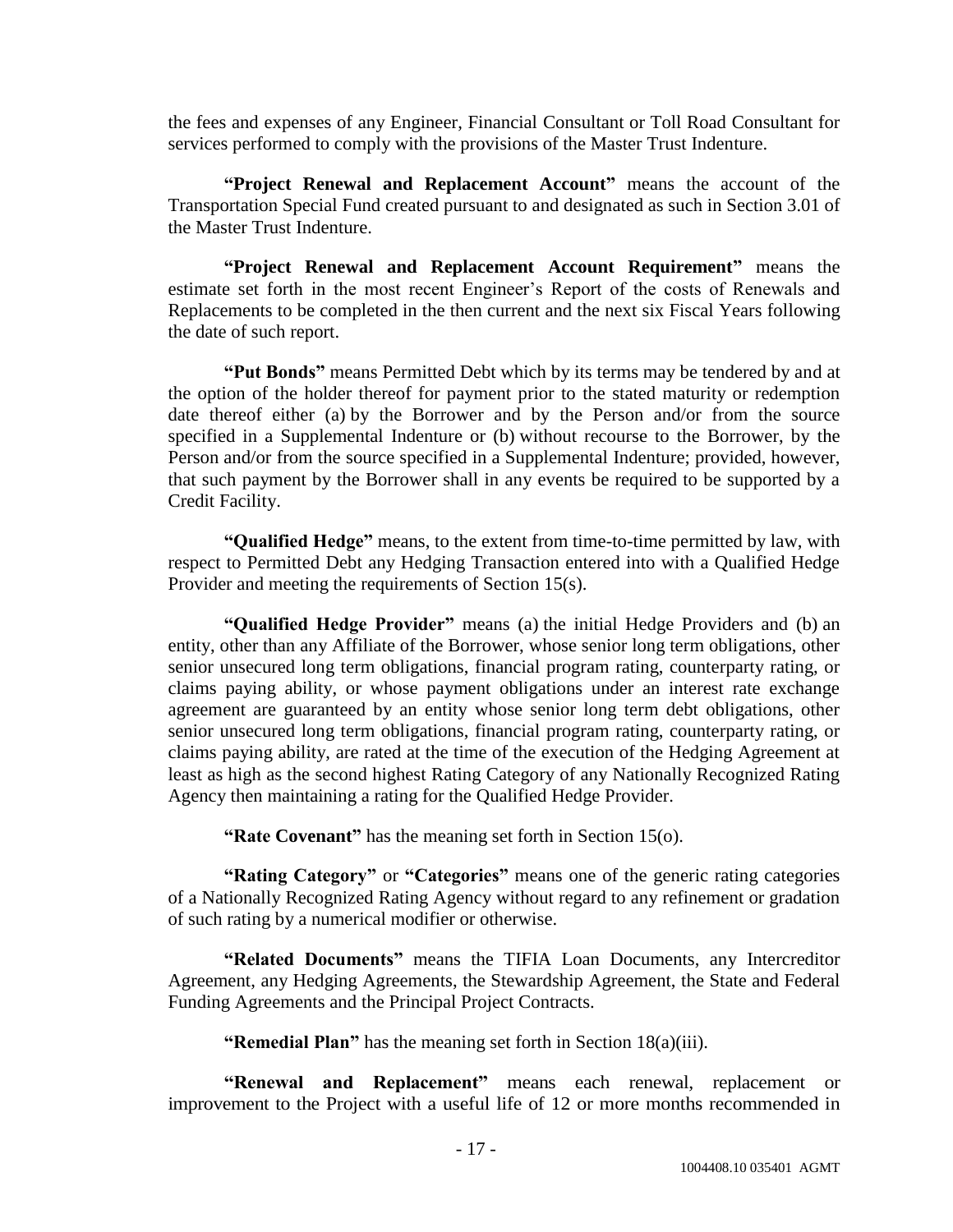the fees and expenses of any Engineer, Financial Consultant or Toll Road Consultant for services performed to comply with the provisions of the Master Trust Indenture.

**"Project Renewal and Replacement Account"** means the account of the Transportation Special Fund created pursuant to and designated as such in Section 3.01 of the Master Trust Indenture.

"Project Renewal and Replacement Account Requirement" means the estimate set forth in the most recent Engineer's Report of the costs of Renewals and Replacements to be completed in the then current and the next six Fiscal Years following the date of such report.

**"Put Bonds"** means Permitted Debt which by its terms may be tendered by and at the option of the holder thereof for payment prior to the stated maturity or redemption date thereof either (a) by the Borrower and by the Person and/or from the source specified in a Supplemental Indenture or (b) without recourse to the Borrower, by the Person and/or from the source specified in a Supplemental Indenture; provided, however, that such payment by the Borrower shall in any events be required to be supported by a Credit Facility.

"**Qualified Hedge**" means, to the extent from time-to-time permitted by law, with respect to Permitted Debt any Hedging Transaction entered into with a Qualified Hedge Provider and meeting the requirements of Section 15(s).

**"Qualified Hedge Provider"** means (a) the initial Hedge Providers and (b) an entity, other than any Affiliate of the Borrower, whose senior long term obligations, other senior unsecured long term obligations, financial program rating, counterparty rating, or claims paying ability, or whose payment obligations under an interest rate exchange agreement are guaranteed by an entity whose senior long term debt obligations, other senior unsecured long term obligations, financial program rating, counterparty rating, or claims paying ability, are rated at the time of the execution of the Hedging Agreement at least as high as the second highest Rating Category of any Nationally Recognized Rating Agency then maintaining a rating for the Qualified Hedge Provider.

**"Rate Covenant"** has the meaning set forth in Section 15(o).

**"Rating Category"** or "Categories" means one of the generic rating categories of a Nationally Recognized Rating Agency without regard to any refinement or gradation of such rating by a numerical modifier or otherwise.

**―Related Documents‖** means the TIFIA Loan Documents, any Intercreditor Agreement, any Hedging Agreements, the Stewardship Agreement, the State and Federal Funding Agreements and the Principal Project Contracts.

**"Remedial Plan"** has the meaning set forth in Section 18(a)(iii).

**"Renewal and Replacement"** means each renewal, replacement or improvement to the Project with a useful life of 12 or more months recommended in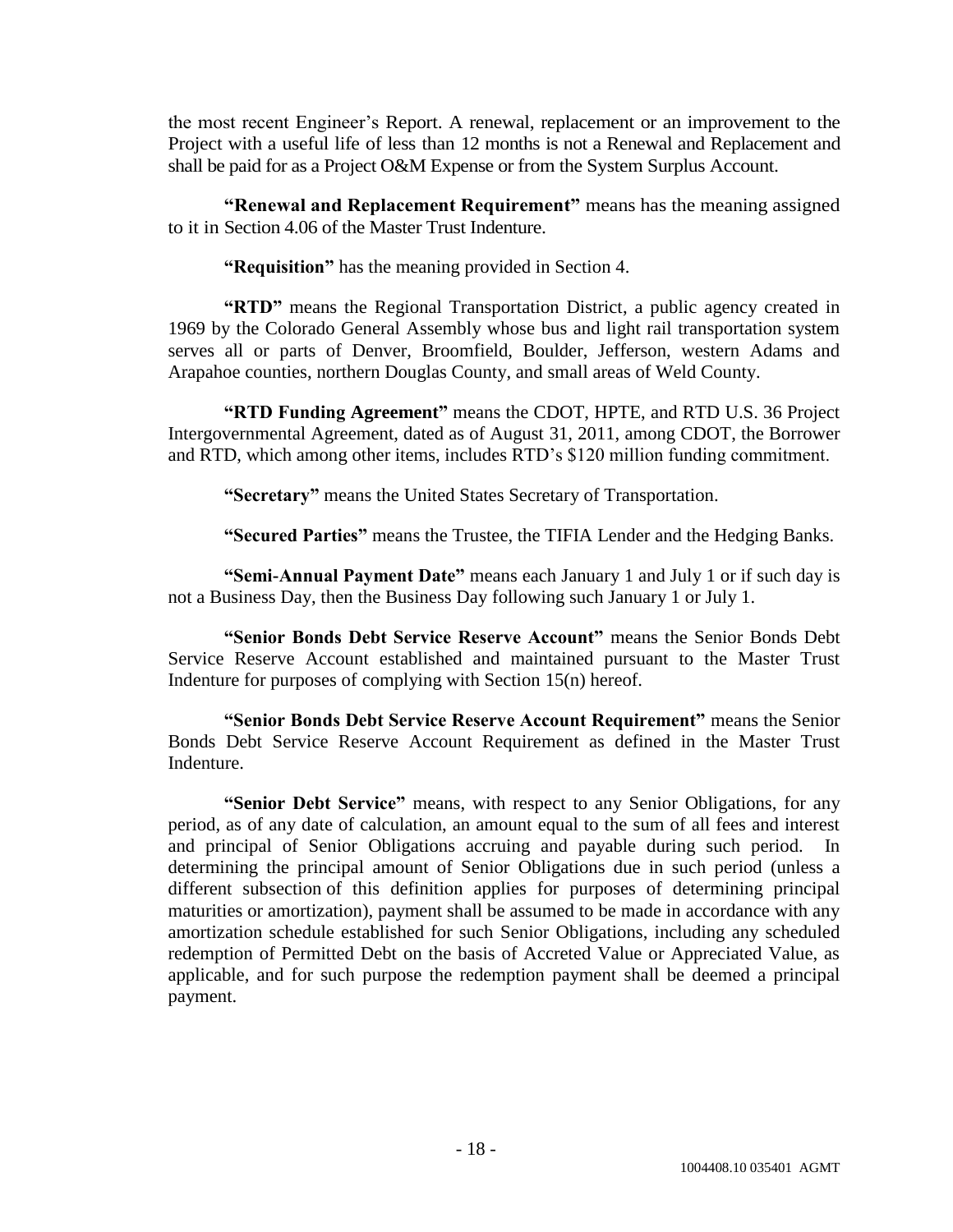the most recent Engineer's Report. A renewal, replacement or an improvement to the Project with a useful life of less than 12 months is not a Renewal and Replacement and shall be paid for as a Project O&M Expense or from the System Surplus Account.

**"Renewal and Replacement Requirement"** means has the meaning assigned to it in Section 4.06 of the Master Trust Indenture.

**"Requisition"** has the meaning provided in Section 4.

"RTD" means the Regional Transportation District, a public agency created in 1969 by the Colorado General Assembly whose bus and light rail transportation system serves all or parts of Denver, Broomfield, Boulder, Jefferson, western Adams and Arapahoe counties, northern Douglas County, and small areas of Weld County.

**"RTD Funding Agreement"** means the CDOT, HPTE, and RTD U.S. 36 Project Intergovernmental Agreement, dated as of August 31, 2011, among CDOT, the Borrower and RTD, which among other items, includes RTD's \$120 million funding commitment.

**―Secretary‖** means the United States Secretary of Transportation.

**―Secured Parties‖** means the Trustee, the TIFIA Lender and the Hedging Banks.

**"Semi-Annual Payment Date"** means each January 1 and July 1 or if such day is not a Business Day, then the Business Day following such January 1 or July 1.

**―Senior Bonds Debt Service Reserve Account‖** means the Senior Bonds Debt Service Reserve Account established and maintained pursuant to the Master Trust Indenture for purposes of complying with Section 15(n) hereof.

**―Senior Bonds Debt Service Reserve Account Requirement‖** means the Senior Bonds Debt Service Reserve Account Requirement as defined in the Master Trust Indenture.

**"Senior Debt Service"** means, with respect to any Senior Obligations, for any period, as of any date of calculation, an amount equal to the sum of all fees and interest and principal of Senior Obligations accruing and payable during such period. In determining the principal amount of Senior Obligations due in such period (unless a different subsection of this definition applies for purposes of determining principal maturities or amortization), payment shall be assumed to be made in accordance with any amortization schedule established for such Senior Obligations, including any scheduled redemption of Permitted Debt on the basis of Accreted Value or Appreciated Value, as applicable, and for such purpose the redemption payment shall be deemed a principal payment.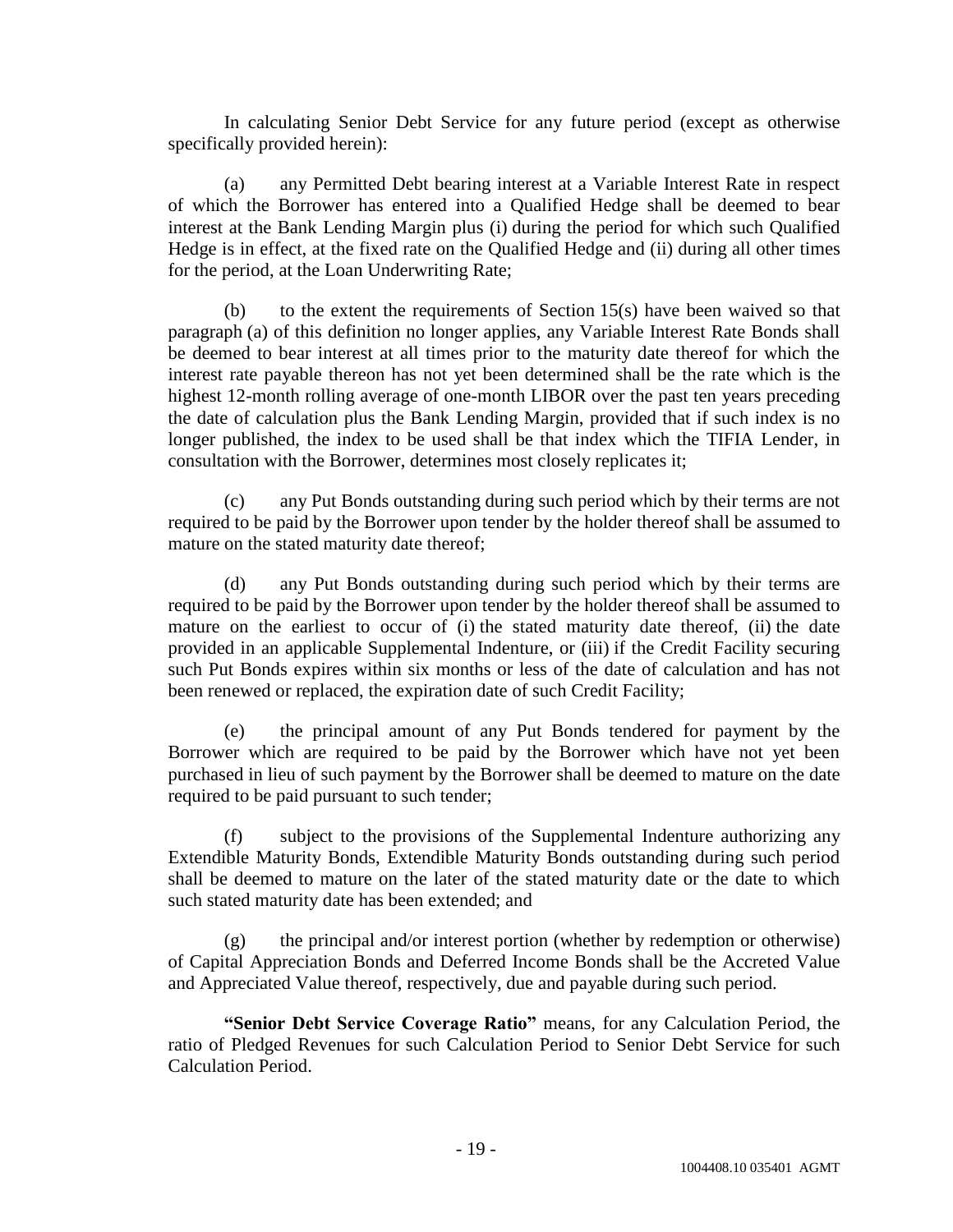In calculating Senior Debt Service for any future period (except as otherwise specifically provided herein):

(a) any Permitted Debt bearing interest at a Variable Interest Rate in respect of which the Borrower has entered into a Qualified Hedge shall be deemed to bear interest at the Bank Lending Margin plus (i) during the period for which such Qualified Hedge is in effect, at the fixed rate on the Qualified Hedge and (ii) during all other times for the period, at the Loan Underwriting Rate;

(b) to the extent the requirements of Section 15(s) have been waived so that paragraph (a) of this definition no longer applies, any Variable Interest Rate Bonds shall be deemed to bear interest at all times prior to the maturity date thereof for which the interest rate payable thereon has not yet been determined shall be the rate which is the highest 12-month rolling average of one-month LIBOR over the past ten years preceding the date of calculation plus the Bank Lending Margin, provided that if such index is no longer published, the index to be used shall be that index which the TIFIA Lender, in consultation with the Borrower, determines most closely replicates it;

(c) any Put Bonds outstanding during such period which by their terms are not required to be paid by the Borrower upon tender by the holder thereof shall be assumed to mature on the stated maturity date thereof;

(d) any Put Bonds outstanding during such period which by their terms are required to be paid by the Borrower upon tender by the holder thereof shall be assumed to mature on the earliest to occur of (i) the stated maturity date thereof, (ii) the date provided in an applicable Supplemental Indenture, or (iii) if the Credit Facility securing such Put Bonds expires within six months or less of the date of calculation and has not been renewed or replaced, the expiration date of such Credit Facility;

(e) the principal amount of any Put Bonds tendered for payment by the Borrower which are required to be paid by the Borrower which have not yet been purchased in lieu of such payment by the Borrower shall be deemed to mature on the date required to be paid pursuant to such tender;

(f) subject to the provisions of the Supplemental Indenture authorizing any Extendible Maturity Bonds, Extendible Maturity Bonds outstanding during such period shall be deemed to mature on the later of the stated maturity date or the date to which such stated maturity date has been extended; and

(g) the principal and/or interest portion (whether by redemption or otherwise) of Capital Appreciation Bonds and Deferred Income Bonds shall be the Accreted Value and Appreciated Value thereof, respectively, due and payable during such period.

**"Senior Debt Service Coverage Ratio"** means, for any Calculation Period, the ratio of Pledged Revenues for such Calculation Period to Senior Debt Service for such Calculation Period.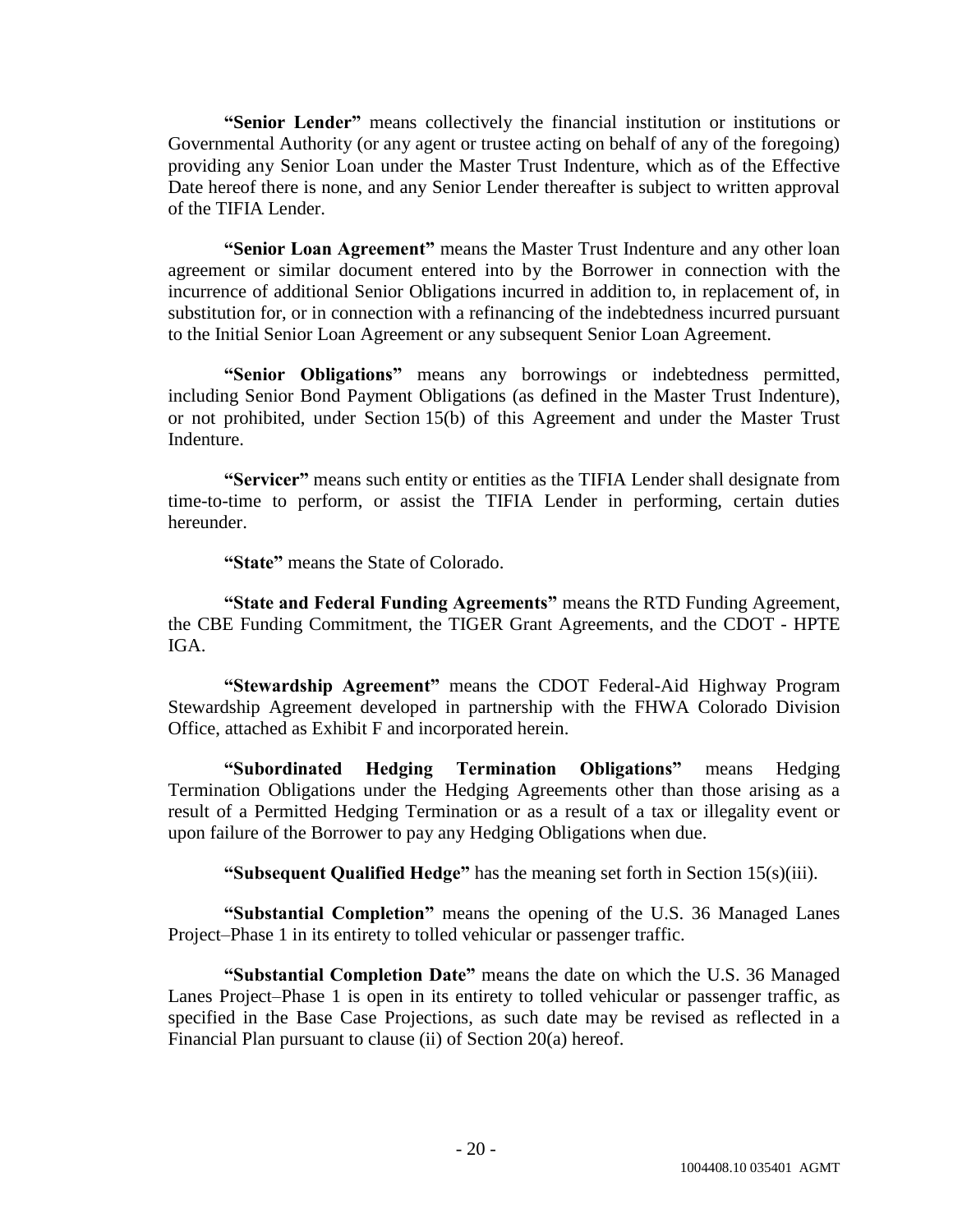**"Senior Lender"** means collectively the financial institution or institutions or Governmental Authority (or any agent or trustee acting on behalf of any of the foregoing) providing any Senior Loan under the Master Trust Indenture, which as of the Effective Date hereof there is none, and any Senior Lender thereafter is subject to written approval of the TIFIA Lender.

**"Senior Loan Agreement"** means the Master Trust Indenture and any other loan agreement or similar document entered into by the Borrower in connection with the incurrence of additional Senior Obligations incurred in addition to, in replacement of, in substitution for, or in connection with a refinancing of the indebtedness incurred pursuant to the Initial Senior Loan Agreement or any subsequent Senior Loan Agreement.

**―Senior Obligations‖** means any borrowings or indebtedness permitted, including Senior Bond Payment Obligations (as defined in the Master Trust Indenture), or not prohibited, under Section 15(b) of this Agreement and under the Master Trust Indenture.

"Servicer" means such entity or entities as the TIFIA Lender shall designate from time-to-time to perform, or assist the TIFIA Lender in performing, certain duties hereunder.

**"State"** means the State of Colorado.

**―State and Federal Funding Agreements‖** means the RTD Funding Agreement, the CBE Funding Commitment, the TIGER Grant Agreements, and the CDOT - HPTE IGA.

**"Stewardship Agreement"** means the CDOT Federal-Aid Highway Program Stewardship Agreement developed in partnership with the FHWA Colorado Division Office, attached as Exhibit F and incorporated herein.

**―Subordinated Hedging Termination Obligations‖** means Hedging Termination Obligations under the Hedging Agreements other than those arising as a result of a Permitted Hedging Termination or as a result of a tax or illegality event or upon failure of the Borrower to pay any Hedging Obligations when due.

**"Subsequent Qualified Hedge"** has the meaning set forth in Section 15(s)(iii).

**"Substantial Completion"** means the opening of the U.S. 36 Managed Lanes Project–Phase 1 in its entirety to tolled vehicular or passenger traffic.

"Substantial Completion Date" means the date on which the U.S. 36 Managed Lanes Project–Phase 1 is open in its entirety to tolled vehicular or passenger traffic, as specified in the Base Case Projections, as such date may be revised as reflected in a Financial Plan pursuant to clause (ii) of Section 20(a) hereof.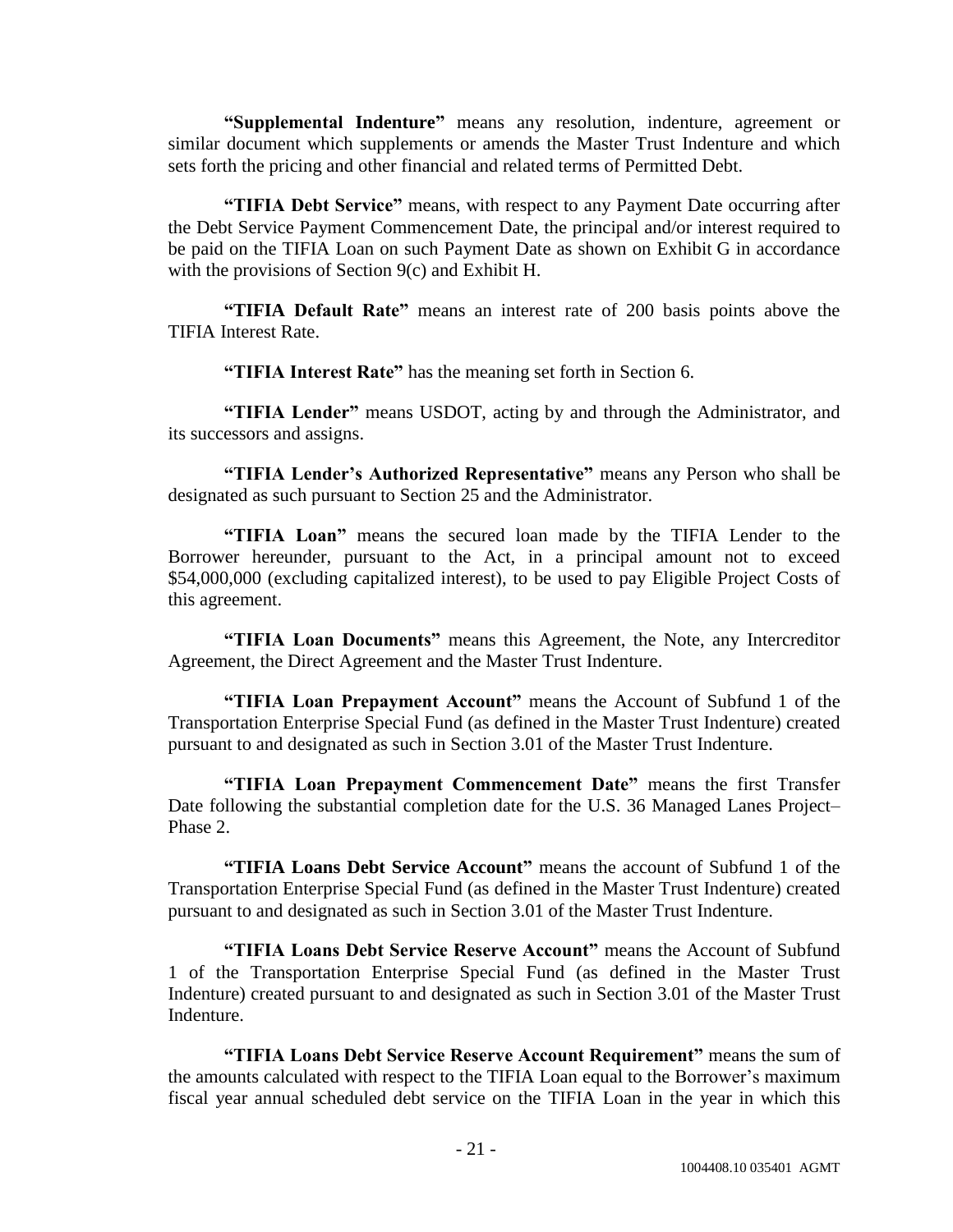"Supplemental Indenture" means any resolution, indenture, agreement or similar document which supplements or amends the Master Trust Indenture and which sets forth the pricing and other financial and related terms of Permitted Debt.

**"TIFIA Debt Service"** means, with respect to any Payment Date occurring after the Debt Service Payment Commencement Date, the principal and/or interest required to be paid on the TIFIA Loan on such Payment Date as shown on Exhibit G in accordance with the provisions of Section 9(c) and Exhibit H.

**"TIFIA Default Rate"** means an interest rate of 200 basis points above the TIFIA Interest Rate.

**"TIFIA Interest Rate"** has the meaning set forth in Section 6.

**"TIFIA Lender"** means USDOT, acting by and through the Administrator, and its successors and assigns.

"TIFIA Lender's Authorized Representative" means any Person who shall be designated as such pursuant to Section 25 and the Administrator.

**―TIFIA Loan‖** means the secured loan made by the TIFIA Lender to the Borrower hereunder, pursuant to the Act, in a principal amount not to exceed \$54,000,000 (excluding capitalized interest), to be used to pay Eligible Project Costs of this agreement.

**―TIFIA Loan Documents‖** means this Agreement, the Note, any Intercreditor Agreement, the Direct Agreement and the Master Trust Indenture.

**"TIFIA Loan Prepayment Account"** means the Account of Subfund 1 of the Transportation Enterprise Special Fund (as defined in the Master Trust Indenture) created pursuant to and designated as such in Section 3.01 of the Master Trust Indenture.

**―TIFIA Loan Prepayment Commencement Date‖** means the first Transfer Date following the substantial completion date for the U.S. 36 Managed Lanes Project– Phase 2.

**―TIFIA Loans Debt Service Account‖** means the account of Subfund 1 of the Transportation Enterprise Special Fund (as defined in the Master Trust Indenture) created pursuant to and designated as such in Section 3.01 of the Master Trust Indenture.

**―TIFIA Loans Debt Service Reserve Account‖** means the Account of Subfund 1 of the Transportation Enterprise Special Fund (as defined in the Master Trust Indenture) created pursuant to and designated as such in Section 3.01 of the Master Trust Indenture.

**―TIFIA Loans Debt Service Reserve Account Requirement‖** means the sum of the amounts calculated with respect to the TIFIA Loan equal to the Borrower's maximum fiscal year annual scheduled debt service on the TIFIA Loan in the year in which this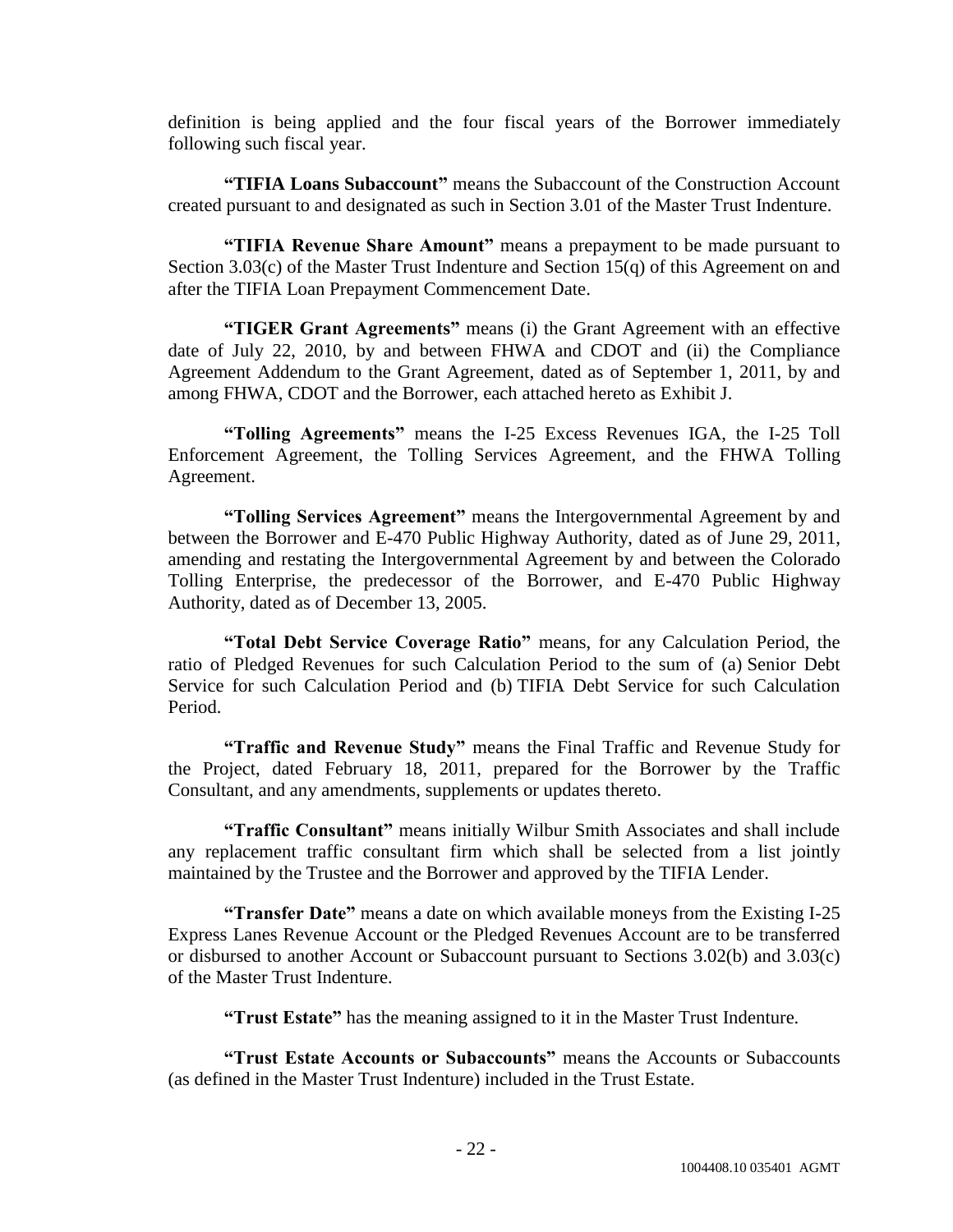definition is being applied and the four fiscal years of the Borrower immediately following such fiscal year.

**"TIFIA Loans Subaccount"** means the Subaccount of the Construction Account created pursuant to and designated as such in Section 3.01 of the Master Trust Indenture.

"TIFIA Revenue Share Amount" means a prepayment to be made pursuant to Section 3.03(c) of the Master Trust Indenture and Section 15(q) of this Agreement on and after the TIFIA Loan Prepayment Commencement Date.

**"TIGER Grant Agreements"** means (i) the Grant Agreement with an effective date of July 22, 2010, by and between FHWA and CDOT and (ii) the Compliance Agreement Addendum to the Grant Agreement, dated as of September 1, 2011, by and among FHWA, CDOT and the Borrower, each attached hereto as Exhibit J.

**―Tolling Agreements‖** means the I-25 Excess Revenues IGA, the I-25 Toll Enforcement Agreement, the Tolling Services Agreement, and the FHWA Tolling Agreement.

**―Tolling Services Agreement‖** means the Intergovernmental Agreement by and between the Borrower and E-470 Public Highway Authority, dated as of June 29, 2011, amending and restating the Intergovernmental Agreement by and between the Colorado Tolling Enterprise, the predecessor of the Borrower, and E-470 Public Highway Authority, dated as of December 13, 2005.

**―Total Debt Service Coverage Ratio‖** means, for any Calculation Period, the ratio of Pledged Revenues for such Calculation Period to the sum of (a) Senior Debt Service for such Calculation Period and (b) TIFIA Debt Service for such Calculation Period.

"Traffic and Revenue Study" means the Final Traffic and Revenue Study for the Project, dated February 18, 2011, prepared for the Borrower by the Traffic Consultant, and any amendments, supplements or updates thereto.

**―Traffic Consultant‖** means initially Wilbur Smith Associates and shall include any replacement traffic consultant firm which shall be selected from a list jointly maintained by the Trustee and the Borrower and approved by the TIFIA Lender.

**"Transfer Date"** means a date on which available moneys from the Existing I-25 Express Lanes Revenue Account or the Pledged Revenues Account are to be transferred or disbursed to another Account or Subaccount pursuant to Sections 3.02(b) and 3.03(c) of the Master Trust Indenture.

**―Trust Estate‖** has the meaning assigned to it in the Master Trust Indenture.

**―Trust Estate Accounts or Subaccounts‖** means the Accounts or Subaccounts (as defined in the Master Trust Indenture) included in the Trust Estate.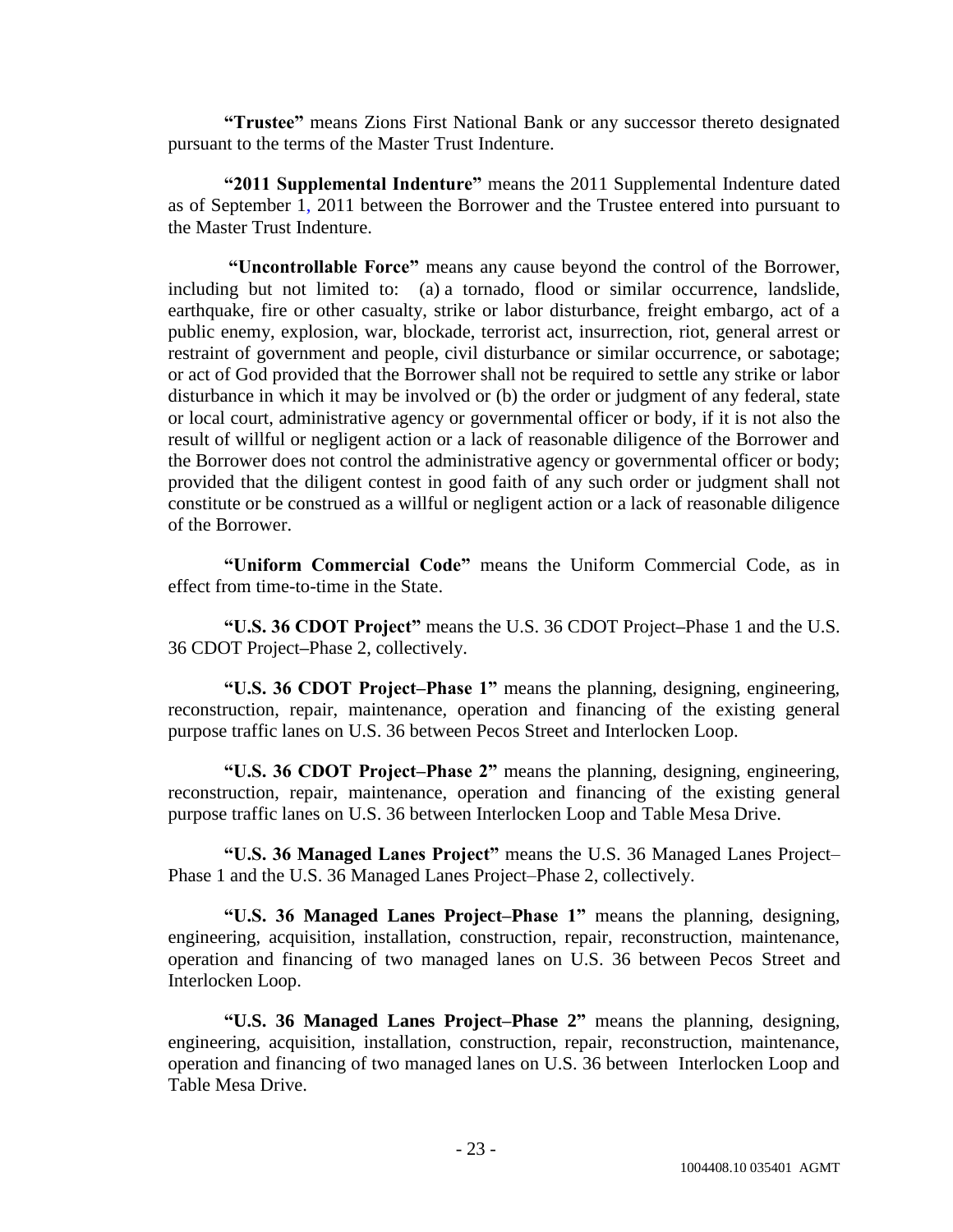**―Trustee‖** means Zions First National Bank or any successor thereto designated pursuant to the terms of the Master Trust Indenture.

**―2011 Supplemental Indenture‖** means the 2011 Supplemental Indenture dated as of September 1, 2011 between the Borrower and the Trustee entered into pursuant to the Master Trust Indenture.

**―Uncontrollable Force‖** means any cause beyond the control of the Borrower, including but not limited to: (a) a tornado, flood or similar occurrence, landslide, earthquake, fire or other casualty, strike or labor disturbance, freight embargo, act of a public enemy, explosion, war, blockade, terrorist act, insurrection, riot, general arrest or restraint of government and people, civil disturbance or similar occurrence, or sabotage; or act of God provided that the Borrower shall not be required to settle any strike or labor disturbance in which it may be involved or (b) the order or judgment of any federal, state or local court, administrative agency or governmental officer or body, if it is not also the result of willful or negligent action or a lack of reasonable diligence of the Borrower and the Borrower does not control the administrative agency or governmental officer or body; provided that the diligent contest in good faith of any such order or judgment shall not constitute or be construed as a willful or negligent action or a lack of reasonable diligence of the Borrower.

"Uniform Commercial Code" means the Uniform Commercial Code, as in effect from time-to-time in the State.

**―U.S. 36 CDOT Project‖** means the U.S. 36 CDOT Project**–**Phase 1 and the U.S. 36 CDOT Project**–**Phase 2, collectively.

**―U.S. 36 CDOT Project–Phase 1‖** means the planning, designing, engineering, reconstruction, repair, maintenance, operation and financing of the existing general purpose traffic lanes on U.S. 36 between Pecos Street and Interlocken Loop.

**―U.S. 36 CDOT Project–Phase 2‖** means the planning, designing, engineering, reconstruction, repair, maintenance, operation and financing of the existing general purpose traffic lanes on U.S. 36 between Interlocken Loop and Table Mesa Drive.

**―U.S. 36 Managed Lanes Project‖** means the U.S. 36 Managed Lanes Project– Phase 1 and the U.S. 36 Managed Lanes Project–Phase 2, collectively.

**―U.S. 36 Managed Lanes Project–Phase 1‖** means the planning, designing, engineering, acquisition, installation, construction, repair, reconstruction, maintenance, operation and financing of two managed lanes on U.S. 36 between Pecos Street and Interlocken Loop.

**―U.S. 36 Managed Lanes Project–Phase 2‖** means the planning, designing, engineering, acquisition, installation, construction, repair, reconstruction, maintenance, operation and financing of two managed lanes on U.S. 36 between Interlocken Loop and Table Mesa Drive.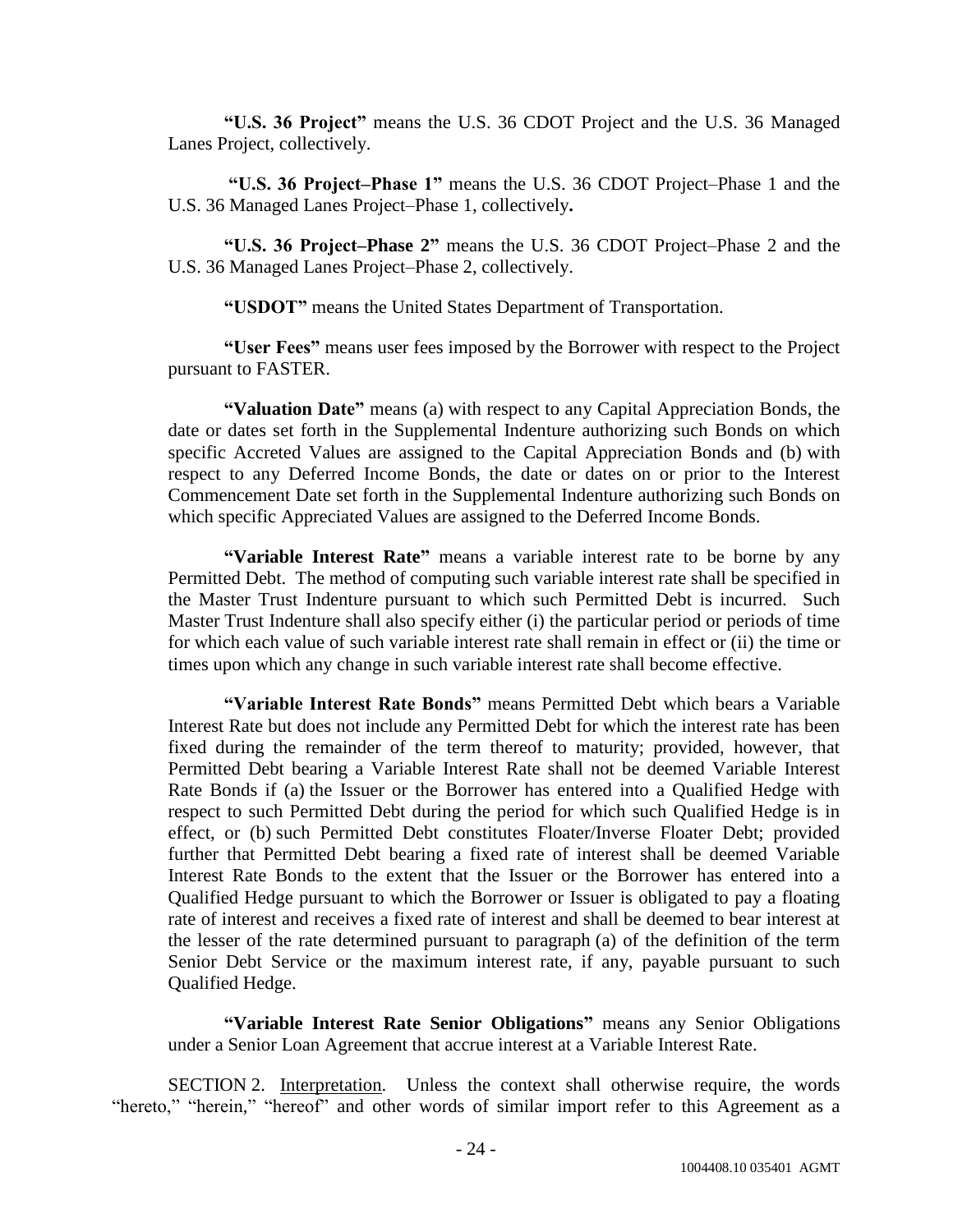**―U.S. 36 Project‖** means the U.S. 36 CDOT Project and the U.S. 36 Managed Lanes Project, collectively.

**―U.S. 36 Project–Phase 1‖** means the U.S. 36 CDOT Project–Phase 1 and the U.S. 36 Managed Lanes Project–Phase 1, collectively**.**

**―U.S. 36 Project–Phase 2‖** means the U.S. 36 CDOT Project–Phase 2 and the U.S. 36 Managed Lanes Project–Phase 2, collectively.

**―USDOT‖** means the United States Department of Transportation.

**―User Fees‖** means user fees imposed by the Borrower with respect to the Project pursuant to FASTER.

**"Valuation Date"** means (a) with respect to any Capital Appreciation Bonds, the date or dates set forth in the Supplemental Indenture authorizing such Bonds on which specific Accreted Values are assigned to the Capital Appreciation Bonds and (b) with respect to any Deferred Income Bonds, the date or dates on or prior to the Interest Commencement Date set forth in the Supplemental Indenture authorizing such Bonds on which specific Appreciated Values are assigned to the Deferred Income Bonds.

"Variable Interest Rate" means a variable interest rate to be borne by any Permitted Debt. The method of computing such variable interest rate shall be specified in the Master Trust Indenture pursuant to which such Permitted Debt is incurred. Such Master Trust Indenture shall also specify either (i) the particular period or periods of time for which each value of such variable interest rate shall remain in effect or (ii) the time or times upon which any change in such variable interest rate shall become effective.

**―Variable Interest Rate Bonds‖** means Permitted Debt which bears a Variable Interest Rate but does not include any Permitted Debt for which the interest rate has been fixed during the remainder of the term thereof to maturity; provided, however, that Permitted Debt bearing a Variable Interest Rate shall not be deemed Variable Interest Rate Bonds if (a) the Issuer or the Borrower has entered into a Qualified Hedge with respect to such Permitted Debt during the period for which such Qualified Hedge is in effect, or (b) such Permitted Debt constitutes Floater/Inverse Floater Debt; provided further that Permitted Debt bearing a fixed rate of interest shall be deemed Variable Interest Rate Bonds to the extent that the Issuer or the Borrower has entered into a Qualified Hedge pursuant to which the Borrower or Issuer is obligated to pay a floating rate of interest and receives a fixed rate of interest and shall be deemed to bear interest at the lesser of the rate determined pursuant to paragraph (a) of the definition of the term Senior Debt Service or the maximum interest rate, if any, payable pursuant to such Qualified Hedge.

**"Variable Interest Rate Senior Obligations"** means any Senior Obligations under a Senior Loan Agreement that accrue interest at a Variable Interest Rate.

SECTION 2. Interpretation. Unless the context shall otherwise require, the words "hereto," "herein," "hereof" and other words of similar import refer to this Agreement as a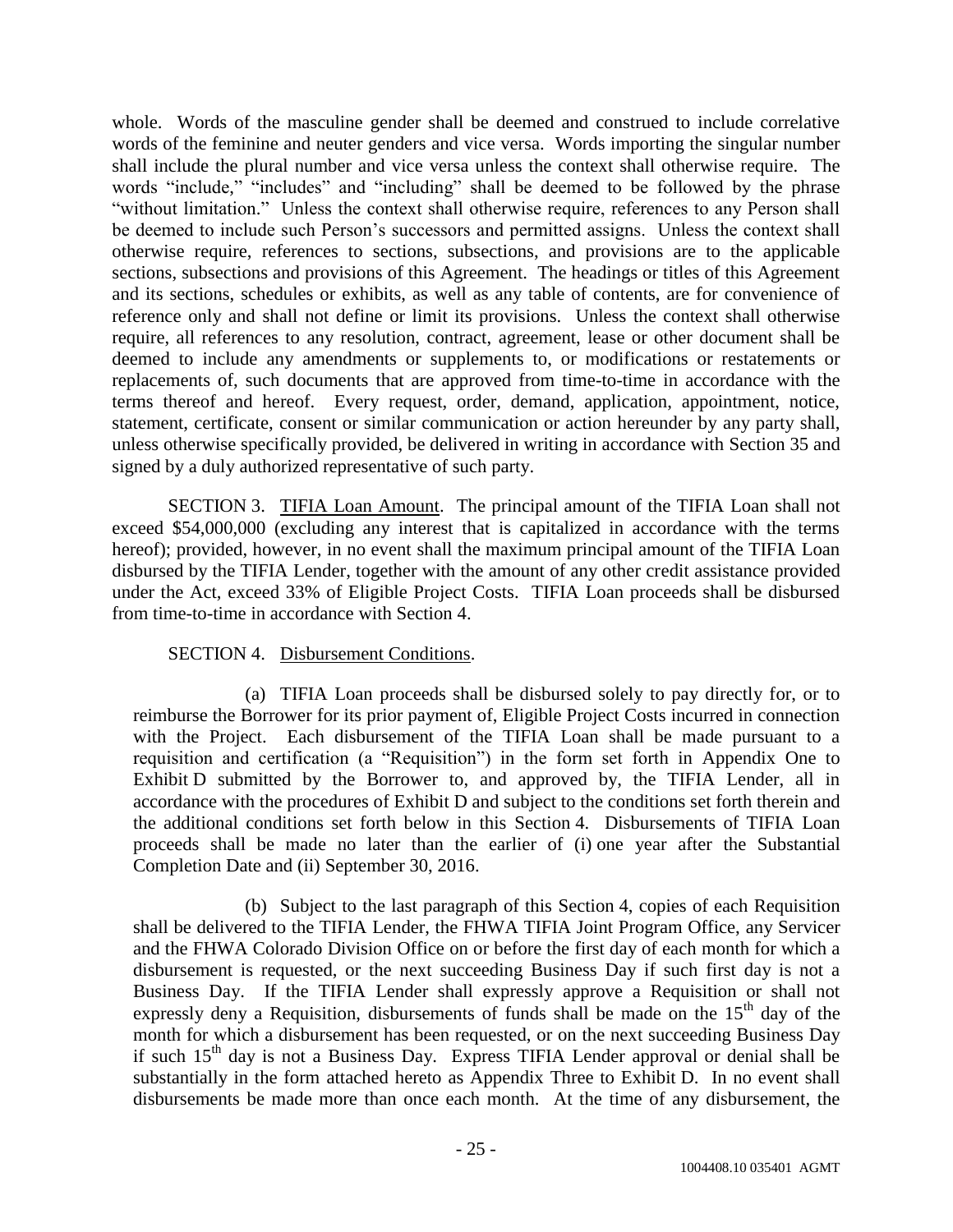whole. Words of the masculine gender shall be deemed and construed to include correlative words of the feminine and neuter genders and vice versa. Words importing the singular number shall include the plural number and vice versa unless the context shall otherwise require. The words "include," "includes" and "including" shall be deemed to be followed by the phrase "without limitation." Unless the context shall otherwise require, references to any Person shall be deemed to include such Person's successors and permitted assigns. Unless the context shall otherwise require, references to sections, subsections, and provisions are to the applicable sections, subsections and provisions of this Agreement. The headings or titles of this Agreement and its sections, schedules or exhibits, as well as any table of contents, are for convenience of reference only and shall not define or limit its provisions. Unless the context shall otherwise require, all references to any resolution, contract, agreement, lease or other document shall be deemed to include any amendments or supplements to, or modifications or restatements or replacements of, such documents that are approved from time-to-time in accordance with the terms thereof and hereof. Every request, order, demand, application, appointment, notice, statement, certificate, consent or similar communication or action hereunder by any party shall, unless otherwise specifically provided, be delivered in writing in accordance with Section 35 and signed by a duly authorized representative of such party.

SECTION 3. TIFIA Loan Amount. The principal amount of the TIFIA Loan shall not exceed \$54,000,000 (excluding any interest that is capitalized in accordance with the terms hereof); provided, however, in no event shall the maximum principal amount of the TIFIA Loan disbursed by the TIFIA Lender, together with the amount of any other credit assistance provided under the Act, exceed 33% of Eligible Project Costs. TIFIA Loan proceeds shall be disbursed from time-to-time in accordance with Section 4.

# SECTION 4. Disbursement Conditions.

(a) TIFIA Loan proceeds shall be disbursed solely to pay directly for, or to reimburse the Borrower for its prior payment of, Eligible Project Costs incurred in connection with the Project. Each disbursement of the TIFIA Loan shall be made pursuant to a requisition and certification (a "Requisition") in the form set forth in Appendix One to Exhibit D submitted by the Borrower to, and approved by, the TIFIA Lender, all in accordance with the procedures of Exhibit D and subject to the conditions set forth therein and the additional conditions set forth below in this Section 4. Disbursements of TIFIA Loan proceeds shall be made no later than the earlier of (i) one year after the Substantial Completion Date and (ii) September 30, 2016.

(b) Subject to the last paragraph of this Section 4, copies of each Requisition shall be delivered to the TIFIA Lender, the FHWA TIFIA Joint Program Office, any Servicer and the FHWA Colorado Division Office on or before the first day of each month for which a disbursement is requested, or the next succeeding Business Day if such first day is not a Business Day. If the TIFIA Lender shall expressly approve a Requisition or shall not expressly deny a Requisition, disbursements of funds shall be made on the 15<sup>th</sup> day of the month for which a disbursement has been requested, or on the next succeeding Business Day if such  $15<sup>th</sup>$  day is not a Business Day. Express TIFIA Lender approval or denial shall be substantially in the form attached hereto as Appendix Three to Exhibit D. In no event shall disbursements be made more than once each month. At the time of any disbursement, the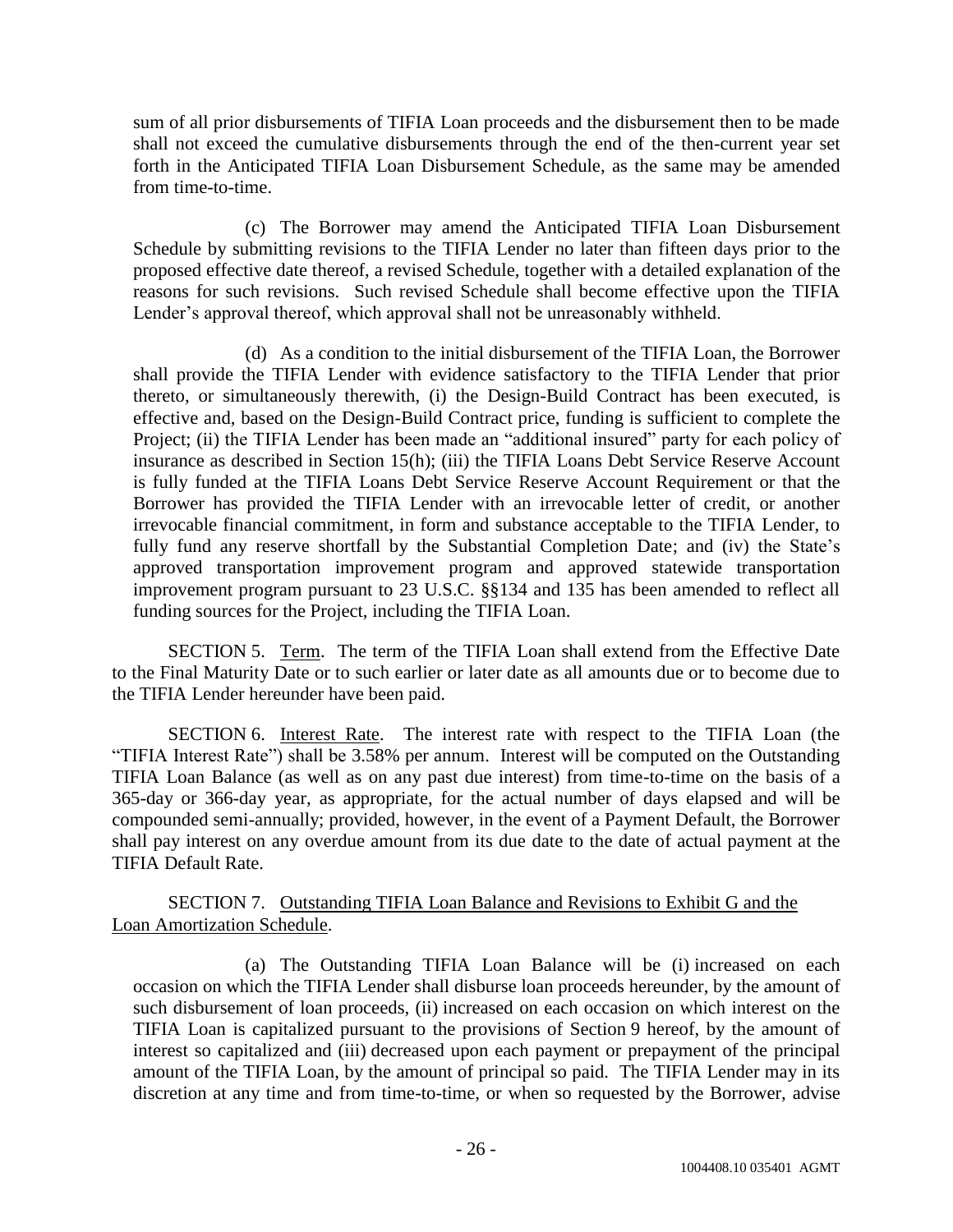sum of all prior disbursements of TIFIA Loan proceeds and the disbursement then to be made shall not exceed the cumulative disbursements through the end of the then-current year set forth in the Anticipated TIFIA Loan Disbursement Schedule, as the same may be amended from time-to-time.

(c) The Borrower may amend the Anticipated TIFIA Loan Disbursement Schedule by submitting revisions to the TIFIA Lender no later than fifteen days prior to the proposed effective date thereof, a revised Schedule, together with a detailed explanation of the reasons for such revisions. Such revised Schedule shall become effective upon the TIFIA Lender's approval thereof, which approval shall not be unreasonably withheld.

(d) As a condition to the initial disbursement of the TIFIA Loan, the Borrower shall provide the TIFIA Lender with evidence satisfactory to the TIFIA Lender that prior thereto, or simultaneously therewith, (i) the Design-Build Contract has been executed, is effective and, based on the Design-Build Contract price, funding is sufficient to complete the Project; (ii) the TIFIA Lender has been made an "additional insured" party for each policy of insurance as described in Section 15(h); (iii) the TIFIA Loans Debt Service Reserve Account is fully funded at the TIFIA Loans Debt Service Reserve Account Requirement or that the Borrower has provided the TIFIA Lender with an irrevocable letter of credit, or another irrevocable financial commitment, in form and substance acceptable to the TIFIA Lender, to fully fund any reserve shortfall by the Substantial Completion Date; and (iv) the State's approved transportation improvement program and approved statewide transportation improvement program pursuant to 23 U.S.C. §§134 and 135 has been amended to reflect all funding sources for the Project, including the TIFIA Loan.

SECTION 5. Term. The term of the TIFIA Loan shall extend from the Effective Date to the Final Maturity Date or to such earlier or later date as all amounts due or to become due to the TIFIA Lender hereunder have been paid.

SECTION 6. Interest Rate. The interest rate with respect to the TIFIA Loan (the "TIFIA Interest Rate") shall be 3.58% per annum. Interest will be computed on the Outstanding TIFIA Loan Balance (as well as on any past due interest) from time-to-time on the basis of a 365-day or 366-day year, as appropriate, for the actual number of days elapsed and will be compounded semi-annually; provided, however, in the event of a Payment Default, the Borrower shall pay interest on any overdue amount from its due date to the date of actual payment at the TIFIA Default Rate.

SECTION 7. Outstanding TIFIA Loan Balance and Revisions to Exhibit G and the Loan Amortization Schedule.

(a) The Outstanding TIFIA Loan Balance will be (i) increased on each occasion on which the TIFIA Lender shall disburse loan proceeds hereunder, by the amount of such disbursement of loan proceeds, (ii) increased on each occasion on which interest on the TIFIA Loan is capitalized pursuant to the provisions of Section 9 hereof, by the amount of interest so capitalized and (iii) decreased upon each payment or prepayment of the principal amount of the TIFIA Loan, by the amount of principal so paid. The TIFIA Lender may in its discretion at any time and from time-to-time, or when so requested by the Borrower, advise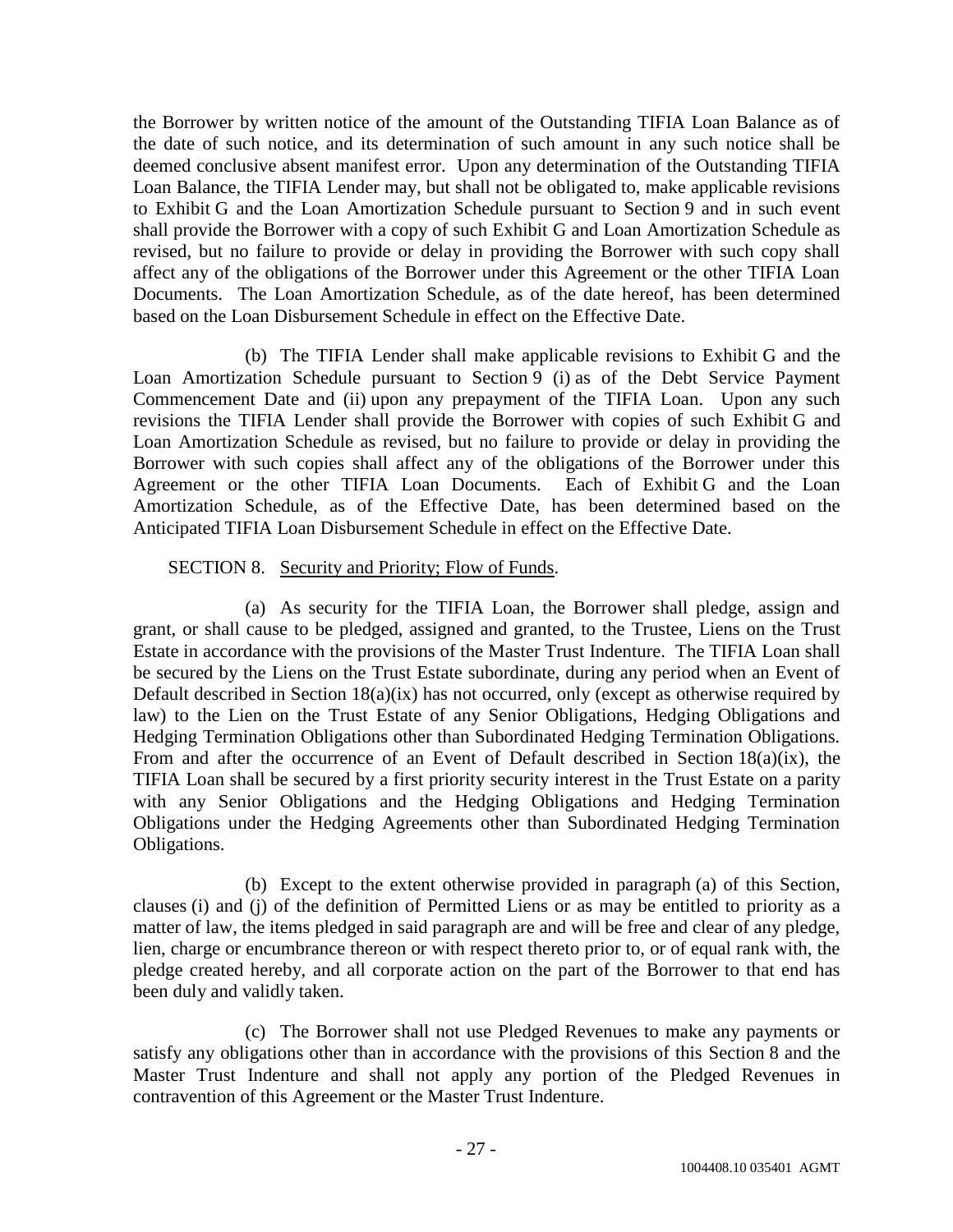the Borrower by written notice of the amount of the Outstanding TIFIA Loan Balance as of the date of such notice, and its determination of such amount in any such notice shall be deemed conclusive absent manifest error. Upon any determination of the Outstanding TIFIA Loan Balance, the TIFIA Lender may, but shall not be obligated to, make applicable revisions to Exhibit G and the Loan Amortization Schedule pursuant to Section 9 and in such event shall provide the Borrower with a copy of such Exhibit G and Loan Amortization Schedule as revised, but no failure to provide or delay in providing the Borrower with such copy shall affect any of the obligations of the Borrower under this Agreement or the other TIFIA Loan Documents. The Loan Amortization Schedule, as of the date hereof, has been determined based on the Loan Disbursement Schedule in effect on the Effective Date.

(b) The TIFIA Lender shall make applicable revisions to Exhibit G and the Loan Amortization Schedule pursuant to Section 9 (i) as of the Debt Service Payment Commencement Date and (ii) upon any prepayment of the TIFIA Loan. Upon any such revisions the TIFIA Lender shall provide the Borrower with copies of such Exhibit G and Loan Amortization Schedule as revised, but no failure to provide or delay in providing the Borrower with such copies shall affect any of the obligations of the Borrower under this Agreement or the other TIFIA Loan Documents. Each of Exhibit G and the Loan Amortization Schedule, as of the Effective Date, has been determined based on the Anticipated TIFIA Loan Disbursement Schedule in effect on the Effective Date.

## SECTION 8. Security and Priority; Flow of Funds.

(a) As security for the TIFIA Loan, the Borrower shall pledge, assign and grant, or shall cause to be pledged, assigned and granted, to the Trustee, Liens on the Trust Estate in accordance with the provisions of the Master Trust Indenture. The TIFIA Loan shall be secured by the Liens on the Trust Estate subordinate, during any period when an Event of Default described in Section  $18(a)(ix)$  has not occurred, only (except as otherwise required by law) to the Lien on the Trust Estate of any Senior Obligations, Hedging Obligations and Hedging Termination Obligations other than Subordinated Hedging Termination Obligations. From and after the occurrence of an Event of Default described in Section 18(a)(ix), the TIFIA Loan shall be secured by a first priority security interest in the Trust Estate on a parity with any Senior Obligations and the Hedging Obligations and Hedging Termination Obligations under the Hedging Agreements other than Subordinated Hedging Termination Obligations.

(b) Except to the extent otherwise provided in paragraph (a) of this Section, clauses (i) and (j) of the definition of Permitted Liens or as may be entitled to priority as a matter of law, the items pledged in said paragraph are and will be free and clear of any pledge, lien, charge or encumbrance thereon or with respect thereto prior to, or of equal rank with, the pledge created hereby, and all corporate action on the part of the Borrower to that end has been duly and validly taken.

(c) The Borrower shall not use Pledged Revenues to make any payments or satisfy any obligations other than in accordance with the provisions of this Section 8 and the Master Trust Indenture and shall not apply any portion of the Pledged Revenues in contravention of this Agreement or the Master Trust Indenture.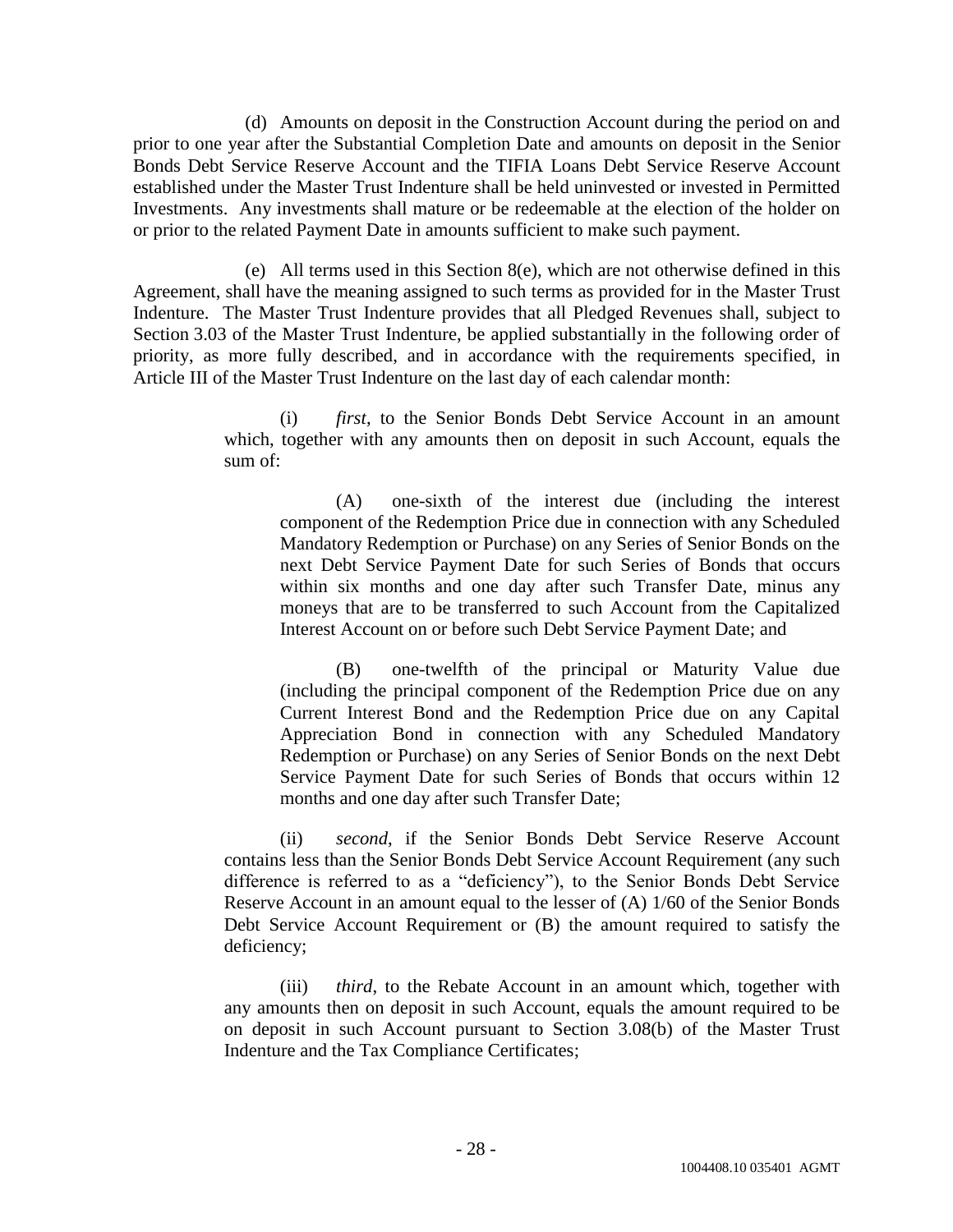(d) Amounts on deposit in the Construction Account during the period on and prior to one year after the Substantial Completion Date and amounts on deposit in the Senior Bonds Debt Service Reserve Account and the TIFIA Loans Debt Service Reserve Account established under the Master Trust Indenture shall be held uninvested or invested in Permitted Investments. Any investments shall mature or be redeemable at the election of the holder on or prior to the related Payment Date in amounts sufficient to make such payment.

(e) All terms used in this Section  $8(e)$ , which are not otherwise defined in this Agreement, shall have the meaning assigned to such terms as provided for in the Master Trust Indenture. The Master Trust Indenture provides that all Pledged Revenues shall, subject to Section 3.03 of the Master Trust Indenture, be applied substantially in the following order of priority, as more fully described, and in accordance with the requirements specified, in Article III of the Master Trust Indenture on the last day of each calendar month:

> (i) *first*, to the Senior Bonds Debt Service Account in an amount which, together with any amounts then on deposit in such Account, equals the sum of:

(A) one-sixth of the interest due (including the interest component of the Redemption Price due in connection with any Scheduled Mandatory Redemption or Purchase) on any Series of Senior Bonds on the next Debt Service Payment Date for such Series of Bonds that occurs within six months and one day after such Transfer Date, minus any moneys that are to be transferred to such Account from the Capitalized Interest Account on or before such Debt Service Payment Date; and

(B) one-twelfth of the principal or Maturity Value due (including the principal component of the Redemption Price due on any Current Interest Bond and the Redemption Price due on any Capital Appreciation Bond in connection with any Scheduled Mandatory Redemption or Purchase) on any Series of Senior Bonds on the next Debt Service Payment Date for such Series of Bonds that occurs within 12 months and one day after such Transfer Date;

(ii) *second*, if the Senior Bonds Debt Service Reserve Account contains less than the Senior Bonds Debt Service Account Requirement (any such difference is referred to as a "deficiency"), to the Senior Bonds Debt Service Reserve Account in an amount equal to the lesser of (A) 1/60 of the Senior Bonds Debt Service Account Requirement or (B) the amount required to satisfy the deficiency;

(iii) *third*, to the Rebate Account in an amount which, together with any amounts then on deposit in such Account, equals the amount required to be on deposit in such Account pursuant to Section 3.08(b) of the Master Trust Indenture and the Tax Compliance Certificates;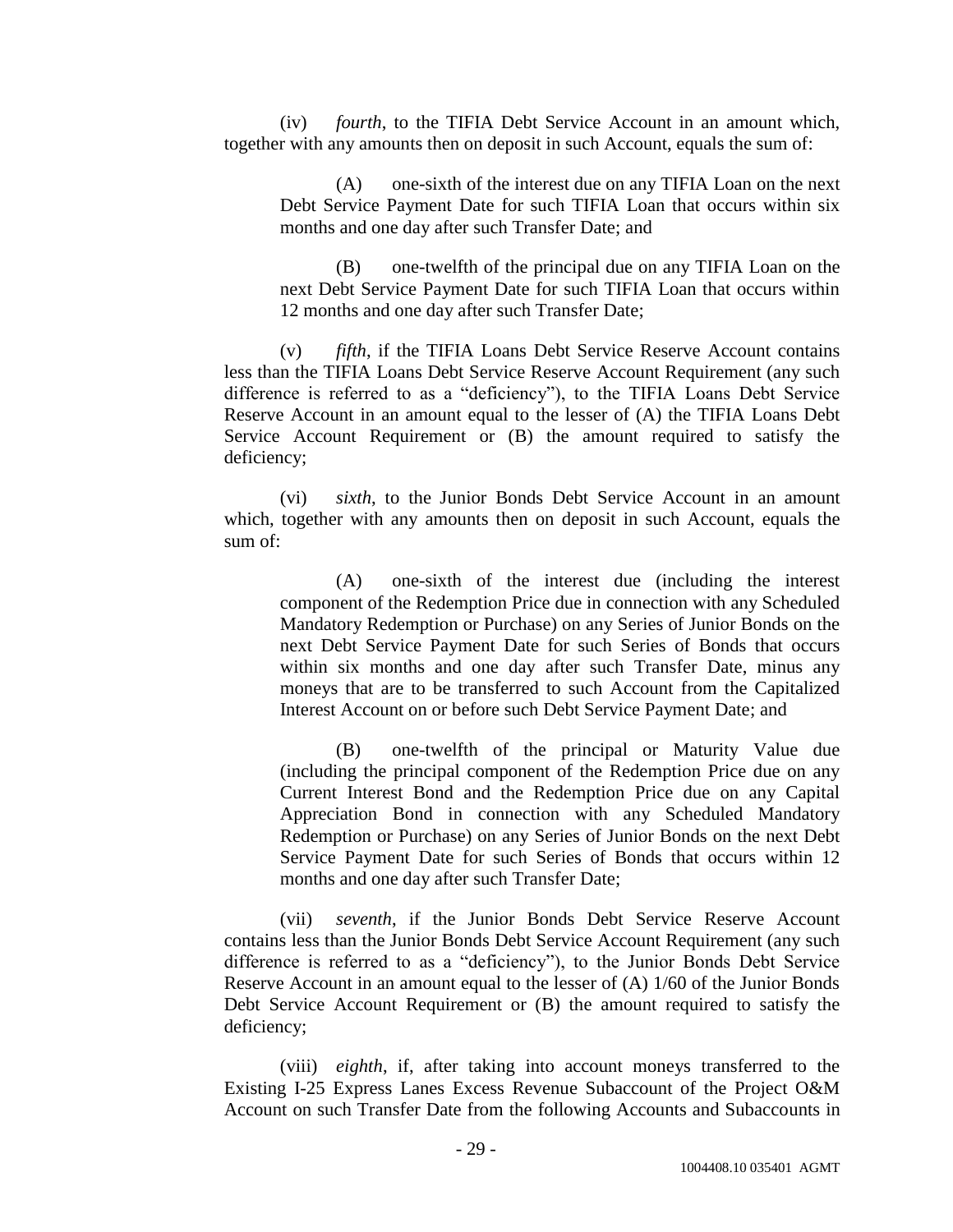(iv) *fourth*, to the TIFIA Debt Service Account in an amount which, together with any amounts then on deposit in such Account, equals the sum of:

(A) one-sixth of the interest due on any TIFIA Loan on the next Debt Service Payment Date for such TIFIA Loan that occurs within six months and one day after such Transfer Date; and

(B) one-twelfth of the principal due on any TIFIA Loan on the next Debt Service Payment Date for such TIFIA Loan that occurs within 12 months and one day after such Transfer Date;

(v) *fifth*, if the TIFIA Loans Debt Service Reserve Account contains less than the TIFIA Loans Debt Service Reserve Account Requirement (any such difference is referred to as a "deficiency"), to the TIFIA Loans Debt Service Reserve Account in an amount equal to the lesser of (A) the TIFIA Loans Debt Service Account Requirement or (B) the amount required to satisfy the deficiency;

(vi) *sixth*, to the Junior Bonds Debt Service Account in an amount which, together with any amounts then on deposit in such Account, equals the sum of:

(A) one-sixth of the interest due (including the interest component of the Redemption Price due in connection with any Scheduled Mandatory Redemption or Purchase) on any Series of Junior Bonds on the next Debt Service Payment Date for such Series of Bonds that occurs within six months and one day after such Transfer Date, minus any moneys that are to be transferred to such Account from the Capitalized Interest Account on or before such Debt Service Payment Date; and

(B) one-twelfth of the principal or Maturity Value due (including the principal component of the Redemption Price due on any Current Interest Bond and the Redemption Price due on any Capital Appreciation Bond in connection with any Scheduled Mandatory Redemption or Purchase) on any Series of Junior Bonds on the next Debt Service Payment Date for such Series of Bonds that occurs within 12 months and one day after such Transfer Date;

(vii) *seventh*, if the Junior Bonds Debt Service Reserve Account contains less than the Junior Bonds Debt Service Account Requirement (any such difference is referred to as a "deficiency"), to the Junior Bonds Debt Service Reserve Account in an amount equal to the lesser of (A) 1/60 of the Junior Bonds Debt Service Account Requirement or (B) the amount required to satisfy the deficiency;

(viii) *eighth*, if, after taking into account moneys transferred to the Existing I-25 Express Lanes Excess Revenue Subaccount of the Project O&M Account on such Transfer Date from the following Accounts and Subaccounts in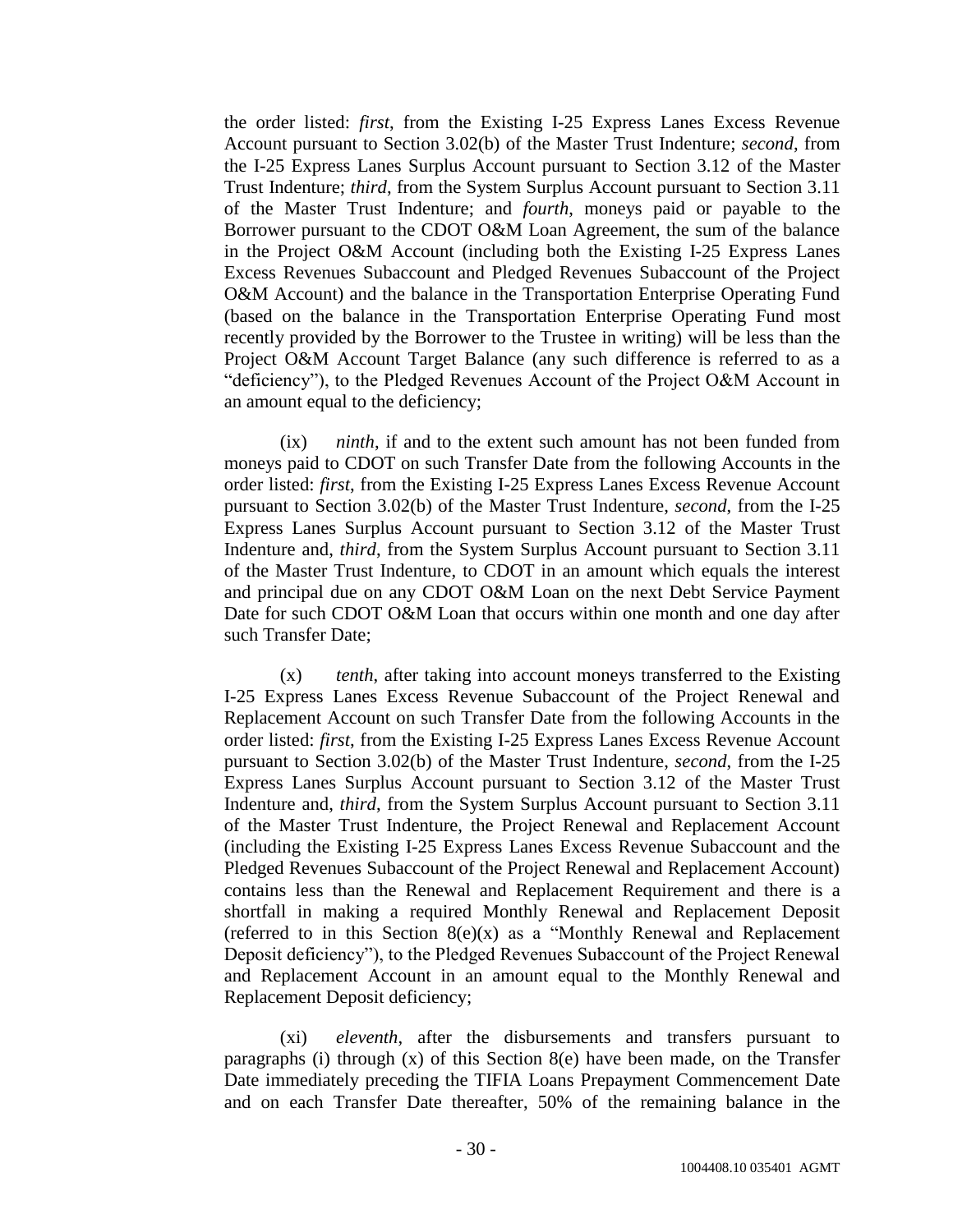the order listed: *first*, from the Existing I-25 Express Lanes Excess Revenue Account pursuant to Section 3.02(b) of the Master Trust Indenture; *second*, from the I-25 Express Lanes Surplus Account pursuant to Section 3.12 of the Master Trust Indenture; *third*, from the System Surplus Account pursuant to Section 3.11 of the Master Trust Indenture; and *fourth*, moneys paid or payable to the Borrower pursuant to the CDOT O&M Loan Agreement, the sum of the balance in the Project O&M Account (including both the Existing I-25 Express Lanes Excess Revenues Subaccount and Pledged Revenues Subaccount of the Project O&M Account) and the balance in the Transportation Enterprise Operating Fund (based on the balance in the Transportation Enterprise Operating Fund most recently provided by the Borrower to the Trustee in writing) will be less than the Project O&M Account Target Balance (any such difference is referred to as a "deficiency"), to the Pledged Revenues Account of the Project O&M Account in an amount equal to the deficiency;

(ix) *ninth*, if and to the extent such amount has not been funded from moneys paid to CDOT on such Transfer Date from the following Accounts in the order listed: *first*, from the Existing I-25 Express Lanes Excess Revenue Account pursuant to Section 3.02(b) of the Master Trust Indenture, *second*, from the I-25 Express Lanes Surplus Account pursuant to Section 3.12 of the Master Trust Indenture and, *third*, from the System Surplus Account pursuant to Section 3.11 of the Master Trust Indenture, to CDOT in an amount which equals the interest and principal due on any CDOT O&M Loan on the next Debt Service Payment Date for such CDOT O&M Loan that occurs within one month and one day after such Transfer Date;

(x) *tenth*, after taking into account moneys transferred to the Existing I-25 Express Lanes Excess Revenue Subaccount of the Project Renewal and Replacement Account on such Transfer Date from the following Accounts in the order listed: *first*, from the Existing I-25 Express Lanes Excess Revenue Account pursuant to Section 3.02(b) of the Master Trust Indenture, *second*, from the I-25 Express Lanes Surplus Account pursuant to Section 3.12 of the Master Trust Indenture and, *third*, from the System Surplus Account pursuant to Section 3.11 of the Master Trust Indenture, the Project Renewal and Replacement Account (including the Existing I-25 Express Lanes Excess Revenue Subaccount and the Pledged Revenues Subaccount of the Project Renewal and Replacement Account) contains less than the Renewal and Replacement Requirement and there is a shortfall in making a required Monthly Renewal and Replacement Deposit (referred to in this Section  $8(e)(x)$  as a "Monthly Renewal and Replacement" Deposit deficiency"), to the Pledged Revenues Subaccount of the Project Renewal and Replacement Account in an amount equal to the Monthly Renewal and Replacement Deposit deficiency;

(xi) *eleventh*, after the disbursements and transfers pursuant to paragraphs (i) through (x) of this Section 8(e) have been made, on the Transfer Date immediately preceding the TIFIA Loans Prepayment Commencement Date and on each Transfer Date thereafter, 50% of the remaining balance in the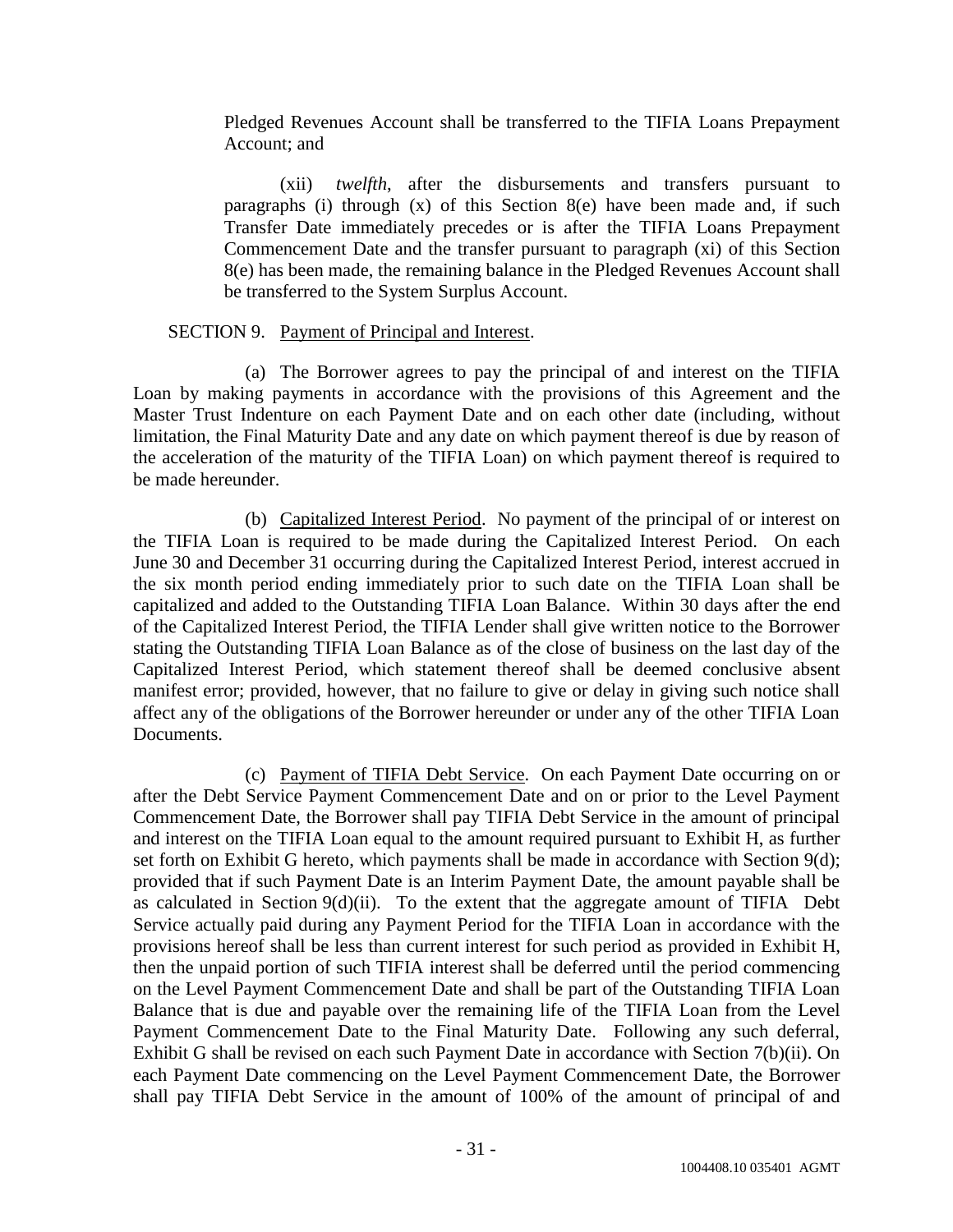Pledged Revenues Account shall be transferred to the TIFIA Loans Prepayment Account; and

(xii) *twelfth*, after the disbursements and transfers pursuant to paragraphs (i) through  $(x)$  of this Section 8(e) have been made and, if such Transfer Date immediately precedes or is after the TIFIA Loans Prepayment Commencement Date and the transfer pursuant to paragraph (xi) of this Section 8(e) has been made, the remaining balance in the Pledged Revenues Account shall be transferred to the System Surplus Account.

## SECTION 9. Payment of Principal and Interest.

(a) The Borrower agrees to pay the principal of and interest on the TIFIA Loan by making payments in accordance with the provisions of this Agreement and the Master Trust Indenture on each Payment Date and on each other date (including, without limitation, the Final Maturity Date and any date on which payment thereof is due by reason of the acceleration of the maturity of the TIFIA Loan) on which payment thereof is required to be made hereunder.

(b) Capitalized Interest Period. No payment of the principal of or interest on the TIFIA Loan is required to be made during the Capitalized Interest Period. On each June 30 and December 31 occurring during the Capitalized Interest Period, interest accrued in the six month period ending immediately prior to such date on the TIFIA Loan shall be capitalized and added to the Outstanding TIFIA Loan Balance. Within 30 days after the end of the Capitalized Interest Period, the TIFIA Lender shall give written notice to the Borrower stating the Outstanding TIFIA Loan Balance as of the close of business on the last day of the Capitalized Interest Period, which statement thereof shall be deemed conclusive absent manifest error; provided, however, that no failure to give or delay in giving such notice shall affect any of the obligations of the Borrower hereunder or under any of the other TIFIA Loan Documents.

(c) Payment of TIFIA Debt Service. On each Payment Date occurring on or after the Debt Service Payment Commencement Date and on or prior to the Level Payment Commencement Date, the Borrower shall pay TIFIA Debt Service in the amount of principal and interest on the TIFIA Loan equal to the amount required pursuant to Exhibit H, as further set forth on Exhibit G hereto, which payments shall be made in accordance with Section 9(d); provided that if such Payment Date is an Interim Payment Date, the amount payable shall be as calculated in Section  $9(d)(ii)$ . To the extent that the aggregate amount of TIFIA Debt Service actually paid during any Payment Period for the TIFIA Loan in accordance with the provisions hereof shall be less than current interest for such period as provided in Exhibit H, then the unpaid portion of such TIFIA interest shall be deferred until the period commencing on the Level Payment Commencement Date and shall be part of the Outstanding TIFIA Loan Balance that is due and payable over the remaining life of the TIFIA Loan from the Level Payment Commencement Date to the Final Maturity Date. Following any such deferral, Exhibit G shall be revised on each such Payment Date in accordance with Section 7(b)(ii). On each Payment Date commencing on the Level Payment Commencement Date, the Borrower shall pay TIFIA Debt Service in the amount of 100% of the amount of principal of and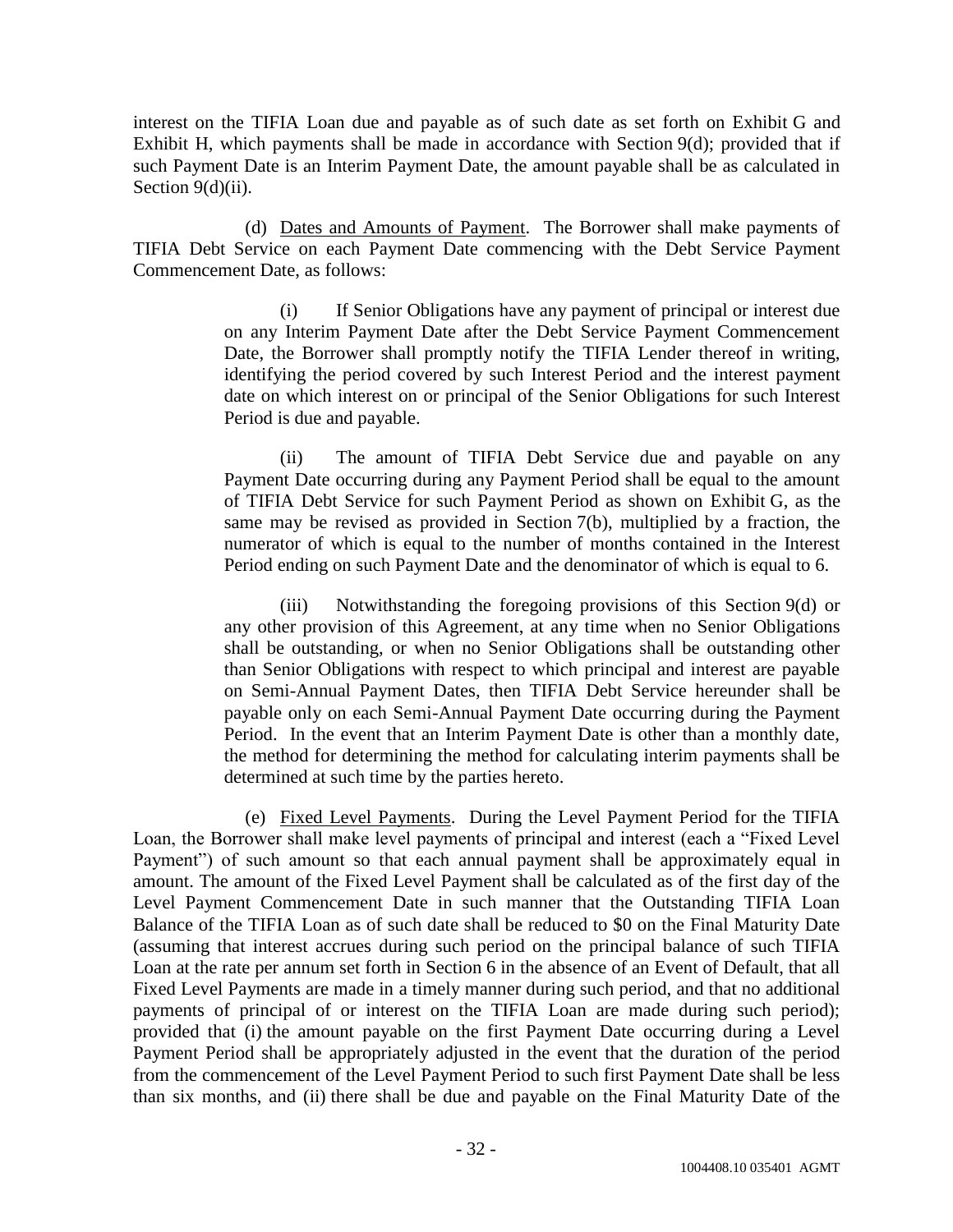interest on the TIFIA Loan due and payable as of such date as set forth on Exhibit G and Exhibit H, which payments shall be made in accordance with Section 9(d); provided that if such Payment Date is an Interim Payment Date, the amount payable shall be as calculated in Section 9(d)(ii).

(d) Dates and Amounts of Payment. The Borrower shall make payments of TIFIA Debt Service on each Payment Date commencing with the Debt Service Payment Commencement Date, as follows:

> (i) If Senior Obligations have any payment of principal or interest due on any Interim Payment Date after the Debt Service Payment Commencement Date, the Borrower shall promptly notify the TIFIA Lender thereof in writing, identifying the period covered by such Interest Period and the interest payment date on which interest on or principal of the Senior Obligations for such Interest Period is due and payable.

> (ii) The amount of TIFIA Debt Service due and payable on any Payment Date occurring during any Payment Period shall be equal to the amount of TIFIA Debt Service for such Payment Period as shown on Exhibit G, as the same may be revised as provided in Section 7(b), multiplied by a fraction, the numerator of which is equal to the number of months contained in the Interest Period ending on such Payment Date and the denominator of which is equal to 6.

> (iii) Notwithstanding the foregoing provisions of this Section 9(d) or any other provision of this Agreement, at any time when no Senior Obligations shall be outstanding, or when no Senior Obligations shall be outstanding other than Senior Obligations with respect to which principal and interest are payable on Semi-Annual Payment Dates, then TIFIA Debt Service hereunder shall be payable only on each Semi-Annual Payment Date occurring during the Payment Period. In the event that an Interim Payment Date is other than a monthly date, the method for determining the method for calculating interim payments shall be determined at such time by the parties hereto.

(e) Fixed Level Payments. During the Level Payment Period for the TIFIA Loan, the Borrower shall make level payments of principal and interest (each a "Fixed Level Payment") of such amount so that each annual payment shall be approximately equal in amount. The amount of the Fixed Level Payment shall be calculated as of the first day of the Level Payment Commencement Date in such manner that the Outstanding TIFIA Loan Balance of the TIFIA Loan as of such date shall be reduced to \$0 on the Final Maturity Date (assuming that interest accrues during such period on the principal balance of such TIFIA Loan at the rate per annum set forth in Section 6 in the absence of an Event of Default, that all Fixed Level Payments are made in a timely manner during such period, and that no additional payments of principal of or interest on the TIFIA Loan are made during such period); provided that (i) the amount payable on the first Payment Date occurring during a Level Payment Period shall be appropriately adjusted in the event that the duration of the period from the commencement of the Level Payment Period to such first Payment Date shall be less than six months, and (ii) there shall be due and payable on the Final Maturity Date of the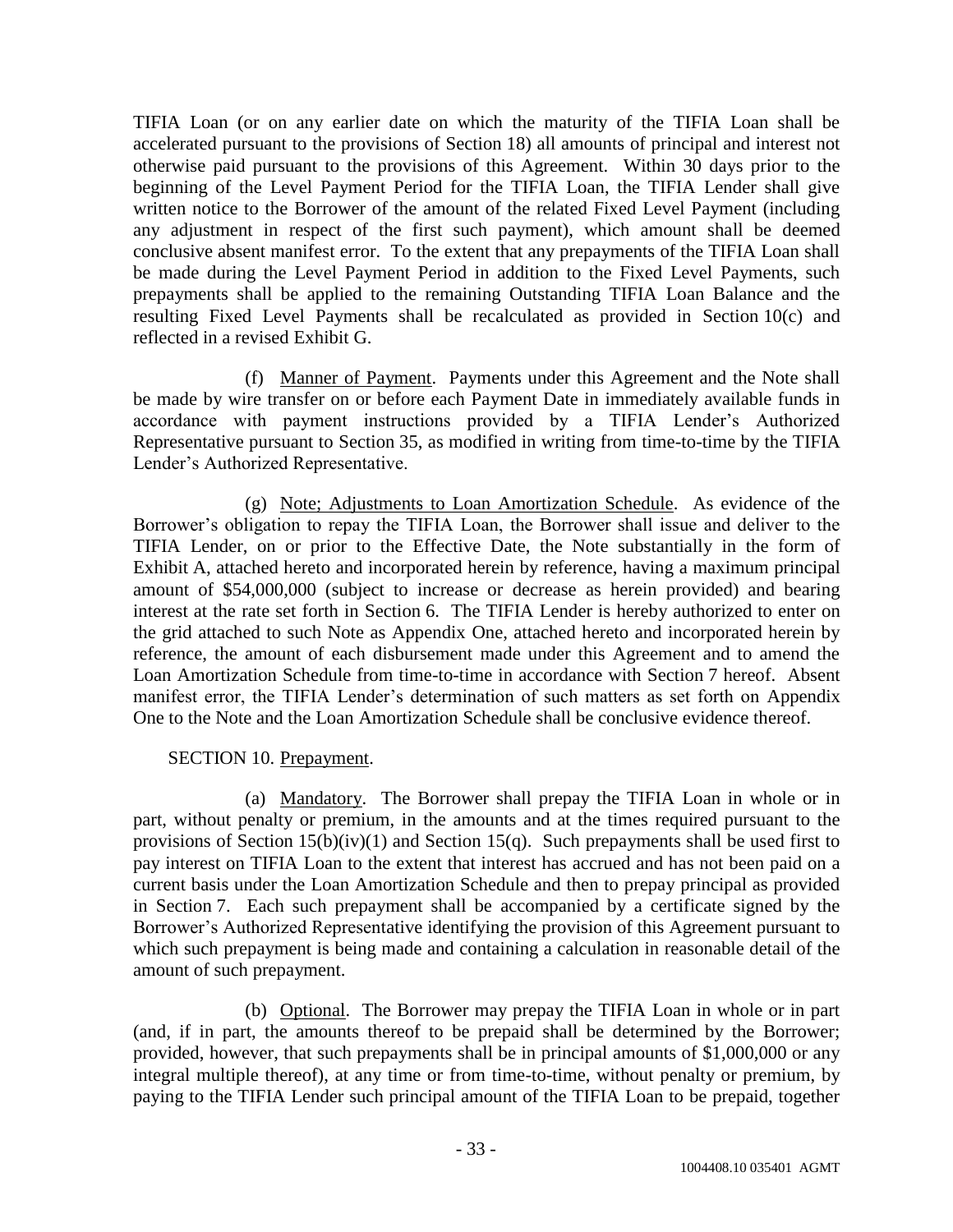TIFIA Loan (or on any earlier date on which the maturity of the TIFIA Loan shall be accelerated pursuant to the provisions of Section 18) all amounts of principal and interest not otherwise paid pursuant to the provisions of this Agreement. Within 30 days prior to the beginning of the Level Payment Period for the TIFIA Loan, the TIFIA Lender shall give written notice to the Borrower of the amount of the related Fixed Level Payment (including any adjustment in respect of the first such payment), which amount shall be deemed conclusive absent manifest error. To the extent that any prepayments of the TIFIA Loan shall be made during the Level Payment Period in addition to the Fixed Level Payments, such prepayments shall be applied to the remaining Outstanding TIFIA Loan Balance and the resulting Fixed Level Payments shall be recalculated as provided in Section 10(c) and reflected in a revised Exhibit G.

(f) Manner of Payment. Payments under this Agreement and the Note shall be made by wire transfer on or before each Payment Date in immediately available funds in accordance with payment instructions provided by a TIFIA Lender's Authorized Representative pursuant to Section 35, as modified in writing from time-to-time by the TIFIA Lender's Authorized Representative.

(g) Note; Adjustments to Loan Amortization Schedule. As evidence of the Borrower's obligation to repay the TIFIA Loan, the Borrower shall issue and deliver to the TIFIA Lender, on or prior to the Effective Date, the Note substantially in the form of Exhibit A, attached hereto and incorporated herein by reference, having a maximum principal amount of \$54,000,000 (subject to increase or decrease as herein provided) and bearing interest at the rate set forth in Section 6. The TIFIA Lender is hereby authorized to enter on the grid attached to such Note as Appendix One, attached hereto and incorporated herein by reference, the amount of each disbursement made under this Agreement and to amend the Loan Amortization Schedule from time-to-time in accordance with Section 7 hereof. Absent manifest error, the TIFIA Lender's determination of such matters as set forth on Appendix One to the Note and the Loan Amortization Schedule shall be conclusive evidence thereof.

## SECTION 10. Prepayment.

(a) Mandatory. The Borrower shall prepay the TIFIA Loan in whole or in part, without penalty or premium, in the amounts and at the times required pursuant to the provisions of Section  $15(b)(iv)(1)$  and Section 15(q). Such prepayments shall be used first to pay interest on TIFIA Loan to the extent that interest has accrued and has not been paid on a current basis under the Loan Amortization Schedule and then to prepay principal as provided in Section 7. Each such prepayment shall be accompanied by a certificate signed by the Borrower's Authorized Representative identifying the provision of this Agreement pursuant to which such prepayment is being made and containing a calculation in reasonable detail of the amount of such prepayment.

(b) Optional. The Borrower may prepay the TIFIA Loan in whole or in part (and, if in part, the amounts thereof to be prepaid shall be determined by the Borrower; provided, however, that such prepayments shall be in principal amounts of \$1,000,000 or any integral multiple thereof), at any time or from time-to-time, without penalty or premium, by paying to the TIFIA Lender such principal amount of the TIFIA Loan to be prepaid, together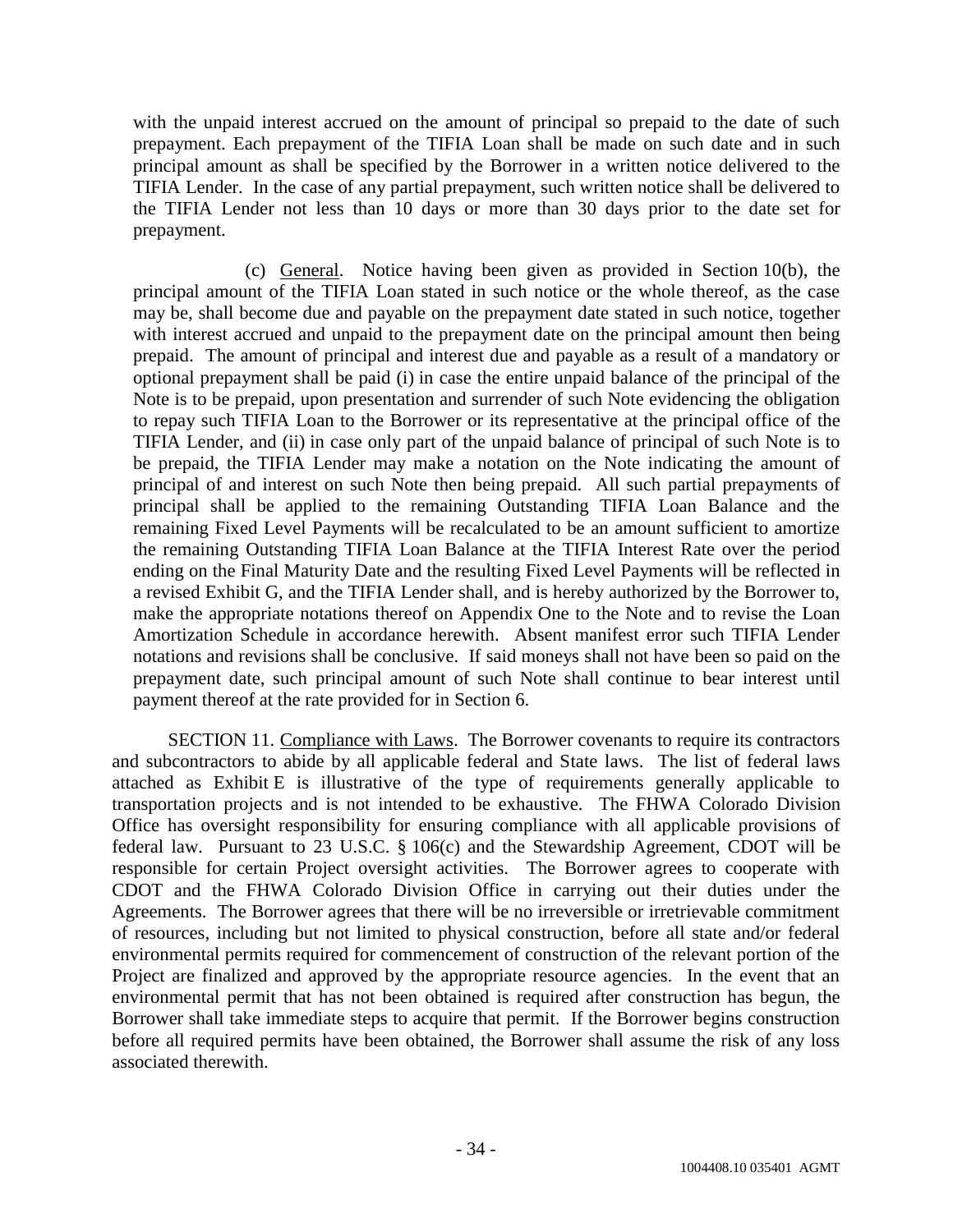with the unpaid interest accrued on the amount of principal so prepaid to the date of such prepayment. Each prepayment of the TIFIA Loan shall be made on such date and in such principal amount as shall be specified by the Borrower in a written notice delivered to the TIFIA Lender. In the case of any partial prepayment, such written notice shall be delivered to the TIFIA Lender not less than 10 days or more than 30 days prior to the date set for prepayment.

(c) General. Notice having been given as provided in Section 10(b), the principal amount of the TIFIA Loan stated in such notice or the whole thereof, as the case may be, shall become due and payable on the prepayment date stated in such notice, together with interest accrued and unpaid to the prepayment date on the principal amount then being prepaid. The amount of principal and interest due and payable as a result of a mandatory or optional prepayment shall be paid (i) in case the entire unpaid balance of the principal of the Note is to be prepaid, upon presentation and surrender of such Note evidencing the obligation to repay such TIFIA Loan to the Borrower or its representative at the principal office of the TIFIA Lender, and (ii) in case only part of the unpaid balance of principal of such Note is to be prepaid, the TIFIA Lender may make a notation on the Note indicating the amount of principal of and interest on such Note then being prepaid. All such partial prepayments of principal shall be applied to the remaining Outstanding TIFIA Loan Balance and the remaining Fixed Level Payments will be recalculated to be an amount sufficient to amortize the remaining Outstanding TIFIA Loan Balance at the TIFIA Interest Rate over the period ending on the Final Maturity Date and the resulting Fixed Level Payments will be reflected in a revised Exhibit G, and the TIFIA Lender shall, and is hereby authorized by the Borrower to, make the appropriate notations thereof on Appendix One to the Note and to revise the Loan Amortization Schedule in accordance herewith. Absent manifest error such TIFIA Lender notations and revisions shall be conclusive. If said moneys shall not have been so paid on the prepayment date, such principal amount of such Note shall continue to bear interest until payment thereof at the rate provided for in Section 6.

SECTION 11. Compliance with Laws. The Borrower covenants to require its contractors and subcontractors to abide by all applicable federal and State laws. The list of federal laws attached as Exhibit E is illustrative of the type of requirements generally applicable to transportation projects and is not intended to be exhaustive. The FHWA Colorado Division Office has oversight responsibility for ensuring compliance with all applicable provisions of federal law. Pursuant to 23 U.S.C. § 106(c) and the Stewardship Agreement, CDOT will be responsible for certain Project oversight activities. The Borrower agrees to cooperate with CDOT and the FHWA Colorado Division Office in carrying out their duties under the Agreements. The Borrower agrees that there will be no irreversible or irretrievable commitment of resources, including but not limited to physical construction, before all state and/or federal environmental permits required for commencement of construction of the relevant portion of the Project are finalized and approved by the appropriate resource agencies. In the event that an environmental permit that has not been obtained is required after construction has begun, the Borrower shall take immediate steps to acquire that permit. If the Borrower begins construction before all required permits have been obtained, the Borrower shall assume the risk of any loss associated therewith.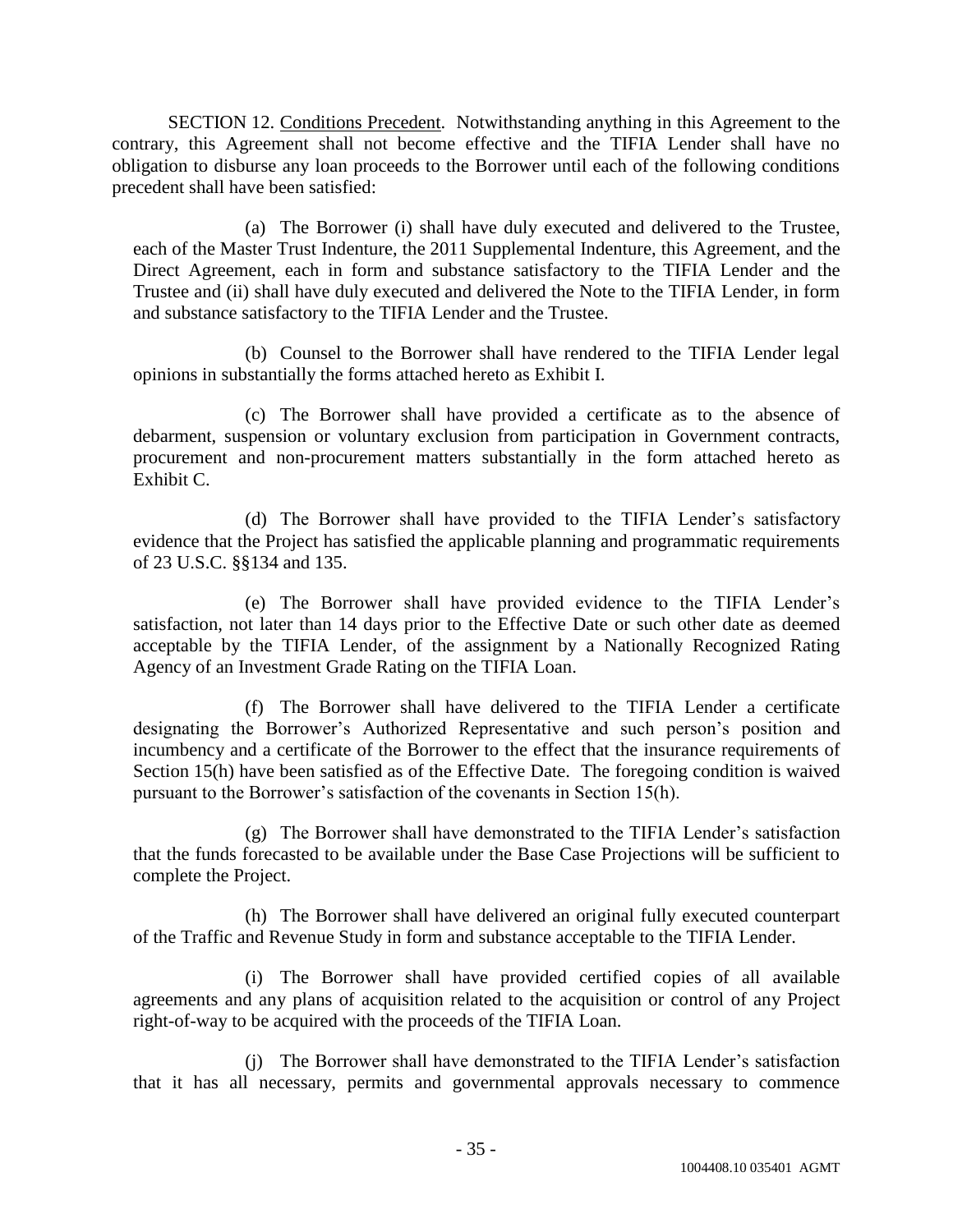SECTION 12. Conditions Precedent. Notwithstanding anything in this Agreement to the contrary, this Agreement shall not become effective and the TIFIA Lender shall have no obligation to disburse any loan proceeds to the Borrower until each of the following conditions precedent shall have been satisfied:

(a) The Borrower (i) shall have duly executed and delivered to the Trustee, each of the Master Trust Indenture, the 2011 Supplemental Indenture, this Agreement, and the Direct Agreement, each in form and substance satisfactory to the TIFIA Lender and the Trustee and (ii) shall have duly executed and delivered the Note to the TIFIA Lender, in form and substance satisfactory to the TIFIA Lender and the Trustee.

(b) Counsel to the Borrower shall have rendered to the TIFIA Lender legal opinions in substantially the forms attached hereto as Exhibit I.

(c) The Borrower shall have provided a certificate as to the absence of debarment, suspension or voluntary exclusion from participation in Government contracts, procurement and non-procurement matters substantially in the form attached hereto as Exhibit C.

(d) The Borrower shall have provided to the TIFIA Lender's satisfactory evidence that the Project has satisfied the applicable planning and programmatic requirements of 23 U.S.C. §§134 and 135.

(e) The Borrower shall have provided evidence to the TIFIA Lender's satisfaction, not later than 14 days prior to the Effective Date or such other date as deemed acceptable by the TIFIA Lender, of the assignment by a Nationally Recognized Rating Agency of an Investment Grade Rating on the TIFIA Loan.

(f) The Borrower shall have delivered to the TIFIA Lender a certificate designating the Borrower's Authorized Representative and such person's position and incumbency and a certificate of the Borrower to the effect that the insurance requirements of Section 15(h) have been satisfied as of the Effective Date. The foregoing condition is waived pursuant to the Borrower's satisfaction of the covenants in Section 15(h).

(g) The Borrower shall have demonstrated to the TIFIA Lender's satisfaction that the funds forecasted to be available under the Base Case Projections will be sufficient to complete the Project.

(h) The Borrower shall have delivered an original fully executed counterpart of the Traffic and Revenue Study in form and substance acceptable to the TIFIA Lender.

(i) The Borrower shall have provided certified copies of all available agreements and any plans of acquisition related to the acquisition or control of any Project right-of-way to be acquired with the proceeds of the TIFIA Loan.

(j) The Borrower shall have demonstrated to the TIFIA Lender's satisfaction that it has all necessary, permits and governmental approvals necessary to commence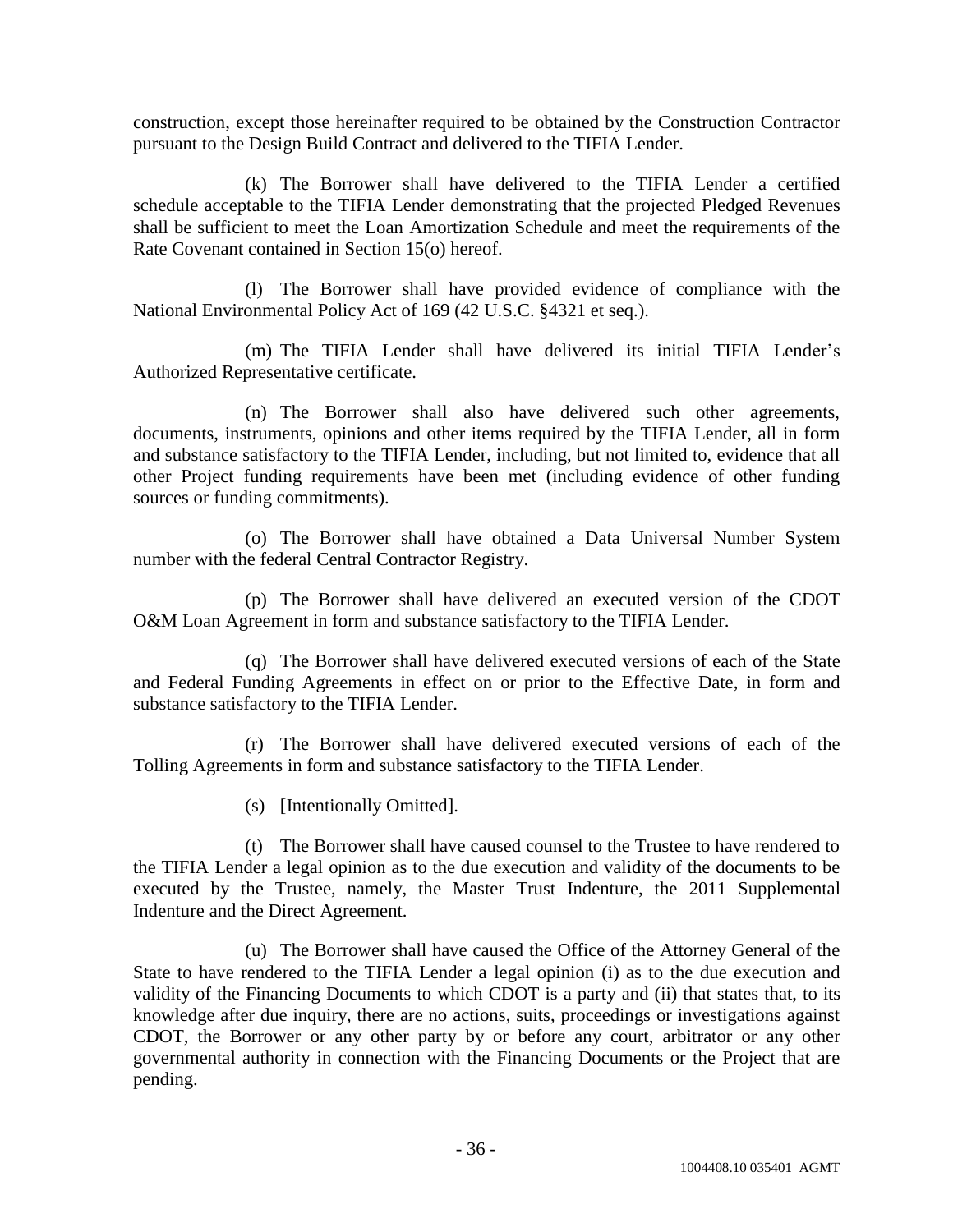construction, except those hereinafter required to be obtained by the Construction Contractor pursuant to the Design Build Contract and delivered to the TIFIA Lender.

(k) The Borrower shall have delivered to the TIFIA Lender a certified schedule acceptable to the TIFIA Lender demonstrating that the projected Pledged Revenues shall be sufficient to meet the Loan Amortization Schedule and meet the requirements of the Rate Covenant contained in Section 15(o) hereof.

(l) The Borrower shall have provided evidence of compliance with the National Environmental Policy Act of 169 (42 U.S.C. §4321 et seq.).

(m) The TIFIA Lender shall have delivered its initial TIFIA Lender's Authorized Representative certificate.

(n) The Borrower shall also have delivered such other agreements, documents, instruments, opinions and other items required by the TIFIA Lender, all in form and substance satisfactory to the TIFIA Lender, including, but not limited to, evidence that all other Project funding requirements have been met (including evidence of other funding sources or funding commitments).

(o) The Borrower shall have obtained a Data Universal Number System number with the federal Central Contractor Registry.

(p) The Borrower shall have delivered an executed version of the CDOT O&M Loan Agreement in form and substance satisfactory to the TIFIA Lender.

(q) The Borrower shall have delivered executed versions of each of the State and Federal Funding Agreements in effect on or prior to the Effective Date, in form and substance satisfactory to the TIFIA Lender.

(r) The Borrower shall have delivered executed versions of each of the Tolling Agreements in form and substance satisfactory to the TIFIA Lender.

(s) [Intentionally Omitted].

(t) The Borrower shall have caused counsel to the Trustee to have rendered to the TIFIA Lender a legal opinion as to the due execution and validity of the documents to be executed by the Trustee, namely, the Master Trust Indenture, the 2011 Supplemental Indenture and the Direct Agreement.

(u) The Borrower shall have caused the Office of the Attorney General of the State to have rendered to the TIFIA Lender a legal opinion (i) as to the due execution and validity of the Financing Documents to which CDOT is a party and (ii) that states that, to its knowledge after due inquiry, there are no actions, suits, proceedings or investigations against CDOT, the Borrower or any other party by or before any court, arbitrator or any other governmental authority in connection with the Financing Documents or the Project that are pending.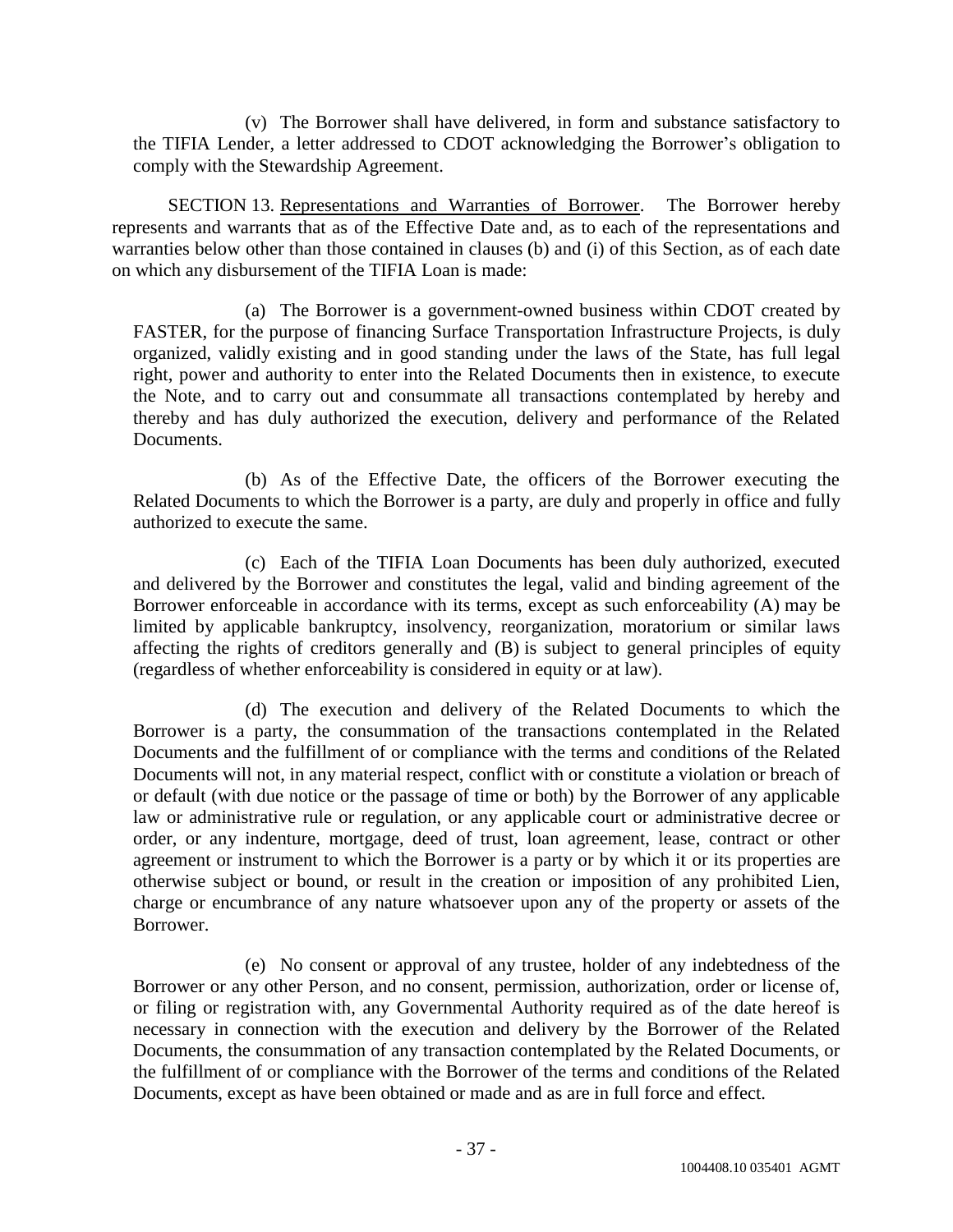(v) The Borrower shall have delivered, in form and substance satisfactory to the TIFIA Lender, a letter addressed to CDOT acknowledging the Borrower's obligation to comply with the Stewardship Agreement.

SECTION 13. Representations and Warranties of Borrower. The Borrower hereby represents and warrants that as of the Effective Date and, as to each of the representations and warranties below other than those contained in clauses (b) and (i) of this Section, as of each date on which any disbursement of the TIFIA Loan is made:

(a) The Borrower is a government-owned business within CDOT created by FASTER, for the purpose of financing Surface Transportation Infrastructure Projects, is duly organized, validly existing and in good standing under the laws of the State, has full legal right, power and authority to enter into the Related Documents then in existence, to execute the Note, and to carry out and consummate all transactions contemplated by hereby and thereby and has duly authorized the execution, delivery and performance of the Related Documents.

(b) As of the Effective Date, the officers of the Borrower executing the Related Documents to which the Borrower is a party, are duly and properly in office and fully authorized to execute the same.

(c) Each of the TIFIA Loan Documents has been duly authorized, executed and delivered by the Borrower and constitutes the legal, valid and binding agreement of the Borrower enforceable in accordance with its terms, except as such enforceability (A) may be limited by applicable bankruptcy, insolvency, reorganization, moratorium or similar laws affecting the rights of creditors generally and (B) is subject to general principles of equity (regardless of whether enforceability is considered in equity or at law).

(d) The execution and delivery of the Related Documents to which the Borrower is a party, the consummation of the transactions contemplated in the Related Documents and the fulfillment of or compliance with the terms and conditions of the Related Documents will not, in any material respect, conflict with or constitute a violation or breach of or default (with due notice or the passage of time or both) by the Borrower of any applicable law or administrative rule or regulation, or any applicable court or administrative decree or order, or any indenture, mortgage, deed of trust, loan agreement, lease, contract or other agreement or instrument to which the Borrower is a party or by which it or its properties are otherwise subject or bound, or result in the creation or imposition of any prohibited Lien, charge or encumbrance of any nature whatsoever upon any of the property or assets of the Borrower.

(e) No consent or approval of any trustee, holder of any indebtedness of the Borrower or any other Person, and no consent, permission, authorization, order or license of, or filing or registration with, any Governmental Authority required as of the date hereof is necessary in connection with the execution and delivery by the Borrower of the Related Documents, the consummation of any transaction contemplated by the Related Documents, or the fulfillment of or compliance with the Borrower of the terms and conditions of the Related Documents, except as have been obtained or made and as are in full force and effect.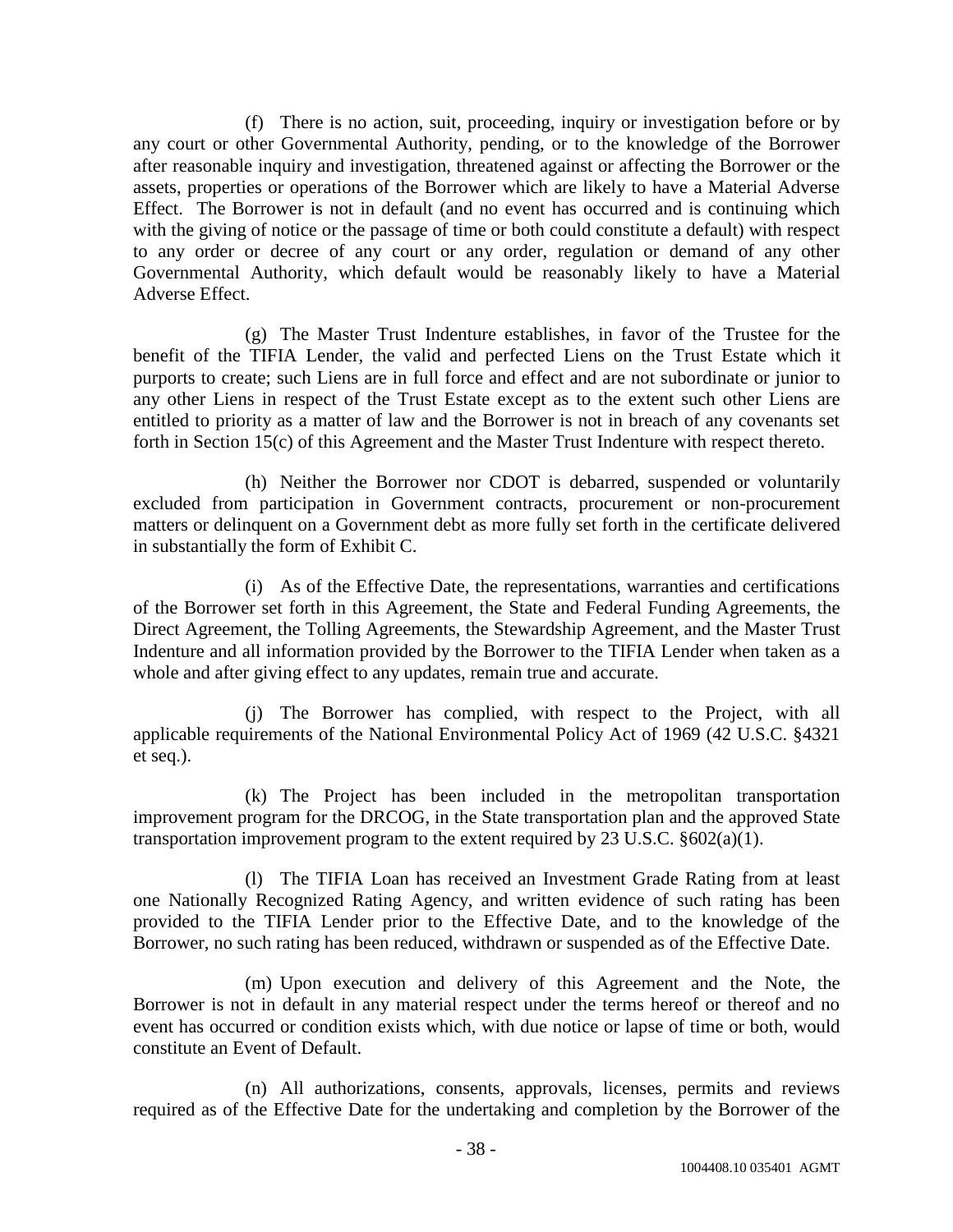(f) There is no action, suit, proceeding, inquiry or investigation before or by any court or other Governmental Authority, pending, or to the knowledge of the Borrower after reasonable inquiry and investigation, threatened against or affecting the Borrower or the assets, properties or operations of the Borrower which are likely to have a Material Adverse Effect. The Borrower is not in default (and no event has occurred and is continuing which with the giving of notice or the passage of time or both could constitute a default) with respect to any order or decree of any court or any order, regulation or demand of any other Governmental Authority, which default would be reasonably likely to have a Material Adverse Effect.

(g) The Master Trust Indenture establishes, in favor of the Trustee for the benefit of the TIFIA Lender, the valid and perfected Liens on the Trust Estate which it purports to create; such Liens are in full force and effect and are not subordinate or junior to any other Liens in respect of the Trust Estate except as to the extent such other Liens are entitled to priority as a matter of law and the Borrower is not in breach of any covenants set forth in Section 15(c) of this Agreement and the Master Trust Indenture with respect thereto.

(h) Neither the Borrower nor CDOT is debarred, suspended or voluntarily excluded from participation in Government contracts, procurement or non-procurement matters or delinquent on a Government debt as more fully set forth in the certificate delivered in substantially the form of Exhibit C.

(i) As of the Effective Date, the representations, warranties and certifications of the Borrower set forth in this Agreement, the State and Federal Funding Agreements, the Direct Agreement, the Tolling Agreements, the Stewardship Agreement, and the Master Trust Indenture and all information provided by the Borrower to the TIFIA Lender when taken as a whole and after giving effect to any updates, remain true and accurate.

(j) The Borrower has complied, with respect to the Project, with all applicable requirements of the National Environmental Policy Act of 1969 (42 U.S.C. §4321 et seq.).

(k) The Project has been included in the metropolitan transportation improvement program for the DRCOG, in the State transportation plan and the approved State transportation improvement program to the extent required by  $23 \text{ U.S.C. } §602(a)(1)$ .

(l) The TIFIA Loan has received an Investment Grade Rating from at least one Nationally Recognized Rating Agency, and written evidence of such rating has been provided to the TIFIA Lender prior to the Effective Date, and to the knowledge of the Borrower, no such rating has been reduced, withdrawn or suspended as of the Effective Date.

(m) Upon execution and delivery of this Agreement and the Note, the Borrower is not in default in any material respect under the terms hereof or thereof and no event has occurred or condition exists which, with due notice or lapse of time or both, would constitute an Event of Default.

(n) All authorizations, consents, approvals, licenses, permits and reviews required as of the Effective Date for the undertaking and completion by the Borrower of the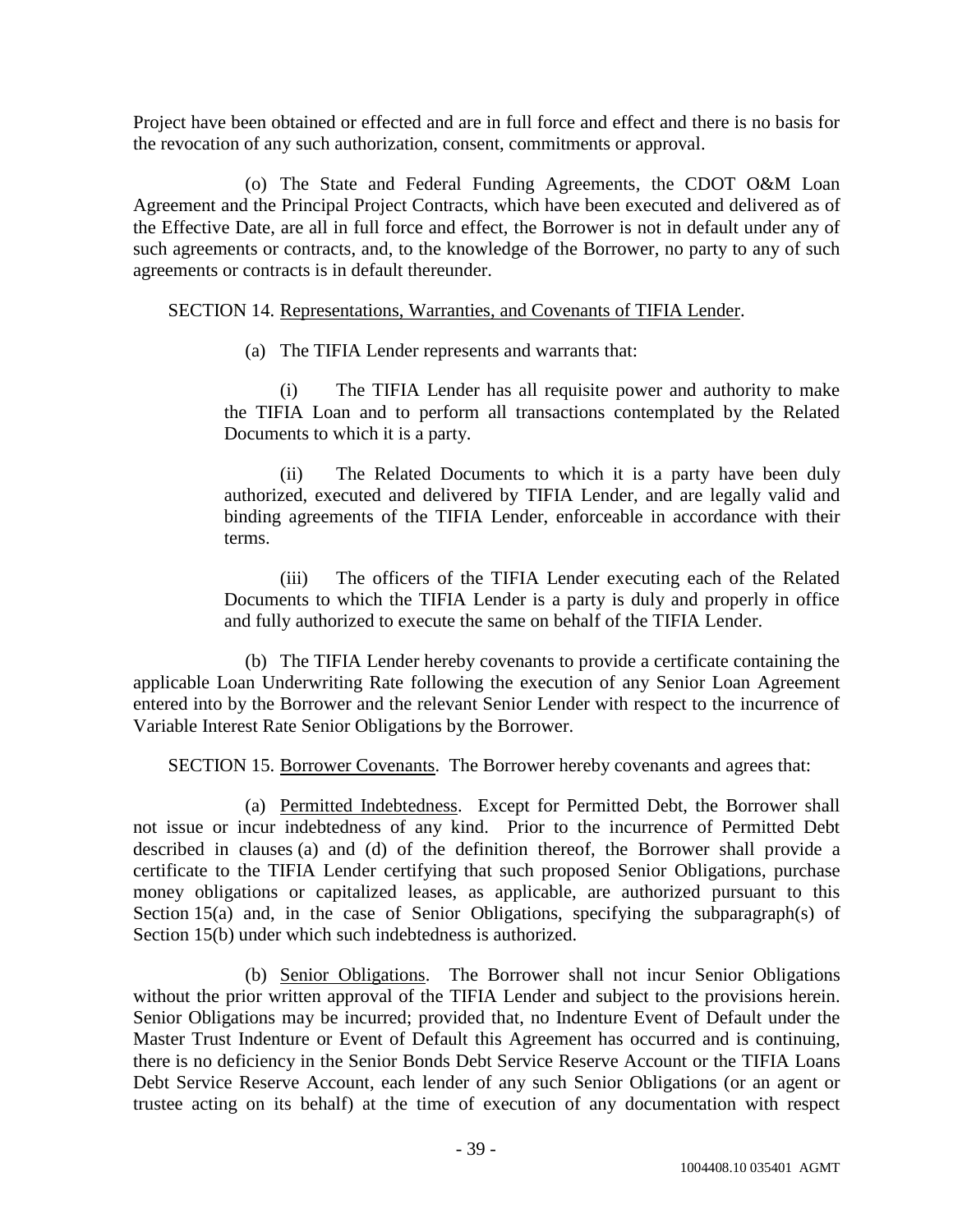Project have been obtained or effected and are in full force and effect and there is no basis for the revocation of any such authorization, consent, commitments or approval.

(o) The State and Federal Funding Agreements, the CDOT O&M Loan Agreement and the Principal Project Contracts, which have been executed and delivered as of the Effective Date, are all in full force and effect, the Borrower is not in default under any of such agreements or contracts, and, to the knowledge of the Borrower, no party to any of such agreements or contracts is in default thereunder.

# SECTION 14. Representations, Warranties, and Covenants of TIFIA Lender.

(a) The TIFIA Lender represents and warrants that:

(i) The TIFIA Lender has all requisite power and authority to make the TIFIA Loan and to perform all transactions contemplated by the Related Documents to which it is a party.

(ii) The Related Documents to which it is a party have been duly authorized, executed and delivered by TIFIA Lender, and are legally valid and binding agreements of the TIFIA Lender, enforceable in accordance with their terms.

(iii) The officers of the TIFIA Lender executing each of the Related Documents to which the TIFIA Lender is a party is duly and properly in office and fully authorized to execute the same on behalf of the TIFIA Lender.

(b) The TIFIA Lender hereby covenants to provide a certificate containing the applicable Loan Underwriting Rate following the execution of any Senior Loan Agreement entered into by the Borrower and the relevant Senior Lender with respect to the incurrence of Variable Interest Rate Senior Obligations by the Borrower.

SECTION 15. Borrower Covenants. The Borrower hereby covenants and agrees that:

(a) Permitted Indebtedness. Except for Permitted Debt, the Borrower shall not issue or incur indebtedness of any kind. Prior to the incurrence of Permitted Debt described in clauses (a) and (d) of the definition thereof, the Borrower shall provide a certificate to the TIFIA Lender certifying that such proposed Senior Obligations, purchase money obligations or capitalized leases, as applicable, are authorized pursuant to this Section 15(a) and, in the case of Senior Obligations, specifying the subparagraph(s) of Section 15(b) under which such indebtedness is authorized.

(b) Senior Obligations. The Borrower shall not incur Senior Obligations without the prior written approval of the TIFIA Lender and subject to the provisions herein. Senior Obligations may be incurred; provided that, no Indenture Event of Default under the Master Trust Indenture or Event of Default this Agreement has occurred and is continuing, there is no deficiency in the Senior Bonds Debt Service Reserve Account or the TIFIA Loans Debt Service Reserve Account, each lender of any such Senior Obligations (or an agent or trustee acting on its behalf) at the time of execution of any documentation with respect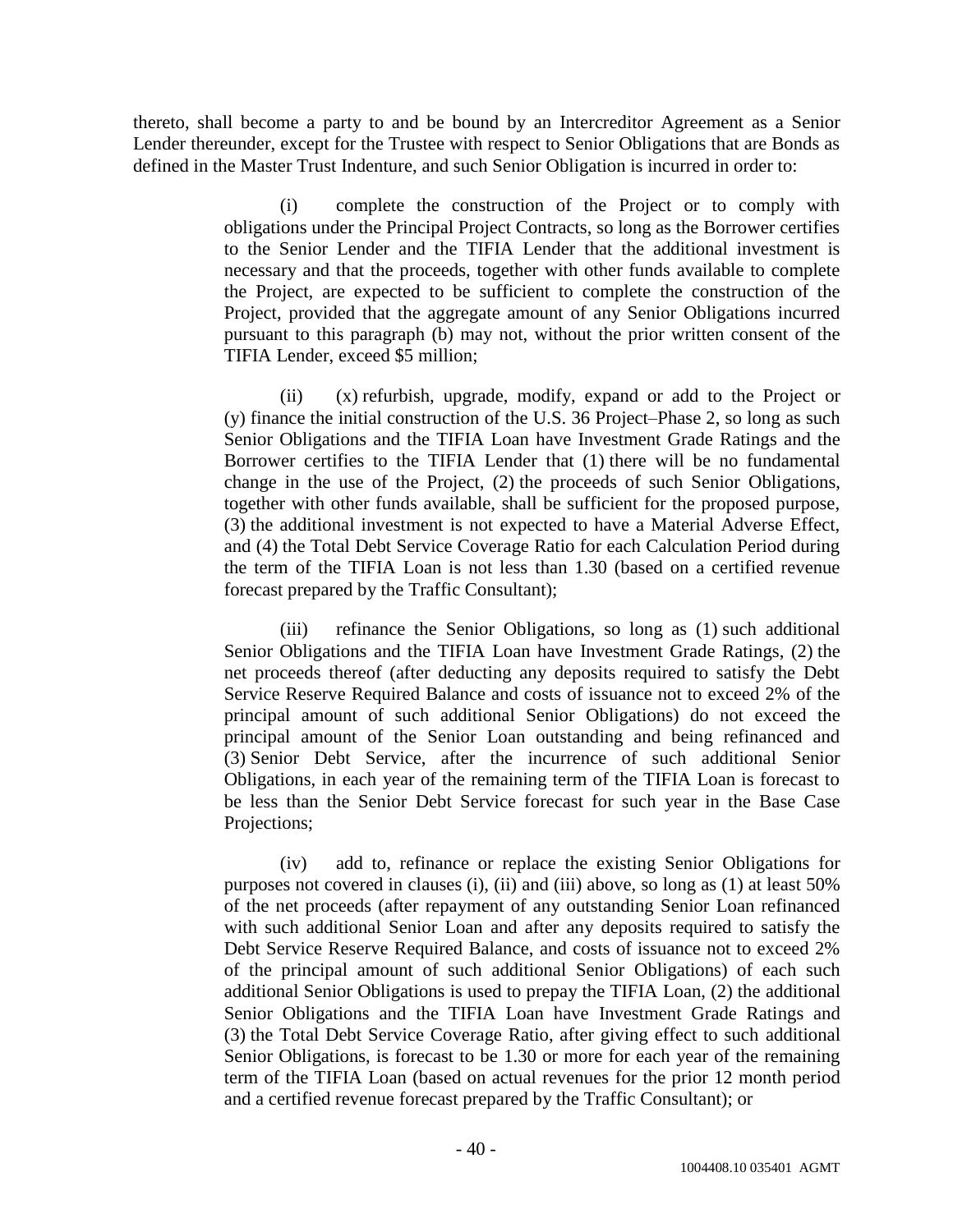thereto, shall become a party to and be bound by an Intercreditor Agreement as a Senior Lender thereunder, except for the Trustee with respect to Senior Obligations that are Bonds as defined in the Master Trust Indenture, and such Senior Obligation is incurred in order to:

> (i) complete the construction of the Project or to comply with obligations under the Principal Project Contracts, so long as the Borrower certifies to the Senior Lender and the TIFIA Lender that the additional investment is necessary and that the proceeds, together with other funds available to complete the Project, are expected to be sufficient to complete the construction of the Project, provided that the aggregate amount of any Senior Obligations incurred pursuant to this paragraph (b) may not, without the prior written consent of the TIFIA Lender, exceed \$5 million;

> (ii) (x) refurbish, upgrade, modify, expand or add to the Project or (y) finance the initial construction of the U.S. 36 Project–Phase 2, so long as such Senior Obligations and the TIFIA Loan have Investment Grade Ratings and the Borrower certifies to the TIFIA Lender that (1) there will be no fundamental change in the use of the Project, (2) the proceeds of such Senior Obligations, together with other funds available, shall be sufficient for the proposed purpose, (3) the additional investment is not expected to have a Material Adverse Effect, and (4) the Total Debt Service Coverage Ratio for each Calculation Period during the term of the TIFIA Loan is not less than 1.30 (based on a certified revenue forecast prepared by the Traffic Consultant);

> (iii) refinance the Senior Obligations, so long as (1) such additional Senior Obligations and the TIFIA Loan have Investment Grade Ratings, (2) the net proceeds thereof (after deducting any deposits required to satisfy the Debt Service Reserve Required Balance and costs of issuance not to exceed 2% of the principal amount of such additional Senior Obligations) do not exceed the principal amount of the Senior Loan outstanding and being refinanced and (3) Senior Debt Service, after the incurrence of such additional Senior Obligations, in each year of the remaining term of the TIFIA Loan is forecast to be less than the Senior Debt Service forecast for such year in the Base Case Projections;

> (iv) add to, refinance or replace the existing Senior Obligations for purposes not covered in clauses (i), (ii) and (iii) above, so long as (1) at least 50% of the net proceeds (after repayment of any outstanding Senior Loan refinanced with such additional Senior Loan and after any deposits required to satisfy the Debt Service Reserve Required Balance, and costs of issuance not to exceed 2% of the principal amount of such additional Senior Obligations) of each such additional Senior Obligations is used to prepay the TIFIA Loan, (2) the additional Senior Obligations and the TIFIA Loan have Investment Grade Ratings and (3) the Total Debt Service Coverage Ratio, after giving effect to such additional Senior Obligations, is forecast to be 1.30 or more for each year of the remaining term of the TIFIA Loan (based on actual revenues for the prior 12 month period and a certified revenue forecast prepared by the Traffic Consultant); or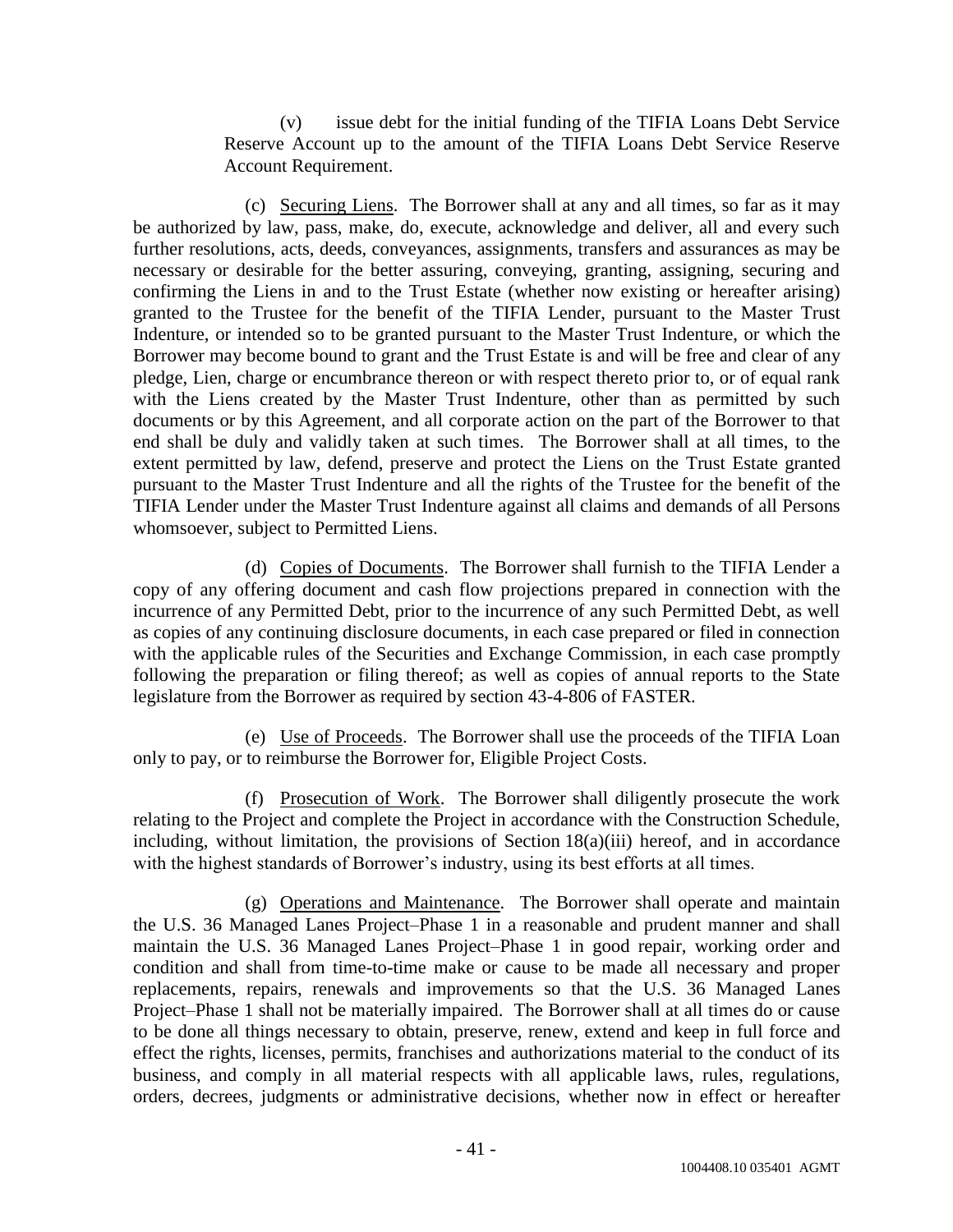(v) issue debt for the initial funding of the TIFIA Loans Debt Service Reserve Account up to the amount of the TIFIA Loans Debt Service Reserve Account Requirement.

(c) Securing Liens. The Borrower shall at any and all times, so far as it may be authorized by law, pass, make, do, execute, acknowledge and deliver, all and every such further resolutions, acts, deeds, conveyances, assignments, transfers and assurances as may be necessary or desirable for the better assuring, conveying, granting, assigning, securing and confirming the Liens in and to the Trust Estate (whether now existing or hereafter arising) granted to the Trustee for the benefit of the TIFIA Lender, pursuant to the Master Trust Indenture, or intended so to be granted pursuant to the Master Trust Indenture, or which the Borrower may become bound to grant and the Trust Estate is and will be free and clear of any pledge, Lien, charge or encumbrance thereon or with respect thereto prior to, or of equal rank with the Liens created by the Master Trust Indenture, other than as permitted by such documents or by this Agreement, and all corporate action on the part of the Borrower to that end shall be duly and validly taken at such times. The Borrower shall at all times, to the extent permitted by law, defend, preserve and protect the Liens on the Trust Estate granted pursuant to the Master Trust Indenture and all the rights of the Trustee for the benefit of the TIFIA Lender under the Master Trust Indenture against all claims and demands of all Persons whomsoever, subject to Permitted Liens.

(d) Copies of Documents. The Borrower shall furnish to the TIFIA Lender a copy of any offering document and cash flow projections prepared in connection with the incurrence of any Permitted Debt, prior to the incurrence of any such Permitted Debt, as well as copies of any continuing disclosure documents, in each case prepared or filed in connection with the applicable rules of the Securities and Exchange Commission, in each case promptly following the preparation or filing thereof; as well as copies of annual reports to the State legislature from the Borrower as required by section 43-4-806 of FASTER.

(e) Use of Proceeds. The Borrower shall use the proceeds of the TIFIA Loan only to pay, or to reimburse the Borrower for, Eligible Project Costs.

(f) Prosecution of Work. The Borrower shall diligently prosecute the work relating to the Project and complete the Project in accordance with the Construction Schedule, including, without limitation, the provisions of Section 18(a)(iii) hereof, and in accordance with the highest standards of Borrower's industry, using its best efforts at all times.

(g) Operations and Maintenance. The Borrower shall operate and maintain the U.S. 36 Managed Lanes Project–Phase 1 in a reasonable and prudent manner and shall maintain the U.S. 36 Managed Lanes Project–Phase 1 in good repair, working order and condition and shall from time-to-time make or cause to be made all necessary and proper replacements, repairs, renewals and improvements so that the U.S. 36 Managed Lanes Project–Phase 1 shall not be materially impaired. The Borrower shall at all times do or cause to be done all things necessary to obtain, preserve, renew, extend and keep in full force and effect the rights, licenses, permits, franchises and authorizations material to the conduct of its business, and comply in all material respects with all applicable laws, rules, regulations, orders, decrees, judgments or administrative decisions, whether now in effect or hereafter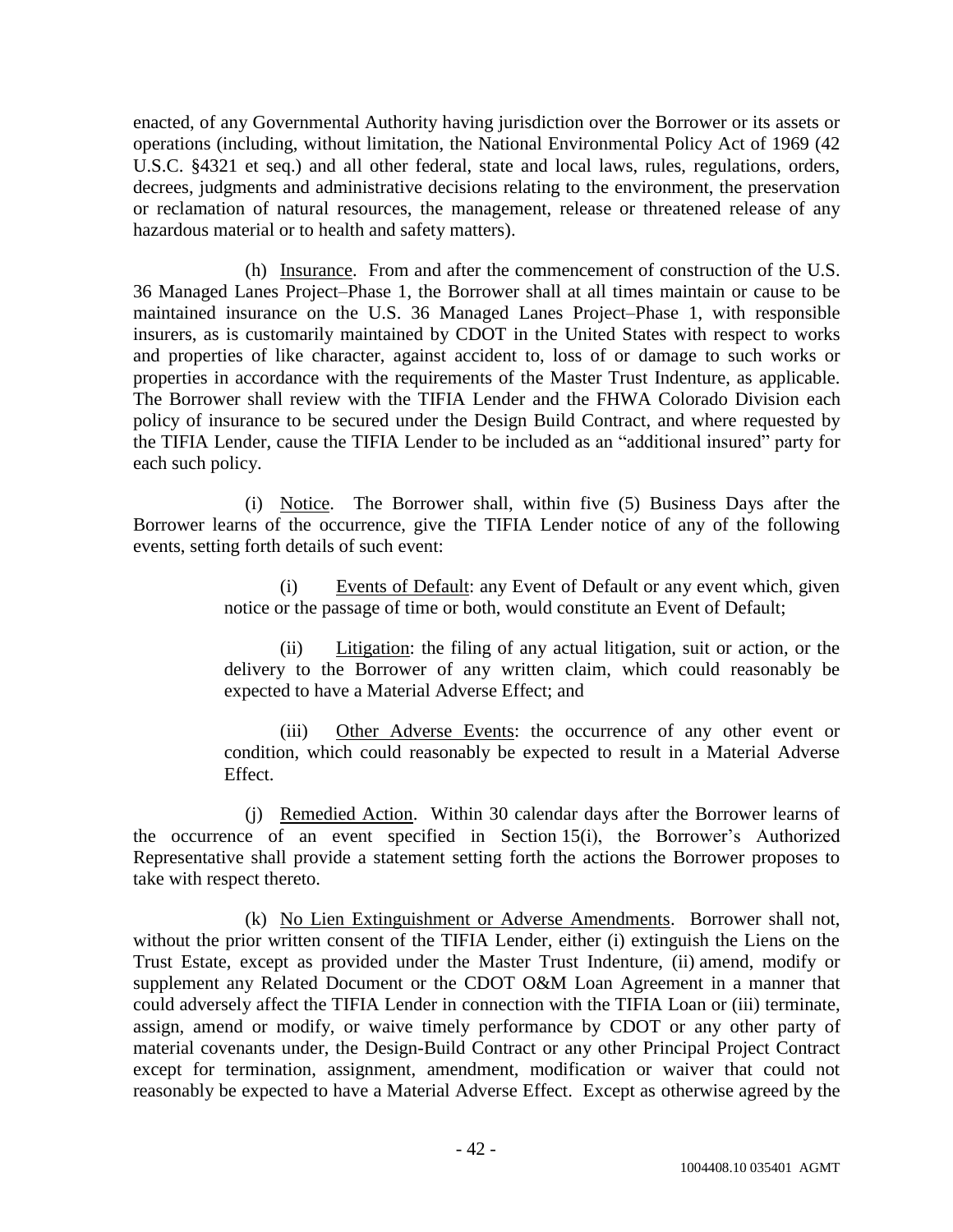enacted, of any Governmental Authority having jurisdiction over the Borrower or its assets or operations (including, without limitation, the National Environmental Policy Act of 1969 (42 U.S.C. §4321 et seq.) and all other federal, state and local laws, rules, regulations, orders, decrees, judgments and administrative decisions relating to the environment, the preservation or reclamation of natural resources, the management, release or threatened release of any hazardous material or to health and safety matters).

(h) Insurance. From and after the commencement of construction of the U.S. 36 Managed Lanes Project–Phase 1, the Borrower shall at all times maintain or cause to be maintained insurance on the U.S. 36 Managed Lanes Project–Phase 1, with responsible insurers, as is customarily maintained by CDOT in the United States with respect to works and properties of like character, against accident to, loss of or damage to such works or properties in accordance with the requirements of the Master Trust Indenture, as applicable. The Borrower shall review with the TIFIA Lender and the FHWA Colorado Division each policy of insurance to be secured under the Design Build Contract, and where requested by the TIFIA Lender, cause the TIFIA Lender to be included as an "additional insured" party for each such policy.

(i) Notice. The Borrower shall, within five (5) Business Days after the Borrower learns of the occurrence, give the TIFIA Lender notice of any of the following events, setting forth details of such event:

> (i) Events of Default: any Event of Default or any event which, given notice or the passage of time or both, would constitute an Event of Default;

> (ii) Litigation: the filing of any actual litigation, suit or action, or the delivery to the Borrower of any written claim, which could reasonably be expected to have a Material Adverse Effect; and

> (iii) Other Adverse Events: the occurrence of any other event or condition, which could reasonably be expected to result in a Material Adverse Effect.

(j) Remedied Action. Within 30 calendar days after the Borrower learns of the occurrence of an event specified in Section 15(i), the Borrower's Authorized Representative shall provide a statement setting forth the actions the Borrower proposes to take with respect thereto.

(k) No Lien Extinguishment or Adverse Amendments. Borrower shall not, without the prior written consent of the TIFIA Lender, either (i) extinguish the Liens on the Trust Estate, except as provided under the Master Trust Indenture, (ii) amend, modify or supplement any Related Document or the CDOT O&M Loan Agreement in a manner that could adversely affect the TIFIA Lender in connection with the TIFIA Loan or (iii) terminate, assign, amend or modify, or waive timely performance by CDOT or any other party of material covenants under, the Design-Build Contract or any other Principal Project Contract except for termination, assignment, amendment, modification or waiver that could not reasonably be expected to have a Material Adverse Effect. Except as otherwise agreed by the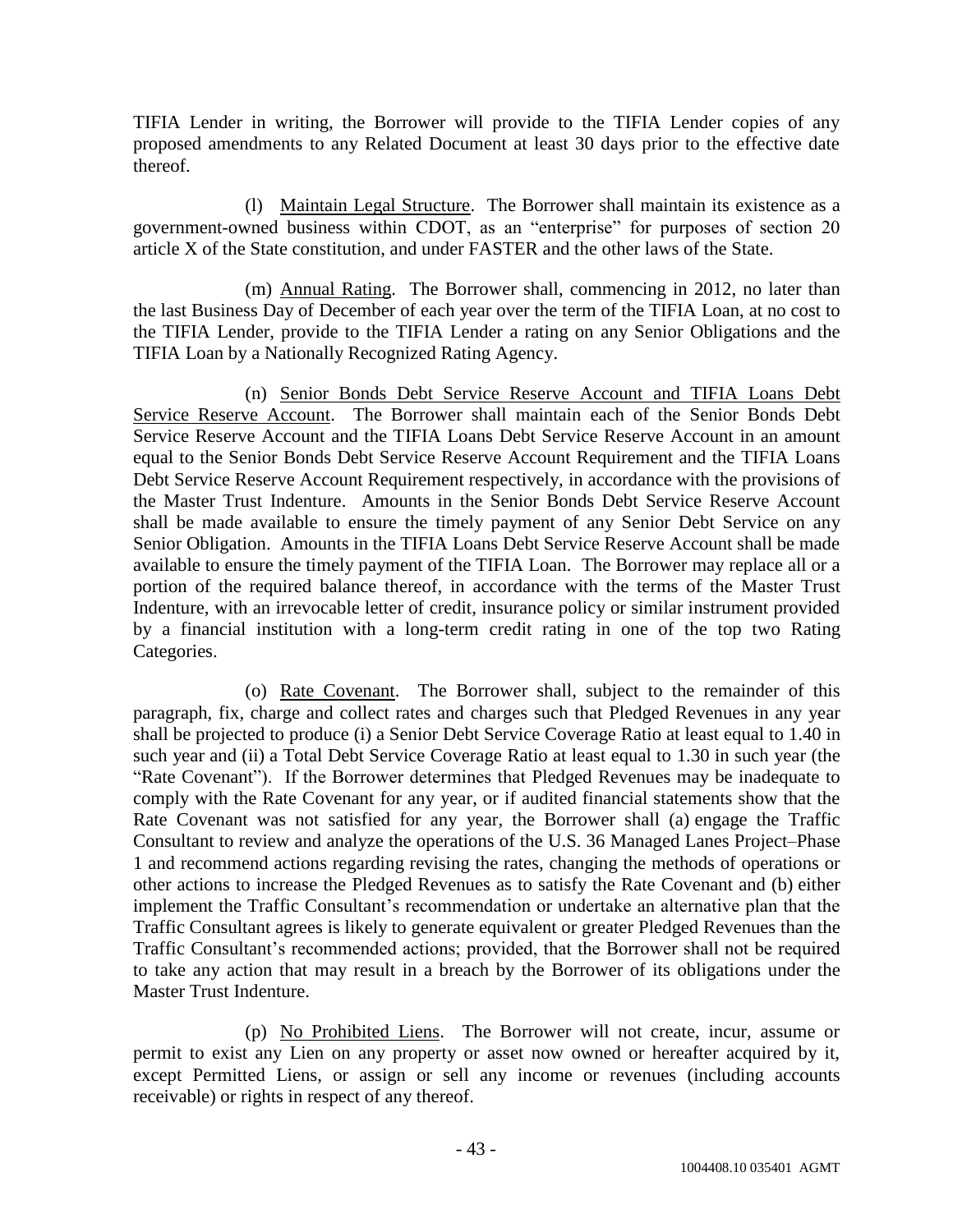TIFIA Lender in writing, the Borrower will provide to the TIFIA Lender copies of any proposed amendments to any Related Document at least 30 days prior to the effective date thereof.

(l) Maintain Legal Structure. The Borrower shall maintain its existence as a government-owned business within CDOT, as an "enterprise" for purposes of section 20 article X of the State constitution, and under FASTER and the other laws of the State.

(m) Annual Rating. The Borrower shall, commencing in 2012, no later than the last Business Day of December of each year over the term of the TIFIA Loan, at no cost to the TIFIA Lender, provide to the TIFIA Lender a rating on any Senior Obligations and the TIFIA Loan by a Nationally Recognized Rating Agency.

(n) Senior Bonds Debt Service Reserve Account and TIFIA Loans Debt Service Reserve Account. The Borrower shall maintain each of the Senior Bonds Debt Service Reserve Account and the TIFIA Loans Debt Service Reserve Account in an amount equal to the Senior Bonds Debt Service Reserve Account Requirement and the TIFIA Loans Debt Service Reserve Account Requirement respectively, in accordance with the provisions of the Master Trust Indenture. Amounts in the Senior Bonds Debt Service Reserve Account shall be made available to ensure the timely payment of any Senior Debt Service on any Senior Obligation. Amounts in the TIFIA Loans Debt Service Reserve Account shall be made available to ensure the timely payment of the TIFIA Loan. The Borrower may replace all or a portion of the required balance thereof, in accordance with the terms of the Master Trust Indenture, with an irrevocable letter of credit, insurance policy or similar instrument provided by a financial institution with a long-term credit rating in one of the top two Rating Categories.

(o) Rate Covenant. The Borrower shall, subject to the remainder of this paragraph, fix, charge and collect rates and charges such that Pledged Revenues in any year shall be projected to produce (i) a Senior Debt Service Coverage Ratio at least equal to 1.40 in such year and (ii) a Total Debt Service Coverage Ratio at least equal to 1.30 in such year (the "Rate Covenant"). If the Borrower determines that Pledged Revenues may be inadequate to comply with the Rate Covenant for any year, or if audited financial statements show that the Rate Covenant was not satisfied for any year, the Borrower shall (a) engage the Traffic Consultant to review and analyze the operations of the U.S. 36 Managed Lanes Project–Phase 1 and recommend actions regarding revising the rates, changing the methods of operations or other actions to increase the Pledged Revenues as to satisfy the Rate Covenant and (b) either implement the Traffic Consultant's recommendation or undertake an alternative plan that the Traffic Consultant agrees is likely to generate equivalent or greater Pledged Revenues than the Traffic Consultant's recommended actions; provided, that the Borrower shall not be required to take any action that may result in a breach by the Borrower of its obligations under the Master Trust Indenture.

(p) No Prohibited Liens. The Borrower will not create, incur, assume or permit to exist any Lien on any property or asset now owned or hereafter acquired by it, except Permitted Liens, or assign or sell any income or revenues (including accounts receivable) or rights in respect of any thereof.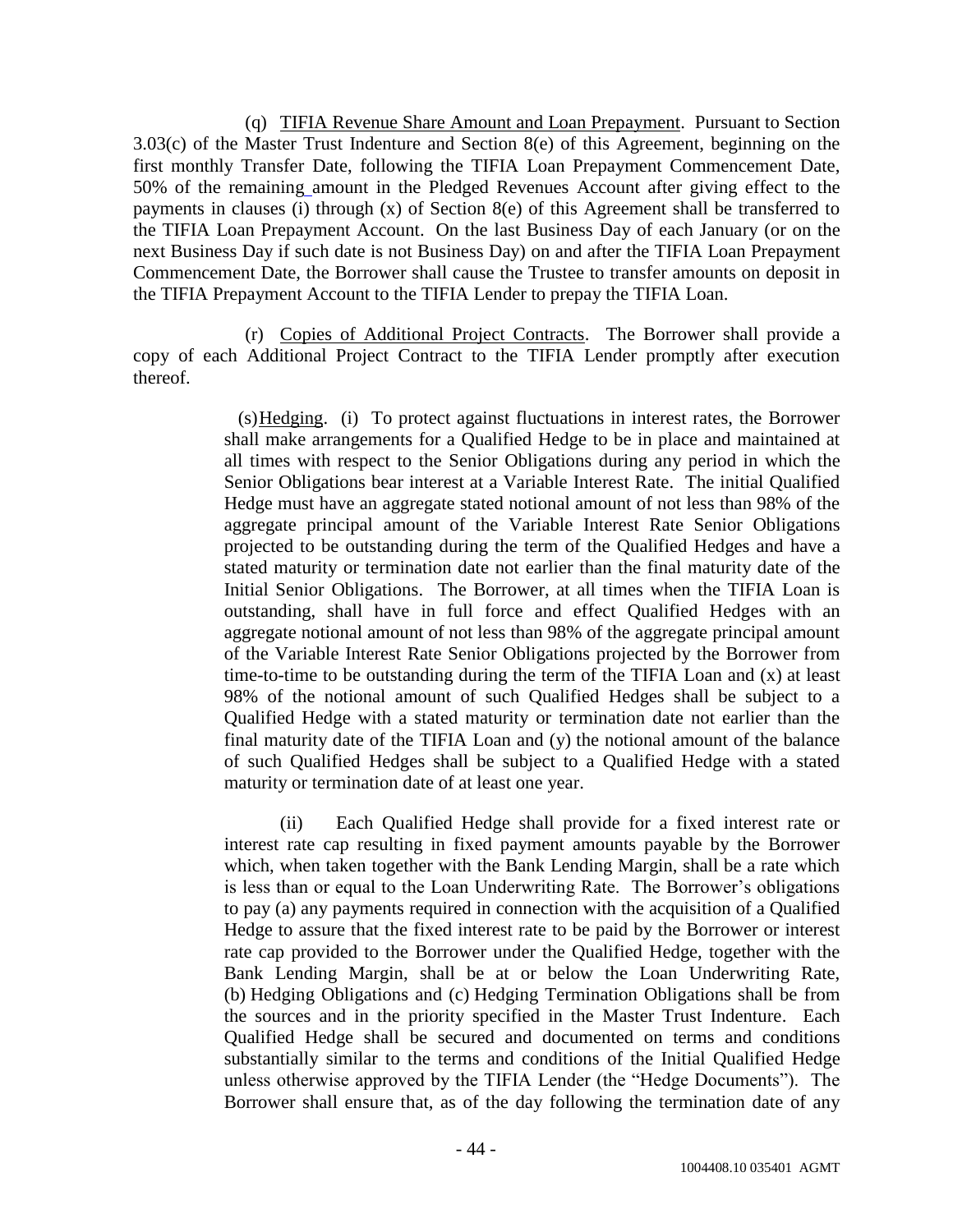(q) TIFIA Revenue Share Amount and Loan Prepayment. Pursuant to Section 3.03(c) of the Master Trust Indenture and Section 8(e) of this Agreement, beginning on the first monthly Transfer Date, following the TIFIA Loan Prepayment Commencement Date, 50% of the remaining amount in the Pledged Revenues Account after giving effect to the payments in clauses (i) through (x) of Section 8(e) of this Agreement shall be transferred to the TIFIA Loan Prepayment Account. On the last Business Day of each January (or on the next Business Day if such date is not Business Day) on and after the TIFIA Loan Prepayment Commencement Date, the Borrower shall cause the Trustee to transfer amounts on deposit in the TIFIA Prepayment Account to the TIFIA Lender to prepay the TIFIA Loan.

(r) Copies of Additional Project Contracts. The Borrower shall provide a copy of each Additional Project Contract to the TIFIA Lender promptly after execution thereof.

> (s)Hedging. (i) To protect against fluctuations in interest rates, the Borrower shall make arrangements for a Qualified Hedge to be in place and maintained at all times with respect to the Senior Obligations during any period in which the Senior Obligations bear interest at a Variable Interest Rate. The initial Qualified Hedge must have an aggregate stated notional amount of not less than 98% of the aggregate principal amount of the Variable Interest Rate Senior Obligations projected to be outstanding during the term of the Qualified Hedges and have a stated maturity or termination date not earlier than the final maturity date of the Initial Senior Obligations. The Borrower, at all times when the TIFIA Loan is outstanding, shall have in full force and effect Qualified Hedges with an aggregate notional amount of not less than 98% of the aggregate principal amount of the Variable Interest Rate Senior Obligations projected by the Borrower from time-to-time to be outstanding during the term of the TIFIA Loan and (x) at least 98% of the notional amount of such Qualified Hedges shall be subject to a Qualified Hedge with a stated maturity or termination date not earlier than the final maturity date of the TIFIA Loan and (y) the notional amount of the balance of such Qualified Hedges shall be subject to a Qualified Hedge with a stated maturity or termination date of at least one year.

> (ii) Each Qualified Hedge shall provide for a fixed interest rate or interest rate cap resulting in fixed payment amounts payable by the Borrower which, when taken together with the Bank Lending Margin, shall be a rate which is less than or equal to the Loan Underwriting Rate. The Borrower's obligations to pay (a) any payments required in connection with the acquisition of a Qualified Hedge to assure that the fixed interest rate to be paid by the Borrower or interest rate cap provided to the Borrower under the Qualified Hedge, together with the Bank Lending Margin, shall be at or below the Loan Underwriting Rate, (b) Hedging Obligations and (c) Hedging Termination Obligations shall be from the sources and in the priority specified in the Master Trust Indenture. Each Qualified Hedge shall be secured and documented on terms and conditions substantially similar to the terms and conditions of the Initial Qualified Hedge unless otherwise approved by the TIFIA Lender (the "Hedge Documents"). The Borrower shall ensure that, as of the day following the termination date of any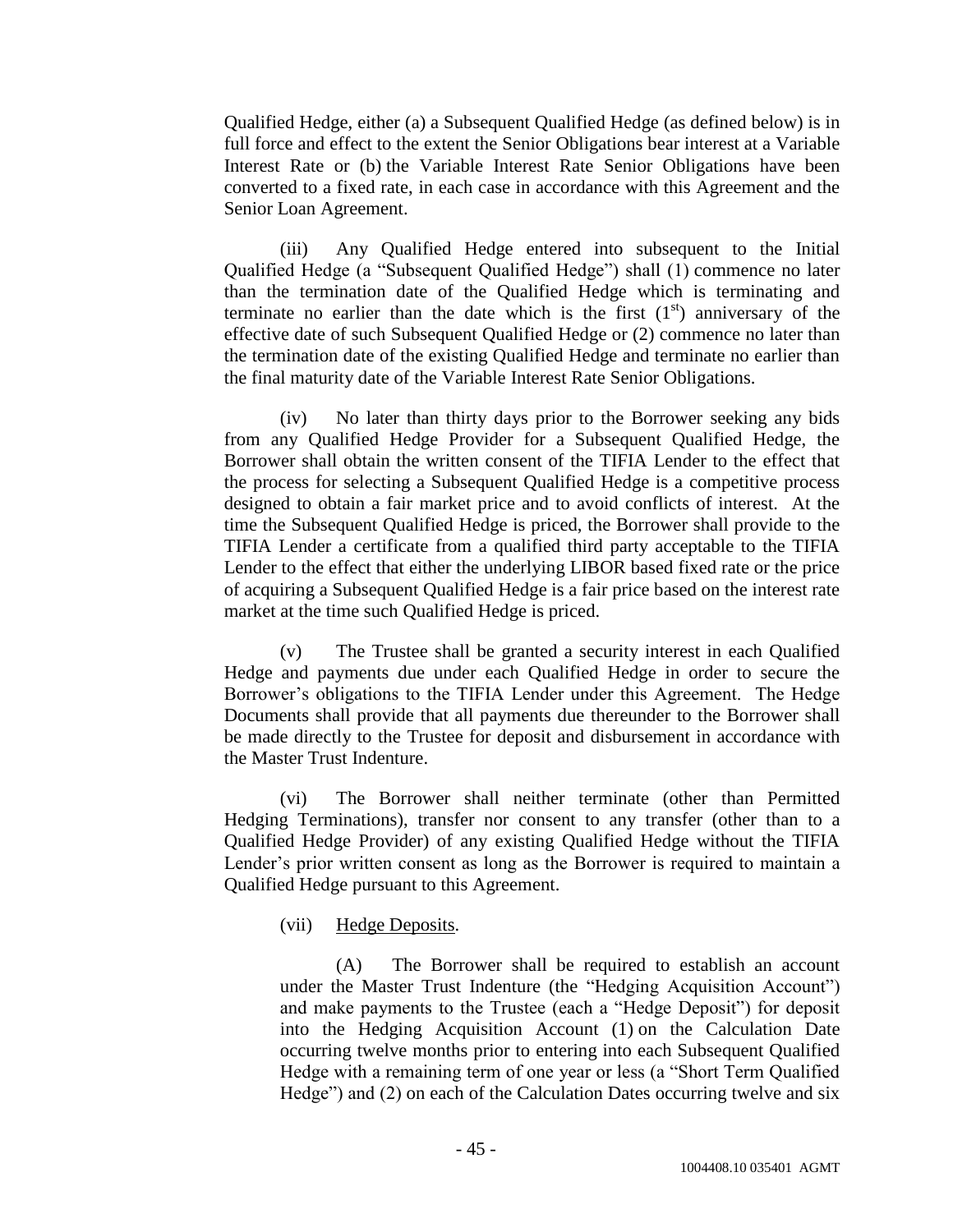Qualified Hedge, either (a) a Subsequent Qualified Hedge (as defined below) is in full force and effect to the extent the Senior Obligations bear interest at a Variable Interest Rate or (b) the Variable Interest Rate Senior Obligations have been converted to a fixed rate, in each case in accordance with this Agreement and the Senior Loan Agreement.

(iii) Any Qualified Hedge entered into subsequent to the Initial Qualified Hedge (a "Subsequent Qualified Hedge") shall (1) commence no later than the termination date of the Qualified Hedge which is terminating and terminate no earlier than the date which is the first  $(1<sup>st</sup>)$  anniversary of the effective date of such Subsequent Qualified Hedge or (2) commence no later than the termination date of the existing Qualified Hedge and terminate no earlier than the final maturity date of the Variable Interest Rate Senior Obligations.

(iv) No later than thirty days prior to the Borrower seeking any bids from any Qualified Hedge Provider for a Subsequent Qualified Hedge, the Borrower shall obtain the written consent of the TIFIA Lender to the effect that the process for selecting a Subsequent Qualified Hedge is a competitive process designed to obtain a fair market price and to avoid conflicts of interest. At the time the Subsequent Qualified Hedge is priced, the Borrower shall provide to the TIFIA Lender a certificate from a qualified third party acceptable to the TIFIA Lender to the effect that either the underlying LIBOR based fixed rate or the price of acquiring a Subsequent Qualified Hedge is a fair price based on the interest rate market at the time such Qualified Hedge is priced.

(v) The Trustee shall be granted a security interest in each Qualified Hedge and payments due under each Qualified Hedge in order to secure the Borrower's obligations to the TIFIA Lender under this Agreement. The Hedge Documents shall provide that all payments due thereunder to the Borrower shall be made directly to the Trustee for deposit and disbursement in accordance with the Master Trust Indenture.

(vi) The Borrower shall neither terminate (other than Permitted Hedging Terminations), transfer nor consent to any transfer (other than to a Qualified Hedge Provider) of any existing Qualified Hedge without the TIFIA Lender's prior written consent as long as the Borrower is required to maintain a Qualified Hedge pursuant to this Agreement.

# (vii) Hedge Deposits.

(A) The Borrower shall be required to establish an account under the Master Trust Indenture (the "Hedging Acquisition Account") and make payments to the Trustee (each a "Hedge Deposit") for deposit into the Hedging Acquisition Account (1) on the Calculation Date occurring twelve months prior to entering into each Subsequent Qualified Hedge with a remaining term of one year or less (a "Short Term Qualified Hedge") and (2) on each of the Calculation Dates occurring twelve and six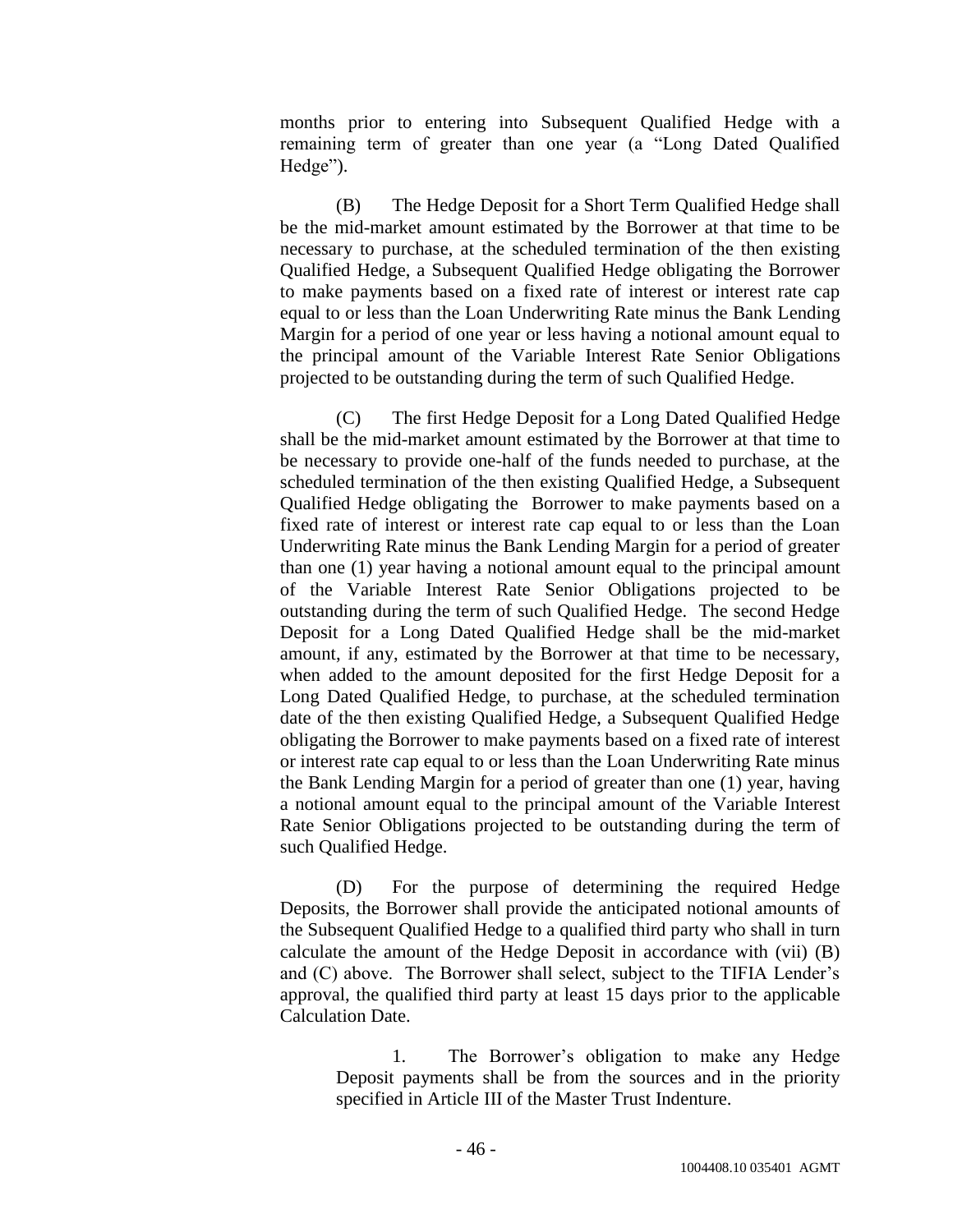months prior to entering into Subsequent Qualified Hedge with a remaining term of greater than one year (a "Long Dated Qualified Hedge").

(B) The Hedge Deposit for a Short Term Qualified Hedge shall be the mid-market amount estimated by the Borrower at that time to be necessary to purchase, at the scheduled termination of the then existing Qualified Hedge, a Subsequent Qualified Hedge obligating the Borrower to make payments based on a fixed rate of interest or interest rate cap equal to or less than the Loan Underwriting Rate minus the Bank Lending Margin for a period of one year or less having a notional amount equal to the principal amount of the Variable Interest Rate Senior Obligations projected to be outstanding during the term of such Qualified Hedge.

(C) The first Hedge Deposit for a Long Dated Qualified Hedge shall be the mid-market amount estimated by the Borrower at that time to be necessary to provide one-half of the funds needed to purchase, at the scheduled termination of the then existing Qualified Hedge, a Subsequent Qualified Hedge obligating the Borrower to make payments based on a fixed rate of interest or interest rate cap equal to or less than the Loan Underwriting Rate minus the Bank Lending Margin for a period of greater than one (1) year having a notional amount equal to the principal amount of the Variable Interest Rate Senior Obligations projected to be outstanding during the term of such Qualified Hedge. The second Hedge Deposit for a Long Dated Qualified Hedge shall be the mid-market amount, if any, estimated by the Borrower at that time to be necessary, when added to the amount deposited for the first Hedge Deposit for a Long Dated Qualified Hedge, to purchase, at the scheduled termination date of the then existing Qualified Hedge, a Subsequent Qualified Hedge obligating the Borrower to make payments based on a fixed rate of interest or interest rate cap equal to or less than the Loan Underwriting Rate minus the Bank Lending Margin for a period of greater than one (1) year, having a notional amount equal to the principal amount of the Variable Interest Rate Senior Obligations projected to be outstanding during the term of such Qualified Hedge.

(D) For the purpose of determining the required Hedge Deposits, the Borrower shall provide the anticipated notional amounts of the Subsequent Qualified Hedge to a qualified third party who shall in turn calculate the amount of the Hedge Deposit in accordance with (vii) (B) and (C) above. The Borrower shall select, subject to the TIFIA Lender's approval, the qualified third party at least 15 days prior to the applicable Calculation Date.

1. The Borrower's obligation to make any Hedge Deposit payments shall be from the sources and in the priority specified in Article III of the Master Trust Indenture.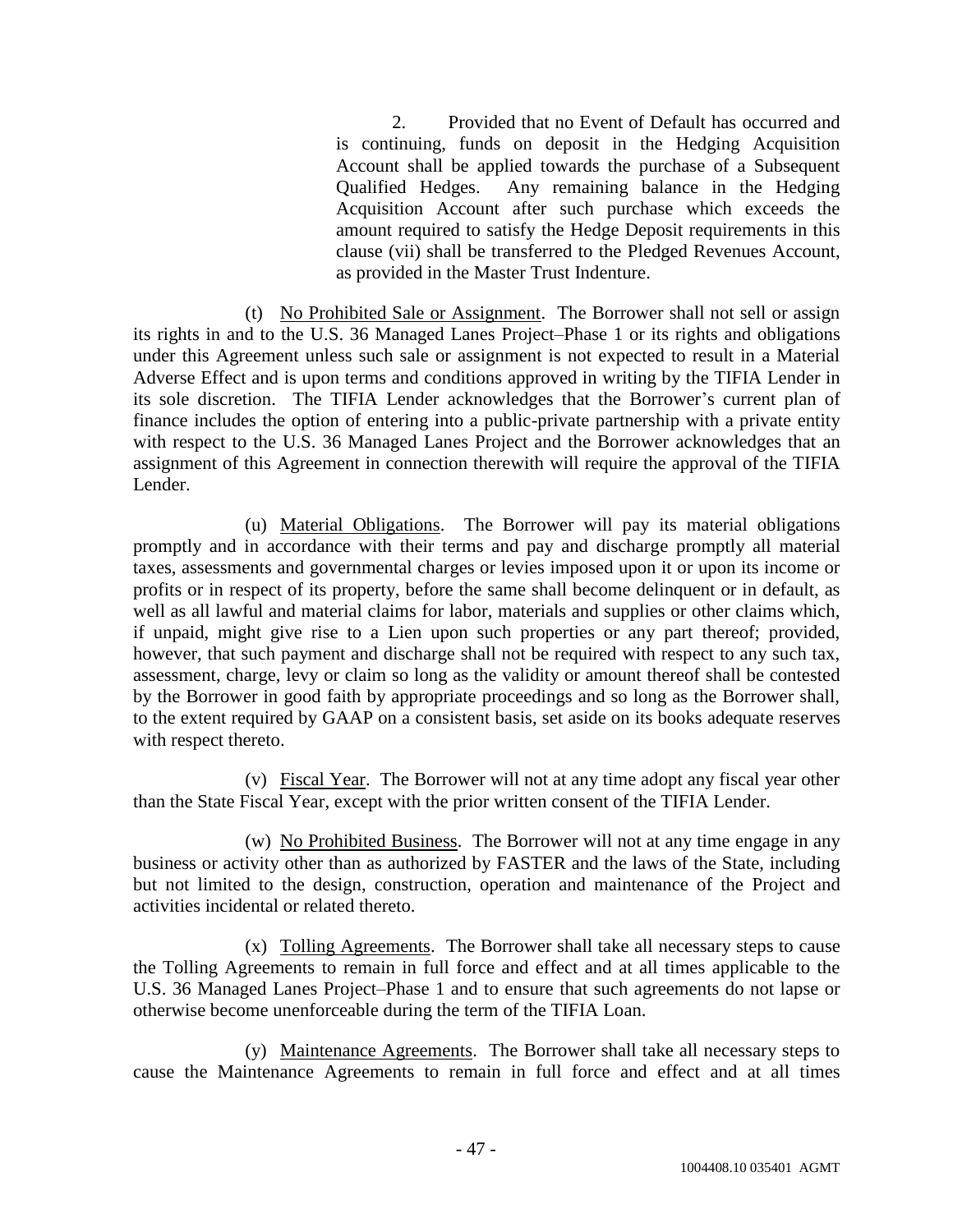2. Provided that no Event of Default has occurred and is continuing, funds on deposit in the Hedging Acquisition Account shall be applied towards the purchase of a Subsequent Qualified Hedges. Any remaining balance in the Hedging Acquisition Account after such purchase which exceeds the amount required to satisfy the Hedge Deposit requirements in this clause (vii) shall be transferred to the Pledged Revenues Account, as provided in the Master Trust Indenture.

(t) No Prohibited Sale or Assignment. The Borrower shall not sell or assign its rights in and to the U.S. 36 Managed Lanes Project–Phase 1 or its rights and obligations under this Agreement unless such sale or assignment is not expected to result in a Material Adverse Effect and is upon terms and conditions approved in writing by the TIFIA Lender in its sole discretion. The TIFIA Lender acknowledges that the Borrower's current plan of finance includes the option of entering into a public-private partnership with a private entity with respect to the U.S. 36 Managed Lanes Project and the Borrower acknowledges that an assignment of this Agreement in connection therewith will require the approval of the TIFIA Lender.

(u) Material Obligations. The Borrower will pay its material obligations promptly and in accordance with their terms and pay and discharge promptly all material taxes, assessments and governmental charges or levies imposed upon it or upon its income or profits or in respect of its property, before the same shall become delinquent or in default, as well as all lawful and material claims for labor, materials and supplies or other claims which, if unpaid, might give rise to a Lien upon such properties or any part thereof; provided, however, that such payment and discharge shall not be required with respect to any such tax, assessment, charge, levy or claim so long as the validity or amount thereof shall be contested by the Borrower in good faith by appropriate proceedings and so long as the Borrower shall, to the extent required by GAAP on a consistent basis, set aside on its books adequate reserves with respect thereto.

(v) Fiscal Year. The Borrower will not at any time adopt any fiscal year other than the State Fiscal Year, except with the prior written consent of the TIFIA Lender.

(w) No Prohibited Business. The Borrower will not at any time engage in any business or activity other than as authorized by FASTER and the laws of the State, including but not limited to the design, construction, operation and maintenance of the Project and activities incidental or related thereto.

(x) Tolling Agreements. The Borrower shall take all necessary steps to cause the Tolling Agreements to remain in full force and effect and at all times applicable to the U.S. 36 Managed Lanes Project–Phase 1 and to ensure that such agreements do not lapse or otherwise become unenforceable during the term of the TIFIA Loan.

(y) Maintenance Agreements. The Borrower shall take all necessary steps to cause the Maintenance Agreements to remain in full force and effect and at all times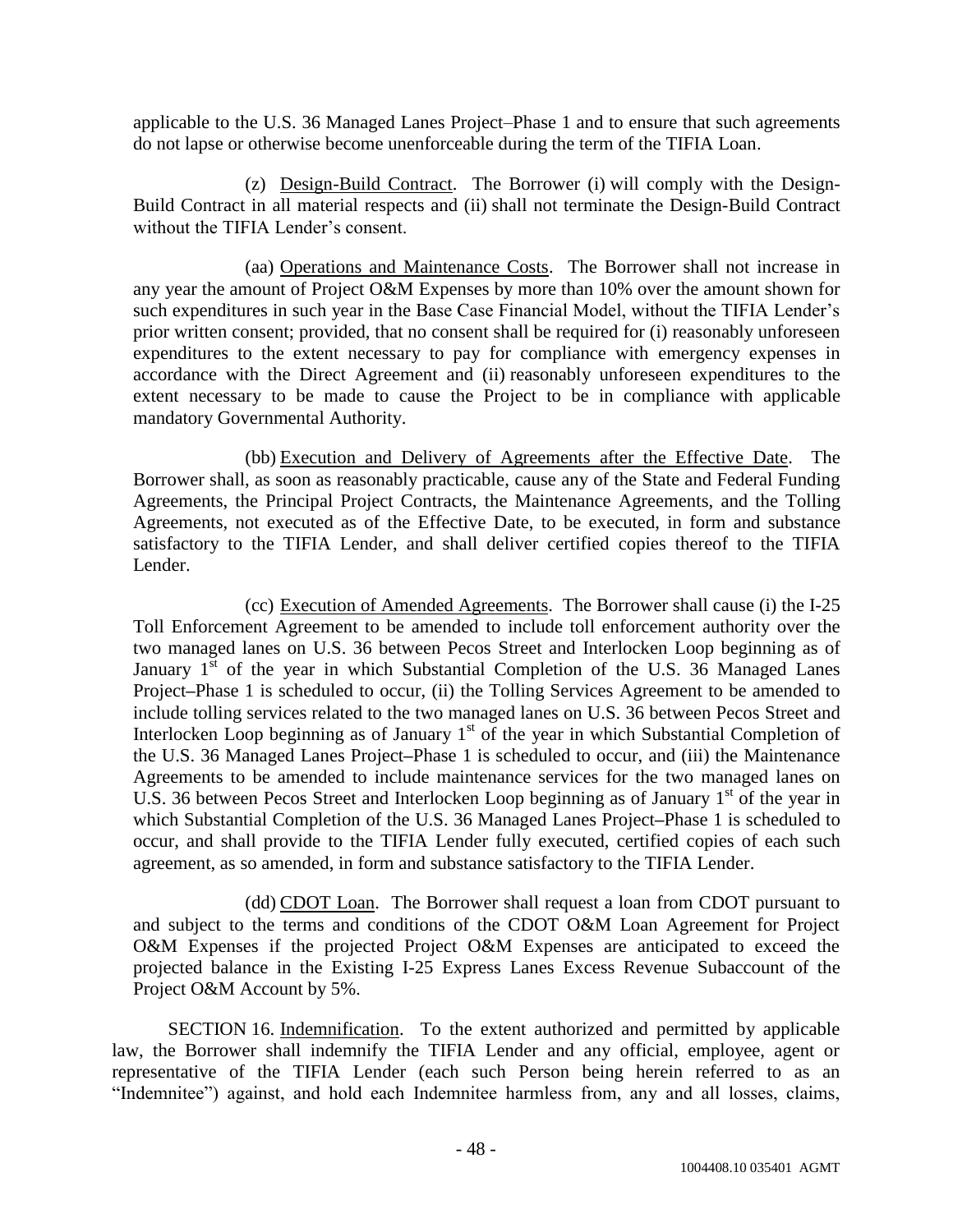applicable to the U.S. 36 Managed Lanes Project–Phase 1 and to ensure that such agreements do not lapse or otherwise become unenforceable during the term of the TIFIA Loan.

(z) Design-Build Contract. The Borrower (i) will comply with the Design-Build Contract in all material respects and (ii) shall not terminate the Design-Build Contract without the TIFIA Lender's consent.

(aa) Operations and Maintenance Costs. The Borrower shall not increase in any year the amount of Project O&M Expenses by more than 10% over the amount shown for such expenditures in such year in the Base Case Financial Model, without the TIFIA Lender's prior written consent; provided, that no consent shall be required for (i) reasonably unforeseen expenditures to the extent necessary to pay for compliance with emergency expenses in accordance with the Direct Agreement and (ii) reasonably unforeseen expenditures to the extent necessary to be made to cause the Project to be in compliance with applicable mandatory Governmental Authority.

(bb) Execution and Delivery of Agreements after the Effective Date. The Borrower shall, as soon as reasonably practicable, cause any of the State and Federal Funding Agreements, the Principal Project Contracts, the Maintenance Agreements, and the Tolling Agreements, not executed as of the Effective Date, to be executed, in form and substance satisfactory to the TIFIA Lender, and shall deliver certified copies thereof to the TIFIA Lender.

(cc) Execution of Amended Agreements. The Borrower shall cause (i) the I-25 Toll Enforcement Agreement to be amended to include toll enforcement authority over the two managed lanes on U.S. 36 between Pecos Street and Interlocken Loop beginning as of January  $1^{st}$  of the year in which Substantial Completion of the U.S. 36 Managed Lanes Project**–**Phase 1 is scheduled to occur, (ii) the Tolling Services Agreement to be amended to include tolling services related to the two managed lanes on U.S. 36 between Pecos Street and Interlocken Loop beginning as of January  $1<sup>st</sup>$  of the year in which Substantial Completion of the U.S. 36 Managed Lanes Project**–**Phase 1 is scheduled to occur, and (iii) the Maintenance Agreements to be amended to include maintenance services for the two managed lanes on U.S. 36 between Pecos Street and Interlocken Loop beginning as of January  $1<sup>st</sup>$  of the year in which Substantial Completion of the U.S. 36 Managed Lanes Project**–**Phase 1 is scheduled to occur, and shall provide to the TIFIA Lender fully executed, certified copies of each such agreement, as so amended, in form and substance satisfactory to the TIFIA Lender.

(dd) CDOT Loan. The Borrower shall request a loan from CDOT pursuant to and subject to the terms and conditions of the CDOT O&M Loan Agreement for Project O&M Expenses if the projected Project O&M Expenses are anticipated to exceed the projected balance in the Existing I-25 Express Lanes Excess Revenue Subaccount of the Project O&M Account by 5%.

SECTION 16. Indemnification. To the extent authorized and permitted by applicable law, the Borrower shall indemnify the TIFIA Lender and any official, employee, agent or representative of the TIFIA Lender (each such Person being herein referred to as an "Indemnitee") against, and hold each Indemnitee harmless from, any and all losses, claims,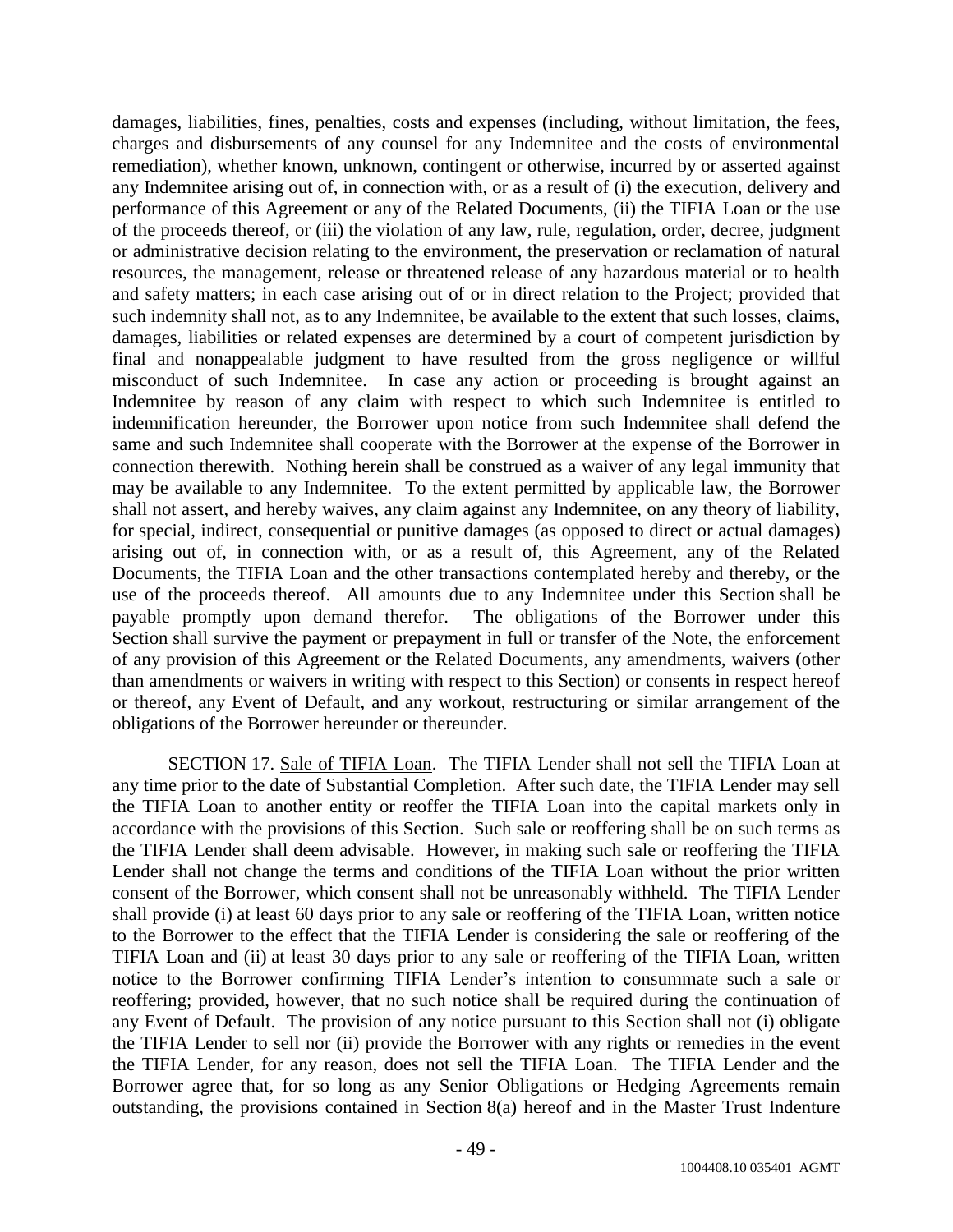damages, liabilities, fines, penalties, costs and expenses (including, without limitation, the fees, charges and disbursements of any counsel for any Indemnitee and the costs of environmental remediation), whether known, unknown, contingent or otherwise, incurred by or asserted against any Indemnitee arising out of, in connection with, or as a result of (i) the execution, delivery and performance of this Agreement or any of the Related Documents, (ii) the TIFIA Loan or the use of the proceeds thereof, or (iii) the violation of any law, rule, regulation, order, decree, judgment or administrative decision relating to the environment, the preservation or reclamation of natural resources, the management, release or threatened release of any hazardous material or to health and safety matters; in each case arising out of or in direct relation to the Project; provided that such indemnity shall not, as to any Indemnitee, be available to the extent that such losses, claims, damages, liabilities or related expenses are determined by a court of competent jurisdiction by final and nonappealable judgment to have resulted from the gross negligence or willful misconduct of such Indemnitee. In case any action or proceeding is brought against an Indemnitee by reason of any claim with respect to which such Indemnitee is entitled to indemnification hereunder, the Borrower upon notice from such Indemnitee shall defend the same and such Indemnitee shall cooperate with the Borrower at the expense of the Borrower in connection therewith. Nothing herein shall be construed as a waiver of any legal immunity that may be available to any Indemnitee. To the extent permitted by applicable law, the Borrower shall not assert, and hereby waives, any claim against any Indemnitee, on any theory of liability, for special, indirect, consequential or punitive damages (as opposed to direct or actual damages) arising out of, in connection with, or as a result of, this Agreement, any of the Related Documents, the TIFIA Loan and the other transactions contemplated hereby and thereby, or the use of the proceeds thereof. All amounts due to any Indemnitee under this Section shall be payable promptly upon demand therefor. The obligations of the Borrower under this Section shall survive the payment or prepayment in full or transfer of the Note, the enforcement of any provision of this Agreement or the Related Documents, any amendments, waivers (other than amendments or waivers in writing with respect to this Section) or consents in respect hereof or thereof, any Event of Default, and any workout, restructuring or similar arrangement of the obligations of the Borrower hereunder or thereunder.

SECTION 17. Sale of TIFIA Loan. The TIFIA Lender shall not sell the TIFIA Loan at any time prior to the date of Substantial Completion. After such date, the TIFIA Lender may sell the TIFIA Loan to another entity or reoffer the TIFIA Loan into the capital markets only in accordance with the provisions of this Section. Such sale or reoffering shall be on such terms as the TIFIA Lender shall deem advisable. However, in making such sale or reoffering the TIFIA Lender shall not change the terms and conditions of the TIFIA Loan without the prior written consent of the Borrower, which consent shall not be unreasonably withheld. The TIFIA Lender shall provide (i) at least 60 days prior to any sale or reoffering of the TIFIA Loan, written notice to the Borrower to the effect that the TIFIA Lender is considering the sale or reoffering of the TIFIA Loan and (ii) at least 30 days prior to any sale or reoffering of the TIFIA Loan, written notice to the Borrower confirming TIFIA Lender's intention to consummate such a sale or reoffering; provided, however, that no such notice shall be required during the continuation of any Event of Default. The provision of any notice pursuant to this Section shall not (i) obligate the TIFIA Lender to sell nor (ii) provide the Borrower with any rights or remedies in the event the TIFIA Lender, for any reason, does not sell the TIFIA Loan. The TIFIA Lender and the Borrower agree that, for so long as any Senior Obligations or Hedging Agreements remain outstanding, the provisions contained in Section 8(a) hereof and in the Master Trust Indenture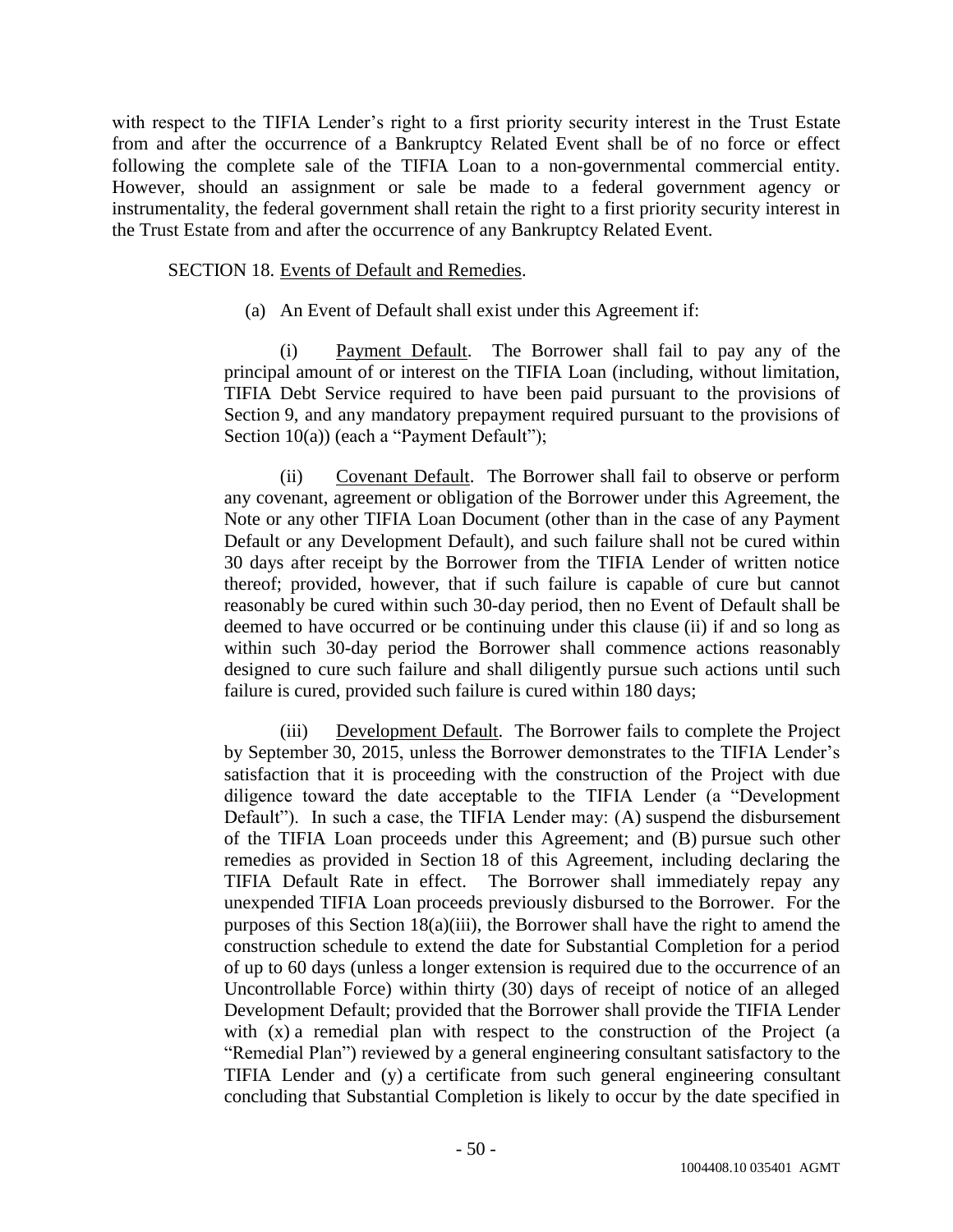with respect to the TIFIA Lender's right to a first priority security interest in the Trust Estate from and after the occurrence of a Bankruptcy Related Event shall be of no force or effect following the complete sale of the TIFIA Loan to a non-governmental commercial entity. However, should an assignment or sale be made to a federal government agency or instrumentality, the federal government shall retain the right to a first priority security interest in the Trust Estate from and after the occurrence of any Bankruptcy Related Event.

SECTION 18. Events of Default and Remedies.

(a) An Event of Default shall exist under this Agreement if:

(i) Payment Default. The Borrower shall fail to pay any of the principal amount of or interest on the TIFIA Loan (including, without limitation, TIFIA Debt Service required to have been paid pursuant to the provisions of Section 9, and any mandatory prepayment required pursuant to the provisions of Section 10(a)) (each a "Payment Default");

(ii) Covenant Default. The Borrower shall fail to observe or perform any covenant, agreement or obligation of the Borrower under this Agreement, the Note or any other TIFIA Loan Document (other than in the case of any Payment Default or any Development Default), and such failure shall not be cured within 30 days after receipt by the Borrower from the TIFIA Lender of written notice thereof; provided, however, that if such failure is capable of cure but cannot reasonably be cured within such 30-day period, then no Event of Default shall be deemed to have occurred or be continuing under this clause (ii) if and so long as within such 30-day period the Borrower shall commence actions reasonably designed to cure such failure and shall diligently pursue such actions until such failure is cured, provided such failure is cured within 180 days;

(iii) Development Default. The Borrower fails to complete the Project by September 30, 2015, unless the Borrower demonstrates to the TIFIA Lender's satisfaction that it is proceeding with the construction of the Project with due diligence toward the date acceptable to the TIFIA Lender (a "Development Default"). In such a case, the TIFIA Lender may: (A) suspend the disbursement of the TIFIA Loan proceeds under this Agreement; and (B) pursue such other remedies as provided in Section 18 of this Agreement, including declaring the TIFIA Default Rate in effect. The Borrower shall immediately repay any unexpended TIFIA Loan proceeds previously disbursed to the Borrower. For the purposes of this Section 18(a)(iii), the Borrower shall have the right to amend the construction schedule to extend the date for Substantial Completion for a period of up to 60 days (unless a longer extension is required due to the occurrence of an Uncontrollable Force) within thirty (30) days of receipt of notice of an alleged Development Default; provided that the Borrower shall provide the TIFIA Lender with (x) a remedial plan with respect to the construction of the Project (a "Remedial Plan") reviewed by a general engineering consultant satisfactory to the TIFIA Lender and (y) a certificate from such general engineering consultant concluding that Substantial Completion is likely to occur by the date specified in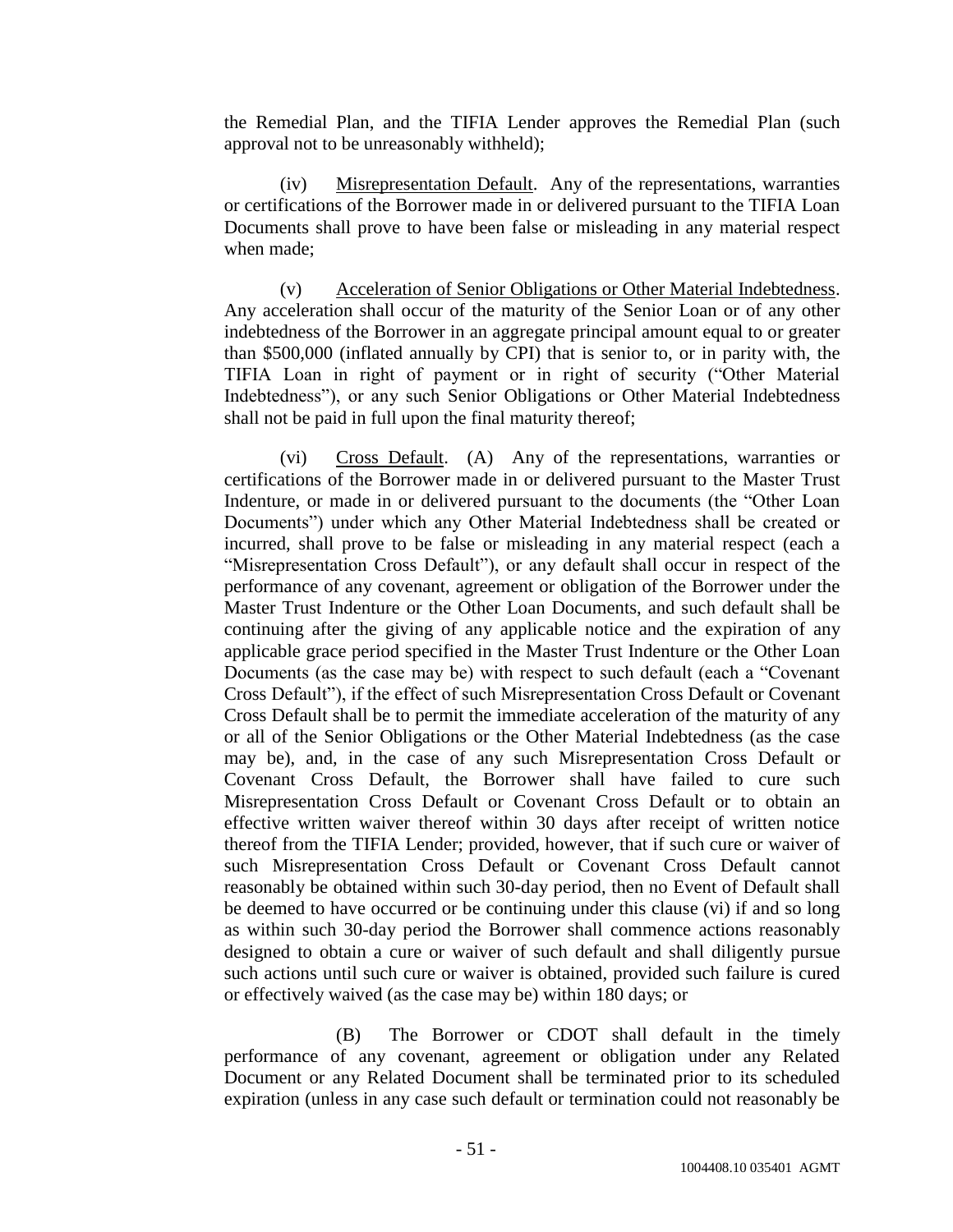the Remedial Plan, and the TIFIA Lender approves the Remedial Plan (such approval not to be unreasonably withheld);

(iv) Misrepresentation Default. Any of the representations, warranties or certifications of the Borrower made in or delivered pursuant to the TIFIA Loan Documents shall prove to have been false or misleading in any material respect when made;

(v) Acceleration of Senior Obligations or Other Material Indebtedness. Any acceleration shall occur of the maturity of the Senior Loan or of any other indebtedness of the Borrower in an aggregate principal amount equal to or greater than \$500,000 (inflated annually by CPI) that is senior to, or in parity with, the TIFIA Loan in right of payment or in right of security ("Other Material Indebtedness"), or any such Senior Obligations or Other Material Indebtedness shall not be paid in full upon the final maturity thereof;

(vi) Cross Default. (A) Any of the representations, warranties or certifications of the Borrower made in or delivered pursuant to the Master Trust Indenture, or made in or delivered pursuant to the documents (the "Other Loan Documents") under which any Other Material Indebtedness shall be created or incurred, shall prove to be false or misleading in any material respect (each a "Misrepresentation Cross Default"), or any default shall occur in respect of the performance of any covenant, agreement or obligation of the Borrower under the Master Trust Indenture or the Other Loan Documents, and such default shall be continuing after the giving of any applicable notice and the expiration of any applicable grace period specified in the Master Trust Indenture or the Other Loan Documents (as the case may be) with respect to such default (each a "Covenant Cross Default"), if the effect of such Misrepresentation Cross Default or Covenant Cross Default shall be to permit the immediate acceleration of the maturity of any or all of the Senior Obligations or the Other Material Indebtedness (as the case may be), and, in the case of any such Misrepresentation Cross Default or Covenant Cross Default, the Borrower shall have failed to cure such Misrepresentation Cross Default or Covenant Cross Default or to obtain an effective written waiver thereof within 30 days after receipt of written notice thereof from the TIFIA Lender; provided, however, that if such cure or waiver of such Misrepresentation Cross Default or Covenant Cross Default cannot reasonably be obtained within such 30-day period, then no Event of Default shall be deemed to have occurred or be continuing under this clause (vi) if and so long as within such 30-day period the Borrower shall commence actions reasonably designed to obtain a cure or waiver of such default and shall diligently pursue such actions until such cure or waiver is obtained, provided such failure is cured or effectively waived (as the case may be) within 180 days; or

(B) The Borrower or CDOT shall default in the timely performance of any covenant, agreement or obligation under any Related Document or any Related Document shall be terminated prior to its scheduled expiration (unless in any case such default or termination could not reasonably be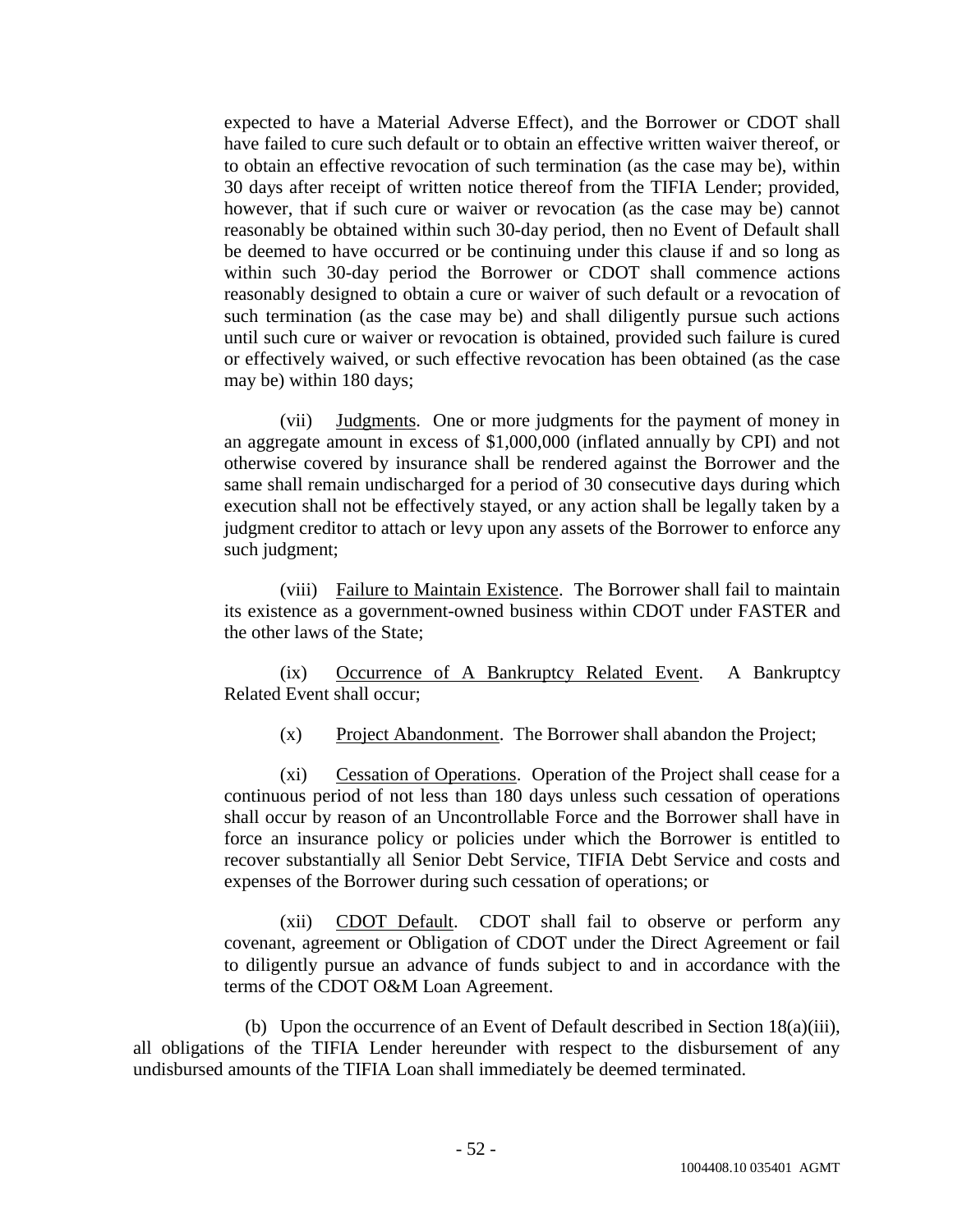expected to have a Material Adverse Effect), and the Borrower or CDOT shall have failed to cure such default or to obtain an effective written waiver thereof, or to obtain an effective revocation of such termination (as the case may be), within 30 days after receipt of written notice thereof from the TIFIA Lender; provided, however, that if such cure or waiver or revocation (as the case may be) cannot reasonably be obtained within such 30-day period, then no Event of Default shall be deemed to have occurred or be continuing under this clause if and so long as within such 30-day period the Borrower or CDOT shall commence actions reasonably designed to obtain a cure or waiver of such default or a revocation of such termination (as the case may be) and shall diligently pursue such actions until such cure or waiver or revocation is obtained, provided such failure is cured or effectively waived, or such effective revocation has been obtained (as the case may be) within 180 days;

(vii) Judgments. One or more judgments for the payment of money in an aggregate amount in excess of \$1,000,000 (inflated annually by CPI) and not otherwise covered by insurance shall be rendered against the Borrower and the same shall remain undischarged for a period of 30 consecutive days during which execution shall not be effectively stayed, or any action shall be legally taken by a judgment creditor to attach or levy upon any assets of the Borrower to enforce any such judgment;

(viii) Failure to Maintain Existence. The Borrower shall fail to maintain its existence as a government-owned business within CDOT under FASTER and the other laws of the State;

(ix) Occurrence of A Bankruptcy Related Event. A Bankruptcy Related Event shall occur;

(x) Project Abandonment. The Borrower shall abandon the Project;

(xi) Cessation of Operations. Operation of the Project shall cease for a continuous period of not less than 180 days unless such cessation of operations shall occur by reason of an Uncontrollable Force and the Borrower shall have in force an insurance policy or policies under which the Borrower is entitled to recover substantially all Senior Debt Service, TIFIA Debt Service and costs and expenses of the Borrower during such cessation of operations; or

(xii) CDOT Default. CDOT shall fail to observe or perform any covenant, agreement or Obligation of CDOT under the Direct Agreement or fail to diligently pursue an advance of funds subject to and in accordance with the terms of the CDOT O&M Loan Agreement.

(b) Upon the occurrence of an Event of Default described in Section 18(a)(iii), all obligations of the TIFIA Lender hereunder with respect to the disbursement of any undisbursed amounts of the TIFIA Loan shall immediately be deemed terminated.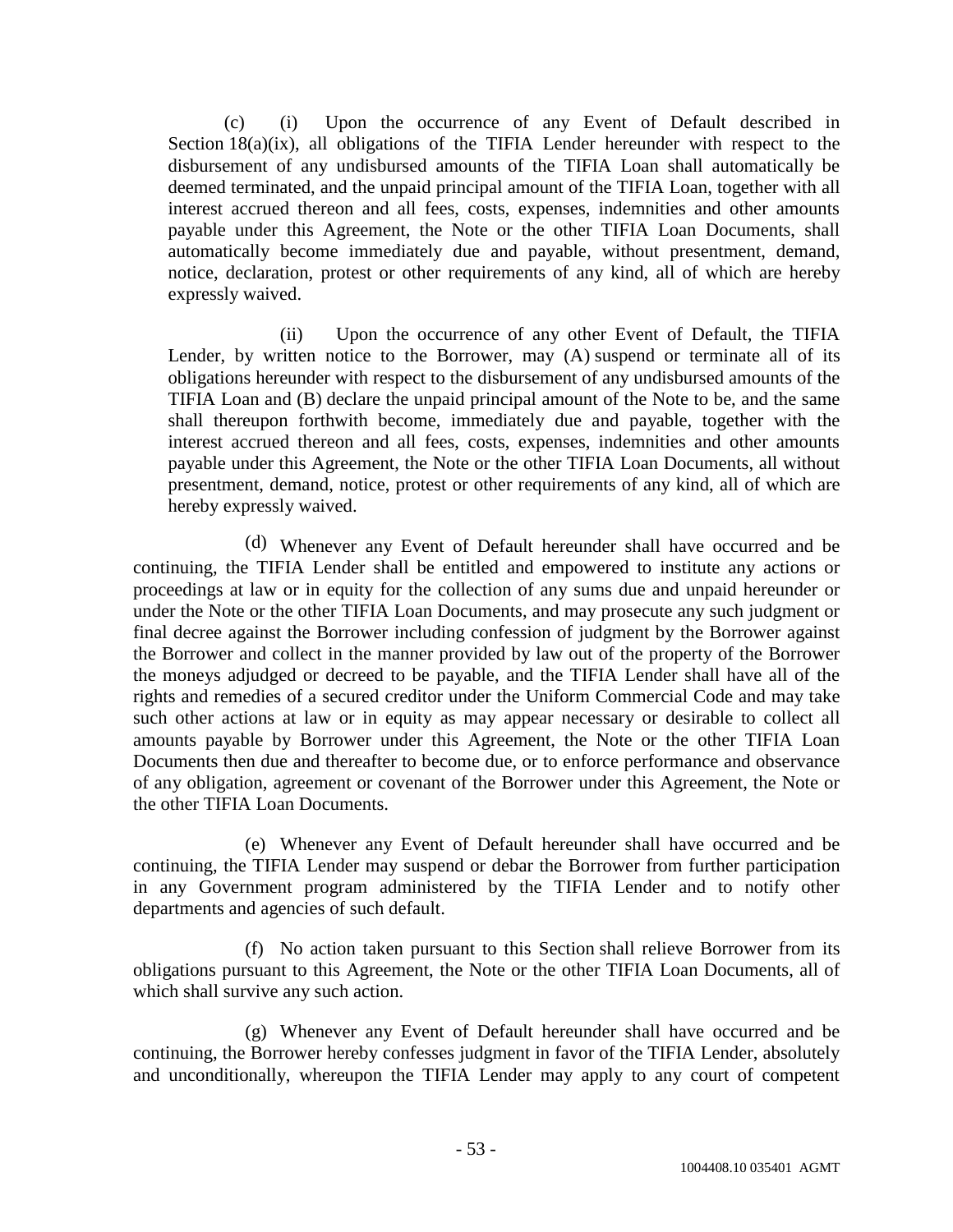(c) (i) Upon the occurrence of any Event of Default described in Section 18(a)(ix), all obligations of the TIFIA Lender hereunder with respect to the disbursement of any undisbursed amounts of the TIFIA Loan shall automatically be deemed terminated, and the unpaid principal amount of the TIFIA Loan, together with all interest accrued thereon and all fees, costs, expenses, indemnities and other amounts payable under this Agreement, the Note or the other TIFIA Loan Documents, shall automatically become immediately due and payable, without presentment, demand, notice, declaration, protest or other requirements of any kind, all of which are hereby expressly waived.

(ii) Upon the occurrence of any other Event of Default, the TIFIA Lender, by written notice to the Borrower, may (A) suspend or terminate all of its obligations hereunder with respect to the disbursement of any undisbursed amounts of the TIFIA Loan and (B) declare the unpaid principal amount of the Note to be, and the same shall thereupon forthwith become, immediately due and payable, together with the interest accrued thereon and all fees, costs, expenses, indemnities and other amounts payable under this Agreement, the Note or the other TIFIA Loan Documents, all without presentment, demand, notice, protest or other requirements of any kind, all of which are hereby expressly waived.

(d) Whenever any Event of Default hereunder shall have occurred and be continuing, the TIFIA Lender shall be entitled and empowered to institute any actions or proceedings at law or in equity for the collection of any sums due and unpaid hereunder or under the Note or the other TIFIA Loan Documents, and may prosecute any such judgment or final decree against the Borrower including confession of judgment by the Borrower against the Borrower and collect in the manner provided by law out of the property of the Borrower the moneys adjudged or decreed to be payable, and the TIFIA Lender shall have all of the rights and remedies of a secured creditor under the Uniform Commercial Code and may take such other actions at law or in equity as may appear necessary or desirable to collect all amounts payable by Borrower under this Agreement, the Note or the other TIFIA Loan Documents then due and thereafter to become due, or to enforce performance and observance of any obligation, agreement or covenant of the Borrower under this Agreement, the Note or the other TIFIA Loan Documents.

(e) Whenever any Event of Default hereunder shall have occurred and be continuing, the TIFIA Lender may suspend or debar the Borrower from further participation in any Government program administered by the TIFIA Lender and to notify other departments and agencies of such default.

(f) No action taken pursuant to this Section shall relieve Borrower from its obligations pursuant to this Agreement, the Note or the other TIFIA Loan Documents, all of which shall survive any such action.

(g) Whenever any Event of Default hereunder shall have occurred and be continuing, the Borrower hereby confesses judgment in favor of the TIFIA Lender, absolutely and unconditionally, whereupon the TIFIA Lender may apply to any court of competent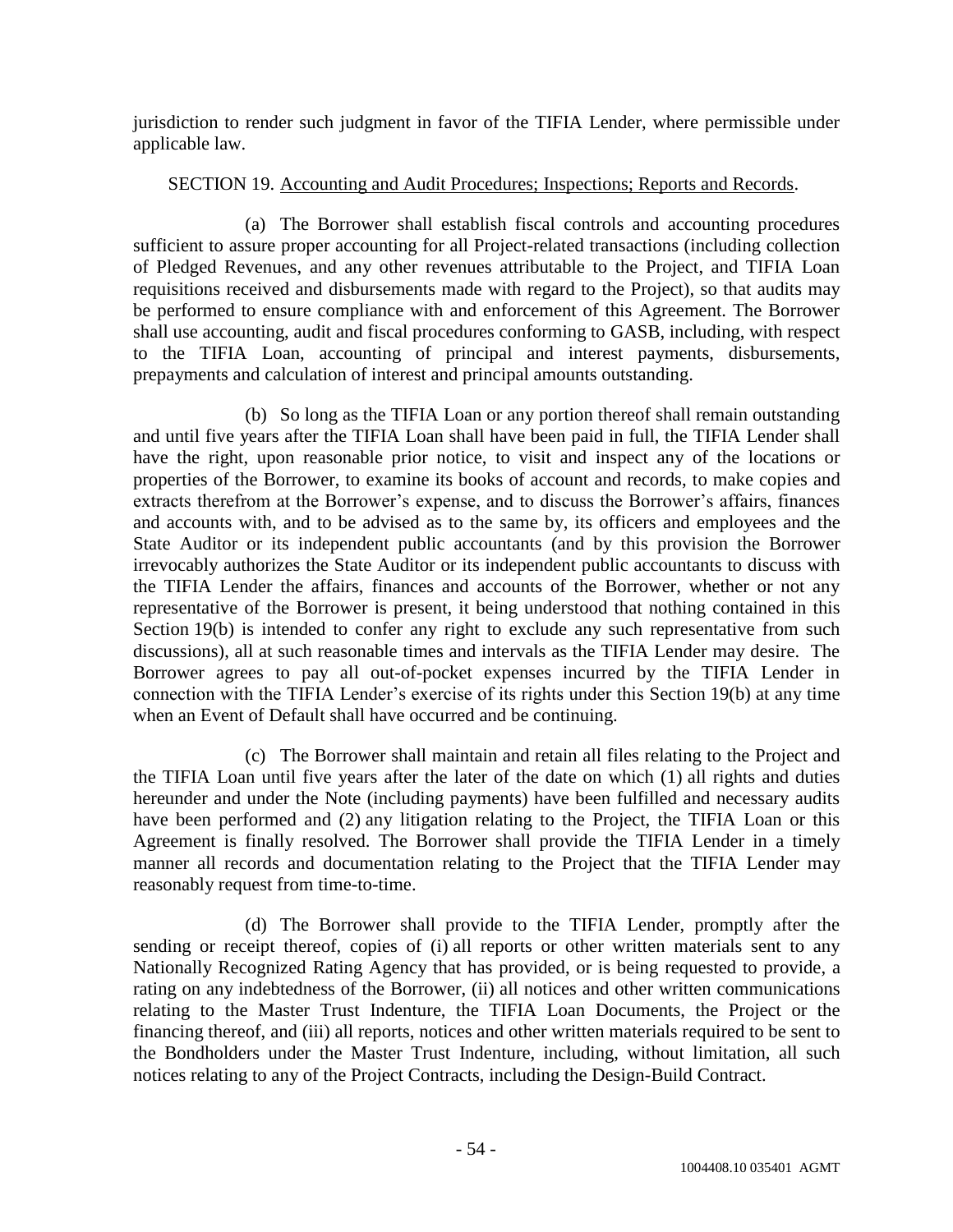jurisdiction to render such judgment in favor of the TIFIA Lender, where permissible under applicable law.

# SECTION 19. Accounting and Audit Procedures; Inspections; Reports and Records.

(a) The Borrower shall establish fiscal controls and accounting procedures sufficient to assure proper accounting for all Project-related transactions (including collection of Pledged Revenues, and any other revenues attributable to the Project, and TIFIA Loan requisitions received and disbursements made with regard to the Project), so that audits may be performed to ensure compliance with and enforcement of this Agreement. The Borrower shall use accounting, audit and fiscal procedures conforming to GASB, including, with respect to the TIFIA Loan, accounting of principal and interest payments, disbursements, prepayments and calculation of interest and principal amounts outstanding.

(b) So long as the TIFIA Loan or any portion thereof shall remain outstanding and until five years after the TIFIA Loan shall have been paid in full, the TIFIA Lender shall have the right, upon reasonable prior notice, to visit and inspect any of the locations or properties of the Borrower, to examine its books of account and records, to make copies and extracts therefrom at the Borrower's expense, and to discuss the Borrower's affairs, finances and accounts with, and to be advised as to the same by, its officers and employees and the State Auditor or its independent public accountants (and by this provision the Borrower irrevocably authorizes the State Auditor or its independent public accountants to discuss with the TIFIA Lender the affairs, finances and accounts of the Borrower, whether or not any representative of the Borrower is present, it being understood that nothing contained in this Section 19(b) is intended to confer any right to exclude any such representative from such discussions), all at such reasonable times and intervals as the TIFIA Lender may desire. The Borrower agrees to pay all out-of-pocket expenses incurred by the TIFIA Lender in connection with the TIFIA Lender's exercise of its rights under this Section 19(b) at any time when an Event of Default shall have occurred and be continuing.

(c) The Borrower shall maintain and retain all files relating to the Project and the TIFIA Loan until five years after the later of the date on which (1) all rights and duties hereunder and under the Note (including payments) have been fulfilled and necessary audits have been performed and (2) any litigation relating to the Project, the TIFIA Loan or this Agreement is finally resolved. The Borrower shall provide the TIFIA Lender in a timely manner all records and documentation relating to the Project that the TIFIA Lender may reasonably request from time-to-time.

(d) The Borrower shall provide to the TIFIA Lender, promptly after the sending or receipt thereof, copies of (i) all reports or other written materials sent to any Nationally Recognized Rating Agency that has provided, or is being requested to provide, a rating on any indebtedness of the Borrower, (ii) all notices and other written communications relating to the Master Trust Indenture, the TIFIA Loan Documents, the Project or the financing thereof, and (iii) all reports, notices and other written materials required to be sent to the Bondholders under the Master Trust Indenture, including, without limitation, all such notices relating to any of the Project Contracts, including the Design-Build Contract.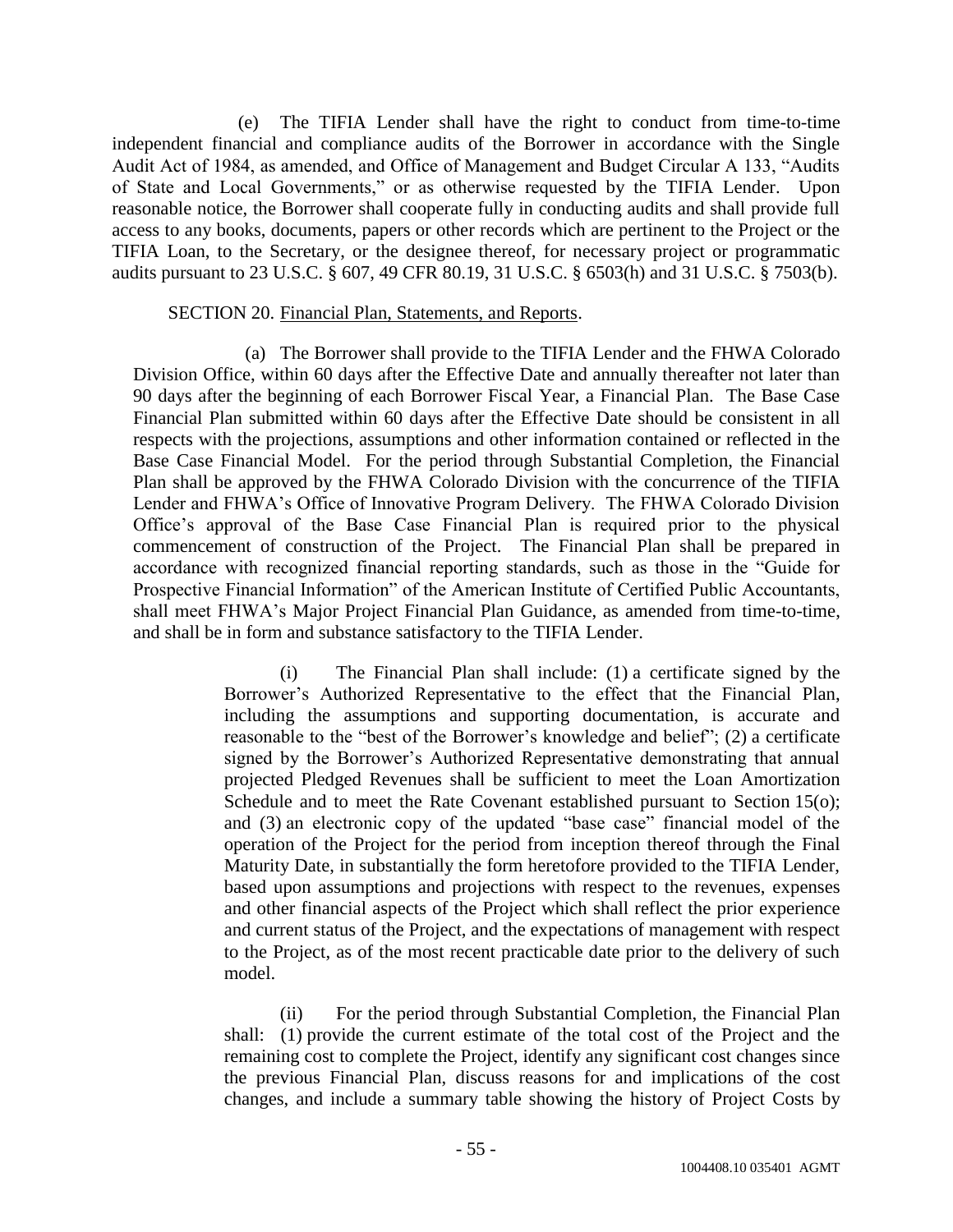(e) The TIFIA Lender shall have the right to conduct from time-to-time independent financial and compliance audits of the Borrower in accordance with the Single Audit Act of 1984, as amended, and Office of Management and Budget Circular A 133, "Audits of State and Local Governments," or as otherwise requested by the TIFIA Lender. Upon reasonable notice, the Borrower shall cooperate fully in conducting audits and shall provide full access to any books, documents, papers or other records which are pertinent to the Project or the TIFIA Loan, to the Secretary, or the designee thereof, for necessary project or programmatic audits pursuant to 23 U.S.C. § 607, 49 CFR 80.19, 31 U.S.C. § 6503(h) and 31 U.S.C. § 7503(b).

### SECTION 20. Financial Plan, Statements, and Reports.

(a) The Borrower shall provide to the TIFIA Lender and the FHWA Colorado Division Office, within 60 days after the Effective Date and annually thereafter not later than 90 days after the beginning of each Borrower Fiscal Year, a Financial Plan. The Base Case Financial Plan submitted within 60 days after the Effective Date should be consistent in all respects with the projections, assumptions and other information contained or reflected in the Base Case Financial Model. For the period through Substantial Completion, the Financial Plan shall be approved by the FHWA Colorado Division with the concurrence of the TIFIA Lender and FHWA's Office of Innovative Program Delivery. The FHWA Colorado Division Office's approval of the Base Case Financial Plan is required prior to the physical commencement of construction of the Project. The Financial Plan shall be prepared in accordance with recognized financial reporting standards, such as those in the "Guide for Prospective Financial Information" of the American Institute of Certified Public Accountants, shall meet FHWA's Major Project Financial Plan Guidance, as amended from time-to-time, and shall be in form and substance satisfactory to the TIFIA Lender.

> (i) The Financial Plan shall include: (1) a certificate signed by the Borrower's Authorized Representative to the effect that the Financial Plan, including the assumptions and supporting documentation, is accurate and reasonable to the "best of the Borrower's knowledge and belief"; (2) a certificate signed by the Borrower's Authorized Representative demonstrating that annual projected Pledged Revenues shall be sufficient to meet the Loan Amortization Schedule and to meet the Rate Covenant established pursuant to Section 15(o); and (3) an electronic copy of the updated "base case" financial model of the operation of the Project for the period from inception thereof through the Final Maturity Date, in substantially the form heretofore provided to the TIFIA Lender, based upon assumptions and projections with respect to the revenues, expenses and other financial aspects of the Project which shall reflect the prior experience and current status of the Project, and the expectations of management with respect to the Project, as of the most recent practicable date prior to the delivery of such model.

> (ii) For the period through Substantial Completion, the Financial Plan shall: (1) provide the current estimate of the total cost of the Project and the remaining cost to complete the Project, identify any significant cost changes since the previous Financial Plan, discuss reasons for and implications of the cost changes, and include a summary table showing the history of Project Costs by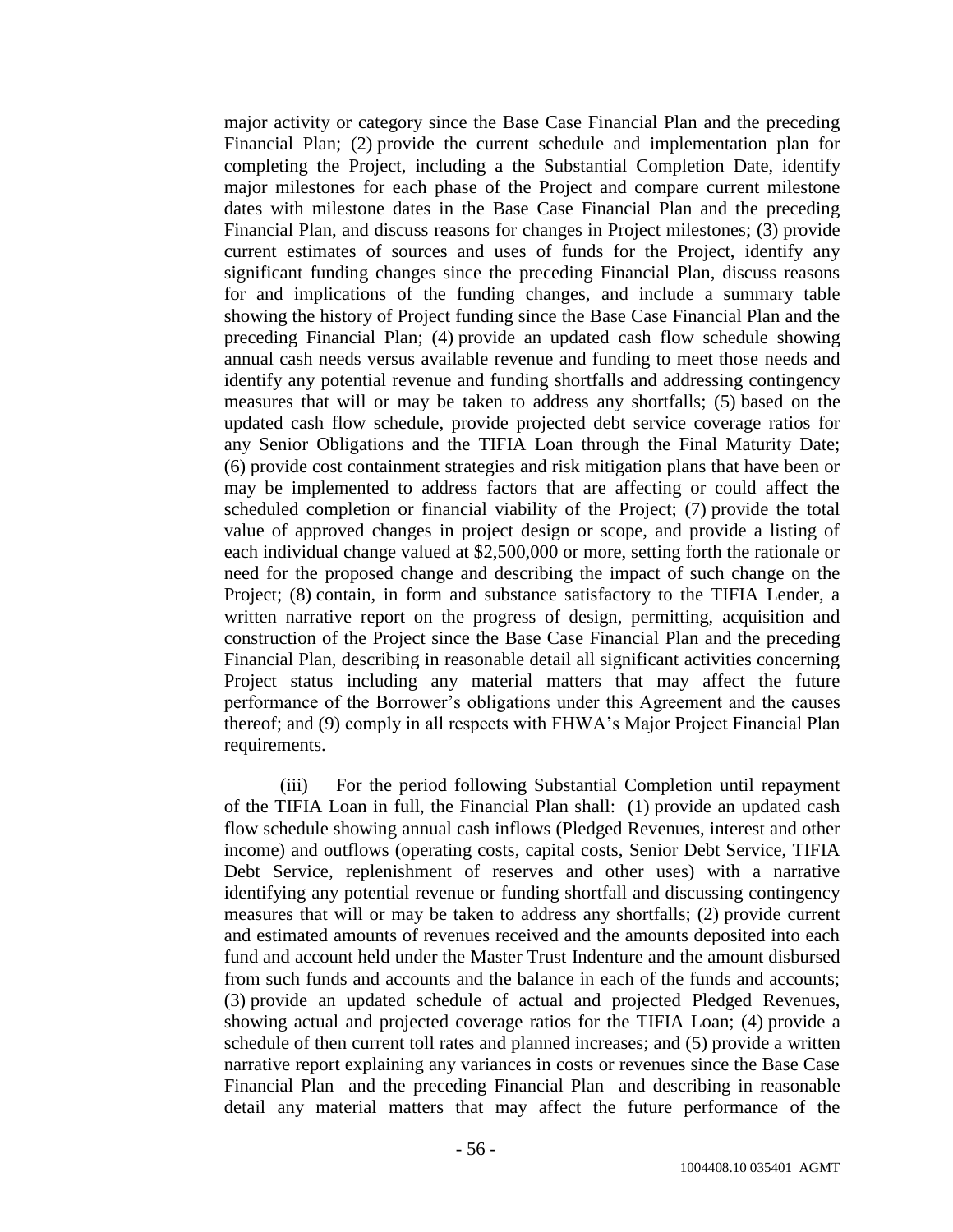major activity or category since the Base Case Financial Plan and the preceding Financial Plan; (2) provide the current schedule and implementation plan for completing the Project, including a the Substantial Completion Date, identify major milestones for each phase of the Project and compare current milestone dates with milestone dates in the Base Case Financial Plan and the preceding Financial Plan, and discuss reasons for changes in Project milestones; (3) provide current estimates of sources and uses of funds for the Project, identify any significant funding changes since the preceding Financial Plan, discuss reasons for and implications of the funding changes, and include a summary table showing the history of Project funding since the Base Case Financial Plan and the preceding Financial Plan; (4) provide an updated cash flow schedule showing annual cash needs versus available revenue and funding to meet those needs and identify any potential revenue and funding shortfalls and addressing contingency measures that will or may be taken to address any shortfalls; (5) based on the updated cash flow schedule, provide projected debt service coverage ratios for any Senior Obligations and the TIFIA Loan through the Final Maturity Date; (6) provide cost containment strategies and risk mitigation plans that have been or may be implemented to address factors that are affecting or could affect the scheduled completion or financial viability of the Project; (7) provide the total value of approved changes in project design or scope, and provide a listing of each individual change valued at \$2,500,000 or more, setting forth the rationale or need for the proposed change and describing the impact of such change on the Project; (8) contain, in form and substance satisfactory to the TIFIA Lender, a written narrative report on the progress of design, permitting, acquisition and construction of the Project since the Base Case Financial Plan and the preceding Financial Plan, describing in reasonable detail all significant activities concerning Project status including any material matters that may affect the future performance of the Borrower's obligations under this Agreement and the causes thereof; and (9) comply in all respects with FHWA's Major Project Financial Plan requirements.

(iii) For the period following Substantial Completion until repayment of the TIFIA Loan in full, the Financial Plan shall: (1) provide an updated cash flow schedule showing annual cash inflows (Pledged Revenues, interest and other income) and outflows (operating costs, capital costs, Senior Debt Service, TIFIA Debt Service, replenishment of reserves and other uses) with a narrative identifying any potential revenue or funding shortfall and discussing contingency measures that will or may be taken to address any shortfalls; (2) provide current and estimated amounts of revenues received and the amounts deposited into each fund and account held under the Master Trust Indenture and the amount disbursed from such funds and accounts and the balance in each of the funds and accounts; (3) provide an updated schedule of actual and projected Pledged Revenues, showing actual and projected coverage ratios for the TIFIA Loan; (4) provide a schedule of then current toll rates and planned increases; and (5) provide a written narrative report explaining any variances in costs or revenues since the Base Case Financial Plan and the preceding Financial Plan and describing in reasonable detail any material matters that may affect the future performance of the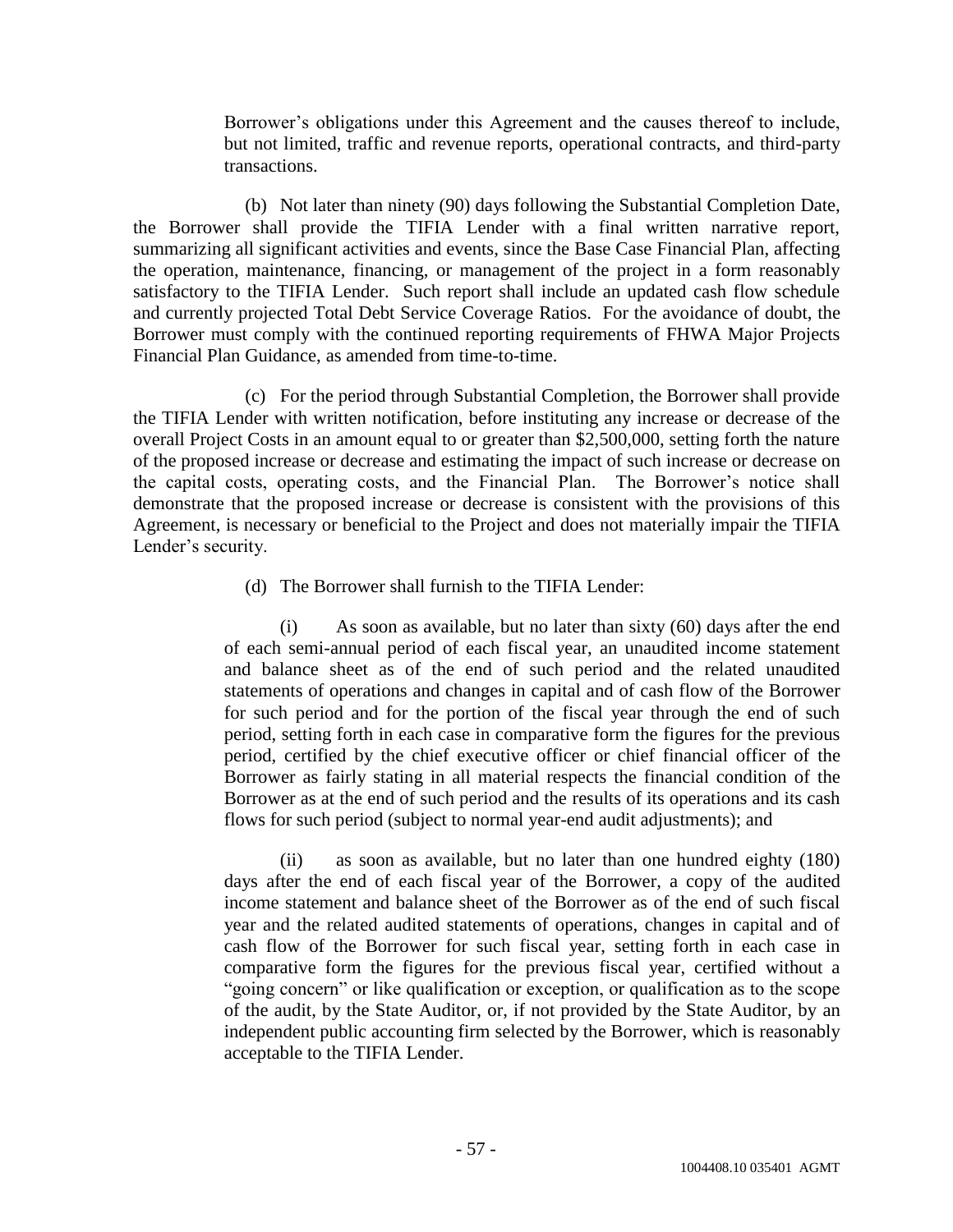Borrower's obligations under this Agreement and the causes thereof to include, but not limited, traffic and revenue reports, operational contracts, and third-party transactions.

(b) Not later than ninety (90) days following the Substantial Completion Date, the Borrower shall provide the TIFIA Lender with a final written narrative report, summarizing all significant activities and events, since the Base Case Financial Plan, affecting the operation, maintenance, financing, or management of the project in a form reasonably satisfactory to the TIFIA Lender. Such report shall include an updated cash flow schedule and currently projected Total Debt Service Coverage Ratios. For the avoidance of doubt, the Borrower must comply with the continued reporting requirements of FHWA Major Projects Financial Plan Guidance, as amended from time-to-time.

(c) For the period through Substantial Completion, the Borrower shall provide the TIFIA Lender with written notification, before instituting any increase or decrease of the overall Project Costs in an amount equal to or greater than \$2,500,000, setting forth the nature of the proposed increase or decrease and estimating the impact of such increase or decrease on the capital costs, operating costs, and the Financial Plan. The Borrower's notice shall demonstrate that the proposed increase or decrease is consistent with the provisions of this Agreement, is necessary or beneficial to the Project and does not materially impair the TIFIA Lender's security.

(d) The Borrower shall furnish to the TIFIA Lender:

(i) As soon as available, but no later than sixty (60) days after the end of each semi-annual period of each fiscal year, an unaudited income statement and balance sheet as of the end of such period and the related unaudited statements of operations and changes in capital and of cash flow of the Borrower for such period and for the portion of the fiscal year through the end of such period, setting forth in each case in comparative form the figures for the previous period, certified by the chief executive officer or chief financial officer of the Borrower as fairly stating in all material respects the financial condition of the Borrower as at the end of such period and the results of its operations and its cash flows for such period (subject to normal year-end audit adjustments); and

(ii) as soon as available, but no later than one hundred eighty (180) days after the end of each fiscal year of the Borrower, a copy of the audited income statement and balance sheet of the Borrower as of the end of such fiscal year and the related audited statements of operations, changes in capital and of cash flow of the Borrower for such fiscal year, setting forth in each case in comparative form the figures for the previous fiscal year, certified without a "going concern" or like qualification or exception, or qualification as to the scope of the audit, by the State Auditor, or, if not provided by the State Auditor, by an independent public accounting firm selected by the Borrower, which is reasonably acceptable to the TIFIA Lender.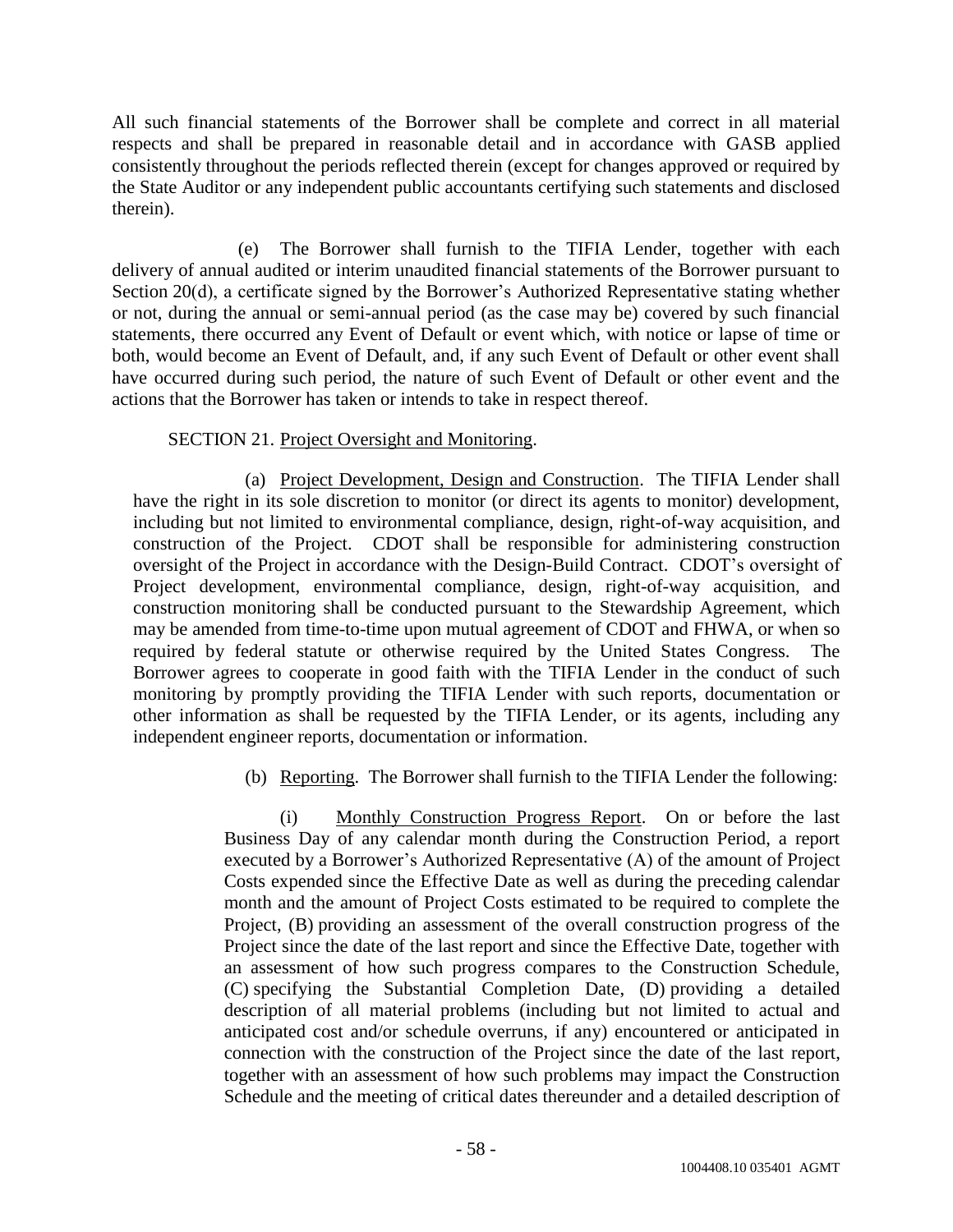All such financial statements of the Borrower shall be complete and correct in all material respects and shall be prepared in reasonable detail and in accordance with GASB applied consistently throughout the periods reflected therein (except for changes approved or required by the State Auditor or any independent public accountants certifying such statements and disclosed therein).

(e) The Borrower shall furnish to the TIFIA Lender, together with each delivery of annual audited or interim unaudited financial statements of the Borrower pursuant to Section 20(d), a certificate signed by the Borrower's Authorized Representative stating whether or not, during the annual or semi-annual period (as the case may be) covered by such financial statements, there occurred any Event of Default or event which, with notice or lapse of time or both, would become an Event of Default, and, if any such Event of Default or other event shall have occurred during such period, the nature of such Event of Default or other event and the actions that the Borrower has taken or intends to take in respect thereof.

# SECTION 21. Project Oversight and Monitoring.

(a) Project Development, Design and Construction. The TIFIA Lender shall have the right in its sole discretion to monitor (or direct its agents to monitor) development, including but not limited to environmental compliance, design, right-of-way acquisition, and construction of the Project. CDOT shall be responsible for administering construction oversight of the Project in accordance with the Design-Build Contract. CDOT's oversight of Project development, environmental compliance, design, right-of-way acquisition, and construction monitoring shall be conducted pursuant to the Stewardship Agreement, which may be amended from time-to-time upon mutual agreement of CDOT and FHWA, or when so required by federal statute or otherwise required by the United States Congress. The Borrower agrees to cooperate in good faith with the TIFIA Lender in the conduct of such monitoring by promptly providing the TIFIA Lender with such reports, documentation or other information as shall be requested by the TIFIA Lender, or its agents, including any independent engineer reports, documentation or information.

# (b) Reporting. The Borrower shall furnish to the TIFIA Lender the following:

(i) Monthly Construction Progress Report. On or before the last Business Day of any calendar month during the Construction Period, a report executed by a Borrower's Authorized Representative (A) of the amount of Project Costs expended since the Effective Date as well as during the preceding calendar month and the amount of Project Costs estimated to be required to complete the Project, (B) providing an assessment of the overall construction progress of the Project since the date of the last report and since the Effective Date, together with an assessment of how such progress compares to the Construction Schedule, (C) specifying the Substantial Completion Date, (D) providing a detailed description of all material problems (including but not limited to actual and anticipated cost and/or schedule overruns, if any) encountered or anticipated in connection with the construction of the Project since the date of the last report, together with an assessment of how such problems may impact the Construction Schedule and the meeting of critical dates thereunder and a detailed description of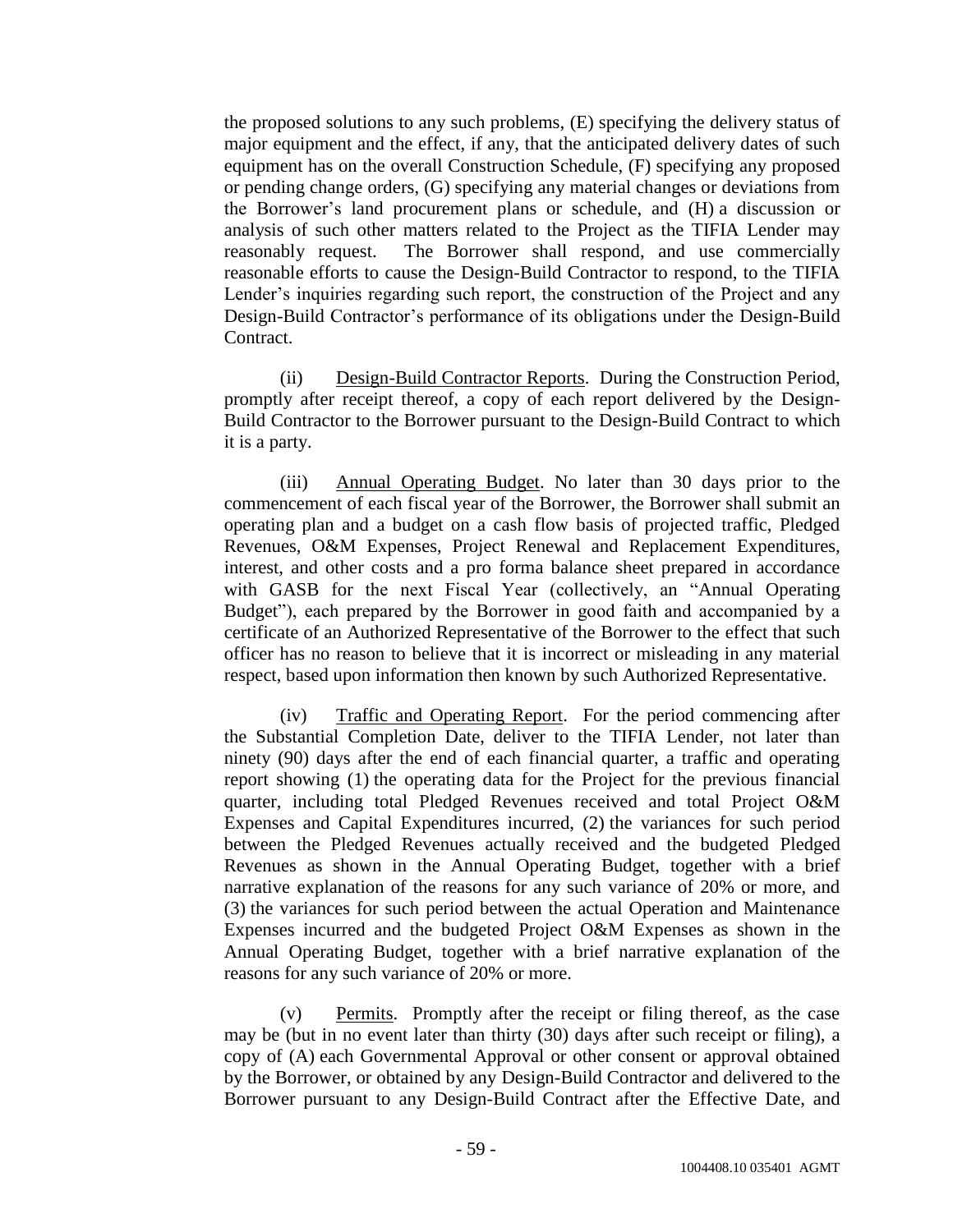the proposed solutions to any such problems, (E) specifying the delivery status of major equipment and the effect, if any, that the anticipated delivery dates of such equipment has on the overall Construction Schedule, (F) specifying any proposed or pending change orders, (G) specifying any material changes or deviations from the Borrower's land procurement plans or schedule, and (H) a discussion or analysis of such other matters related to the Project as the TIFIA Lender may reasonably request. The Borrower shall respond, and use commercially reasonable efforts to cause the Design-Build Contractor to respond, to the TIFIA Lender's inquiries regarding such report, the construction of the Project and any Design-Build Contractor's performance of its obligations under the Design-Build Contract.

(ii) Design-Build Contractor Reports. During the Construction Period, promptly after receipt thereof, a copy of each report delivered by the Design-Build Contractor to the Borrower pursuant to the Design-Build Contract to which it is a party.

(iii) Annual Operating Budget. No later than 30 days prior to the commencement of each fiscal year of the Borrower, the Borrower shall submit an operating plan and a budget on a cash flow basis of projected traffic, Pledged Revenues, O&M Expenses, Project Renewal and Replacement Expenditures, interest, and other costs and a pro forma balance sheet prepared in accordance with GASB for the next Fiscal Year (collectively, an "Annual Operating Budget"), each prepared by the Borrower in good faith and accompanied by a certificate of an Authorized Representative of the Borrower to the effect that such officer has no reason to believe that it is incorrect or misleading in any material respect, based upon information then known by such Authorized Representative.

(iv) Traffic and Operating Report. For the period commencing after the Substantial Completion Date, deliver to the TIFIA Lender, not later than ninety (90) days after the end of each financial quarter, a traffic and operating report showing (1) the operating data for the Project for the previous financial quarter, including total Pledged Revenues received and total Project O&M Expenses and Capital Expenditures incurred, (2) the variances for such period between the Pledged Revenues actually received and the budgeted Pledged Revenues as shown in the Annual Operating Budget, together with a brief narrative explanation of the reasons for any such variance of 20% or more, and (3) the variances for such period between the actual Operation and Maintenance Expenses incurred and the budgeted Project O&M Expenses as shown in the Annual Operating Budget, together with a brief narrative explanation of the reasons for any such variance of 20% or more.

(v) Permits. Promptly after the receipt or filing thereof, as the case may be (but in no event later than thirty (30) days after such receipt or filing), a copy of (A) each Governmental Approval or other consent or approval obtained by the Borrower, or obtained by any Design-Build Contractor and delivered to the Borrower pursuant to any Design-Build Contract after the Effective Date, and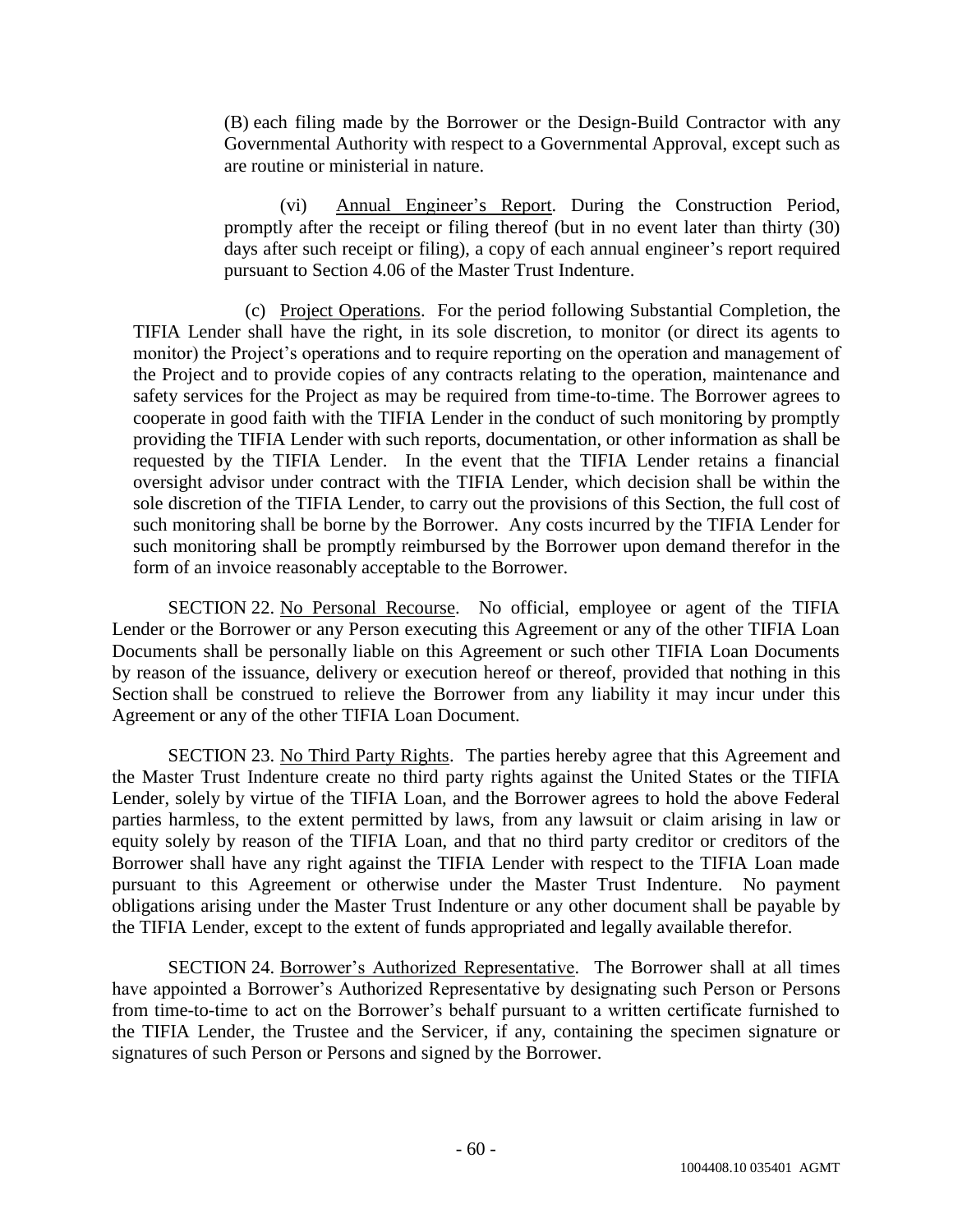(B) each filing made by the Borrower or the Design-Build Contractor with any Governmental Authority with respect to a Governmental Approval, except such as are routine or ministerial in nature.

(vi) Annual Engineer's Report. During the Construction Period, promptly after the receipt or filing thereof (but in no event later than thirty (30) days after such receipt or filing), a copy of each annual engineer's report required pursuant to Section 4.06 of the Master Trust Indenture.

(c) Project Operations. For the period following Substantial Completion, the TIFIA Lender shall have the right, in its sole discretion, to monitor (or direct its agents to monitor) the Project's operations and to require reporting on the operation and management of the Project and to provide copies of any contracts relating to the operation, maintenance and safety services for the Project as may be required from time-to-time. The Borrower agrees to cooperate in good faith with the TIFIA Lender in the conduct of such monitoring by promptly providing the TIFIA Lender with such reports, documentation, or other information as shall be requested by the TIFIA Lender. In the event that the TIFIA Lender retains a financial oversight advisor under contract with the TIFIA Lender, which decision shall be within the sole discretion of the TIFIA Lender, to carry out the provisions of this Section, the full cost of such monitoring shall be borne by the Borrower. Any costs incurred by the TIFIA Lender for such monitoring shall be promptly reimbursed by the Borrower upon demand therefor in the form of an invoice reasonably acceptable to the Borrower.

SECTION 22. No Personal Recourse. No official, employee or agent of the TIFIA Lender or the Borrower or any Person executing this Agreement or any of the other TIFIA Loan Documents shall be personally liable on this Agreement or such other TIFIA Loan Documents by reason of the issuance, delivery or execution hereof or thereof, provided that nothing in this Section shall be construed to relieve the Borrower from any liability it may incur under this Agreement or any of the other TIFIA Loan Document.

SECTION 23. No Third Party Rights. The parties hereby agree that this Agreement and the Master Trust Indenture create no third party rights against the United States or the TIFIA Lender, solely by virtue of the TIFIA Loan, and the Borrower agrees to hold the above Federal parties harmless, to the extent permitted by laws, from any lawsuit or claim arising in law or equity solely by reason of the TIFIA Loan, and that no third party creditor or creditors of the Borrower shall have any right against the TIFIA Lender with respect to the TIFIA Loan made pursuant to this Agreement or otherwise under the Master Trust Indenture. No payment obligations arising under the Master Trust Indenture or any other document shall be payable by the TIFIA Lender, except to the extent of funds appropriated and legally available therefor.

SECTION 24. Borrower's Authorized Representative. The Borrower shall at all times have appointed a Borrower's Authorized Representative by designating such Person or Persons from time-to-time to act on the Borrower's behalf pursuant to a written certificate furnished to the TIFIA Lender, the Trustee and the Servicer, if any, containing the specimen signature or signatures of such Person or Persons and signed by the Borrower.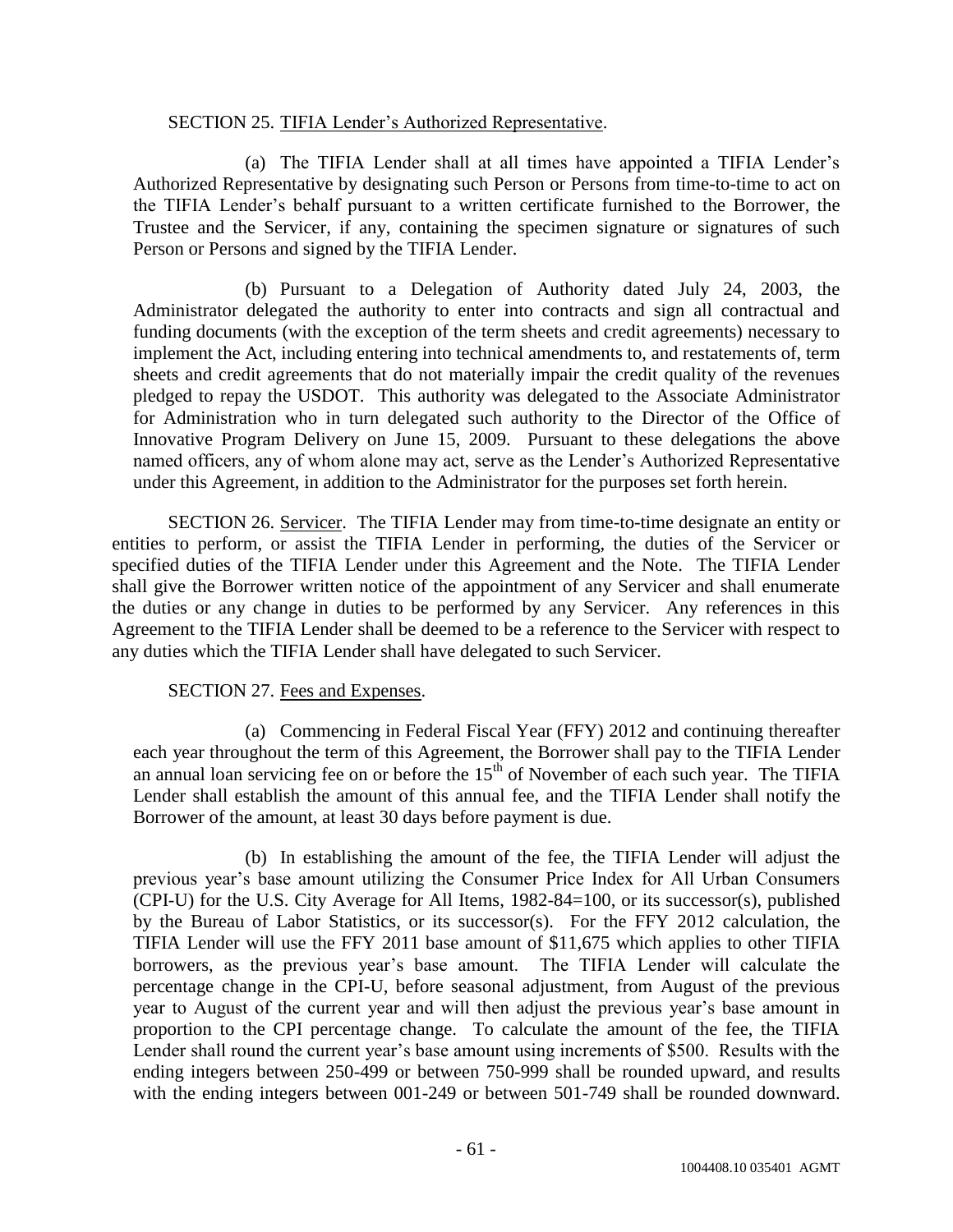# SECTION 25. TIFIA Lender's Authorized Representative.

(a) The TIFIA Lender shall at all times have appointed a TIFIA Lender's Authorized Representative by designating such Person or Persons from time-to-time to act on the TIFIA Lender's behalf pursuant to a written certificate furnished to the Borrower, the Trustee and the Servicer, if any, containing the specimen signature or signatures of such Person or Persons and signed by the TIFIA Lender.

(b) Pursuant to a Delegation of Authority dated July 24, 2003, the Administrator delegated the authority to enter into contracts and sign all contractual and funding documents (with the exception of the term sheets and credit agreements) necessary to implement the Act, including entering into technical amendments to, and restatements of, term sheets and credit agreements that do not materially impair the credit quality of the revenues pledged to repay the USDOT. This authority was delegated to the Associate Administrator for Administration who in turn delegated such authority to the Director of the Office of Innovative Program Delivery on June 15, 2009. Pursuant to these delegations the above named officers, any of whom alone may act, serve as the Lender's Authorized Representative under this Agreement, in addition to the Administrator for the purposes set forth herein.

SECTION 26. Servicer. The TIFIA Lender may from time-to-time designate an entity or entities to perform, or assist the TIFIA Lender in performing, the duties of the Servicer or specified duties of the TIFIA Lender under this Agreement and the Note. The TIFIA Lender shall give the Borrower written notice of the appointment of any Servicer and shall enumerate the duties or any change in duties to be performed by any Servicer. Any references in this Agreement to the TIFIA Lender shall be deemed to be a reference to the Servicer with respect to any duties which the TIFIA Lender shall have delegated to such Servicer.

# SECTION 27. Fees and Expenses.

(a) Commencing in Federal Fiscal Year (FFY) 2012 and continuing thereafter each year throughout the term of this Agreement, the Borrower shall pay to the TIFIA Lender an annual loan servicing fee on or before the  $15<sup>th</sup>$  of November of each such year. The TIFIA Lender shall establish the amount of this annual fee, and the TIFIA Lender shall notify the Borrower of the amount, at least 30 days before payment is due.

(b) In establishing the amount of the fee, the TIFIA Lender will adjust the previous year's base amount utilizing the Consumer Price Index for All Urban Consumers (CPI-U) for the U.S. City Average for All Items, 1982-84=100, or its successor(s), published by the Bureau of Labor Statistics, or its successor(s). For the FFY 2012 calculation, the TIFIA Lender will use the FFY 2011 base amount of \$11,675 which applies to other TIFIA borrowers, as the previous year's base amount. The TIFIA Lender will calculate the percentage change in the CPI-U, before seasonal adjustment, from August of the previous year to August of the current year and will then adjust the previous year's base amount in proportion to the CPI percentage change. To calculate the amount of the fee, the TIFIA Lender shall round the current year's base amount using increments of \$500. Results with the ending integers between 250-499 or between 750-999 shall be rounded upward, and results with the ending integers between 001-249 or between 501-749 shall be rounded downward.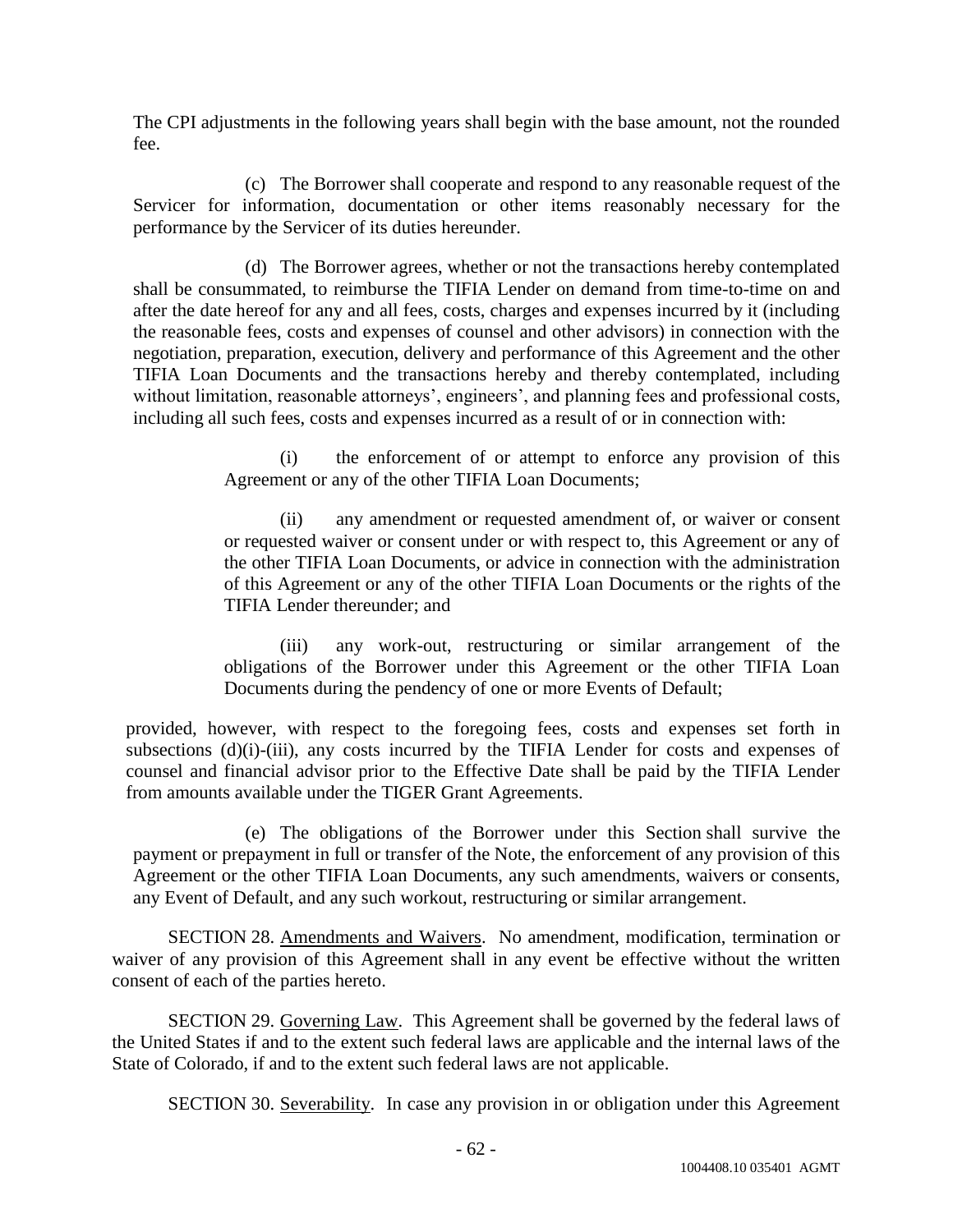The CPI adjustments in the following years shall begin with the base amount, not the rounded fee.

(c) The Borrower shall cooperate and respond to any reasonable request of the Servicer for information, documentation or other items reasonably necessary for the performance by the Servicer of its duties hereunder.

(d) The Borrower agrees, whether or not the transactions hereby contemplated shall be consummated, to reimburse the TIFIA Lender on demand from time-to-time on and after the date hereof for any and all fees, costs, charges and expenses incurred by it (including the reasonable fees, costs and expenses of counsel and other advisors) in connection with the negotiation, preparation, execution, delivery and performance of this Agreement and the other TIFIA Loan Documents and the transactions hereby and thereby contemplated, including without limitation, reasonable attorneys', engineers', and planning fees and professional costs, including all such fees, costs and expenses incurred as a result of or in connection with:

> (i) the enforcement of or attempt to enforce any provision of this Agreement or any of the other TIFIA Loan Documents;

> (ii) any amendment or requested amendment of, or waiver or consent or requested waiver or consent under or with respect to, this Agreement or any of the other TIFIA Loan Documents, or advice in connection with the administration of this Agreement or any of the other TIFIA Loan Documents or the rights of the TIFIA Lender thereunder; and

> (iii) any work-out, restructuring or similar arrangement of the obligations of the Borrower under this Agreement or the other TIFIA Loan Documents during the pendency of one or more Events of Default;

provided, however, with respect to the foregoing fees, costs and expenses set forth in subsections (d)(i)-(iii), any costs incurred by the TIFIA Lender for costs and expenses of counsel and financial advisor prior to the Effective Date shall be paid by the TIFIA Lender from amounts available under the TIGER Grant Agreements.

(e) The obligations of the Borrower under this Section shall survive the payment or prepayment in full or transfer of the Note, the enforcement of any provision of this Agreement or the other TIFIA Loan Documents, any such amendments, waivers or consents, any Event of Default, and any such workout, restructuring or similar arrangement.

SECTION 28. Amendments and Waivers. No amendment, modification, termination or waiver of any provision of this Agreement shall in any event be effective without the written consent of each of the parties hereto.

SECTION 29. Governing Law. This Agreement shall be governed by the federal laws of the United States if and to the extent such federal laws are applicable and the internal laws of the State of Colorado, if and to the extent such federal laws are not applicable.

SECTION 30. Severability. In case any provision in or obligation under this Agreement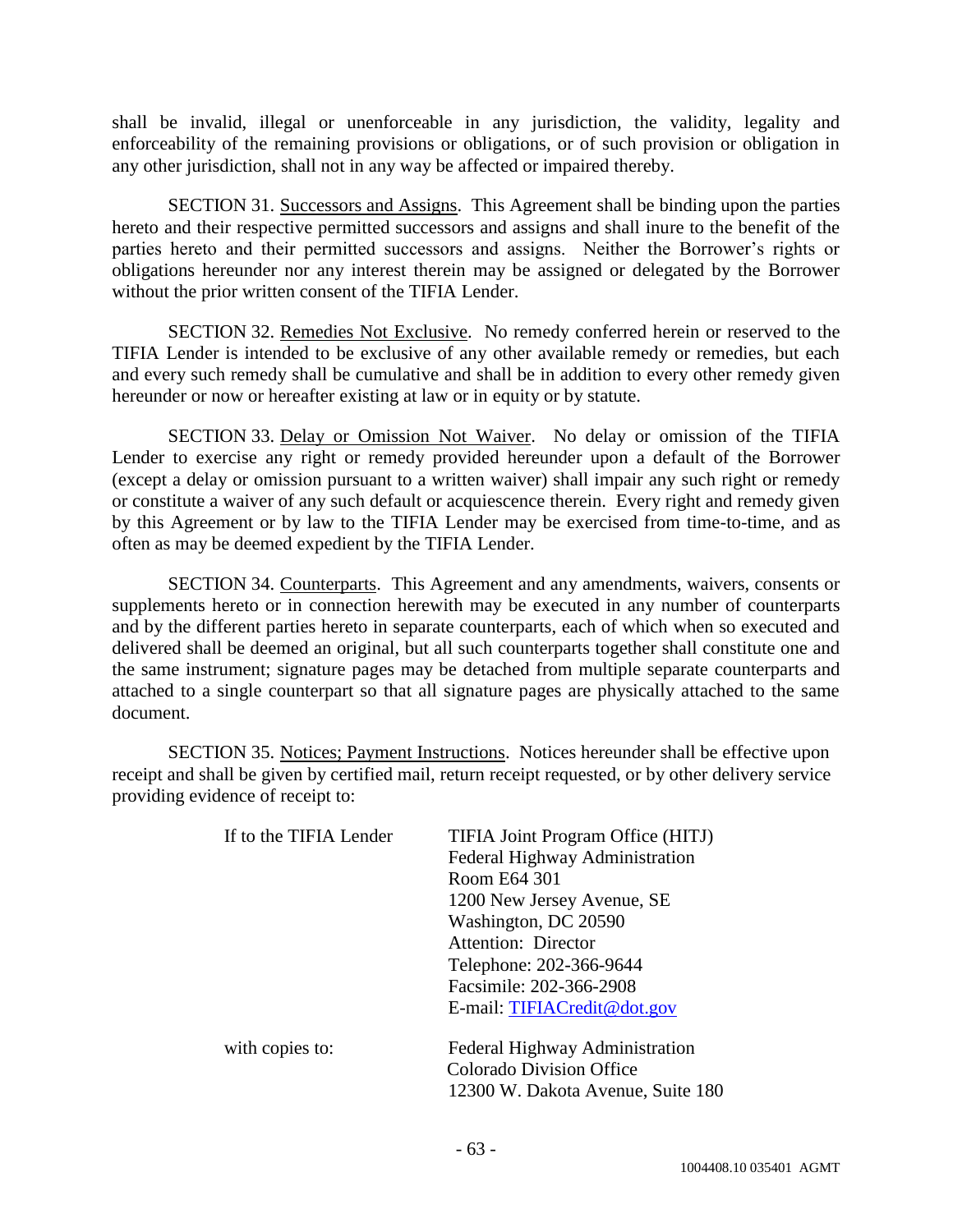shall be invalid, illegal or unenforceable in any jurisdiction, the validity, legality and enforceability of the remaining provisions or obligations, or of such provision or obligation in any other jurisdiction, shall not in any way be affected or impaired thereby.

SECTION 31. Successors and Assigns. This Agreement shall be binding upon the parties hereto and their respective permitted successors and assigns and shall inure to the benefit of the parties hereto and their permitted successors and assigns. Neither the Borrower's rights or obligations hereunder nor any interest therein may be assigned or delegated by the Borrower without the prior written consent of the TIFIA Lender.

SECTION 32. Remedies Not Exclusive. No remedy conferred herein or reserved to the TIFIA Lender is intended to be exclusive of any other available remedy or remedies, but each and every such remedy shall be cumulative and shall be in addition to every other remedy given hereunder or now or hereafter existing at law or in equity or by statute.

SECTION 33. Delay or Omission Not Waiver. No delay or omission of the TIFIA Lender to exercise any right or remedy provided hereunder upon a default of the Borrower (except a delay or omission pursuant to a written waiver) shall impair any such right or remedy or constitute a waiver of any such default or acquiescence therein. Every right and remedy given by this Agreement or by law to the TIFIA Lender may be exercised from time-to-time, and as often as may be deemed expedient by the TIFIA Lender.

SECTION 34. Counterparts. This Agreement and any amendments, waivers, consents or supplements hereto or in connection herewith may be executed in any number of counterparts and by the different parties hereto in separate counterparts, each of which when so executed and delivered shall be deemed an original, but all such counterparts together shall constitute one and the same instrument; signature pages may be detached from multiple separate counterparts and attached to a single counterpart so that all signature pages are physically attached to the same document.

SECTION 35. Notices; Payment Instructions. Notices hereunder shall be effective upon receipt and shall be given by certified mail, return receipt requested, or by other delivery service providing evidence of receipt to:

| If to the TIFIA Lender | TIFIA Joint Program Office (HITJ) |
|------------------------|-----------------------------------|
|                        | Federal Highway Administration    |
|                        | Room E64 301                      |
|                        | 1200 New Jersey Avenue, SE        |
|                        | Washington, DC 20590              |
|                        | Attention: Director               |
|                        | Telephone: 202-366-9644           |
|                        | Facsimile: 202-366-2908           |
|                        | E-mail: TIFIACredit@dot.gov       |
| with copies to:        | Federal Highway Administration    |
|                        | <b>Colorado Division Office</b>   |
|                        | 12300 W. Dakota Avenue, Suite 180 |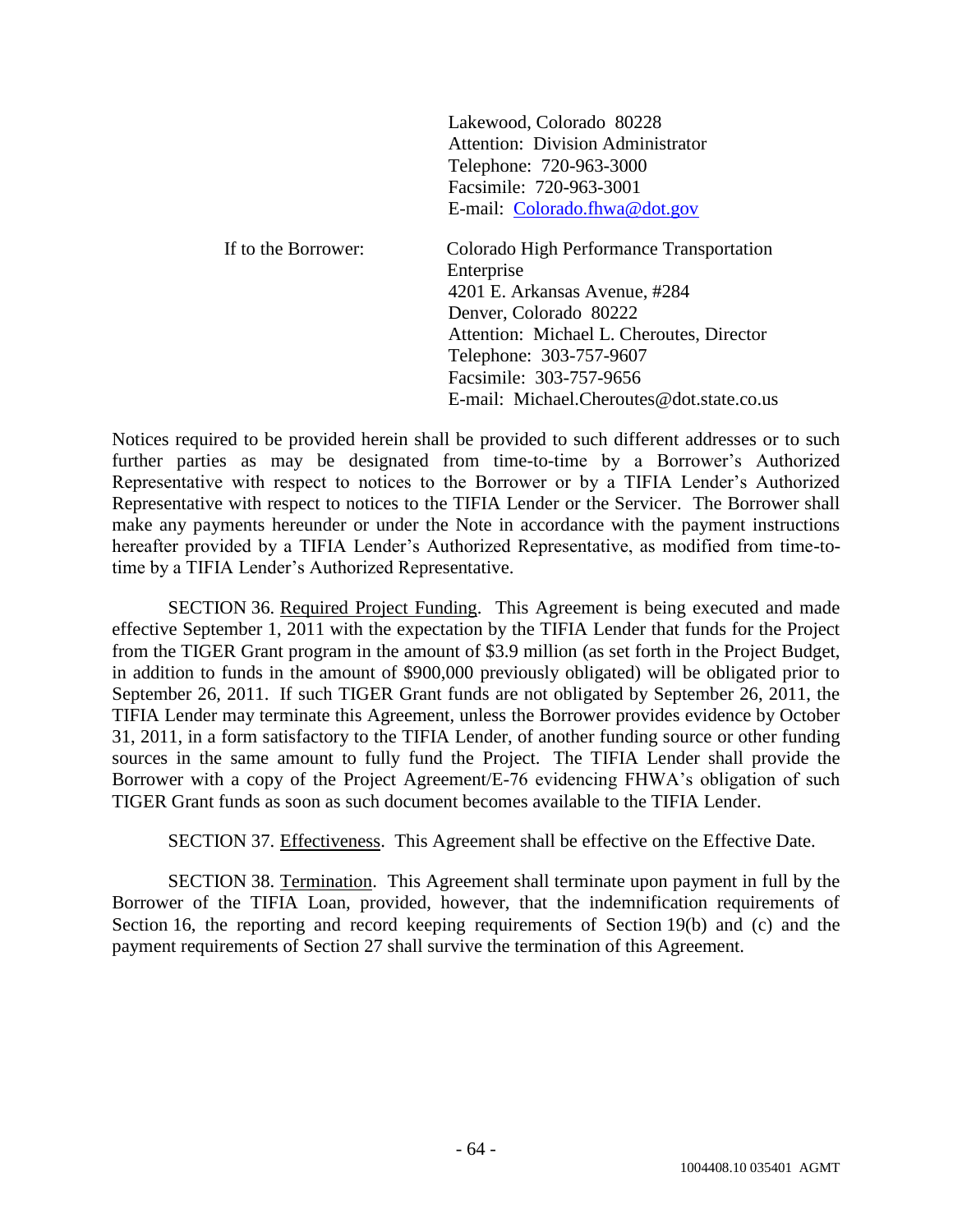| Lakewood, Colorado 80228                 |  |  |  |
|------------------------------------------|--|--|--|
| <b>Attention: Division Administrator</b> |  |  |  |
| Telephone: 720-963-3000                  |  |  |  |
| Facsimile: 720-963-3001                  |  |  |  |
| E-mail: Colorado.fhwa@dot.gov            |  |  |  |
|                                          |  |  |  |

| If to the Borrower: | Colorado High Performance Transportation  |  |
|---------------------|-------------------------------------------|--|
|                     | Enterprise                                |  |
|                     | 4201 E. Arkansas Avenue, #284             |  |
|                     | Denver, Colorado 80222                    |  |
|                     | Attention: Michael L. Cheroutes, Director |  |
|                     | Telephone: 303-757-9607                   |  |
|                     | Facsimile: 303-757-9656                   |  |
|                     | E-mail: Michael.Cheroutes@dot.state.co.us |  |

Notices required to be provided herein shall be provided to such different addresses or to such further parties as may be designated from time-to-time by a Borrower's Authorized Representative with respect to notices to the Borrower or by a TIFIA Lender's Authorized Representative with respect to notices to the TIFIA Lender or the Servicer. The Borrower shall make any payments hereunder or under the Note in accordance with the payment instructions hereafter provided by a TIFIA Lender's Authorized Representative, as modified from time-totime by a TIFIA Lender's Authorized Representative.

SECTION 36. Required Project Funding. This Agreement is being executed and made effective September 1, 2011 with the expectation by the TIFIA Lender that funds for the Project from the TIGER Grant program in the amount of \$3.9 million (as set forth in the Project Budget, in addition to funds in the amount of \$900,000 previously obligated) will be obligated prior to September 26, 2011. If such TIGER Grant funds are not obligated by September 26, 2011, the TIFIA Lender may terminate this Agreement, unless the Borrower provides evidence by October 31, 2011, in a form satisfactory to the TIFIA Lender, of another funding source or other funding sources in the same amount to fully fund the Project. The TIFIA Lender shall provide the Borrower with a copy of the Project Agreement/E-76 evidencing FHWA's obligation of such TIGER Grant funds as soon as such document becomes available to the TIFIA Lender.

SECTION 37. Effectiveness. This Agreement shall be effective on the Effective Date.

SECTION 38. Termination. This Agreement shall terminate upon payment in full by the Borrower of the TIFIA Loan, provided, however, that the indemnification requirements of Section 16, the reporting and record keeping requirements of Section 19(b) and (c) and the payment requirements of Section 27 shall survive the termination of this Agreement.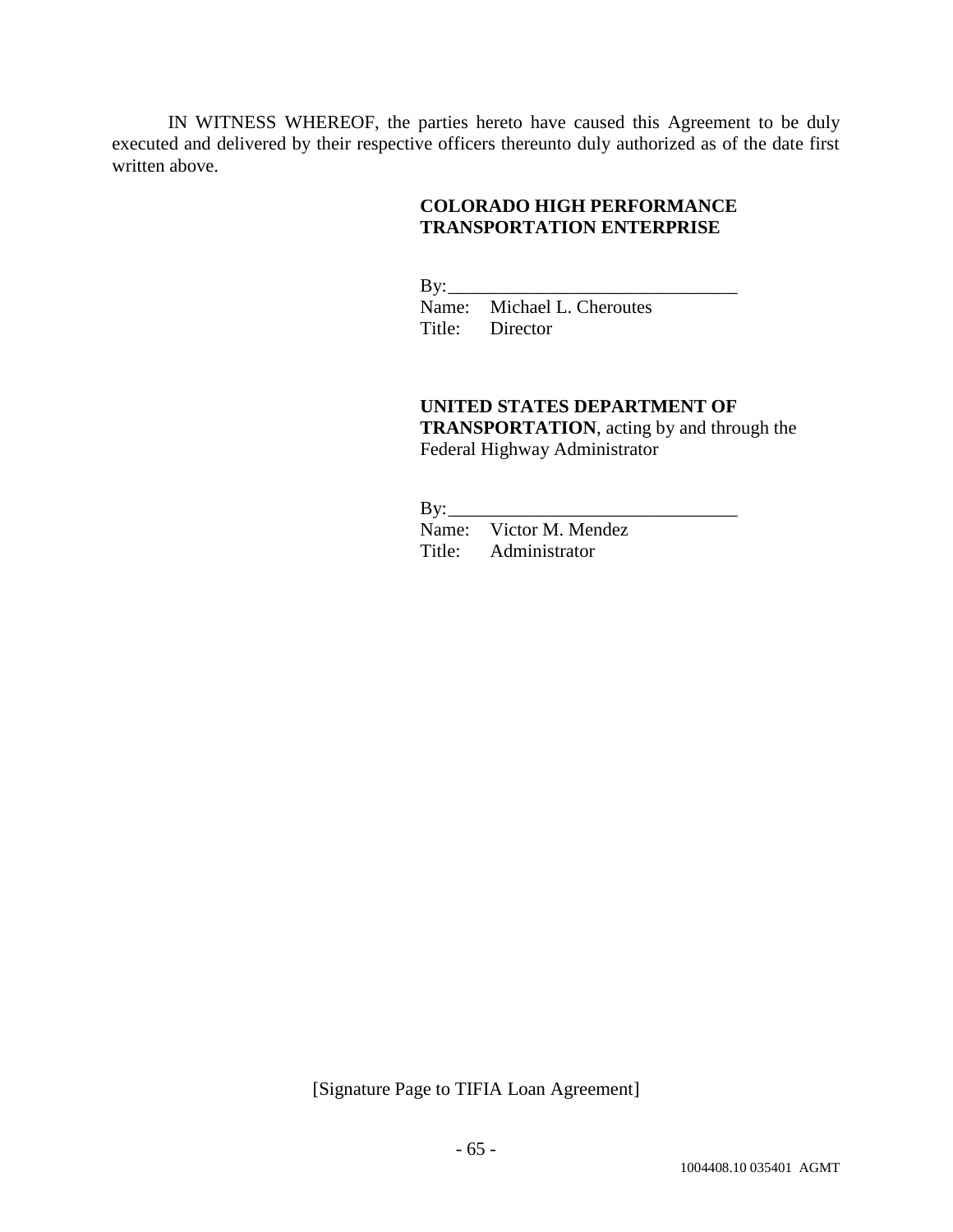IN WITNESS WHEREOF, the parties hereto have caused this Agreement to be duly executed and delivered by their respective officers thereunto duly authorized as of the date first written above.

# **COLORADO HIGH PERFORMANCE TRANSPORTATION ENTERPRISE**

 $By:$ Name: Michael L. Cheroutes Title: Director

# **UNITED STATES DEPARTMENT OF TRANSPORTATION**, acting by and through the Federal Highway Administrator

 $By:$ 

Name: Victor M. Mendez Title: Administrator

[Signature Page to TIFIA Loan Agreement]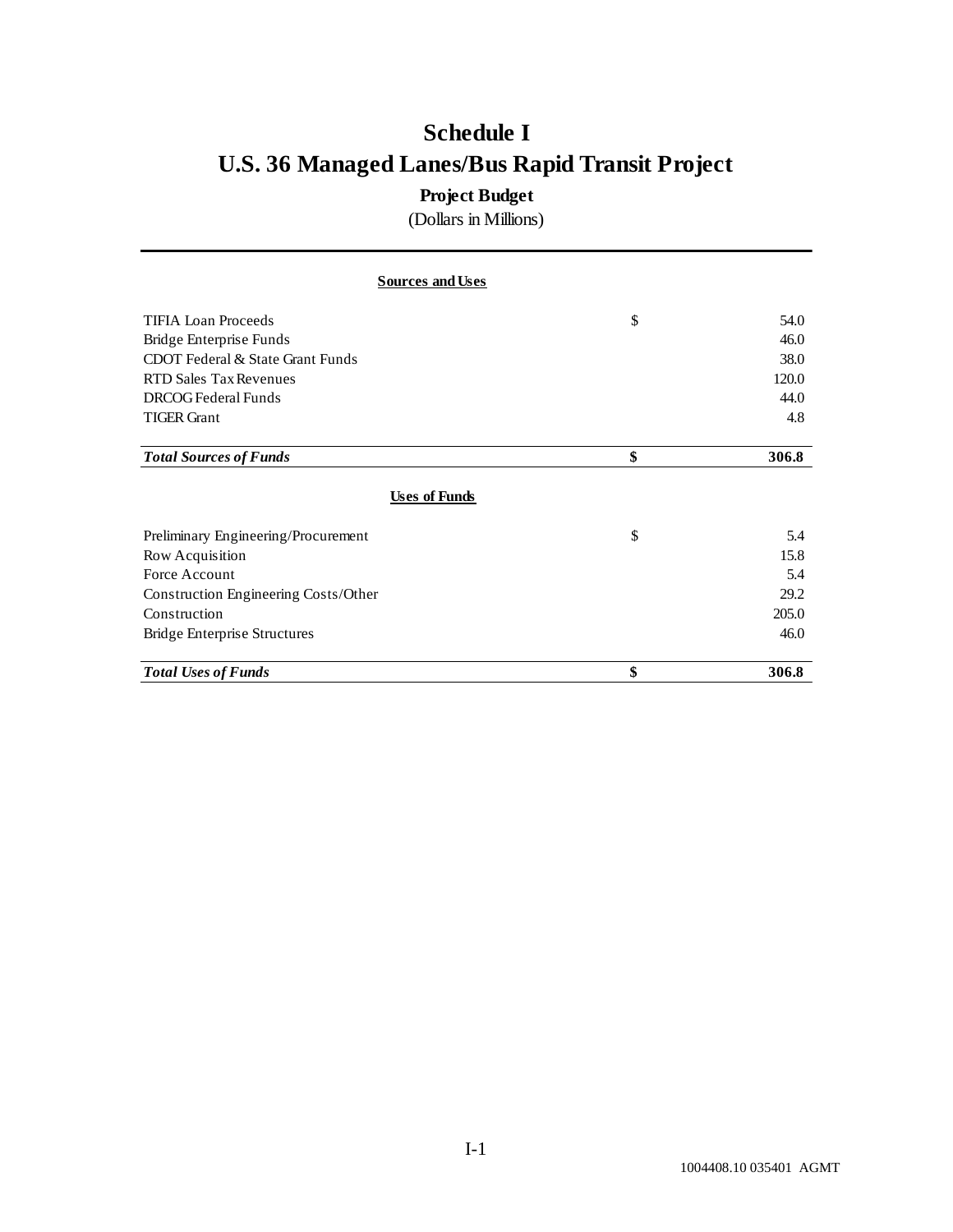# **Schedule I U.S. 36 Managed Lanes/Bus Rapid Transit Project**

# **Project Budget**

(Dollars in Millions)

| <b>Sources and Uses</b>              |             |
|--------------------------------------|-------------|
| <b>TIFIA Loan Proceeds</b>           | \$<br>54.0  |
| Bridge Enterprise Funds              | 46.0        |
| CDOT Federal & State Grant Funds     | 38.0        |
| <b>RTD Sales Tax Revenues</b>        | 120.0       |
| DRCOG Federal Funds                  | 44.0        |
| <b>TIGER Grant</b>                   | 4.8         |
| <b>Total Sources of Funds</b>        | \$<br>306.8 |
| <b>Uses of Funds</b>                 |             |
| Preliminary Engineering/Procurement  | \$<br>5.4   |
| Row Acquisition                      | 15.8        |
| Force Account                        | 5.4         |
| Construction Engineering Costs/Other | 29.2        |
| Construction                         | 205.0       |
| Bridge Enterprise Structures         | 46.0        |
| <b>Total Uses of Funds</b>           | \$<br>306.8 |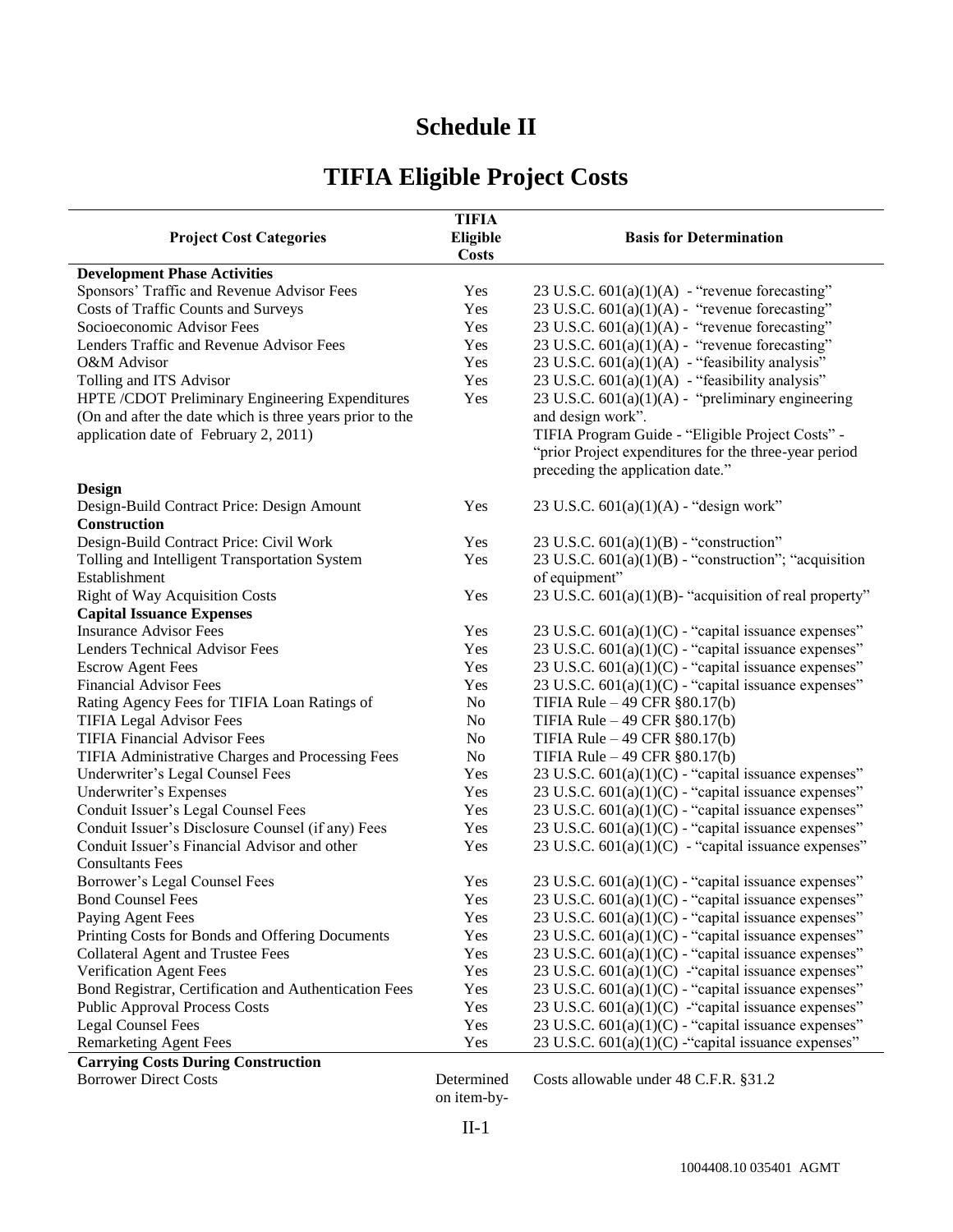# **Schedule II**

# **TIFIA Eligible Project Costs**

| <b>Project Cost Categories</b>                           | <b>TIFIA</b><br>Eligible<br><b>Costs</b> | <b>Basis for Determination</b>                                                            |
|----------------------------------------------------------|------------------------------------------|-------------------------------------------------------------------------------------------|
| <b>Development Phase Activities</b>                      |                                          |                                                                                           |
| Sponsors' Traffic and Revenue Advisor Fees               | Yes                                      | 23 U.S.C. $601(a)(1)(A)$ - "revenue forecasting"                                          |
| Costs of Traffic Counts and Surveys                      | Yes                                      | 23 U.S.C. 601(a)(1)(A) - "revenue forecasting"                                            |
| Socioeconomic Advisor Fees                               | Yes                                      | 23 U.S.C. 601(a)(1)(A) - "revenue forecasting"                                            |
| Lenders Traffic and Revenue Advisor Fees                 | Yes                                      | 23 U.S.C. $601(a)(1)(A)$ - "revenue forecasting"                                          |
| O&M Advisor                                              | Yes                                      | 23 U.S.C. $601(a)(1)(A)$ - "feasibility analysis"                                         |
| Tolling and ITS Advisor                                  | Yes                                      | 23 U.S.C. 601(a)(1)(A) - "feasibility analysis"                                           |
| HPTE /CDOT Preliminary Engineering Expenditures          | Yes                                      | 23 U.S.C. 601(a)(1)(A) - "preliminary engineering                                         |
| (On and after the date which is three years prior to the |                                          | and design work".                                                                         |
| application date of February 2, 2011)                    |                                          | TIFIA Program Guide - "Eligible Project Costs" -                                          |
|                                                          |                                          | "prior Project expenditures for the three-year period<br>preceding the application date." |
| Design                                                   |                                          |                                                                                           |
| Design-Build Contract Price: Design Amount               | Yes                                      | 23 U.S.C. $601(a)(1)(A)$ - "design work"                                                  |
| <b>Construction</b>                                      |                                          |                                                                                           |
| Design-Build Contract Price: Civil Work                  | Yes                                      | 23 U.S.C. $601(a)(1)(B)$ - "construction"                                                 |
| Tolling and Intelligent Transportation System            | Yes                                      | 23 U.S.C. $601(a)(1)(B)$ - "construction"; "acquisition"                                  |
| Establishment                                            |                                          | of equipment"                                                                             |
| <b>Right of Way Acquisition Costs</b>                    | Yes                                      | 23 U.S.C. $601(a)(1)(B)$ - "acquisition of real property"                                 |
| <b>Capital Issuance Expenses</b>                         |                                          |                                                                                           |
| <b>Insurance Advisor Fees</b>                            | Yes                                      | 23 U.S.C. 601(a)(1)(C) - "capital issuance expenses"                                      |
| Lenders Technical Advisor Fees                           | Yes                                      | 23 U.S.C. $601(a)(1)(C)$ - "capital issuance expenses"                                    |
| <b>Escrow Agent Fees</b>                                 | Yes                                      | 23 U.S.C. $601(a)(1)(C)$ - "capital issuance expenses"                                    |
| <b>Financial Advisor Fees</b>                            | Yes                                      | 23 U.S.C. $601(a)(1)(C)$ - "capital issuance expenses"                                    |
| Rating Agency Fees for TIFIA Loan Ratings of             | No                                       | TIFIA Rule - 49 CFR §80.17(b)                                                             |
| <b>TIFIA Legal Advisor Fees</b>                          | N <sub>o</sub>                           | TIFIA Rule - 49 CFR §80.17(b)                                                             |
| <b>TIFIA Financial Advisor Fees</b>                      | N <sub>o</sub>                           | TIFIA Rule - 49 CFR §80.17(b)                                                             |
| TIFIA Administrative Charges and Processing Fees         | No                                       | TIFIA Rule - 49 CFR §80.17(b)                                                             |
| Underwriter's Legal Counsel Fees                         | Yes                                      | 23 U.S.C. 601(a)(1)(C) - "capital issuance expenses"                                      |
| Underwriter's Expenses                                   | Yes                                      | 23 U.S.C. $601(a)(1)(C)$ - "capital issuance expenses"                                    |
| Conduit Issuer's Legal Counsel Fees                      | Yes                                      | 23 U.S.C. 601(a)(1)(C) - "capital issuance expenses"                                      |
| Conduit Issuer's Disclosure Counsel (if any) Fees        | Yes                                      | 23 U.S.C. $601(a)(1)(C)$ - "capital issuance expenses"                                    |
| Conduit Issuer's Financial Advisor and other             | Yes                                      | 23 U.S.C. $601(a)(1)(C)$ - "capital issuance expenses"                                    |
| <b>Consultants Fees</b>                                  |                                          |                                                                                           |
| Borrower's Legal Counsel Fees                            | Yes                                      | 23 U.S.C. $601(a)(1)(C)$ - "capital issuance expenses"                                    |
| <b>Bond Counsel Fees</b>                                 | Yes                                      | 23 U.S.C. 601(a)(1)(C) - "capital issuance expenses"                                      |
| Paying Agent Fees                                        | Yes                                      | 23 U.S.C. $601(a)(1)(C)$ - "capital issuance expenses"                                    |
| Printing Costs for Bonds and Offering Documents          | Yes                                      | 23 U.S.C. 601(a)(1)(C) - "capital issuance expenses"                                      |
| <b>Collateral Agent and Trustee Fees</b>                 | Yes                                      | 23 U.S.C. 601(a)(1)(C) - "capital issuance expenses"                                      |
| Verification Agent Fees                                  | Yes                                      | 23 U.S.C. 601(a)(1)(C) - "capital issuance expenses"                                      |
| Bond Registrar, Certification and Authentication Fees    | Yes                                      | 23 U.S.C. $601(a)(1)(C)$ - "capital issuance expenses"                                    |
| <b>Public Approval Process Costs</b>                     | Yes                                      | 23 U.S.C. $601(a)(1)(C)$ -"capital issuance expenses"                                     |
| <b>Legal Counsel Fees</b>                                | Yes                                      | 23 U.S.C. $601(a)(1)(C)$ - "capital issuance expenses"                                    |
| <b>Remarketing Agent Fees</b>                            | Yes                                      | 23 U.S.C. $601(a)(1)(C)$ -"capital issuance expenses"                                     |
| <b>Carrying Costs During Construction</b>                |                                          | $1.40$ $\alpha$ $\Gamma$ $\Gamma$ $\beta$ $\gamma$ $\gamma$ $\gamma$                      |

Borrower Direct Costs

on item-by-

Determined Costs allowable under 48 C.F.R. §31.2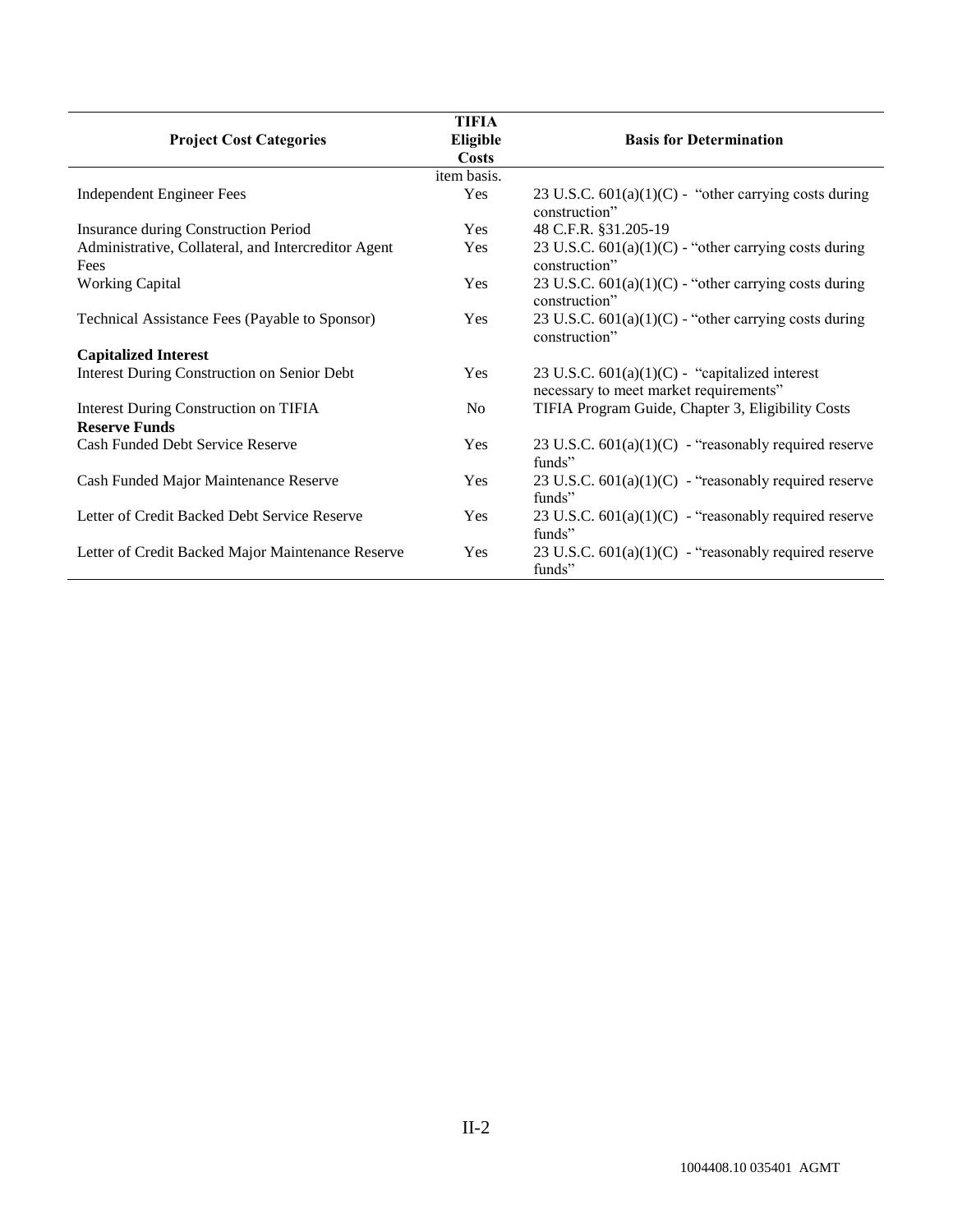|                                                             | <b>TIFIA</b>             |                                                                                             |
|-------------------------------------------------------------|--------------------------|---------------------------------------------------------------------------------------------|
| <b>Project Cost Categories</b>                              | Eligible<br><b>Costs</b> | <b>Basis for Determination</b>                                                              |
|                                                             | item basis.              |                                                                                             |
| <b>Independent Engineer Fees</b>                            | Yes                      | 23 U.S.C. $601(a)(1)(C)$ - "other carrying costs during<br>construction"                    |
| Insurance during Construction Period                        | <b>Yes</b>               | 48 C.F.R. §31.205-19                                                                        |
| Administrative, Collateral, and Intercreditor Agent<br>Fees | Yes                      | 23 U.S.C. $601(a)(1)(C)$ - "other carrying costs during<br>construction"                    |
| <b>Working Capital</b>                                      | Yes                      | 23 U.S.C. $601(a)(1)(C)$ - "other carrying costs during<br>construction"                    |
| Technical Assistance Fees (Payable to Sponsor)              | Yes                      | 23 U.S.C. $601(a)(1)(C)$ - "other carrying costs during<br>construction"                    |
| <b>Capitalized Interest</b>                                 |                          |                                                                                             |
| <b>Interest During Construction on Senior Debt</b>          | Yes                      | 23 U.S.C. $601(a)(1)(C)$ - "capitalized interest"<br>necessary to meet market requirements" |
| Interest During Construction on TIFIA                       | N <sub>0</sub>           | TIFIA Program Guide, Chapter 3, Eligibility Costs                                           |
| <b>Reserve Funds</b>                                        |                          |                                                                                             |
| Cash Funded Debt Service Reserve                            | Yes                      | 23 U.S.C. $601(a)(1)(C)$ - "reasonably required reserve"<br>funds"                          |
| Cash Funded Major Maintenance Reserve                       | Yes                      | 23 U.S.C. $601(a)(1)(C)$ - "reasonably required reserve"<br>funds"                          |
| Letter of Credit Backed Debt Service Reserve                | Yes                      | 23 U.S.C. $601(a)(1)(C)$ - "reasonably required reserve"<br>funds"                          |
| Letter of Credit Backed Major Maintenance Reserve           | Yes                      | 23 U.S.C. $601(a)(1)(C)$ - "reasonably required reserve<br>funds"                           |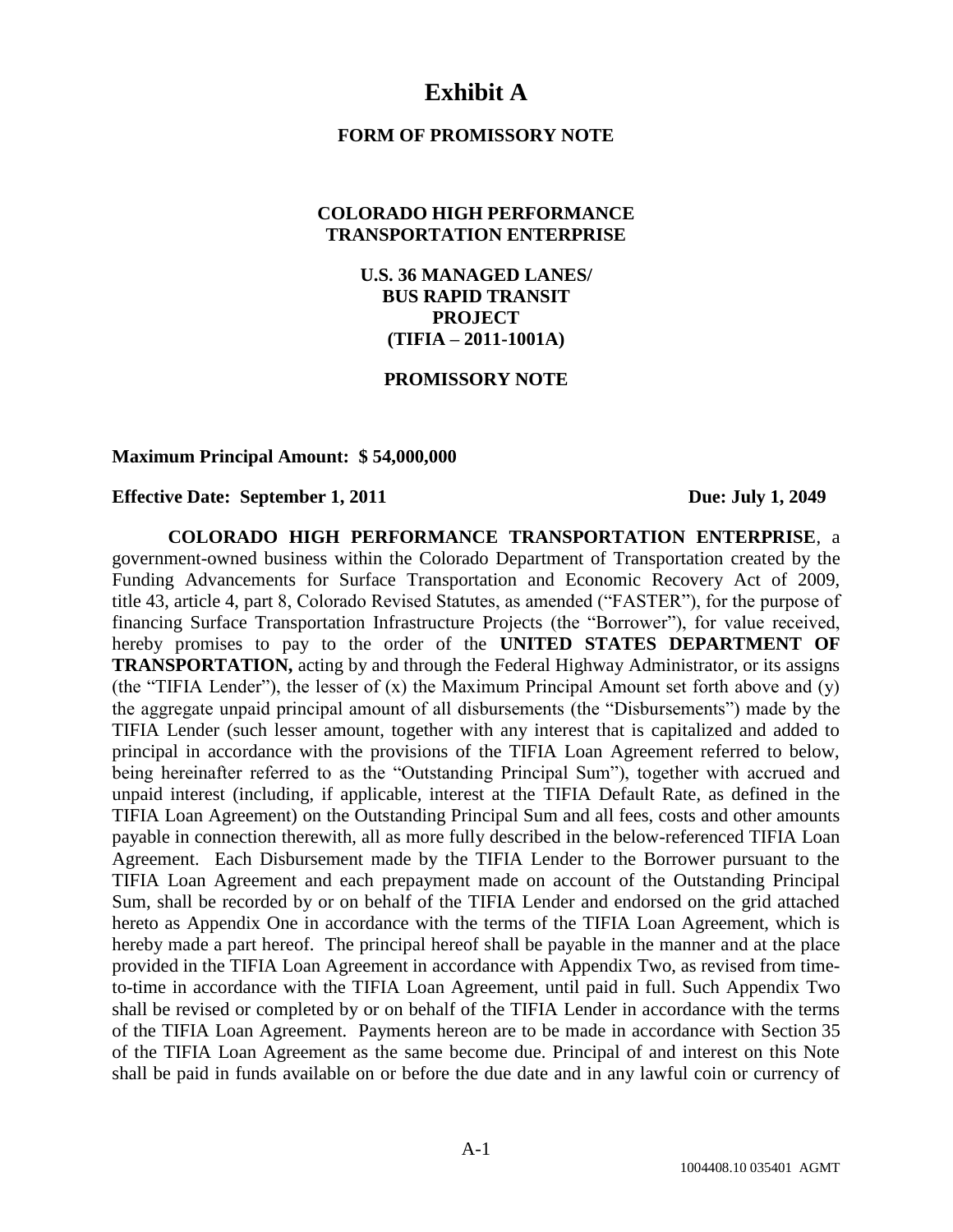# **Exhibit A**

# **FORM OF PROMISSORY NOTE**

# **COLORADO HIGH PERFORMANCE TRANSPORTATION ENTERPRISE**

**U.S. 36 MANAGED LANES/ BUS RAPID TRANSIT PROJECT (TIFIA – 2011-1001A)**

### **PROMISSORY NOTE**

#### **Maximum Principal Amount: \$ 54,000,000**

# **Effective Date: September 1, 2011 Due: July 1, 2049**

**COLORADO HIGH PERFORMANCE TRANSPORTATION ENTERPRISE**, a government-owned business within the Colorado Department of Transportation created by the Funding Advancements for Surface Transportation and Economic Recovery Act of 2009, title 43, article 4, part 8, Colorado Revised Statutes, as amended ("FASTER"), for the purpose of financing Surface Transportation Infrastructure Projects (the "Borrower"), for value received, hereby promises to pay to the order of the **UNITED STATES DEPARTMENT OF TRANSPORTATION,** acting by and through the Federal Highway Administrator, or its assigns (the "TIFIA Lender"), the lesser of  $(x)$  the Maximum Principal Amount set forth above and  $(y)$ the aggregate unpaid principal amount of all disbursements (the "Disbursements") made by the TIFIA Lender (such lesser amount, together with any interest that is capitalized and added to principal in accordance with the provisions of the TIFIA Loan Agreement referred to below, being hereinafter referred to as the "Outstanding Principal Sum"), together with accrued and unpaid interest (including, if applicable, interest at the TIFIA Default Rate, as defined in the TIFIA Loan Agreement) on the Outstanding Principal Sum and all fees, costs and other amounts payable in connection therewith, all as more fully described in the below-referenced TIFIA Loan Agreement. Each Disbursement made by the TIFIA Lender to the Borrower pursuant to the TIFIA Loan Agreement and each prepayment made on account of the Outstanding Principal Sum, shall be recorded by or on behalf of the TIFIA Lender and endorsed on the grid attached hereto as Appendix One in accordance with the terms of the TIFIA Loan Agreement, which is hereby made a part hereof. The principal hereof shall be payable in the manner and at the place provided in the TIFIA Loan Agreement in accordance with Appendix Two, as revised from timeto-time in accordance with the TIFIA Loan Agreement, until paid in full. Such Appendix Two shall be revised or completed by or on behalf of the TIFIA Lender in accordance with the terms of the TIFIA Loan Agreement. Payments hereon are to be made in accordance with Section 35 of the TIFIA Loan Agreement as the same become due. Principal of and interest on this Note shall be paid in funds available on or before the due date and in any lawful coin or currency of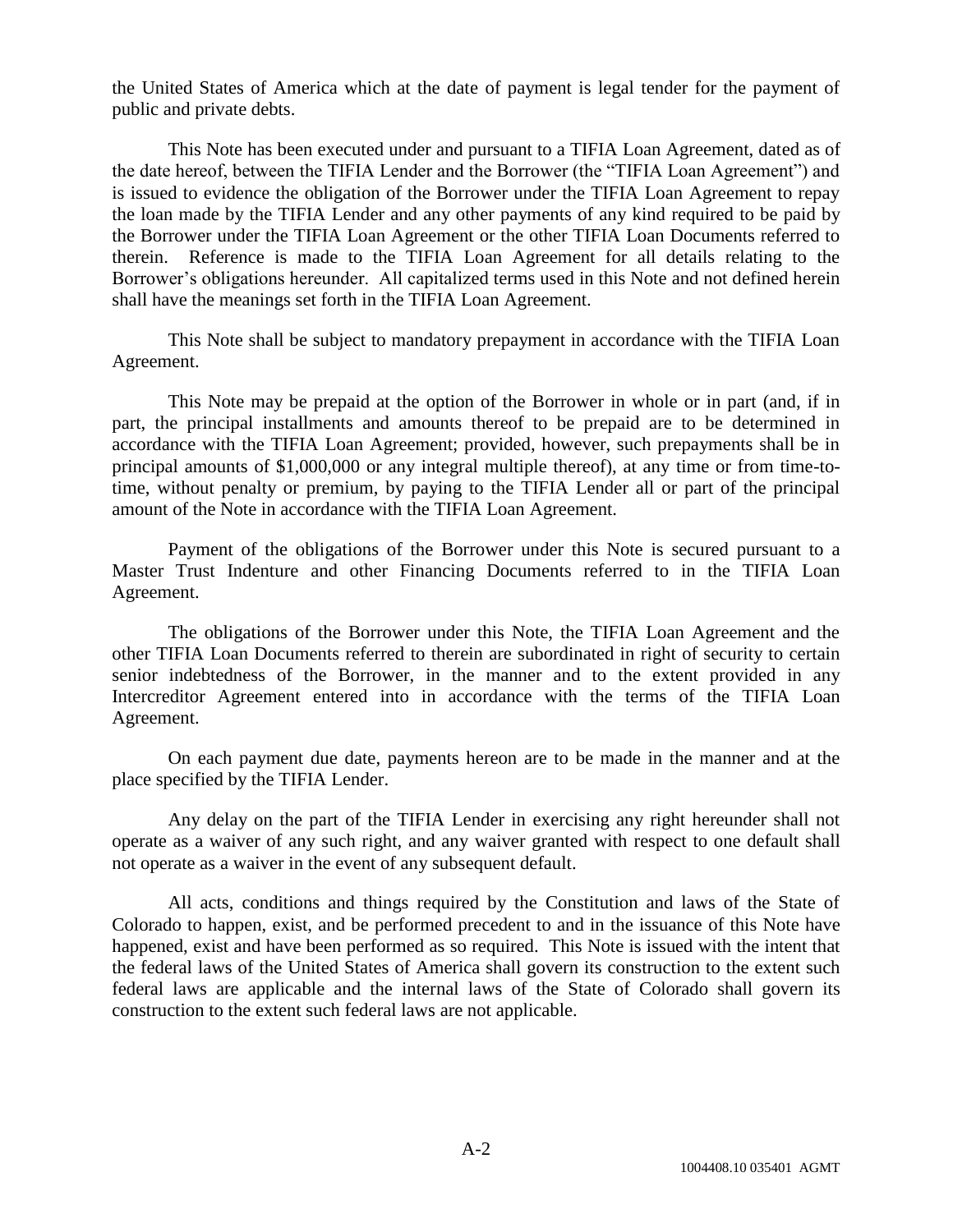the United States of America which at the date of payment is legal tender for the payment of public and private debts.

This Note has been executed under and pursuant to a TIFIA Loan Agreement, dated as of the date hereof, between the TIFIA Lender and the Borrower (the "TIFIA Loan Agreement") and is issued to evidence the obligation of the Borrower under the TIFIA Loan Agreement to repay the loan made by the TIFIA Lender and any other payments of any kind required to be paid by the Borrower under the TIFIA Loan Agreement or the other TIFIA Loan Documents referred to therein. Reference is made to the TIFIA Loan Agreement for all details relating to the Borrower's obligations hereunder. All capitalized terms used in this Note and not defined herein shall have the meanings set forth in the TIFIA Loan Agreement.

This Note shall be subject to mandatory prepayment in accordance with the TIFIA Loan Agreement.

This Note may be prepaid at the option of the Borrower in whole or in part (and, if in part, the principal installments and amounts thereof to be prepaid are to be determined in accordance with the TIFIA Loan Agreement; provided, however, such prepayments shall be in principal amounts of \$1,000,000 or any integral multiple thereof), at any time or from time-totime, without penalty or premium, by paying to the TIFIA Lender all or part of the principal amount of the Note in accordance with the TIFIA Loan Agreement.

Payment of the obligations of the Borrower under this Note is secured pursuant to a Master Trust Indenture and other Financing Documents referred to in the TIFIA Loan Agreement.

The obligations of the Borrower under this Note, the TIFIA Loan Agreement and the other TIFIA Loan Documents referred to therein are subordinated in right of security to certain senior indebtedness of the Borrower, in the manner and to the extent provided in any Intercreditor Agreement entered into in accordance with the terms of the TIFIA Loan Agreement.

On each payment due date, payments hereon are to be made in the manner and at the place specified by the TIFIA Lender.

Any delay on the part of the TIFIA Lender in exercising any right hereunder shall not operate as a waiver of any such right, and any waiver granted with respect to one default shall not operate as a waiver in the event of any subsequent default.

All acts, conditions and things required by the Constitution and laws of the State of Colorado to happen, exist, and be performed precedent to and in the issuance of this Note have happened, exist and have been performed as so required. This Note is issued with the intent that the federal laws of the United States of America shall govern its construction to the extent such federal laws are applicable and the internal laws of the State of Colorado shall govern its construction to the extent such federal laws are not applicable.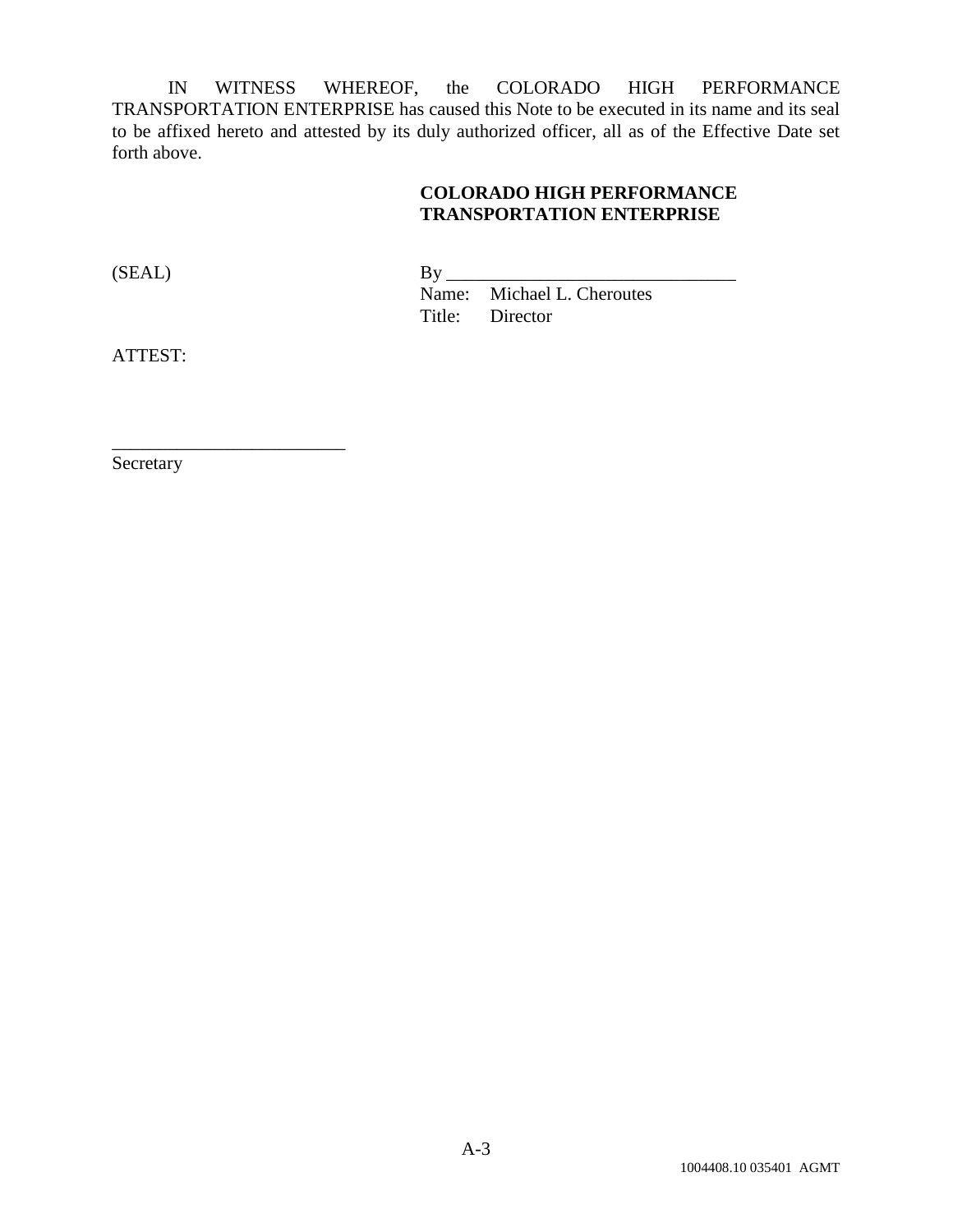IN WITNESS WHEREOF, the COLORADO HIGH PERFORMANCE TRANSPORTATION ENTERPRISE has caused this Note to be executed in its name and its seal to be affixed hereto and attested by its duly authorized officer, all as of the Effective Date set forth above.

#### **COLORADO HIGH PERFORMANCE TRANSPORTATION ENTERPRISE**

| (SEAL) | Bv |                            |
|--------|----|----------------------------|
|        |    | Name: Michael L. Cheroutes |
|        |    | Title: Director            |

ATTEST:

Secretary

\_\_\_\_\_\_\_\_\_\_\_\_\_\_\_\_\_\_\_\_\_\_\_\_\_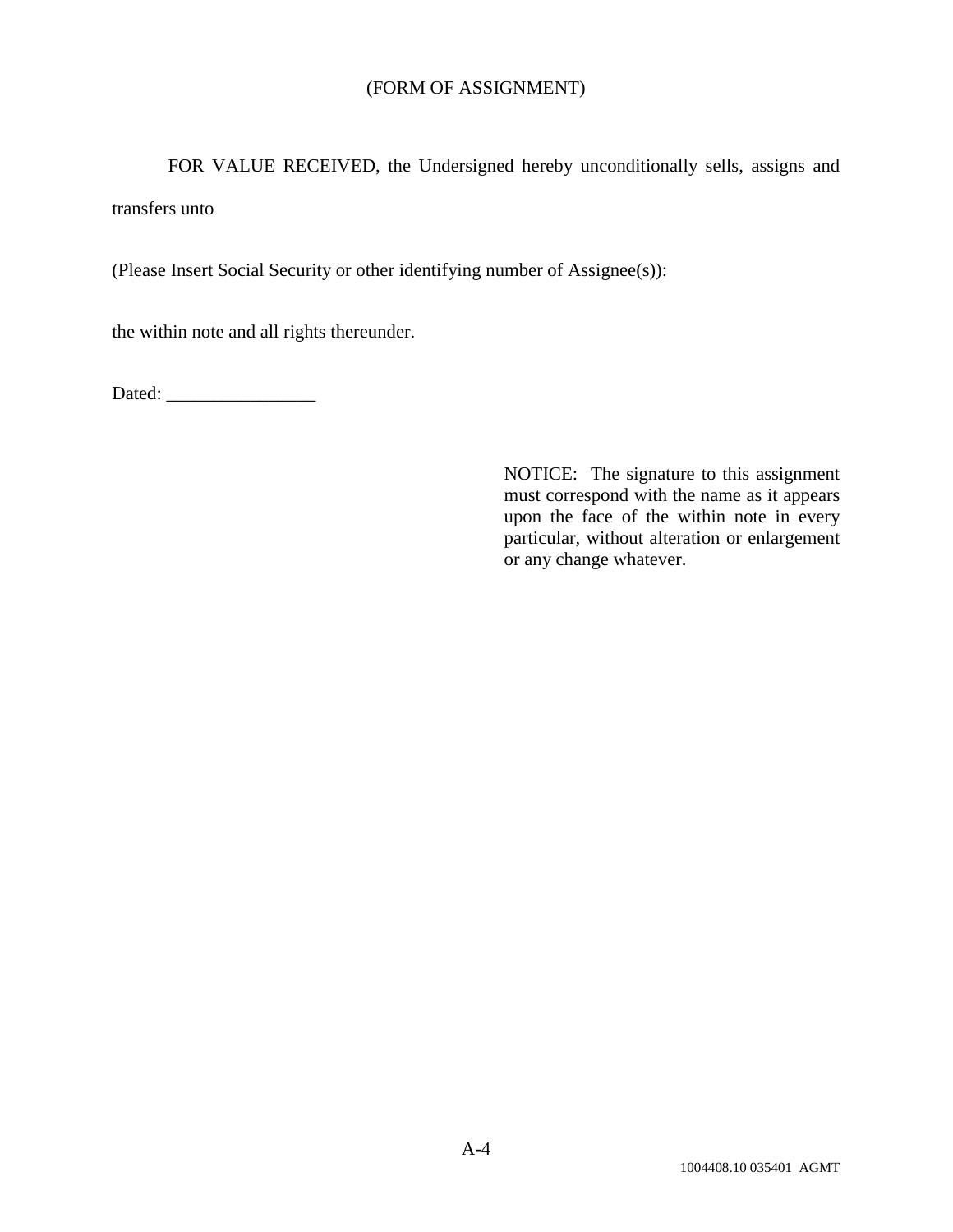#### (FORM OF ASSIGNMENT)

FOR VALUE RECEIVED, the Undersigned hereby unconditionally sells, assigns and transfers unto

(Please Insert Social Security or other identifying number of Assignee(s)):

the within note and all rights thereunder.

Dated: \_\_\_\_\_\_\_\_\_\_\_\_\_\_\_\_

NOTICE: The signature to this assignment must correspond with the name as it appears upon the face of the within note in every particular, without alteration or enlargement or any change whatever.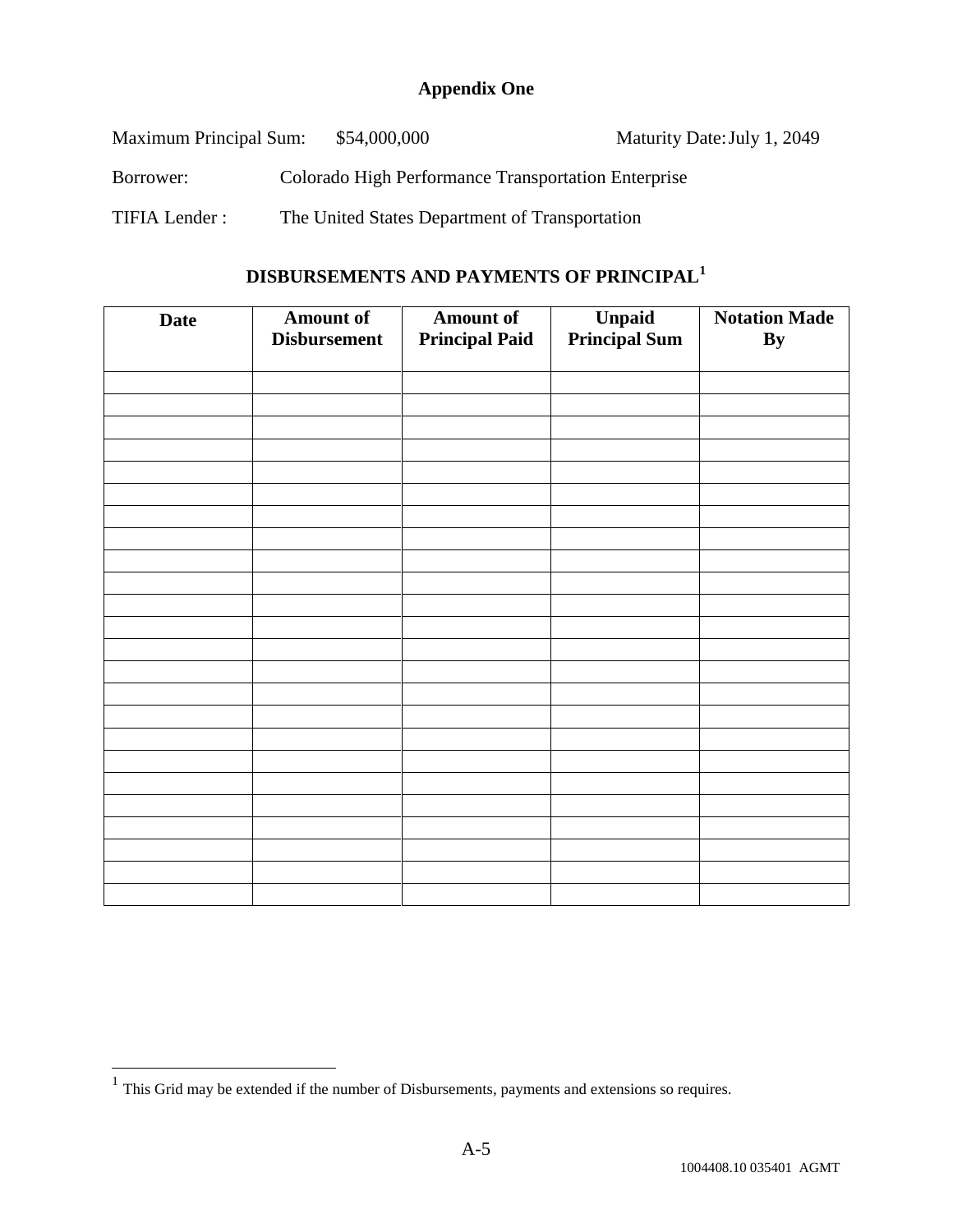### **Appendix One**

| Maximum Principal Sum: | \$54,000,000                                        | Maturity Date: July 1, 2049 |
|------------------------|-----------------------------------------------------|-----------------------------|
| Borrower:              | Colorado High Performance Transportation Enterprise |                             |
| TIFIA Lender:          | The United States Department of Transportation      |                             |

# **DISBURSEMENTS AND PAYMENTS OF PRINCIPAL<sup>1</sup>**

| <b>Date</b> | <b>Amount of</b><br><b>Disbursement</b> | <b>Amount of</b><br><b>Principal Paid</b> | Unpaid<br><b>Principal Sum</b> | <b>Notation Made</b><br><b>By</b> |
|-------------|-----------------------------------------|-------------------------------------------|--------------------------------|-----------------------------------|
|             |                                         |                                           |                                |                                   |
|             |                                         |                                           |                                |                                   |
|             |                                         |                                           |                                |                                   |
|             |                                         |                                           |                                |                                   |
|             |                                         |                                           |                                |                                   |
|             |                                         |                                           |                                |                                   |
|             |                                         |                                           |                                |                                   |
|             |                                         |                                           |                                |                                   |
|             |                                         |                                           |                                |                                   |
|             |                                         |                                           |                                |                                   |
|             |                                         |                                           |                                |                                   |
|             |                                         |                                           |                                |                                   |
|             |                                         |                                           |                                |                                   |
|             |                                         |                                           |                                |                                   |
|             |                                         |                                           |                                |                                   |
|             |                                         |                                           |                                |                                   |
|             |                                         |                                           |                                |                                   |
|             |                                         |                                           |                                |                                   |
|             |                                         |                                           |                                |                                   |
|             |                                         |                                           |                                |                                   |
|             |                                         |                                           |                                |                                   |
|             |                                         |                                           |                                |                                   |
|             |                                         |                                           |                                |                                   |
|             |                                         |                                           |                                |                                   |

<sup>&</sup>lt;sup>1</sup> This Grid may be extended if the number of Disbursements, payments and extensions so requires.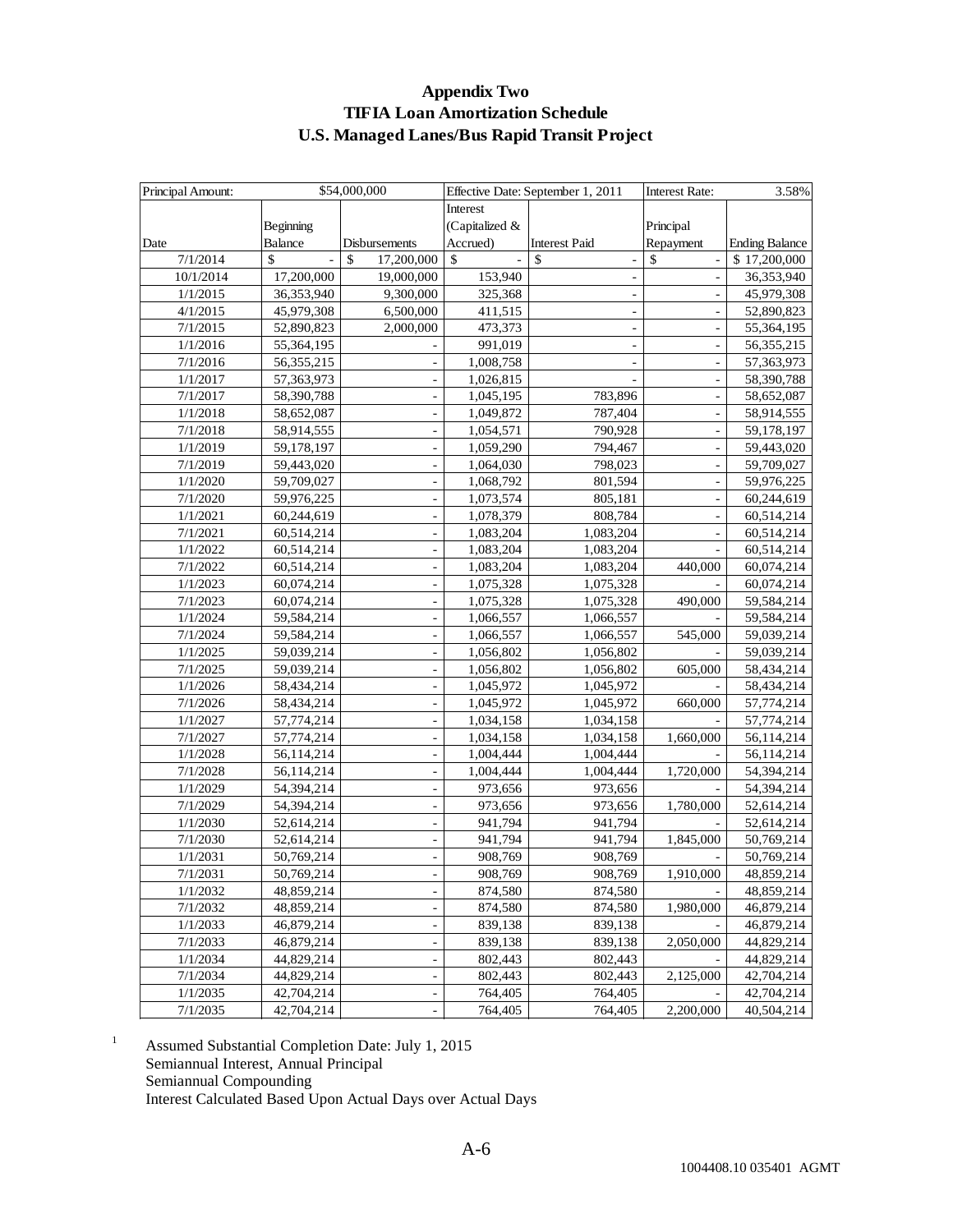#### **Appendix Two TIFIA Loan Amortization Schedule U.S. Managed Lanes/Bus Rapid Transit Project**

| Principal Amount: |              | \$54,000,000                 |                | Effective Date: September 1, 2011 | <b>Interest Rate:</b>    | 3.58%                 |
|-------------------|--------------|------------------------------|----------------|-----------------------------------|--------------------------|-----------------------|
|                   |              |                              | Interest       |                                   |                          |                       |
|                   | Beginning    |                              | (Capitalized & |                                   | Principal                |                       |
| Date              | Balance      | Disbursements                | Accrued)       | <b>Interest Paid</b>              | Repayment                | <b>Ending Balance</b> |
| 7/1/2014          | \$           | $\mathcal{S}$<br>17,200,000  | \$             | \$                                | $\mathbb{S}$             | \$17,200,000          |
| 10/1/2014         | 17,200,000   | 19,000,000                   | 153,940        | $\overline{\phantom{a}}$          | ÷,                       | 36,353,940            |
| 1/1/2015          | 36,353,940   | 9,300,000                    | 325,368        |                                   | $\overline{\phantom{a}}$ | 45,979,308            |
| 4/1/2015          | 45,979,308   | 6,500,000                    | 411,515        | $\overline{\phantom{a}}$          | $\overline{a}$           | 52,890,823            |
| 7/1/2015          | 52,890,823   | 2,000,000                    | 473,373        |                                   |                          | 55,364,195            |
| 1/1/2016          | 55,364,195   |                              | 991,019        |                                   |                          | 56,355,215            |
| 7/1/2016          | 56, 355, 215 | ÷,                           | 1,008,758      |                                   |                          | 57,363,973            |
| 1/1/2017          | 57,363,973   |                              | 1,026,815      |                                   | ÷,                       | 58,390,788            |
| 7/1/2017          | 58,390,788   | $\overline{\phantom{a}}$     | 1,045,195      | 783,896                           | $\blacksquare$           | 58,652,087            |
| 1/1/2018          | 58,652,087   | ÷,                           | 1,049,872      | 787,404                           |                          | 58,914,555            |
| 7/1/2018          | 58,914,555   |                              | 1,054,571      | 790,928                           |                          | 59,178,197            |
| 1/1/2019          | 59,178,197   |                              | 1,059,290      | 794,467                           |                          | 59,443,020            |
| 7/1/2019          | 59,443,020   |                              | 1,064,030      | 798,023                           | ÷,                       | 59,709,027            |
| 1/1/2020          | 59,709,027   | $\overline{\phantom{a}}$     | 1,068,792      | 801,594                           | ÷,                       | 59,976,225            |
| 7/1/2020          | 59,976,225   | $\qquad \qquad \blacksquare$ | 1,073,574      | 805,181                           | $\overline{\phantom{0}}$ | 60,244,619            |
| 1/1/2021          | 60,244,619   | ÷,                           | 1,078,379      | 808,784                           |                          | 60,514,214            |
| 7/1/2021          | 60,514,214   | $\overline{\phantom{m}}$     | 1,083,204      | 1,083,204                         | ÷,                       | 60,514,214            |
| 1/1/2022          | 60,514,214   |                              | 1,083,204      | 1,083,204                         |                          | 60,514,214            |
| 7/1/2022          | 60,514,214   |                              | 1,083,204      | 1,083,204                         | 440,000                  | 60,074,214            |
| 1/1/2023          | 60,074,214   | $\overline{\phantom{a}}$     | 1,075,328      | 1,075,328                         |                          | 60,074,214            |
| 7/1/2023          | 60,074,214   |                              | 1,075,328      | 1,075,328                         | 490,000                  | 59,584,214            |
| 1/1/2024          | 59,584,214   |                              | 1,066,557      | 1,066,557                         |                          | 59,584,214            |
| 7/1/2024          | 59,584,214   |                              | 1,066,557      | 1,066,557                         | 545,000                  | 59,039,214            |
| 1/1/2025          | 59,039,214   |                              | 1,056,802      | 1,056,802                         |                          | 59,039,214            |
| 7/1/2025          | 59,039,214   |                              | 1,056,802      | 1,056,802                         | 605,000                  | 58,434,214            |
| 1/1/2026          | 58,434,214   | $\overline{\phantom{m}}$     | 1,045,972      | 1,045,972                         |                          | 58,434,214            |
| 7/1/2026          | 58,434,214   | ÷,                           | 1,045,972      | 1,045,972                         | 660,000                  | 57,774,214            |
| 1/1/2027          | 57,774,214   |                              | 1,034,158      | 1,034,158                         |                          | 57,774,214            |
| 7/1/2027          | 57,774,214   |                              | 1,034,158      | 1,034,158                         | 1,660,000                | 56,114,214            |
| 1/1/2028          | 56,114,214   | ÷,                           | 1,004,444      | 1,004,444                         |                          | 56,114,214            |
| 7/1/2028          | 56,114,214   | ÷,                           | 1,004,444      | 1,004,444                         | 1,720,000                | 54,394,214            |
| 1/1/2029          | 54,394,214   | $\overline{\phantom{m}}$     | 973,656        | 973,656                           |                          | 54,394,214            |
| 7/1/2029          | 54,394,214   | $\overline{a}$               | 973,656        | 973,656                           | 1,780,000                | 52,614,214            |
| 1/1/2030          | 52,614,214   |                              | 941,794        | 941,794                           |                          | 52,614,214            |
| 7/1/2030          | 52,614,214   |                              | 941,794        | 941,794                           | 1,845,000                | 50,769,214            |
| 1/1/2031          | 50,769,214   |                              | 908,769        | 908,769                           |                          | 50,769,214            |
| 7/1/2031          | 50.769.214   |                              | 908.769        | 908,769                           | 1.910.000                | 48,859,214            |
| 1/1/2032          | 48,859,214   | $\overline{\phantom{a}}$     | 874,580        | 874,580                           |                          | 48,859,214            |
| 7/1/2032          | 48,859,214   |                              | 874,580        | 874,580                           | 1,980,000                | 46,879,214            |
| 1/1/2033          | 46,879,214   |                              | 839,138        | 839,138                           |                          | 46,879,214            |
| 7/1/2033          | 46,879,214   |                              | 839,138        | 839,138                           | 2,050,000                | 44,829,214            |
| 1/1/2034          | 44,829,214   | ÷,                           | 802,443        | 802,443                           |                          | 44,829,214            |
| 7/1/2034          | 44,829,214   | $\overline{\phantom{a}}$     | 802,443        | 802,443                           | 2,125,000                | 42,704,214            |
| 1/1/2035          | 42,704,214   | -                            | 764,405        | 764,405                           |                          | 42,704,214            |
| 7/1/2035          | 42,704,214   |                              | 764,405        | 764,405                           | 2,200,000                | 40,504,214            |

<sup>1</sup> Assumed Substantial Completion Date: July 1, 2015 Semiannual Interest, Annual Principal Semiannual Compounding Interest Calculated Based Upon Actual Days over Actual Days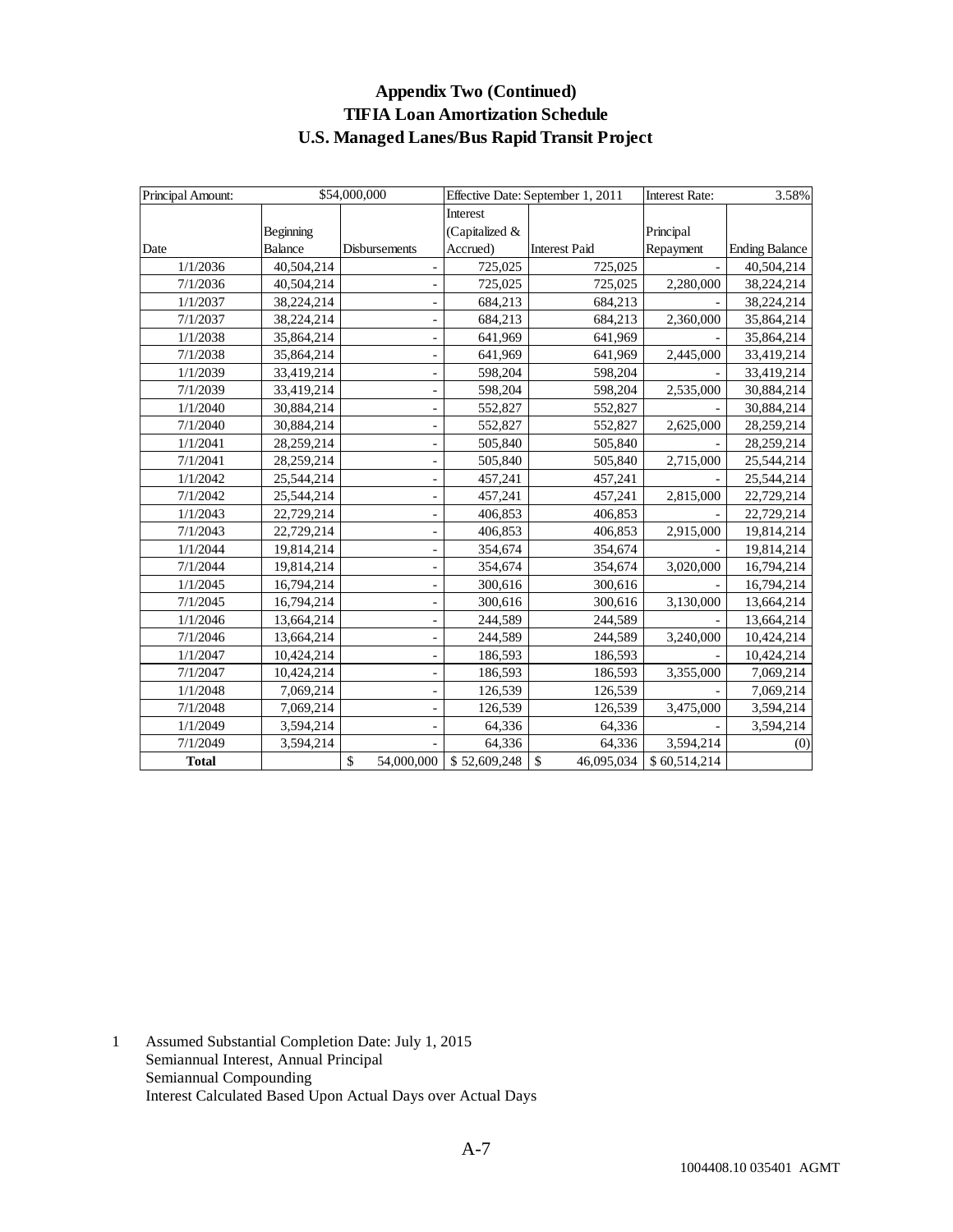#### **Appendix Two (Continued) TIFIA Loan Amortization Schedule U.S. Managed Lanes/Bus Rapid Transit Project**

| Principal Amount: |                | \$54,000,000     |                | Effective Date: September 1, 2011 | <b>Interest Rate:</b><br>3.58% |                       |  |
|-------------------|----------------|------------------|----------------|-----------------------------------|--------------------------------|-----------------------|--|
|                   |                |                  | Interest       |                                   |                                |                       |  |
|                   | Beginning      |                  | (Capitalized & |                                   | Principal                      |                       |  |
| Date              | <b>Balance</b> | Disbursements    | Accrued)       | <b>Interest Paid</b>              | Repayment                      | <b>Ending Balance</b> |  |
| 1/1/2036          | 40,504,214     |                  | 725,025        | 725,025                           |                                | 40,504,214            |  |
| 7/1/2036          | 40,504,214     |                  | 725,025        | 725,025                           | 2,280,000                      | 38,224,214            |  |
| 1/1/2037          | 38,224,214     |                  | 684,213        | 684,213                           |                                | 38,224,214            |  |
| 7/1/2037          | 38,224,214     |                  | 684,213        | 684,213                           | 2,360,000                      | 35,864,214            |  |
| 1/1/2038          | 35,864,214     |                  | 641,969        | 641,969                           |                                | 35,864,214            |  |
| 7/1/2038          | 35,864,214     |                  | 641,969        | 641,969                           | 2,445,000                      | 33,419,214            |  |
| 1/1/2039          | 33,419,214     |                  | 598,204        | 598,204                           |                                | 33,419,214            |  |
| 7/1/2039          | 33,419,214     |                  | 598,204        | 598,204                           | 2,535,000                      | 30,884,214            |  |
| 1/1/2040          | 30,884,214     |                  | 552,827        | 552,827                           |                                | 30,884,214            |  |
| 7/1/2040          | 30,884,214     |                  | 552,827        | 552,827                           | 2,625,000                      | 28,259,214            |  |
| 1/1/2041          | 28,259,214     |                  | 505,840        | 505,840                           |                                | 28,259,214            |  |
| 7/1/2041          | 28,259,214     |                  | 505,840        | 505,840                           | 2,715,000                      | 25,544,214            |  |
| 1/1/2042          | 25,544,214     |                  | 457,241        | 457,241                           |                                | 25,544,214            |  |
| 7/1/2042          | 25,544,214     |                  | 457,241        | 457,241                           | 2,815,000                      | 22,729,214            |  |
| 1/1/2043          | 22,729,214     |                  | 406,853        | 406,853                           |                                | 22,729,214            |  |
| 7/1/2043          | 22,729,214     |                  | 406,853        | 406,853                           | 2,915,000                      | 19,814,214            |  |
| 1/1/2044          | 19,814,214     |                  | 354,674        | 354,674                           |                                | 19,814,214            |  |
| 7/1/2044          | 19,814,214     |                  | 354,674        | 354,674                           | 3,020,000                      | 16,794,214            |  |
| 1/1/2045          | 16,794,214     |                  | 300,616        | 300,616                           |                                | 16,794,214            |  |
| 7/1/2045          | 16,794,214     |                  | 300,616        | 300,616                           | 3,130,000                      | 13,664,214            |  |
| 1/1/2046          | 13,664,214     |                  | 244,589        | 244,589                           |                                | 13,664,214            |  |
| 7/1/2046          | 13,664,214     |                  | 244,589        | 244,589                           | 3,240,000                      | 10,424,214            |  |
| 1/1/2047          | 10,424,214     |                  | 186,593        | 186,593                           |                                | 10,424,214            |  |
| 7/1/2047          | 10,424,214     | -                | 186,593        | 186,593                           | 3,355,000                      | 7,069,214             |  |
| 1/1/2048          | 7,069,214      |                  | 126,539        | 126,539                           |                                | 7,069,214             |  |
| 7/1/2048          | 7,069,214      |                  | 126,539        | 126,539                           | 3,475,000                      | 3,594,214             |  |
| 1/1/2049          | 3,594,214      |                  | 64,336         | 64,336                            |                                | 3,594,214             |  |
| 7/1/2049          | 3,594,214      |                  | 64,336         | 64,336                            | 3,594,214                      | (0)                   |  |
| <b>Total</b>      |                | \$<br>54,000,000 | \$52,609,248   | \$<br>46,095,034                  | \$60,514,214                   |                       |  |

1 Assumed Substantial Completion Date: July 1, 2015 Semiannual Interest, Annual Principal Semiannual Compounding Interest Calculated Based Upon Actual Days over Actual Days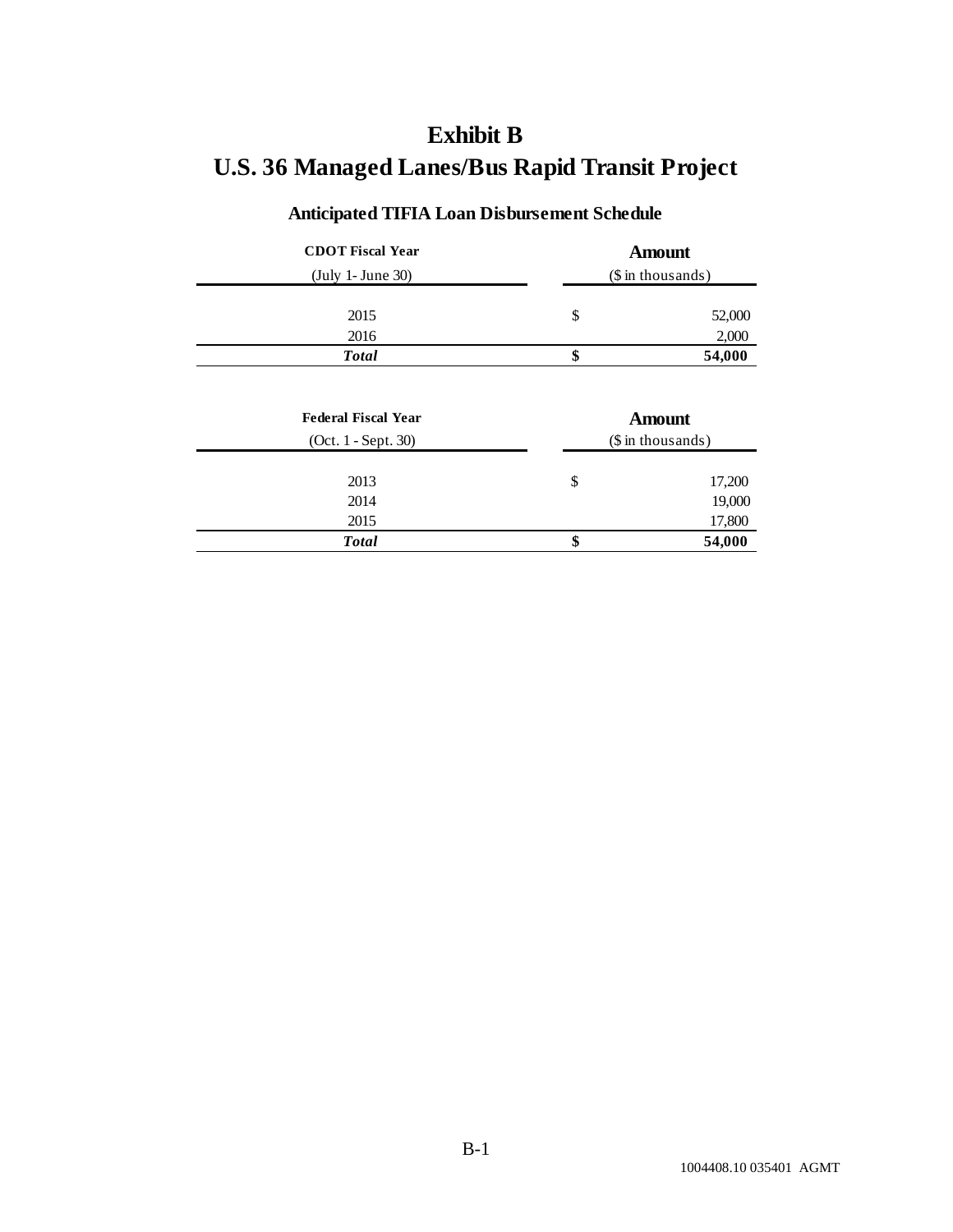# **Exhibit B U.S. 36 Managed Lanes/Bus Rapid Transit Project**

### **Anticipated TIFIA Loan Disbursement Schedule**

| <b>CDOT</b> Fiscal Year | Amount                   |        |  |
|-------------------------|--------------------------|--------|--|
| (July 1- June 30)       | $($\infty in thousands)$ |        |  |
| 2015                    | \$                       | 52,000 |  |
| 2016                    |                          | 2,000  |  |
| <b>Total</b>            | \$                       | 54,000 |  |

| <b>Federal Fiscal Year</b><br>$(Oct. 1 - Sept. 30)$ | <b>Amount</b><br>$($\infty in thousands)$ |        |
|-----------------------------------------------------|-------------------------------------------|--------|
| 2013                                                | \$                                        | 17,200 |
| 2014                                                |                                           | 19,000 |
| 2015                                                |                                           | 17,800 |
| <b>Total</b>                                        | \$                                        | 54,000 |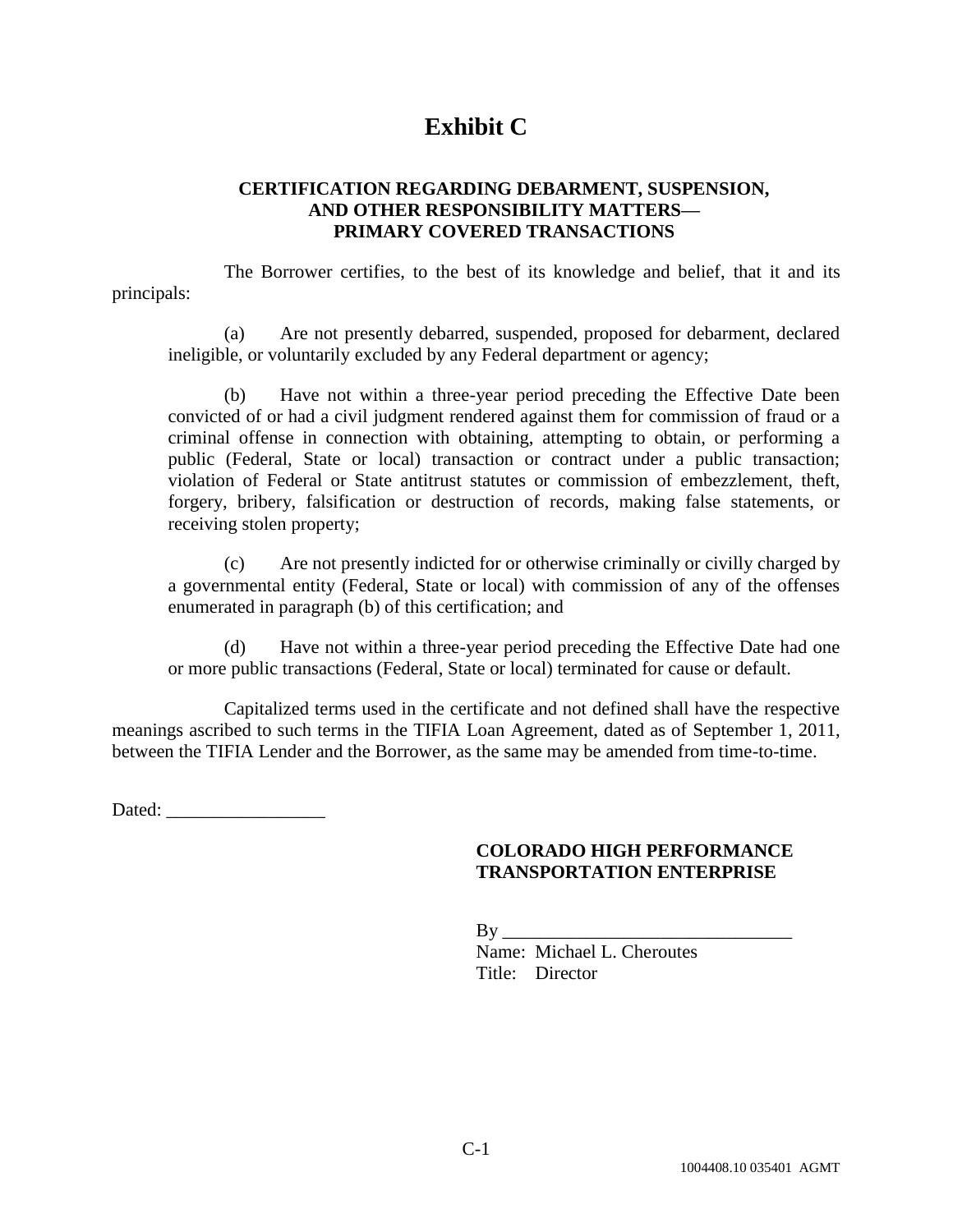### **Exhibit C**

#### **CERTIFICATION REGARDING DEBARMENT, SUSPENSION, AND OTHER RESPONSIBILITY MATTERS— PRIMARY COVERED TRANSACTIONS**

The Borrower certifies, to the best of its knowledge and belief, that it and its principals:

(a) Are not presently debarred, suspended, proposed for debarment, declared ineligible, or voluntarily excluded by any Federal department or agency;

(b) Have not within a three-year period preceding the Effective Date been convicted of or had a civil judgment rendered against them for commission of fraud or a criminal offense in connection with obtaining, attempting to obtain, or performing a public (Federal, State or local) transaction or contract under a public transaction; violation of Federal or State antitrust statutes or commission of embezzlement, theft, forgery, bribery, falsification or destruction of records, making false statements, or receiving stolen property;

(c) Are not presently indicted for or otherwise criminally or civilly charged by a governmental entity (Federal, State or local) with commission of any of the offenses enumerated in paragraph (b) of this certification; and

(d) Have not within a three-year period preceding the Effective Date had one or more public transactions (Federal, State or local) terminated for cause or default.

Capitalized terms used in the certificate and not defined shall have the respective meanings ascribed to such terms in the TIFIA Loan Agreement, dated as of September 1, 2011, between the TIFIA Lender and the Borrower, as the same may be amended from time-to-time.

Dated: \_\_\_\_\_\_\_\_\_\_\_\_\_\_\_\_\_

#### **COLORADO HIGH PERFORMANCE TRANSPORTATION ENTERPRISE**

 $By \_\_$ 

Name: Michael L. Cheroutes Title: Director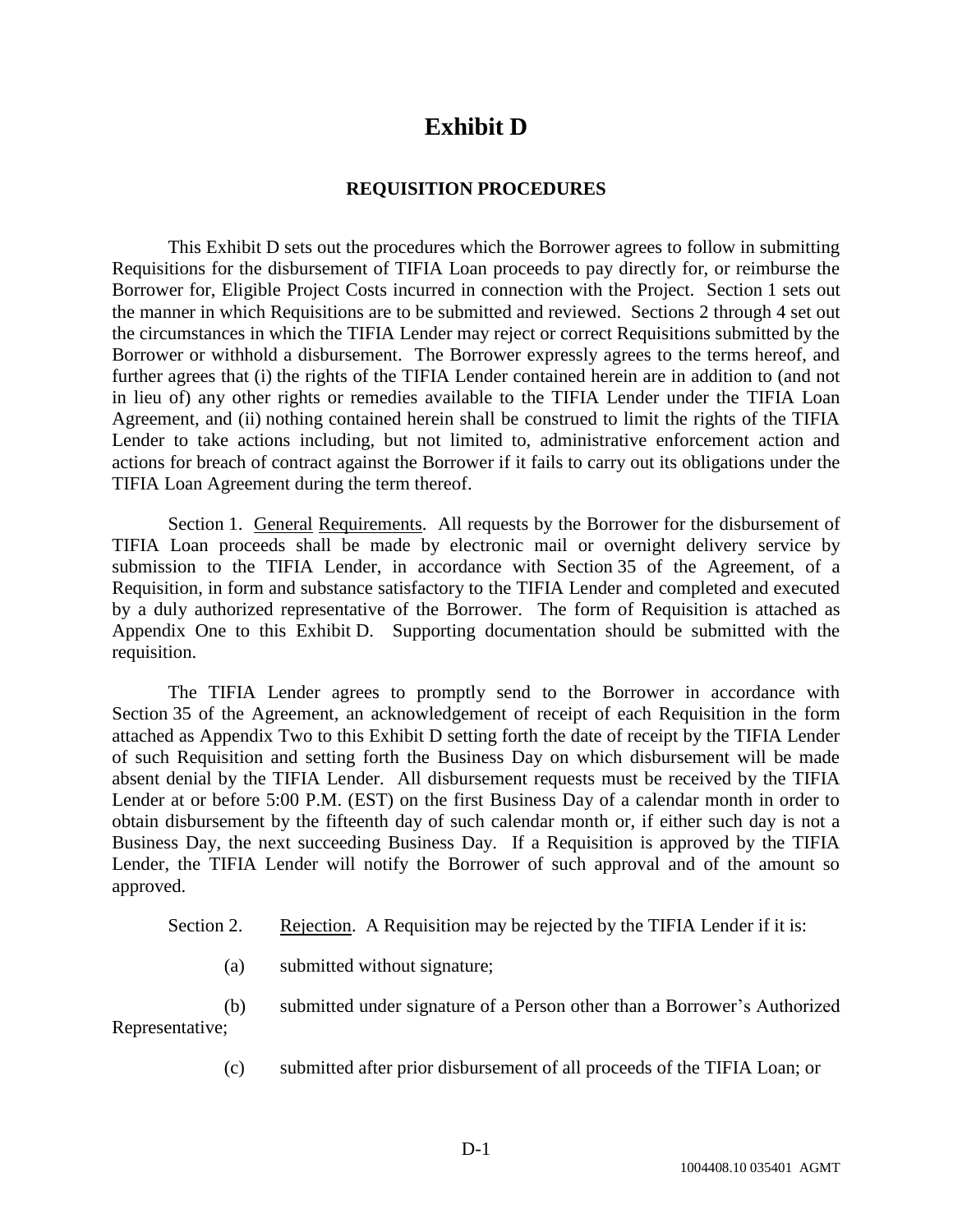### **Exhibit D**

#### **REQUISITION PROCEDURES**

This Exhibit D sets out the procedures which the Borrower agrees to follow in submitting Requisitions for the disbursement of TIFIA Loan proceeds to pay directly for, or reimburse the Borrower for, Eligible Project Costs incurred in connection with the Project. Section 1 sets out the manner in which Requisitions are to be submitted and reviewed. Sections 2 through 4 set out the circumstances in which the TIFIA Lender may reject or correct Requisitions submitted by the Borrower or withhold a disbursement. The Borrower expressly agrees to the terms hereof, and further agrees that (i) the rights of the TIFIA Lender contained herein are in addition to (and not in lieu of) any other rights or remedies available to the TIFIA Lender under the TIFIA Loan Agreement, and (ii) nothing contained herein shall be construed to limit the rights of the TIFIA Lender to take actions including, but not limited to, administrative enforcement action and actions for breach of contract against the Borrower if it fails to carry out its obligations under the TIFIA Loan Agreement during the term thereof.

Section 1. General Requirements. All requests by the Borrower for the disbursement of TIFIA Loan proceeds shall be made by electronic mail or overnight delivery service by submission to the TIFIA Lender, in accordance with Section 35 of the Agreement, of a Requisition, in form and substance satisfactory to the TIFIA Lender and completed and executed by a duly authorized representative of the Borrower. The form of Requisition is attached as Appendix One to this Exhibit D. Supporting documentation should be submitted with the requisition.

The TIFIA Lender agrees to promptly send to the Borrower in accordance with Section 35 of the Agreement, an acknowledgement of receipt of each Requisition in the form attached as Appendix Two to this Exhibit D setting forth the date of receipt by the TIFIA Lender of such Requisition and setting forth the Business Day on which disbursement will be made absent denial by the TIFIA Lender. All disbursement requests must be received by the TIFIA Lender at or before 5:00 P.M. (EST) on the first Business Day of a calendar month in order to obtain disbursement by the fifteenth day of such calendar month or, if either such day is not a Business Day, the next succeeding Business Day. If a Requisition is approved by the TIFIA Lender, the TIFIA Lender will notify the Borrower of such approval and of the amount so approved.

| Section 2. |  |  |  | Rejection. A Requisition may be rejected by the TIFIA Lender if it is: |
|------------|--|--|--|------------------------------------------------------------------------|
|            |  |  |  |                                                                        |

(a) submitted without signature;

(b) submitted under signature of a Person other than a Borrower's Authorized Representative;

(c) submitted after prior disbursement of all proceeds of the TIFIA Loan; or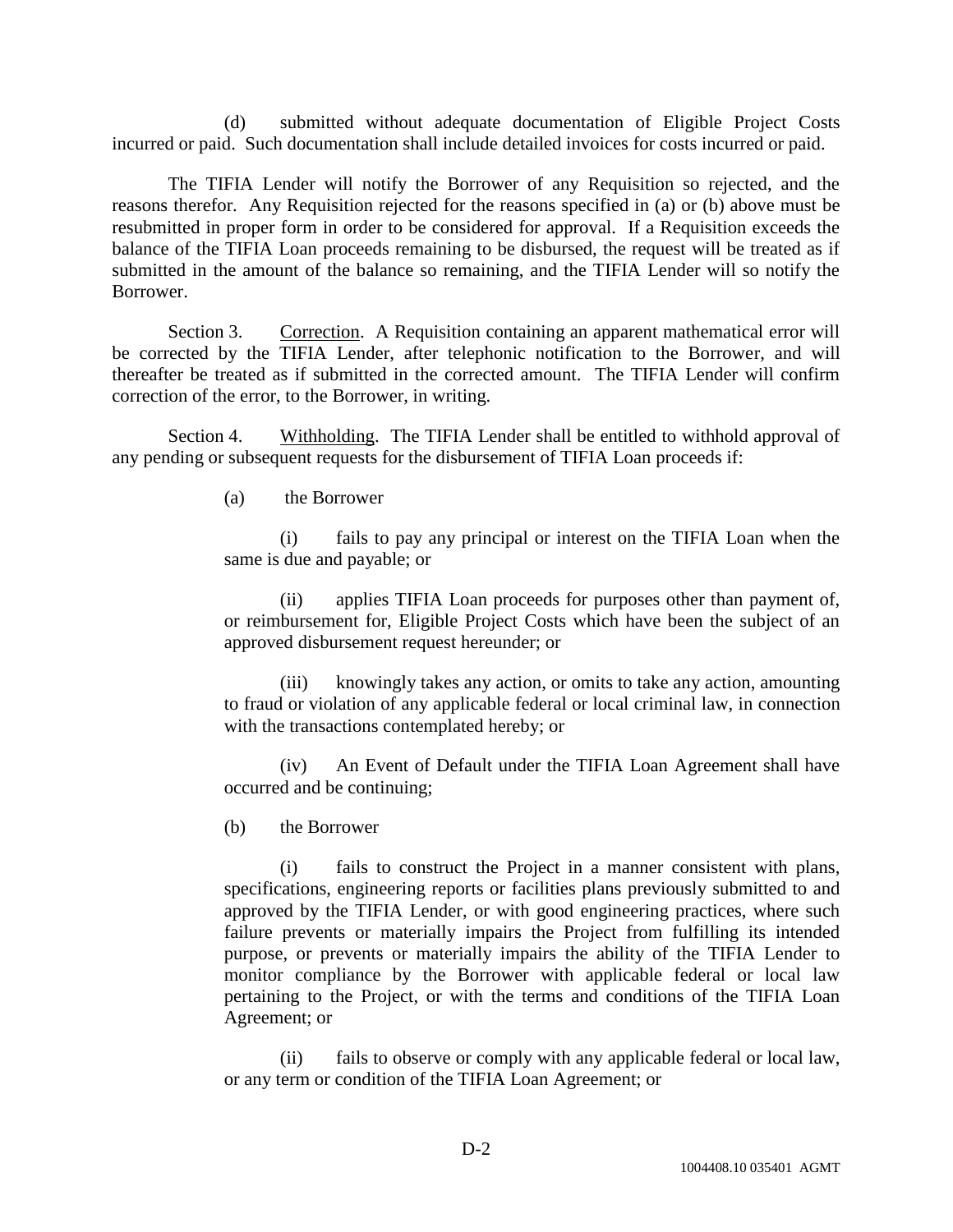(d) submitted without adequate documentation of Eligible Project Costs incurred or paid. Such documentation shall include detailed invoices for costs incurred or paid.

The TIFIA Lender will notify the Borrower of any Requisition so rejected, and the reasons therefor. Any Requisition rejected for the reasons specified in (a) or (b) above must be resubmitted in proper form in order to be considered for approval. If a Requisition exceeds the balance of the TIFIA Loan proceeds remaining to be disbursed, the request will be treated as if submitted in the amount of the balance so remaining, and the TIFIA Lender will so notify the Borrower.

Section 3. Correction. A Requisition containing an apparent mathematical error will be corrected by the TIFIA Lender, after telephonic notification to the Borrower, and will thereafter be treated as if submitted in the corrected amount. The TIFIA Lender will confirm correction of the error, to the Borrower, in writing.

Section 4. Withholding. The TIFIA Lender shall be entitled to withhold approval of any pending or subsequent requests for the disbursement of TIFIA Loan proceeds if:

(a) the Borrower

(i) fails to pay any principal or interest on the TIFIA Loan when the same is due and payable; or

(ii) applies TIFIA Loan proceeds for purposes other than payment of, or reimbursement for, Eligible Project Costs which have been the subject of an approved disbursement request hereunder; or

(iii) knowingly takes any action, or omits to take any action, amounting to fraud or violation of any applicable federal or local criminal law, in connection with the transactions contemplated hereby; or

(iv) An Event of Default under the TIFIA Loan Agreement shall have occurred and be continuing;

(b) the Borrower

(i) fails to construct the Project in a manner consistent with plans, specifications, engineering reports or facilities plans previously submitted to and approved by the TIFIA Lender, or with good engineering practices, where such failure prevents or materially impairs the Project from fulfilling its intended purpose, or prevents or materially impairs the ability of the TIFIA Lender to monitor compliance by the Borrower with applicable federal or local law pertaining to the Project, or with the terms and conditions of the TIFIA Loan Agreement; or

(ii) fails to observe or comply with any applicable federal or local law, or any term or condition of the TIFIA Loan Agreement; or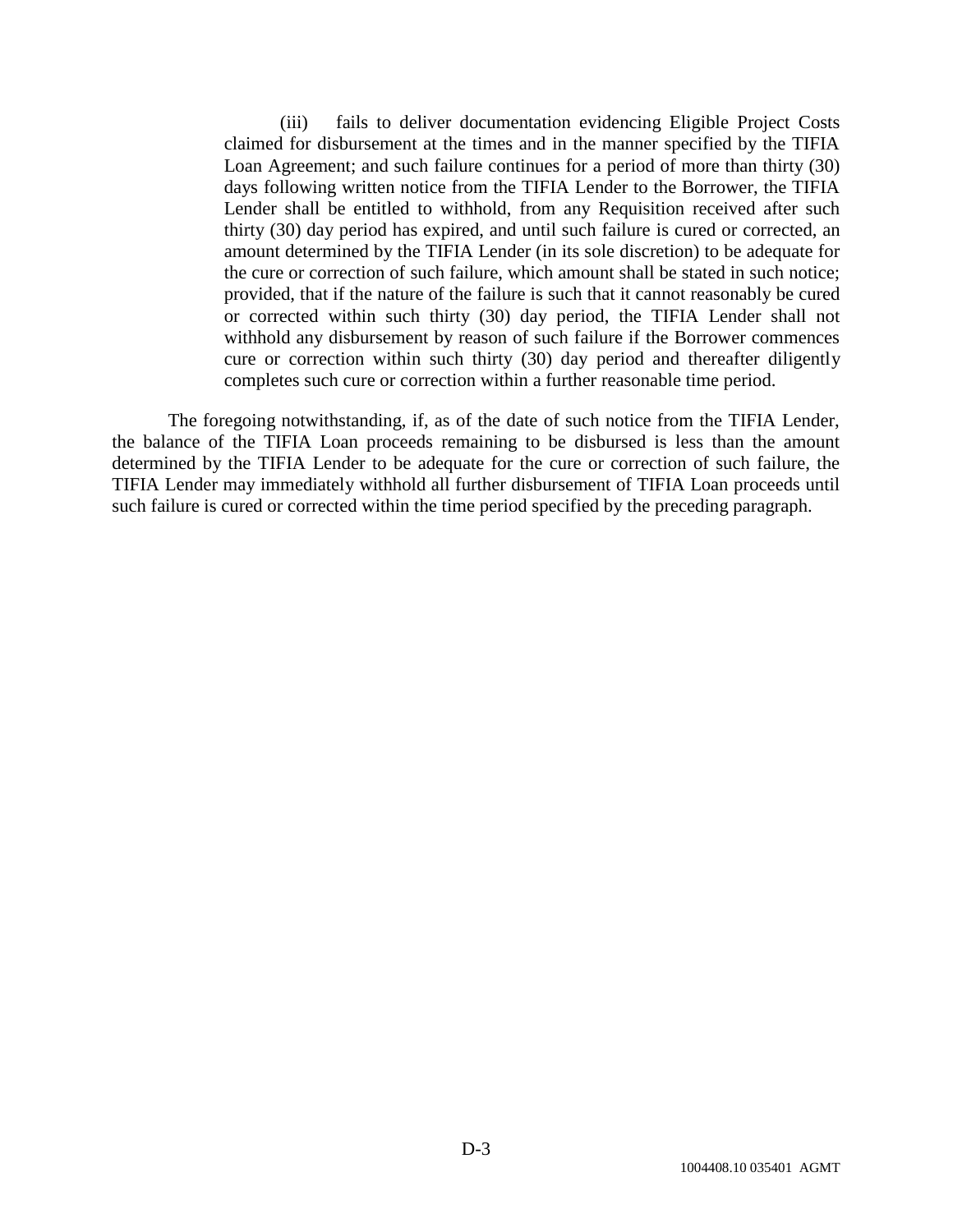(iii) fails to deliver documentation evidencing Eligible Project Costs claimed for disbursement at the times and in the manner specified by the TIFIA Loan Agreement; and such failure continues for a period of more than thirty (30) days following written notice from the TIFIA Lender to the Borrower, the TIFIA Lender shall be entitled to withhold, from any Requisition received after such thirty (30) day period has expired, and until such failure is cured or corrected, an amount determined by the TIFIA Lender (in its sole discretion) to be adequate for the cure or correction of such failure, which amount shall be stated in such notice; provided, that if the nature of the failure is such that it cannot reasonably be cured or corrected within such thirty (30) day period, the TIFIA Lender shall not withhold any disbursement by reason of such failure if the Borrower commences cure or correction within such thirty (30) day period and thereafter diligently completes such cure or correction within a further reasonable time period.

The foregoing notwithstanding, if, as of the date of such notice from the TIFIA Lender, the balance of the TIFIA Loan proceeds remaining to be disbursed is less than the amount determined by the TIFIA Lender to be adequate for the cure or correction of such failure, the TIFIA Lender may immediately withhold all further disbursement of TIFIA Loan proceeds until such failure is cured or corrected within the time period specified by the preceding paragraph.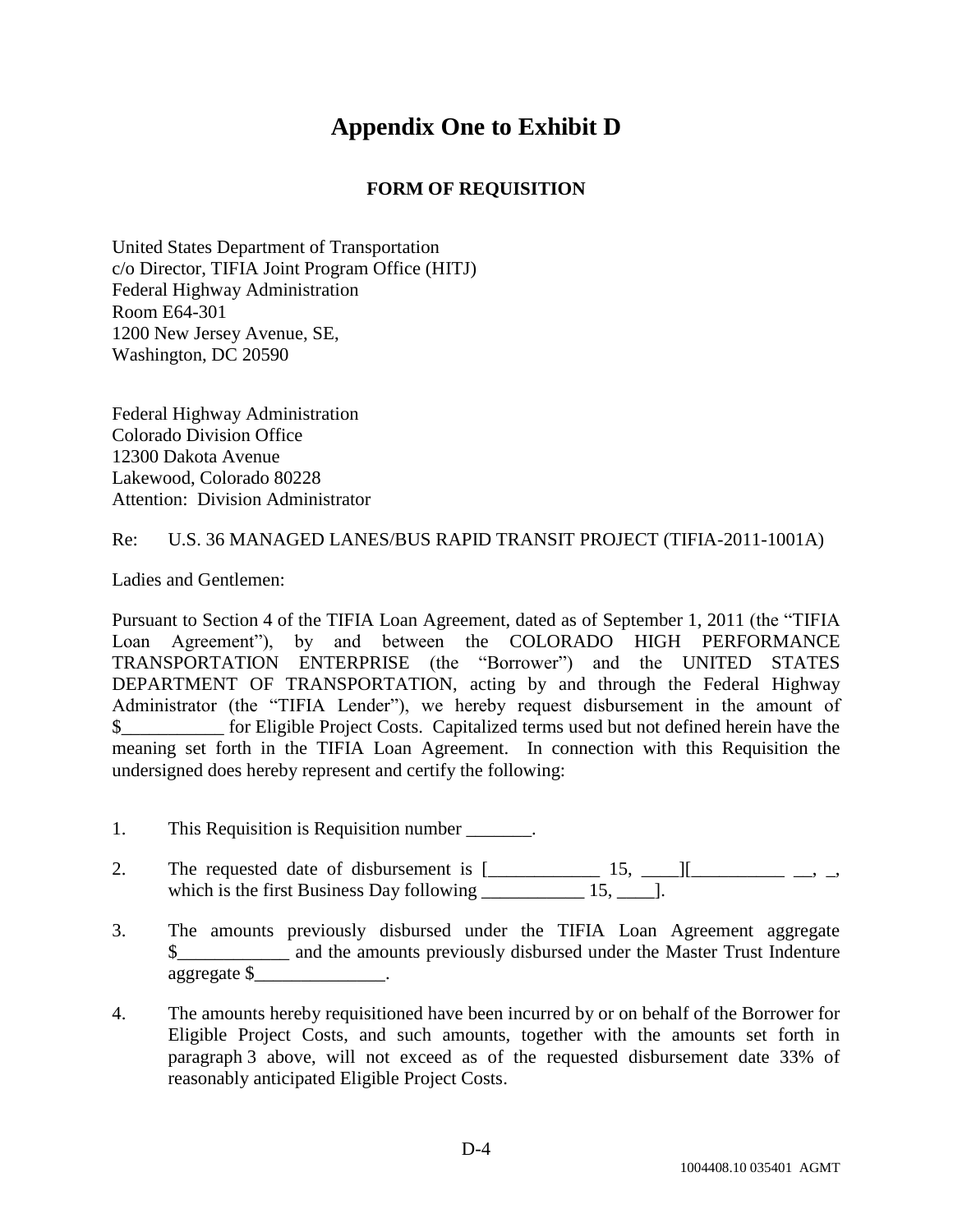### **Appendix One to Exhibit D**

#### **FORM OF REQUISITION**

United States Department of Transportation c/o Director, TIFIA Joint Program Office (HITJ) Federal Highway Administration Room E64-301 1200 New Jersey Avenue, SE, Washington, DC 20590

Federal Highway Administration Colorado Division Office 12300 Dakota Avenue Lakewood, Colorado 80228 Attention: Division Administrator

#### Re: U.S. 36 MANAGED LANES/BUS RAPID TRANSIT PROJECT (TIFIA-2011-1001A)

Ladies and Gentlemen:

Pursuant to Section 4 of the TIFIA Loan Agreement, dated as of September 1, 2011 (the "TIFIA Loan Agreement"), by and between the COLORADO HIGH PERFORMANCE TRANSPORTATION ENTERPRISE (the "Borrower") and the UNITED STATES DEPARTMENT OF TRANSPORTATION, acting by and through the Federal Highway Administrator (the "TIFIA Lender"), we hereby request disbursement in the amount of \$\_\_\_\_\_\_\_\_\_\_\_ for Eligible Project Costs. Capitalized terms used but not defined herein have the meaning set forth in the TIFIA Loan Agreement. In connection with this Requisition the undersigned does hereby represent and certify the following:

- 1. This Requisition is Requisition number \_\_\_\_\_\_\_.
- 2. The requested date of disbursement is  $[\_$  15,  $[\_$ which is the first Business Day following \_\_\_\_\_\_\_\_\_\_\_\_ 15, \_\_\_\_\_].
- 3. The amounts previously disbursed under the TIFIA Loan Agreement aggregate \$ and the amounts previously disbursed under the Master Trust Indenture aggregate \$\_\_\_\_\_\_\_\_\_\_\_\_\_\_.
- 4. The amounts hereby requisitioned have been incurred by or on behalf of the Borrower for Eligible Project Costs, and such amounts, together with the amounts set forth in paragraph 3 above, will not exceed as of the requested disbursement date 33% of reasonably anticipated Eligible Project Costs.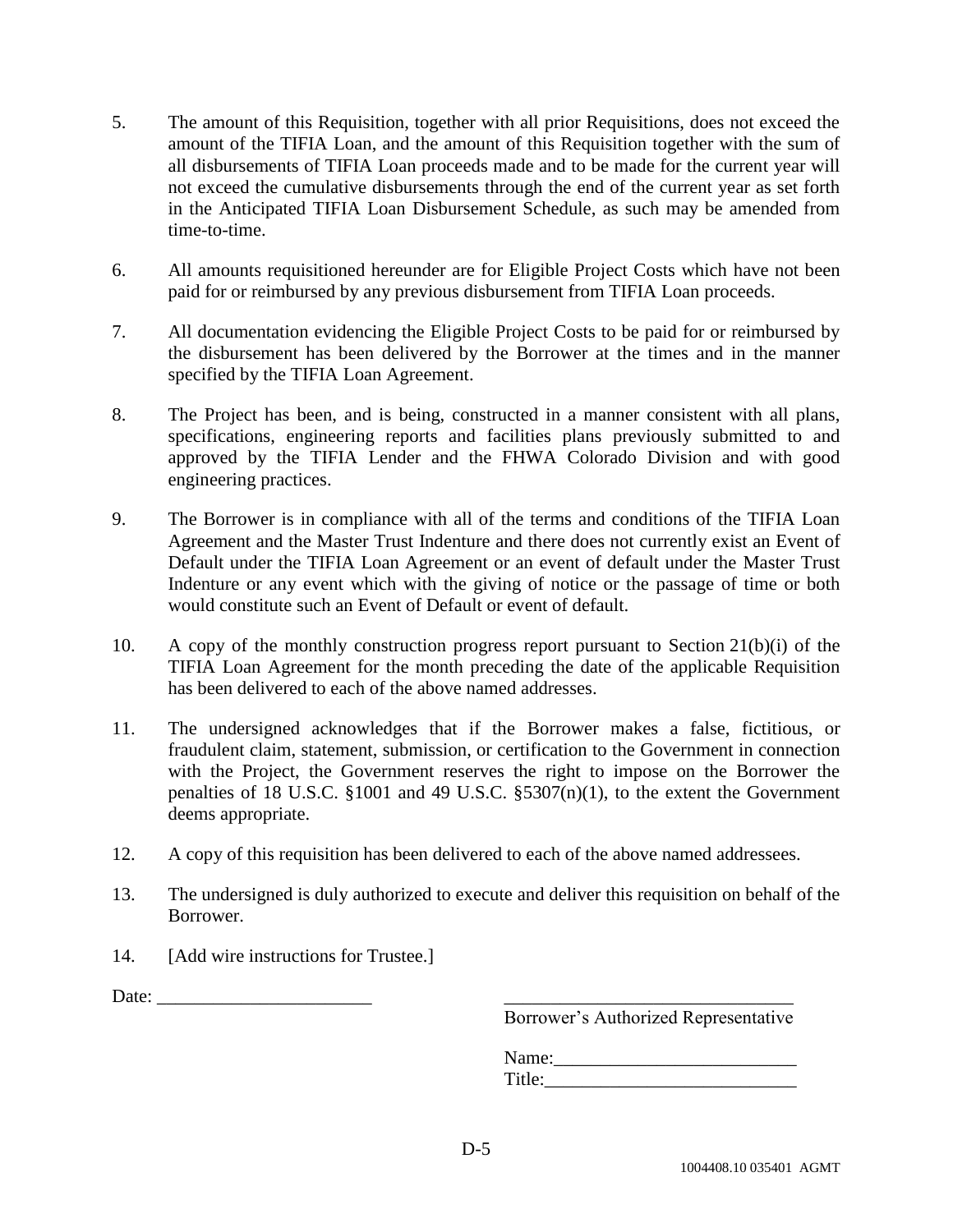- 5. The amount of this Requisition, together with all prior Requisitions, does not exceed the amount of the TIFIA Loan, and the amount of this Requisition together with the sum of all disbursements of TIFIA Loan proceeds made and to be made for the current year will not exceed the cumulative disbursements through the end of the current year as set forth in the Anticipated TIFIA Loan Disbursement Schedule, as such may be amended from time-to-time.
- 6. All amounts requisitioned hereunder are for Eligible Project Costs which have not been paid for or reimbursed by any previous disbursement from TIFIA Loan proceeds.
- 7. All documentation evidencing the Eligible Project Costs to be paid for or reimbursed by the disbursement has been delivered by the Borrower at the times and in the manner specified by the TIFIA Loan Agreement.
- 8. The Project has been, and is being, constructed in a manner consistent with all plans, specifications, engineering reports and facilities plans previously submitted to and approved by the TIFIA Lender and the FHWA Colorado Division and with good engineering practices.
- 9. The Borrower is in compliance with all of the terms and conditions of the TIFIA Loan Agreement and the Master Trust Indenture and there does not currently exist an Event of Default under the TIFIA Loan Agreement or an event of default under the Master Trust Indenture or any event which with the giving of notice or the passage of time or both would constitute such an Event of Default or event of default.
- 10. A copy of the monthly construction progress report pursuant to Section 21(b)(i) of the TIFIA Loan Agreement for the month preceding the date of the applicable Requisition has been delivered to each of the above named addresses.
- 11. The undersigned acknowledges that if the Borrower makes a false, fictitious, or fraudulent claim, statement, submission, or certification to the Government in connection with the Project, the Government reserves the right to impose on the Borrower the penalties of 18 U.S.C. §1001 and 49 U.S.C. §5307(n)(1), to the extent the Government deems appropriate.
- 12. A copy of this requisition has been delivered to each of the above named addressees.
- 13. The undersigned is duly authorized to execute and deliver this requisition on behalf of the Borrower.
- 14. [Add wire instructions for Trustee.]

Date:  $\Box$ 

Borrower's Authorized Representative

Name:\_\_\_\_\_\_\_\_\_\_\_\_\_\_\_\_\_\_\_\_\_\_\_\_\_\_ Title: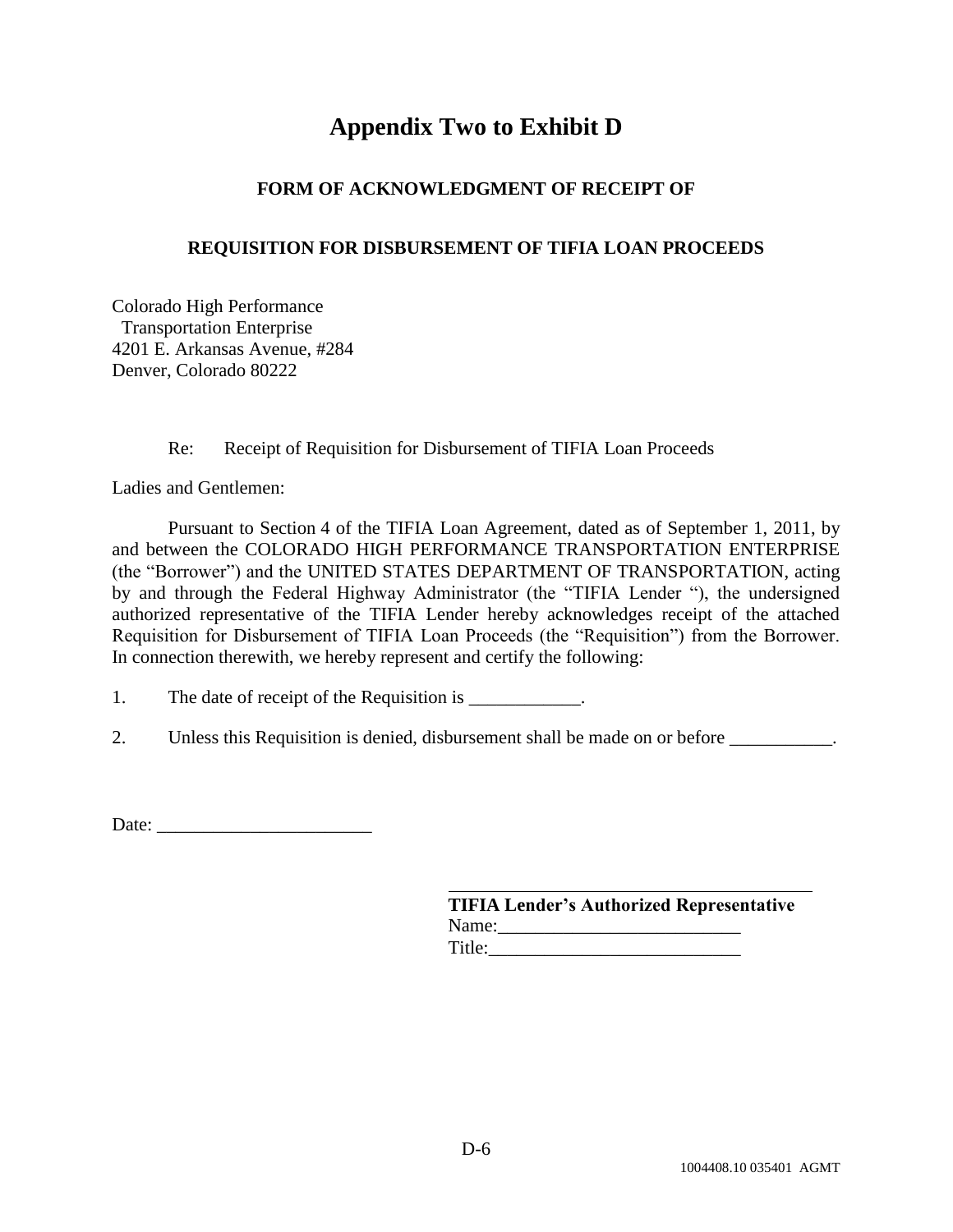### **Appendix Two to Exhibit D**

#### **FORM OF ACKNOWLEDGMENT OF RECEIPT OF**

#### **REQUISITION FOR DISBURSEMENT OF TIFIA LOAN PROCEEDS**

Colorado High Performance Transportation Enterprise 4201 E. Arkansas Avenue, #284 Denver, Colorado 80222

Re: Receipt of Requisition for Disbursement of TIFIA Loan Proceeds

Ladies and Gentlemen:

Pursuant to Section 4 of the TIFIA Loan Agreement, dated as of September 1, 2011, by and between the COLORADO HIGH PERFORMANCE TRANSPORTATION ENTERPRISE (the "Borrower") and the UNITED STATES DEPARTMENT OF TRANSPORTATION, acting by and through the Federal Highway Administrator (the "TIFIA Lender "), the undersigned authorized representative of the TIFIA Lender hereby acknowledges receipt of the attached Requisition for Disbursement of TIFIA Loan Proceeds (the "Requisition") from the Borrower. In connection therewith, we hereby represent and certify the following:

1. The date of receipt of the Requisition is \_\_\_\_\_\_\_\_\_\_\_.

2. Unless this Requisition is denied, disbursement shall be made on or before

Date: \_\_\_\_\_\_\_\_\_\_\_\_\_\_\_\_\_\_\_\_\_\_\_

| <b>TIFIA Lender's Authorized Representative</b> |  |
|-------------------------------------------------|--|
| Name:                                           |  |
| Title:                                          |  |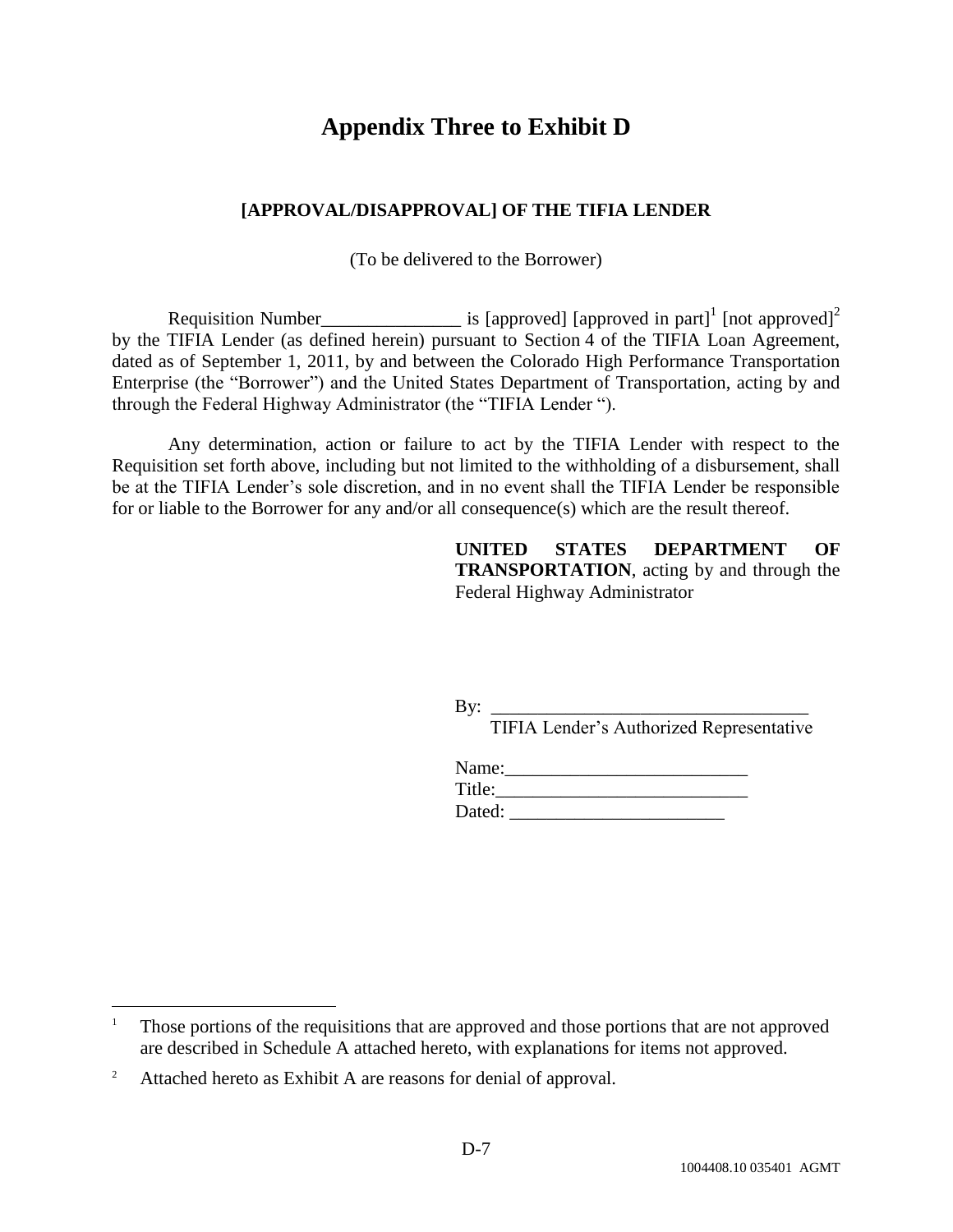### **Appendix Three to Exhibit D**

#### **[APPROVAL/DISAPPROVAL] OF THE TIFIA LENDER**

(To be delivered to the Borrower)

Requisition Number\_\_\_\_\_\_\_\_\_\_\_\_\_\_\_\_\_\_\_\_\_ is [approved] [approved in part]<sup>1</sup> [not approved]<sup>2</sup> by the TIFIA Lender (as defined herein) pursuant to Section 4 of the TIFIA Loan Agreement, dated as of September 1, 2011, by and between the Colorado High Performance Transportation Enterprise (the "Borrower") and the United States Department of Transportation, acting by and through the Federal Highway Administrator (the "TIFIA Lender ").

Any determination, action or failure to act by the TIFIA Lender with respect to the Requisition set forth above, including but not limited to the withholding of a disbursement, shall be at the TIFIA Lender's sole discretion, and in no event shall the TIFIA Lender be responsible for or liable to the Borrower for any and/or all consequence(s) which are the result thereof.

> **UNITED STATES DEPARTMENT OF TRANSPORTATION**, acting by and through the Federal Highway Administrator

By: \_\_\_\_\_\_\_\_\_\_\_\_\_\_\_\_\_\_\_\_\_\_\_\_\_\_\_\_\_\_\_\_\_\_ TIFIA Lender's Authorized Representative

| Name:  |  |  |
|--------|--|--|
| Title: |  |  |
| Dated: |  |  |

 $\overline{a}$ 

<sup>&</sup>lt;sup>1</sup> Those portions of the requisitions that are approved and those portions that are not approved are described in Schedule A attached hereto, with explanations for items not approved.

<sup>&</sup>lt;sup>2</sup> Attached hereto as Exhibit A are reasons for denial of approval.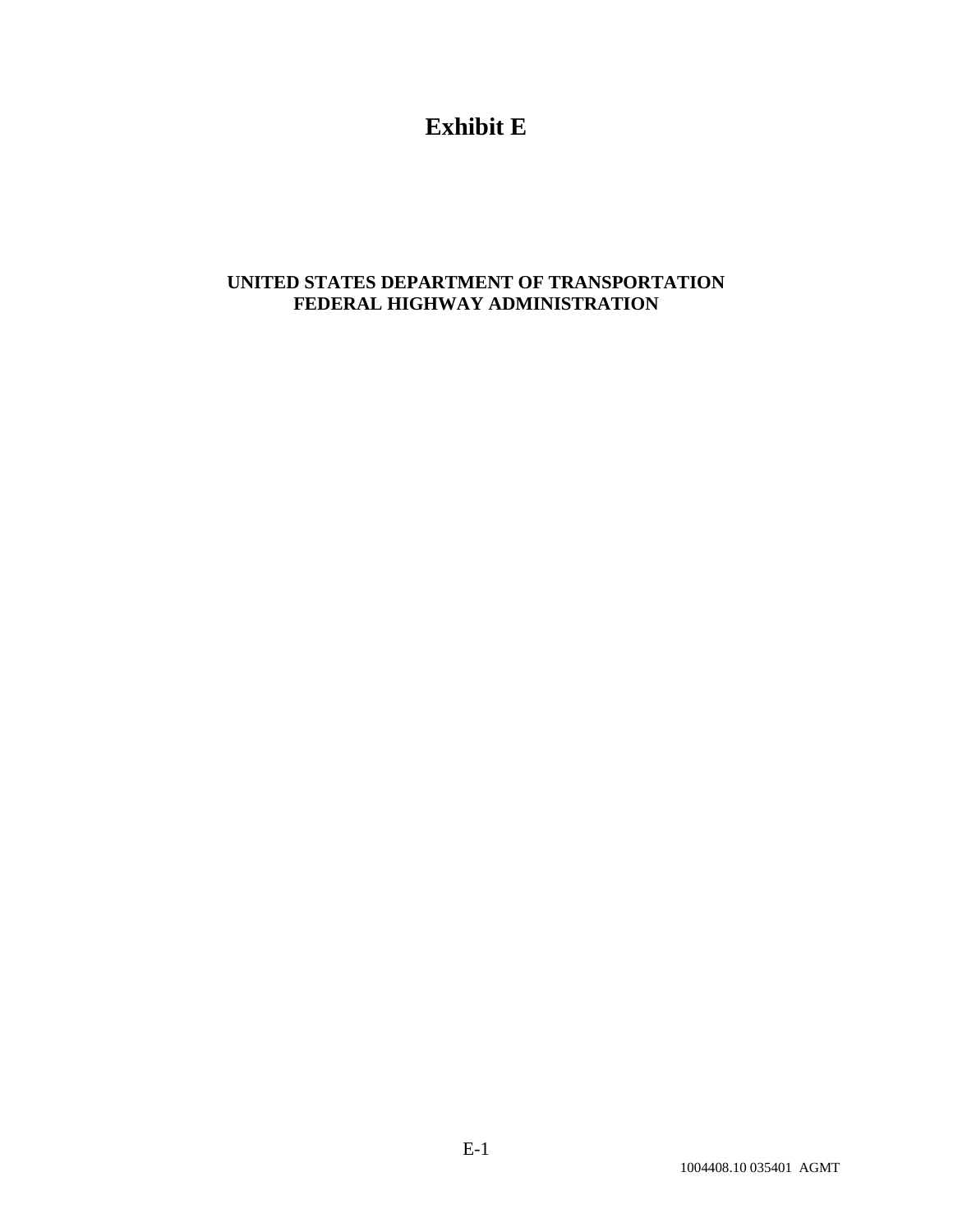### **Exhibit E**

### **UNITED STATES DEPARTMENT OF TRANSPORTATION FEDERAL HIGHWAY ADMINISTRATION**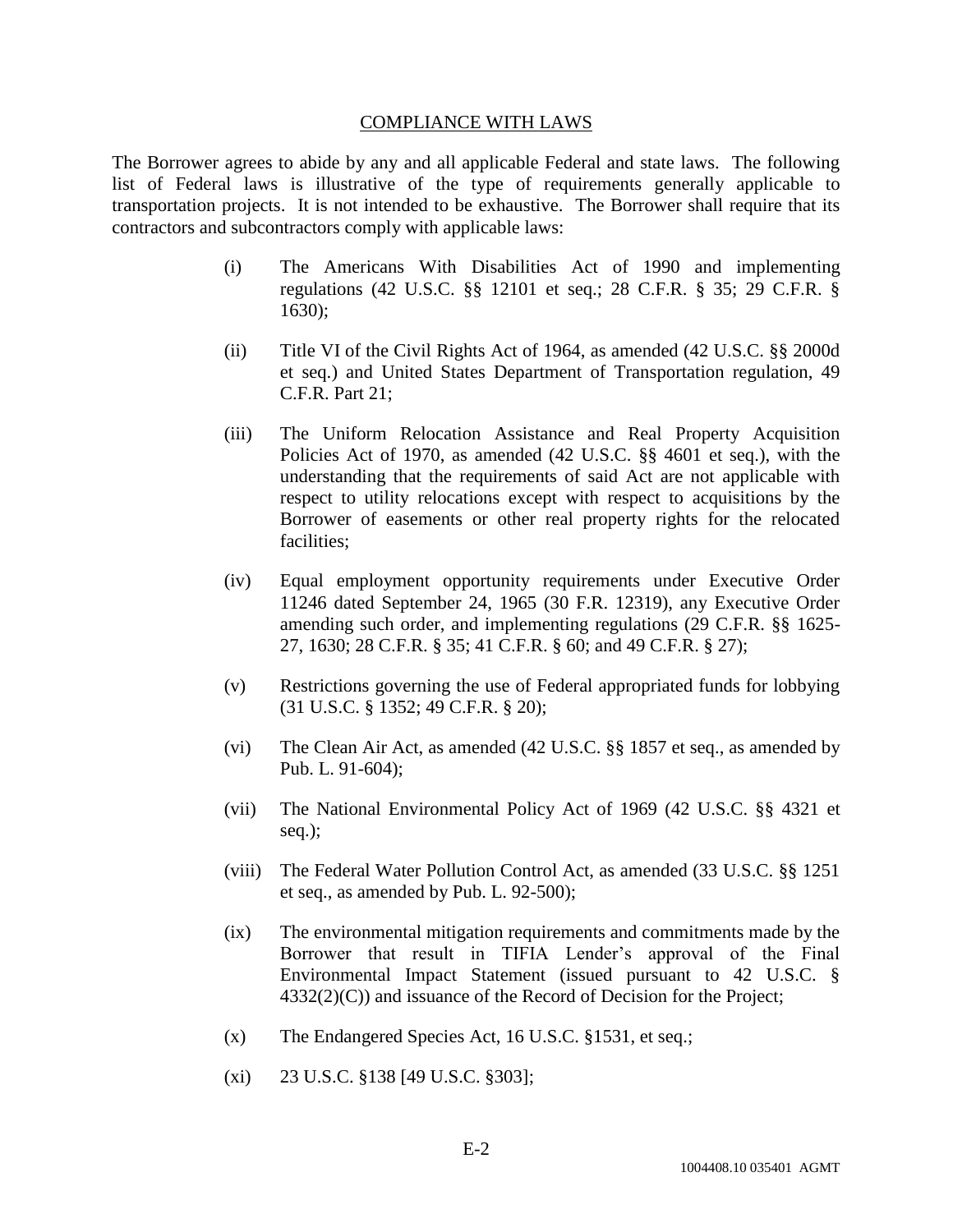#### COMPLIANCE WITH LAWS

The Borrower agrees to abide by any and all applicable Federal and state laws. The following list of Federal laws is illustrative of the type of requirements generally applicable to transportation projects. It is not intended to be exhaustive. The Borrower shall require that its contractors and subcontractors comply with applicable laws:

- (i) The Americans With Disabilities Act of 1990 and implementing regulations (42 U.S.C. §§ 12101 et seq.; 28 C.F.R. § 35; 29 C.F.R. § 1630);
- (ii) Title VI of the Civil Rights Act of 1964, as amended (42 U.S.C. §§ 2000d et seq.) and United States Department of Transportation regulation, 49 C.F.R. Part 21;
- (iii) The Uniform Relocation Assistance and Real Property Acquisition Policies Act of 1970, as amended (42 U.S.C. §§ 4601 et seq.), with the understanding that the requirements of said Act are not applicable with respect to utility relocations except with respect to acquisitions by the Borrower of easements or other real property rights for the relocated facilities;
- (iv) Equal employment opportunity requirements under Executive Order 11246 dated September 24, 1965 (30 F.R. 12319), any Executive Order amending such order, and implementing regulations (29 C.F.R. §§ 1625- 27, 1630; 28 C.F.R. § 35; 41 C.F.R. § 60; and 49 C.F.R. § 27);
- (v) Restrictions governing the use of Federal appropriated funds for lobbying (31 U.S.C. § 1352; 49 C.F.R. § 20);
- (vi) The Clean Air Act, as amended (42 U.S.C. §§ 1857 et seq., as amended by Pub. L. 91-604);
- (vii) The National Environmental Policy Act of 1969 (42 U.S.C. §§ 4321 et seq.);
- (viii) The Federal Water Pollution Control Act, as amended (33 U.S.C. §§ 1251 et seq., as amended by Pub. L. 92-500);
- (ix) The environmental mitigation requirements and commitments made by the Borrower that result in TIFIA Lender's approval of the Final Environmental Impact Statement (issued pursuant to 42 U.S.C. § 4332(2)(C)) and issuance of the Record of Decision for the Project;
- (x) The Endangered Species Act, 16 U.S.C. §1531, et seq.;
- (xi) 23 U.S.C. §138 [49 U.S.C. §303];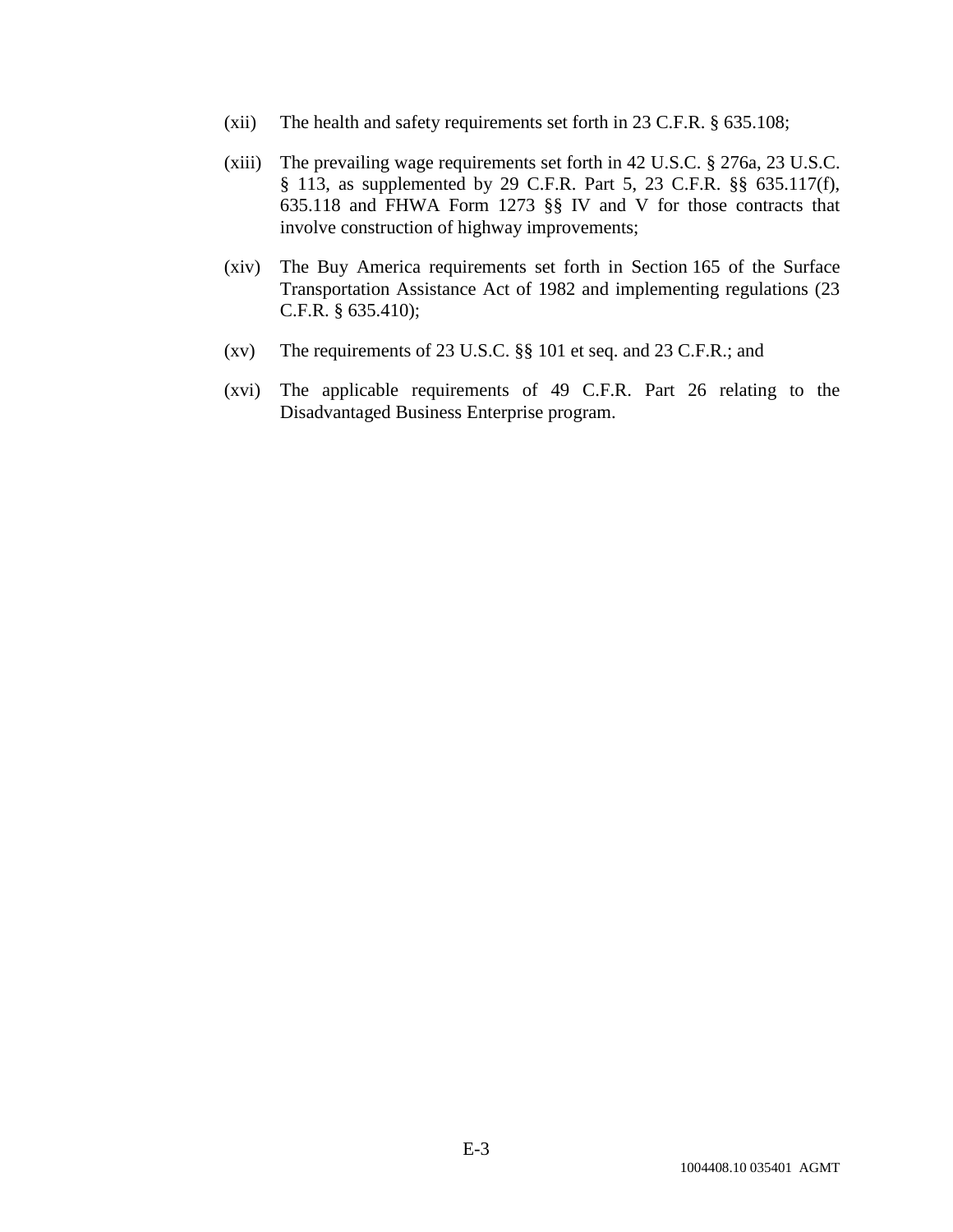- (xii) The health and safety requirements set forth in 23 C.F.R. § 635.108;
- (xiii) The prevailing wage requirements set forth in 42 U.S.C. § 276a, 23 U.S.C. § 113, as supplemented by 29 C.F.R. Part 5, 23 C.F.R. §§ 635.117(f), 635.118 and FHWA Form 1273 §§ IV and V for those contracts that involve construction of highway improvements;
- (xiv) The Buy America requirements set forth in Section 165 of the Surface Transportation Assistance Act of 1982 and implementing regulations (23 C.F.R. § 635.410);
- (xv) The requirements of 23 U.S.C. §§ 101 et seq. and 23 C.F.R.; and
- (xvi) The applicable requirements of 49 C.F.R. Part 26 relating to the Disadvantaged Business Enterprise program.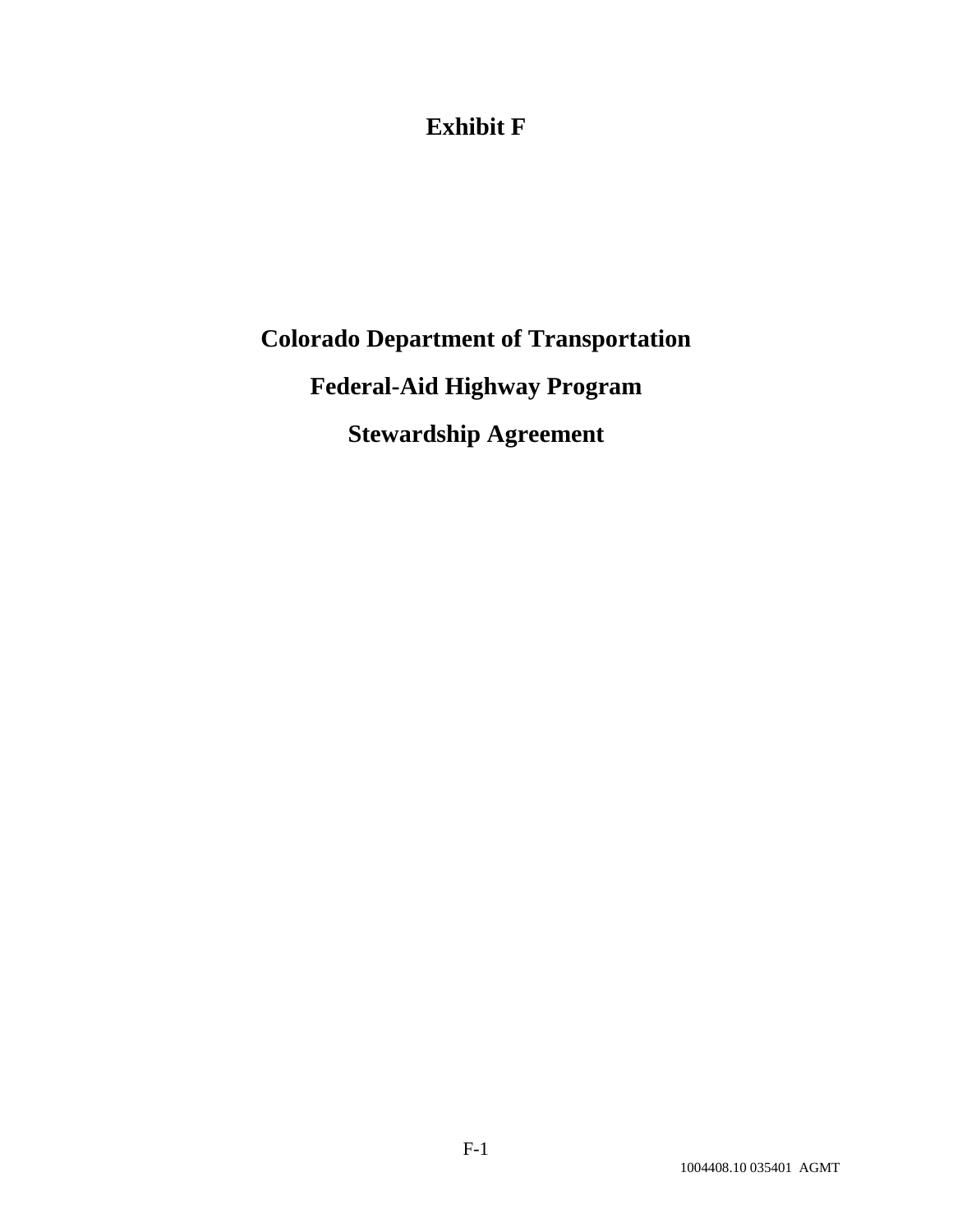### **Exhibit F**

# **Colorado Department of Transportation Federal-Aid Highway Program Stewardship Agreement**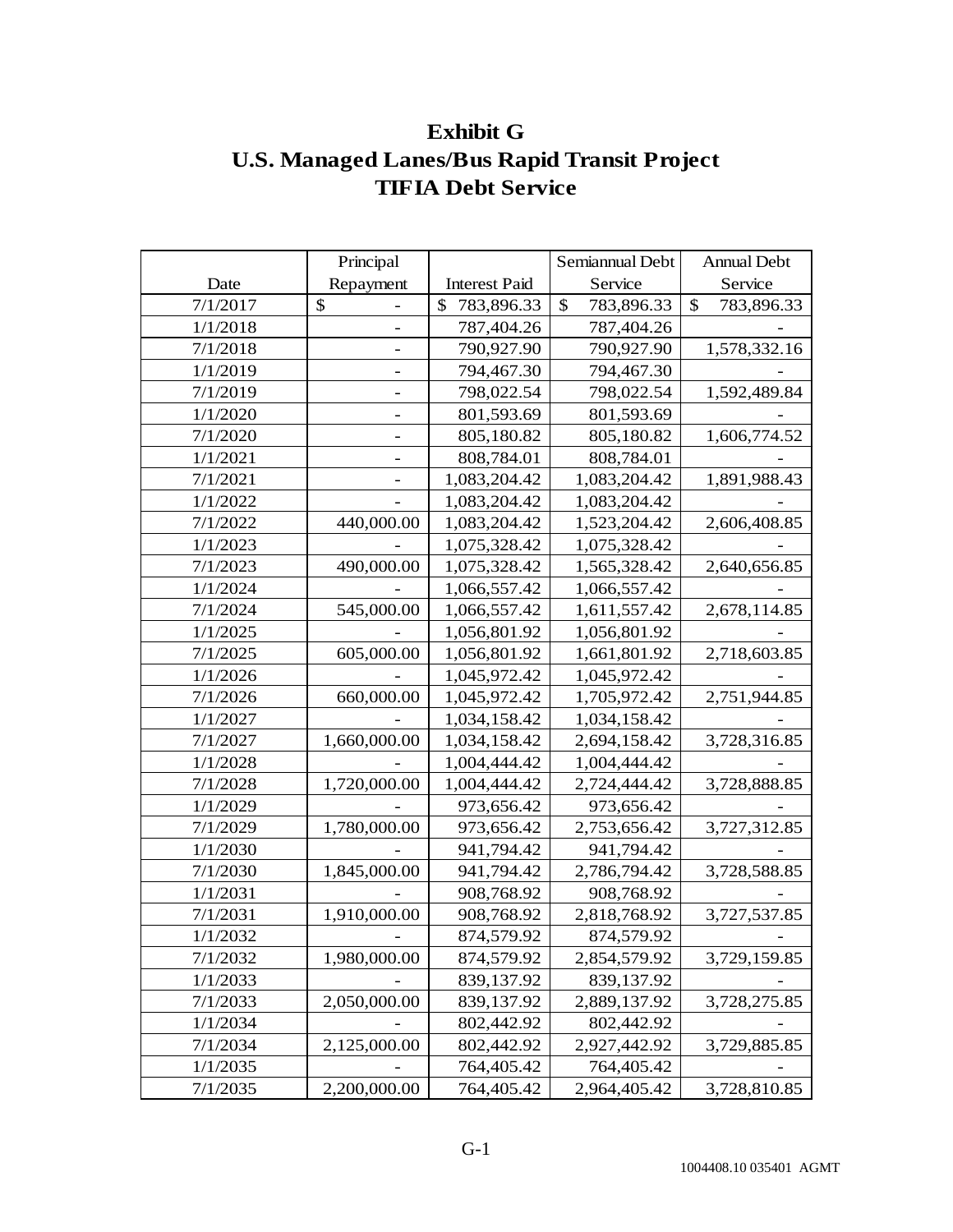### **Exhibit G U.S. Managed Lanes/Bus Rapid Transit Project TIFIA Debt Service**

|          | Principal    |                      | Semiannual Debt  | <b>Annual Debt</b> |
|----------|--------------|----------------------|------------------|--------------------|
| Date     | Repayment    | <b>Interest Paid</b> | Service          | Service            |
| 7/1/2017 | \$           | \$<br>783,896.33     | \$<br>783,896.33 | \$<br>783,896.33   |
| 1/1/2018 |              | 787,404.26           | 787,404.26       |                    |
| 7/1/2018 |              | 790,927.90           | 790,927.90       | 1,578,332.16       |
| 1/1/2019 |              | 794,467.30           | 794,467.30       |                    |
| 7/1/2019 |              | 798,022.54           | 798,022.54       | 1,592,489.84       |
| 1/1/2020 |              | 801,593.69           | 801,593.69       |                    |
| 7/1/2020 |              | 805,180.82           | 805,180.82       | 1,606,774.52       |
| 1/1/2021 |              | 808,784.01           | 808,784.01       |                    |
| 7/1/2021 |              | 1,083,204.42         | 1,083,204.42     | 1,891,988.43       |
| 1/1/2022 |              | 1,083,204.42         | 1,083,204.42     |                    |
| 7/1/2022 | 440,000.00   | 1,083,204.42         | 1,523,204.42     | 2,606,408.85       |
| 1/1/2023 |              | 1,075,328.42         | 1,075,328.42     |                    |
| 7/1/2023 | 490,000.00   | 1,075,328.42         | 1,565,328.42     | 2,640,656.85       |
| 1/1/2024 |              | 1,066,557.42         | 1,066,557.42     |                    |
| 7/1/2024 | 545,000.00   | 1,066,557.42         | 1,611,557.42     | 2,678,114.85       |
| 1/1/2025 |              | 1,056,801.92         | 1,056,801.92     |                    |
| 7/1/2025 | 605,000.00   | 1,056,801.92         | 1,661,801.92     | 2,718,603.85       |
| 1/1/2026 |              | 1,045,972.42         | 1,045,972.42     |                    |
| 7/1/2026 | 660,000.00   | 1,045,972.42         | 1,705,972.42     | 2,751,944.85       |
| 1/1/2027 |              | 1,034,158.42         | 1,034,158.42     |                    |
| 7/1/2027 | 1,660,000.00 | 1,034,158.42         | 2,694,158.42     | 3,728,316.85       |
| 1/1/2028 |              | 1,004,444.42         | 1,004,444.42     |                    |
| 7/1/2028 | 1,720,000.00 | 1,004,444.42         | 2,724,444.42     | 3,728,888.85       |
| 1/1/2029 |              | 973,656.42           | 973,656.42       |                    |
| 7/1/2029 | 1,780,000.00 | 973,656.42           | 2,753,656.42     | 3,727,312.85       |
| 1/1/2030 |              | 941,794.42           | 941,794.42       |                    |
| 7/1/2030 | 1,845,000.00 | 941,794.42           | 2,786,794.42     | 3,728,588.85       |
| 1/1/2031 |              | 908,768.92           | 908,768.92       |                    |
| 7/1/2031 | 1,910,000.00 | 908,768.92           | 2,818,768.92     | 3,727,537.85       |
| 1/1/2032 |              | 874,579.92           | 874,579.92       |                    |
| 7/1/2032 | 1,980,000.00 | 874,579.92           | 2,854,579.92     | 3,729,159.85       |
| 1/1/2033 |              | 839,137.92           | 839,137.92       |                    |
| 7/1/2033 | 2,050,000.00 | 839,137.92           | 2,889,137.92     | 3,728,275.85       |
| 1/1/2034 |              | 802,442.92           | 802,442.92       |                    |
| 7/1/2034 | 2,125,000.00 | 802,442.92           | 2,927,442.92     | 3,729,885.85       |
| 1/1/2035 |              | 764,405.42           | 764,405.42       |                    |
| 7/1/2035 | 2,200,000.00 | 764,405.42           | 2,964,405.42     | 3,728,810.85       |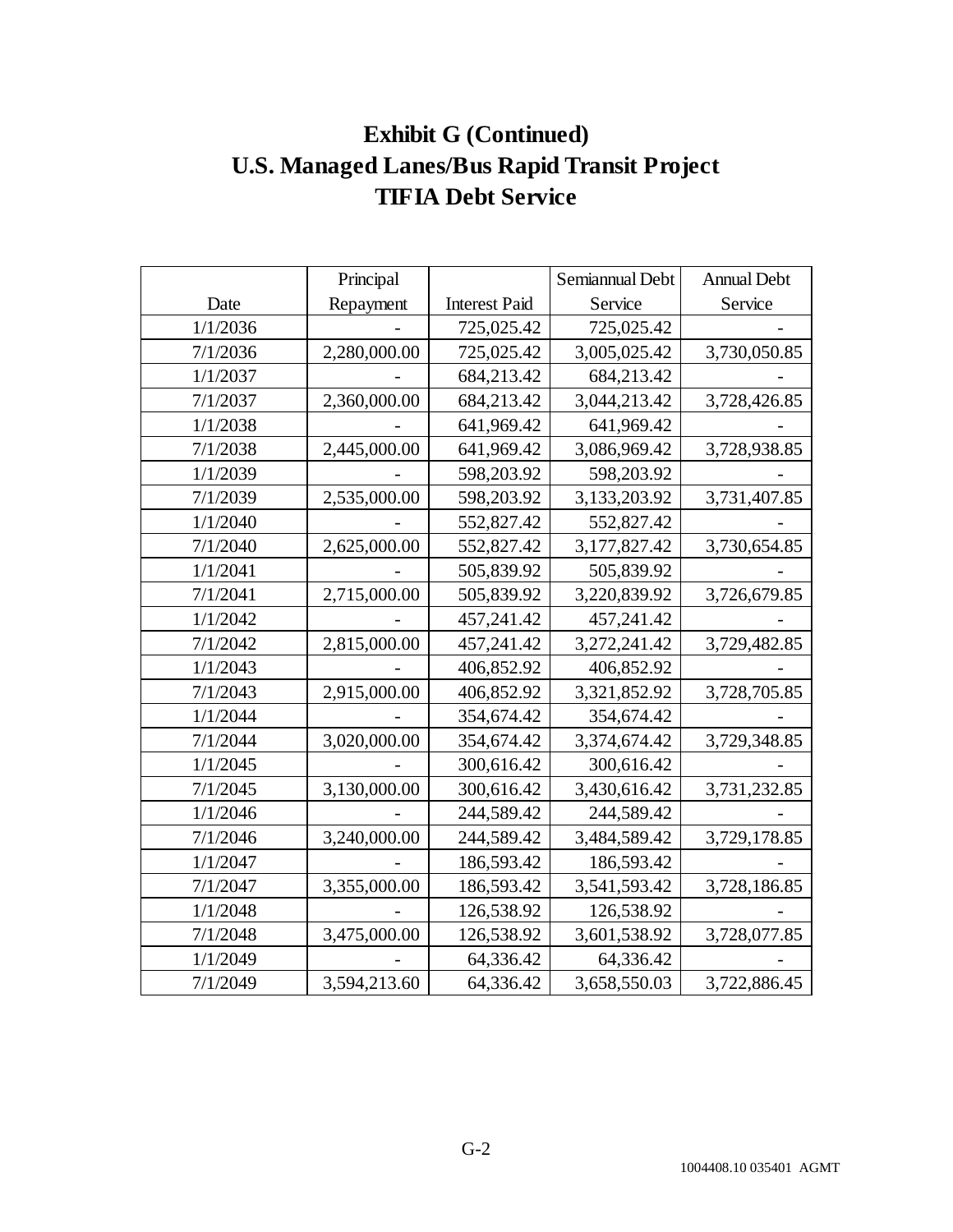# **Exhibit G (Continued) U.S. Managed Lanes/Bus Rapid Transit Project TIFIA Debt Service**

|          | Principal    |                      | Semiannual Debt | <b>Annual Debt</b> |
|----------|--------------|----------------------|-----------------|--------------------|
| Date     | Repayment    | <b>Interest Paid</b> | Service         | Service            |
| 1/1/2036 |              | 725,025.42           | 725,025.42      |                    |
| 7/1/2036 | 2,280,000.00 | 725,025.42           | 3,005,025.42    | 3,730,050.85       |
| 1/1/2037 |              | 684,213.42           | 684,213.42      |                    |
| 7/1/2037 | 2,360,000.00 | 684,213.42           | 3,044,213.42    | 3,728,426.85       |
| 1/1/2038 |              | 641,969.42           | 641,969.42      |                    |
| 7/1/2038 | 2,445,000.00 | 641,969.42           | 3,086,969.42    | 3,728,938.85       |
| 1/1/2039 |              | 598,203.92           | 598,203.92      |                    |
| 7/1/2039 | 2,535,000.00 | 598,203.92           | 3,133,203.92    | 3,731,407.85       |
| 1/1/2040 |              | 552,827.42           | 552,827.42      |                    |
| 7/1/2040 | 2,625,000.00 | 552,827.42           | 3,177,827.42    | 3,730,654.85       |
| 1/1/2041 |              | 505,839.92           | 505,839.92      |                    |
| 7/1/2041 | 2,715,000.00 | 505,839.92           | 3,220,839.92    | 3,726,679.85       |
| 1/1/2042 |              | 457,241.42           | 457,241.42      |                    |
| 7/1/2042 | 2,815,000.00 | 457,241.42           | 3,272,241.42    | 3,729,482.85       |
| 1/1/2043 |              | 406,852.92           | 406,852.92      |                    |
| 7/1/2043 | 2,915,000.00 | 406,852.92           | 3,321,852.92    | 3,728,705.85       |
| 1/1/2044 |              | 354,674.42           | 354,674.42      |                    |
| 7/1/2044 | 3,020,000.00 | 354,674.42           | 3,374,674.42    | 3,729,348.85       |
| 1/1/2045 |              | 300,616.42           | 300,616.42      |                    |
| 7/1/2045 | 3,130,000.00 | 300,616.42           | 3,430,616.42    | 3,731,232.85       |
| 1/1/2046 |              | 244,589.42           | 244,589.42      |                    |
| 7/1/2046 | 3,240,000.00 | 244,589.42           | 3,484,589.42    | 3,729,178.85       |
| 1/1/2047 |              | 186,593.42           | 186,593.42      |                    |
| 7/1/2047 | 3,355,000.00 | 186,593.42           | 3,541,593.42    | 3,728,186.85       |
| 1/1/2048 |              | 126,538.92           | 126,538.92      |                    |
| 7/1/2048 | 3,475,000.00 | 126,538.92           | 3,601,538.92    | 3,728,077.85       |
| 1/1/2049 |              | 64,336.42            | 64,336.42       |                    |
| 7/1/2049 | 3,594,213.60 | 64,336.42            | 3,658,550.03    | 3,722,886.45       |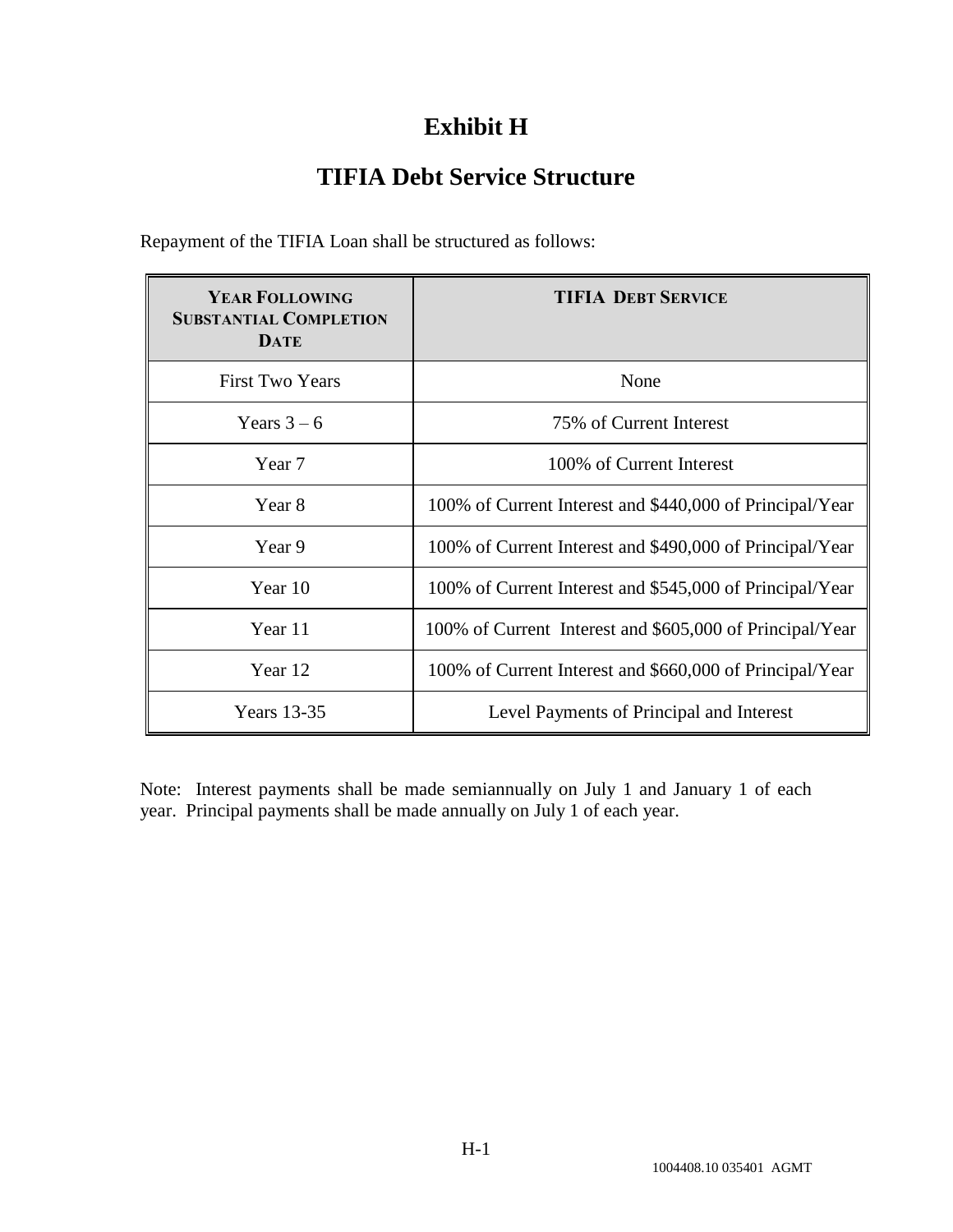# **Exhibit H**

# **TIFIA Debt Service Structure**

| <b>YEAR FOLLOWING</b>                        | <b>TIFIA DEBT SERVICE</b>                                |
|----------------------------------------------|----------------------------------------------------------|
| <b>SUBSTANTIAL COMPLETION</b><br><b>DATE</b> |                                                          |
| <b>First Two Years</b>                       | None                                                     |
| Years $3-6$                                  | 75% of Current Interest                                  |
| Year 7                                       | 100\% of Current Interest                                |
| Year 8                                       | 100% of Current Interest and \$440,000 of Principal/Year |
| Year 9                                       | 100% of Current Interest and \$490,000 of Principal/Year |
| Year 10                                      | 100% of Current Interest and \$545,000 of Principal/Year |
| Year 11                                      | 100% of Current Interest and \$605,000 of Principal/Year |
| Year 12                                      | 100% of Current Interest and \$660,000 of Principal/Year |
| <b>Years</b> 13-35                           | Level Payments of Principal and Interest                 |

Repayment of the TIFIA Loan shall be structured as follows:

Note: Interest payments shall be made semiannually on July 1 and January 1 of each year. Principal payments shall be made annually on July 1 of each year.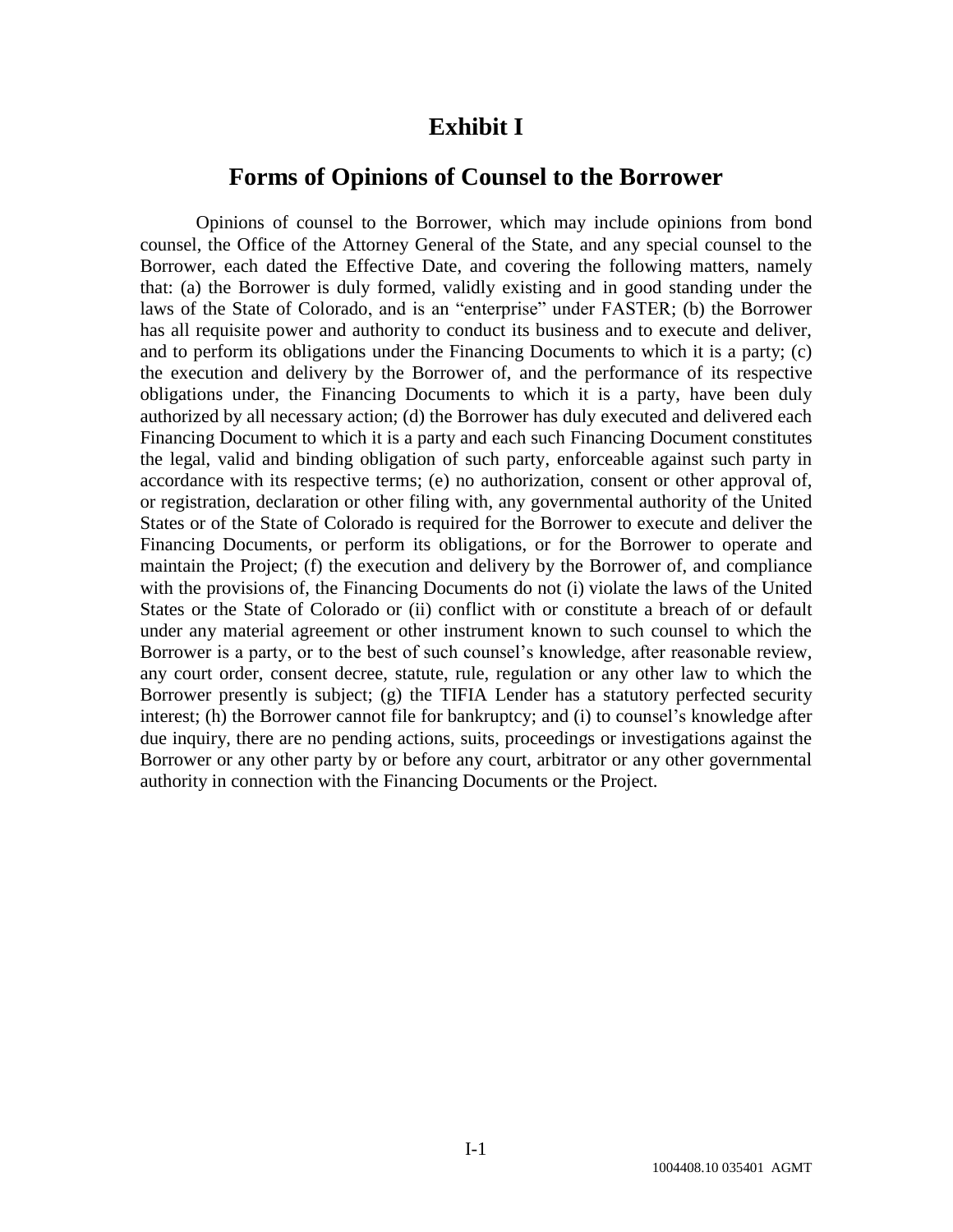### **Exhibit I**

### **Forms of Opinions of Counsel to the Borrower**

Opinions of counsel to the Borrower, which may include opinions from bond counsel, the Office of the Attorney General of the State, and any special counsel to the Borrower, each dated the Effective Date, and covering the following matters, namely that: (a) the Borrower is duly formed, validly existing and in good standing under the laws of the State of Colorado, and is an "enterprise" under FASTER; (b) the Borrower has all requisite power and authority to conduct its business and to execute and deliver, and to perform its obligations under the Financing Documents to which it is a party; (c) the execution and delivery by the Borrower of, and the performance of its respective obligations under, the Financing Documents to which it is a party, have been duly authorized by all necessary action; (d) the Borrower has duly executed and delivered each Financing Document to which it is a party and each such Financing Document constitutes the legal, valid and binding obligation of such party, enforceable against such party in accordance with its respective terms; (e) no authorization, consent or other approval of, or registration, declaration or other filing with, any governmental authority of the United States or of the State of Colorado is required for the Borrower to execute and deliver the Financing Documents, or perform its obligations, or for the Borrower to operate and maintain the Project; (f) the execution and delivery by the Borrower of, and compliance with the provisions of, the Financing Documents do not (i) violate the laws of the United States or the State of Colorado or (ii) conflict with or constitute a breach of or default under any material agreement or other instrument known to such counsel to which the Borrower is a party, or to the best of such counsel's knowledge, after reasonable review, any court order, consent decree, statute, rule, regulation or any other law to which the Borrower presently is subject; (g) the TIFIA Lender has a statutory perfected security interest; (h) the Borrower cannot file for bankruptcy; and (i) to counsel's knowledge after due inquiry, there are no pending actions, suits, proceedings or investigations against the Borrower or any other party by or before any court, arbitrator or any other governmental authority in connection with the Financing Documents or the Project.